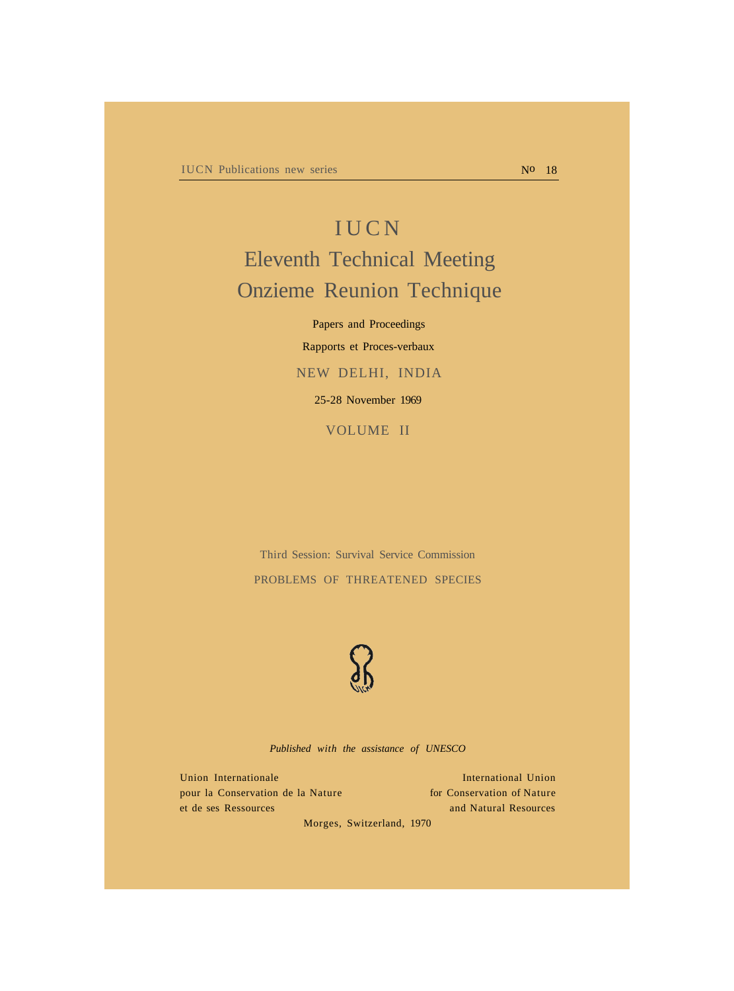# **IUCN** Eleventh Technical Meeting Onzieme Reunion Technique

Papers and Proceedings Rapports et Proces-verbaux NEW DELHI, INDIA 25-28 November 1969

VOLUME II

Third Session: Survival Service Commission PROBLEMS OF THREATENED SPECIES



*Published with the assistance of UNESCO*

Union Internationale International Union pour la Conservation de la Nature for Conservation of Nature et de ses Ressources and Natural Resources

Morges, Switzerland, 1970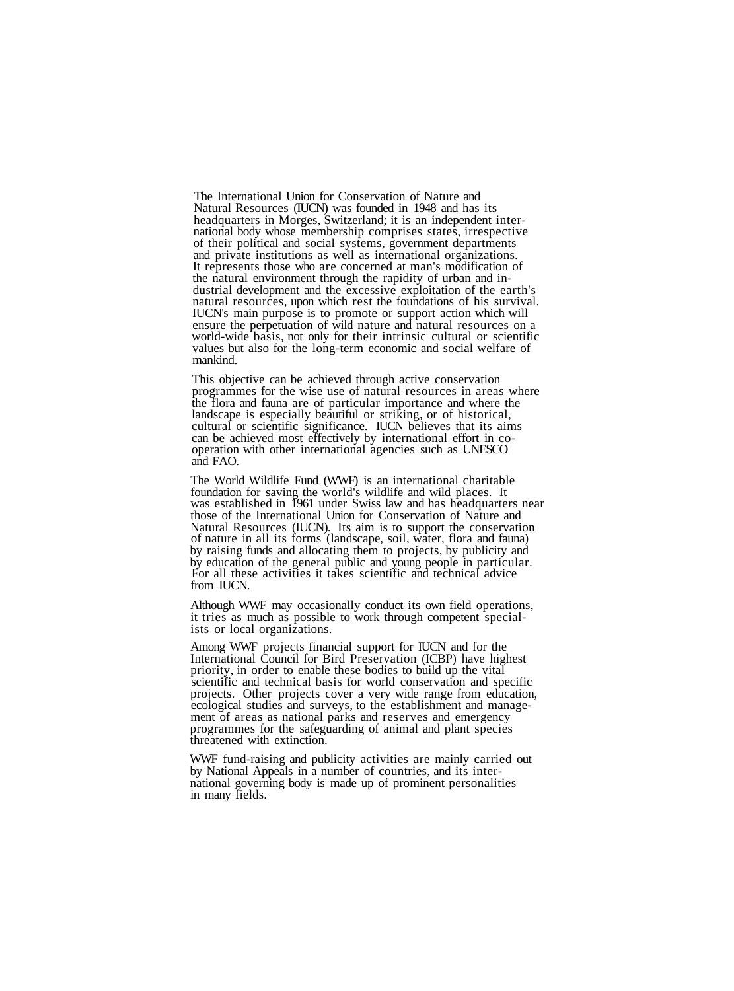The International Union for Conservation of Nature and Natural Resources (IUCN) was founded in 1948 and has its headquarters in Morges, Switzerland; it is an independent inter- national body whose membership comprises states, irrespective of their political and social systems, government departments and private institutions as well as international organizations. It represents those who are concerned at man's modification of the natural environment through the rapidity of urban and industrial development and the excessive exploitation of the earth's natural resources, upon which rest the foundations of his survival. IUCN's main purpose is to promote or support action which will. ensure the perpetuation of wild nature and natural resources on a world-wide basis, not only for their intrinsic cultural or scientific values but also for the long-term economic and social welfare of mankind.

This objective can be achieved through active conservation programmes for the wise use of natural resources in areas where the flora and fauna are of particular importance and where the landscape is especially beautiful or striking, or of historical, cultural or scientific significance. IUCN believes that its aims can be achieved most effectively by international effort in co- operation with other international agencies such as UNESCO and FAO.

The World Wildlife Fund (WWF) is an international charitable foundation for saving the world's wildlife and wild places. It was established in 1961 under Swiss law and has headquarters near those of the International Union for Conservation of Nature and Natural Resources (IUCN). Its aim is to support the conservation of nature in all its forms (landscape, soil, water, flora and fauna) by raising funds and allocating them to projects, by publicity and by education of the general public and young people in particular. For all these activities it takes scientific and technical advice from IUCN.

Although WWF may occasionally conduct its own field operations, it tries as much as possible to work through competent special- ists or local organizations.

Among WWF projects financial support for IUCN and for the International Council for Bird Preservation (ICBP) have highest priority, in order to enable these bodies to build up the vital scientific and technical basis for world conservation and specific projects. Other projects cover a very wide range from education, ecological studies and surveys, to the establishment and manage- ment of areas as national parks and reserves and emergency programmes for the safeguarding of animal and plant species threatened with extinction.

WWF fund-raising and publicity activities are mainly carried out by National Appeals in a number of countries, and its inter- national governing body is made up of prominent personalities in many fields.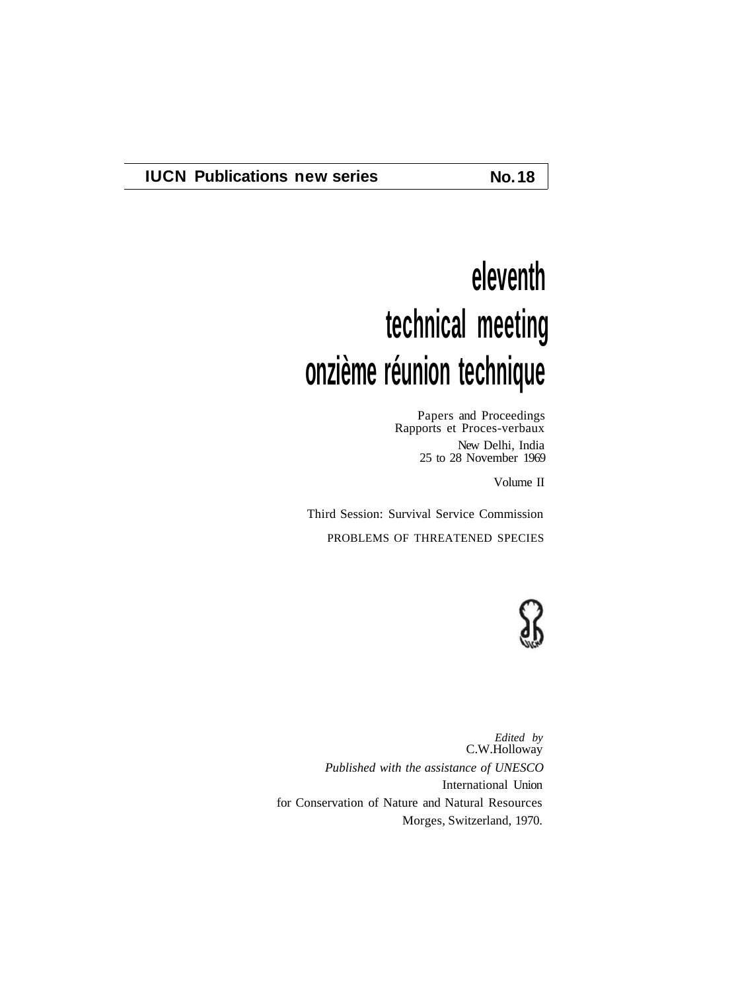# **eleventh technical meeting onzième réunion technique**

Papers and Proceedings Rapports et Proces-verbaux New Delhi, India 25 to 28 November 1969

Volume II

Third Session: Survival Service Commission PROBLEMS OF THREATENED SPECIES



*Edited by* C.W.Holloway *Published with the assistance of UNESCO* International Union for Conservation of Nature and Natural Resources Morges, Switzerland, 1970.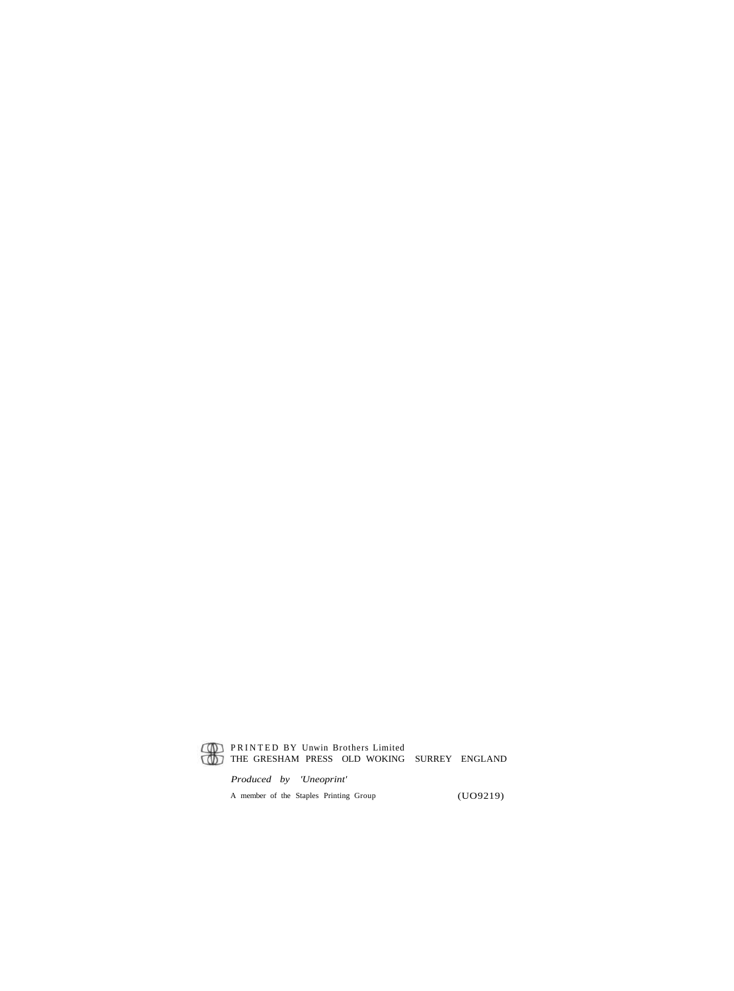

#### PRINTED BY Unwin Brothers Limited THE GRESHAM PRESS OLD WOKING SURREY ENGLAND

*Produced by 'Uneoprint'* A member of the Staples Printing Group (UO9219)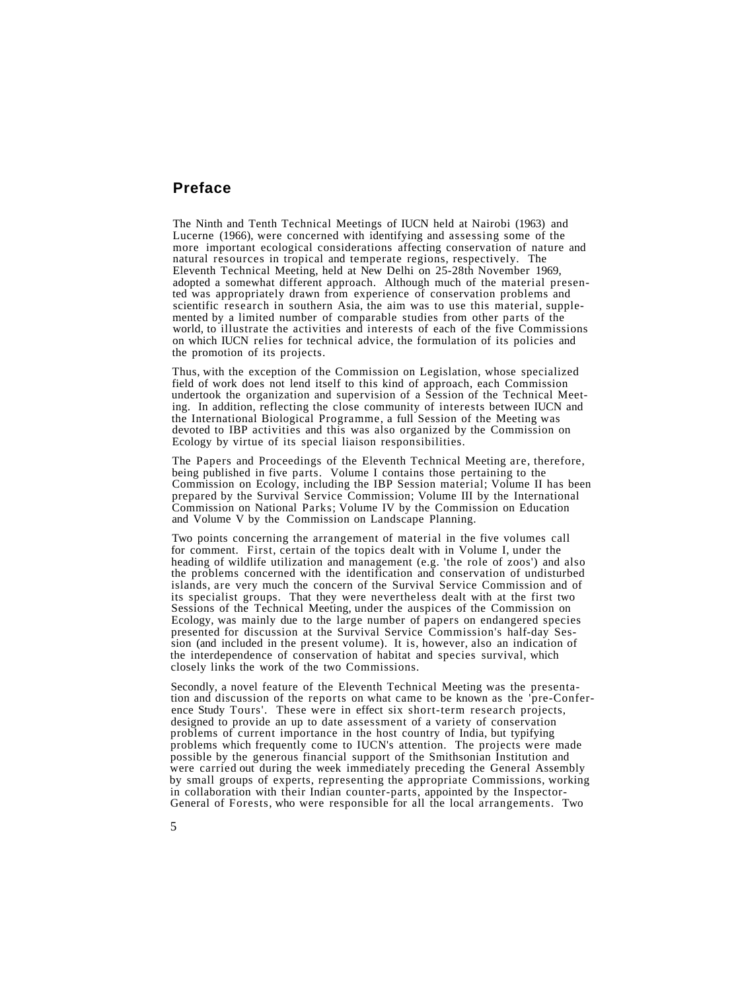# **Preface**

The Ninth and Tenth Technical Meetings of IUCN held at Nairobi (1963) and Lucerne (1966), were concerned with identifying and assessing some of the more important ecological considerations affecting conservation of nature and natural resources in tropical and temperate regions, respectively. The Eleventh Technical Meeting, held at New Delhi on 25-28th November 1969, adopted a somewhat different approach. Although much of the material presented was appropriately drawn from experience of conservation problems and scientific research in southern Asia, the aim was to use this material, supplemented by a limited number of comparable studies from other parts of the world, to illustrate the activities and interests of each of the five Commissions on which IUCN relies for technical advice, the formulation of its policies and the promotion of its projects.

Thus, with the exception of the Commission on Legislation, whose specialized field of work does not lend itself to this kind of approach, each Commission undertook the organization and supervision of a Session of the Technical Meeting. In addition, reflecting the close community of interests between IUCN and the International Biological Programme, a full Session of the Meeting was devoted to IBP activities and this was also organized by the Commission on Ecology by virtue of its special liaison responsibilities.

The Papers and Proceedings of the Eleventh Technical Meeting are, therefore, being published in five parts. Volume I contains those pertaining to the Commission on Ecology, including the IBP Session material; Volume II has been prepared by the Survival Service Commission; Volume III by the International Commission on National Parks; Volume IV by the Commission on Education and Volume V by the Commission on Landscape Planning.

Two points concerning the arrangement of material in the five volumes call for comment. First, certain of the topics dealt with in Volume I, under the heading of wildlife utilization and management (e.g. 'the role of zoos') and also the problems concerned with the identification and conservation of undisturbed islands, are very much the concern of the Survival Service Commission and of its specialist groups. That they were nevertheless dealt with at the first two Sessions of the Technical Meeting, under the auspices of the Commission on Ecology, was mainly due to the large number of papers on endangered species presented for discussion at the Survival Service Commission's half-day Session (and included in the present volume). It is, however, also an indication of the interdependence of conservation of habitat and species survival, which closely links the work of the two Commissions.

Secondly, a novel feature of the Eleventh Technical Meeting was the presentation and discussion of the reports on what came to be known as the 'pre-Conference Study Tours'. These were in effect six short-term research projects, designed to provide an up to date assessment of a variety of conservation problems of current importance in the host country of India, but typifying problems which frequently come to IUCN's attention. The projects were made possible by the generous financial support of the Smithsonian Institution and were carried out during the week immediately preceding the General Assembly by small groups of experts, representing the appropriate Commissions, working in collaboration with their Indian counter-parts, appointed by the Inspector-General of Forests, who were responsible for all the local arrangements. Two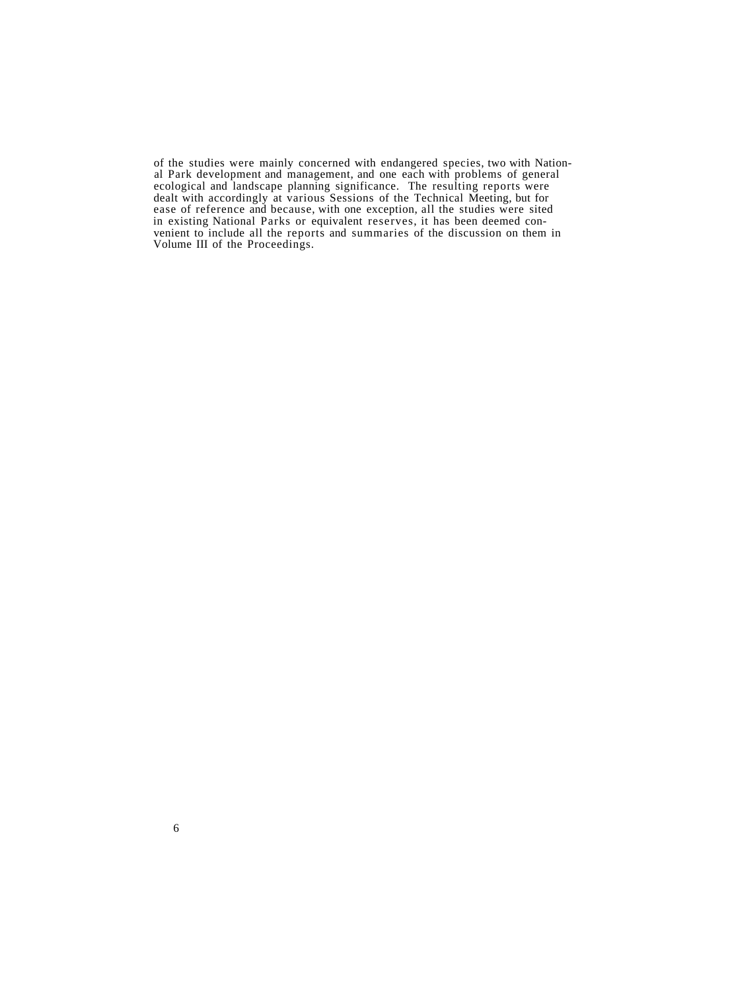of the studies were mainly concerned with endangered species, two with National Park development and management, and one each with problems of general ecological and landscape planning significance. The resulting reports were dealt with accordingly at various Sessions of the Technical Meeting, but for ease of reference and because, with one exception, all the studies were sited in existing National Parks or equivalent reserves, it has been deemed convenient to include all the reports and summaries of the discussion on them in Volume III of the Proceedings.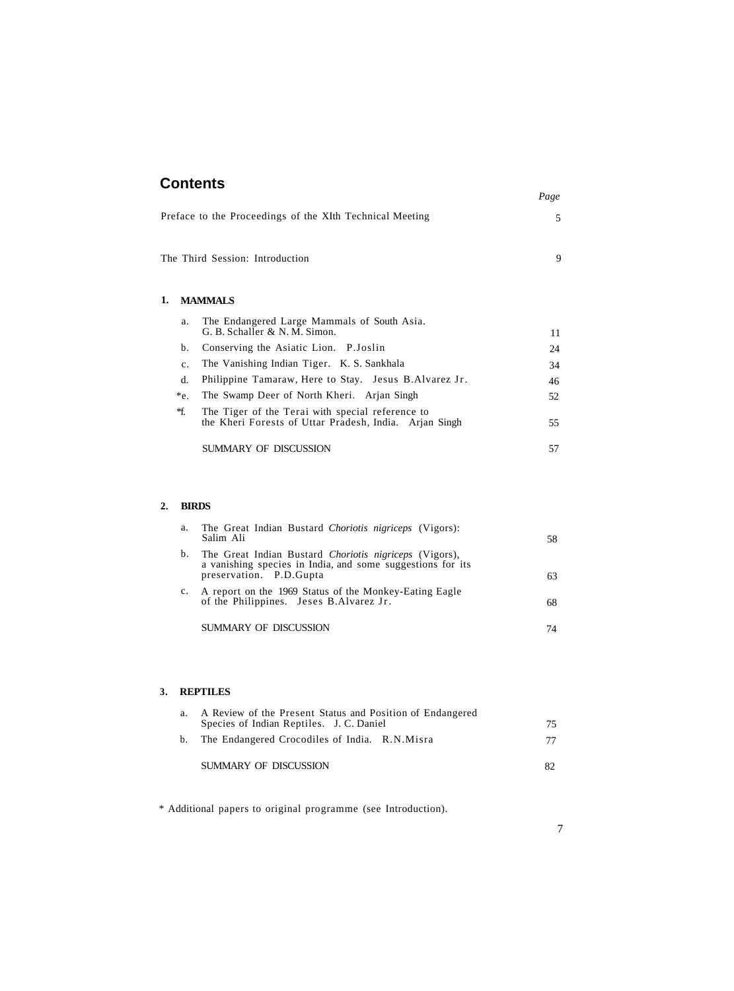| <b>Contents</b>                                          |                                                                              | Page |  |
|----------------------------------------------------------|------------------------------------------------------------------------------|------|--|
| Preface to the Proceedings of the XIth Technical Meeting |                                                                              |      |  |
|                                                          | The Third Session: Introduction                                              | 9    |  |
| 1.                                                       | <b>MAMMALS</b>                                                               |      |  |
| a.                                                       | The Endangered Large Mammals of South Asia.<br>G. B. Schaller & N. M. Simon. | 11   |  |
| b.                                                       | Conserving the Asiatic Lion. P. Joslin                                       | 24   |  |
| $\mathbf{c}$ .                                           | The Vanishing Indian Tiger. K. S. Sankhala                                   | 34   |  |
| d.                                                       | Philippine Tamaraw, Here to Stay. Jesus B.Alvarez Jr.                        | 46   |  |
| *e.                                                      | The Swamp Deer of North Kheri. Arjan Singh                                   | 52   |  |
| *f.                                                      | The Tiger of the Terai with special reference to                             |      |  |

the Kheri Forests of Uttar Pradesh, India. Arjan Singh SUMMARY OF DISCUSSION 57

### **2. BIRDS**

| a. | The Great Indian Bustard Choriotis nigriceps (Vigors):<br>Salim Ali                                                                              | 58 |
|----|--------------------------------------------------------------------------------------------------------------------------------------------------|----|
| b. | The Great Indian Bustard Choriotis nigriceps (Vigors),<br>a vanishing species in India, and some suggestions for its<br>preservation. P.D. Gupta | 63 |
|    | A report on the 1969 Status of the Monkey-Eating Eagle<br>of the Philippines. Jeses B.Alvarez Jr.                                                | 68 |
|    | SUMMARY OF DISCUSSION                                                                                                                            | 74 |

#### **3. REPTILES**

| a. | A Review of the Present Status and Position of Endangered<br>Species of Indian Reptiles. J. C. Daniel | 75 |
|----|-------------------------------------------------------------------------------------------------------|----|
|    | b. The Endangered Crocodiles of India. R.N.Misra                                                      | 77 |
|    | SUMMARY OF DISCUSSION                                                                                 |    |

\* Additional papers to original programme (see Introduction).

55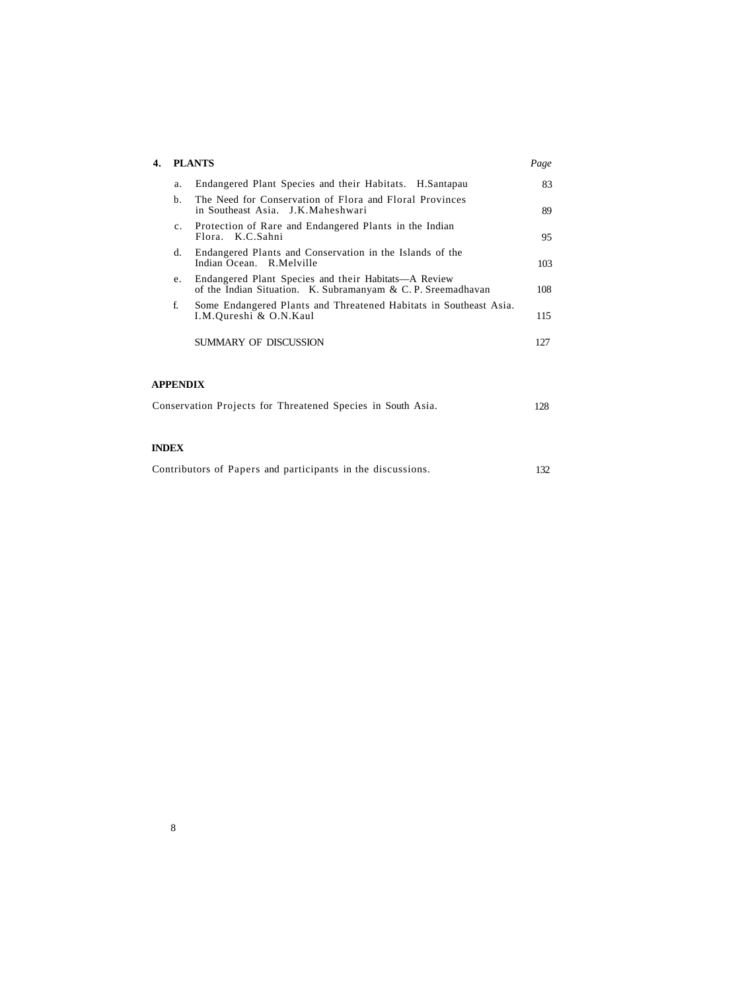| <b>PLANTS</b> |                                                                                                                      |     |  |  |  |
|---------------|----------------------------------------------------------------------------------------------------------------------|-----|--|--|--|
| a.            | Endangered Plant Species and their Habitats. H.Santapau                                                              | 83  |  |  |  |
| $h_{\cdot}$   | The Need for Conservation of Flora and Floral Provinces<br>in Southeast Asia. J.K.Maheshwari                         | 89  |  |  |  |
| $c_{\cdot}$   | Protection of Rare and Endangered Plants in the Indian<br>Flora. K.C.Sahni                                           | 95  |  |  |  |
| d.            | Endangered Plants and Conservation in the Islands of the<br>Indian Ocean. R.Melville                                 | 103 |  |  |  |
| e.            | Endangered Plant Species and their Habitats—A Review<br>of the Indian Situation. K. Subramanyam & C. P. Sreemadhavan | 108 |  |  |  |
| f.            | Some Endangered Plants and Threatened Habitats in Southeast Asia.<br>I.M.Oureshi & O.N.Kaul                          | 115 |  |  |  |
|               | SUMMARY OF DISCUSSION                                                                                                | 127 |  |  |  |
|               |                                                                                                                      |     |  |  |  |

#### **APPENDIX**

| Conservation Projects for Threatened Species in South Asia. |  |  |  |  |  |  | 128 |
|-------------------------------------------------------------|--|--|--|--|--|--|-----|
|-------------------------------------------------------------|--|--|--|--|--|--|-----|

## **INDEX**

| Contributors of Papers and participants in the discussions. |  | 132 |
|-------------------------------------------------------------|--|-----|
|-------------------------------------------------------------|--|-----|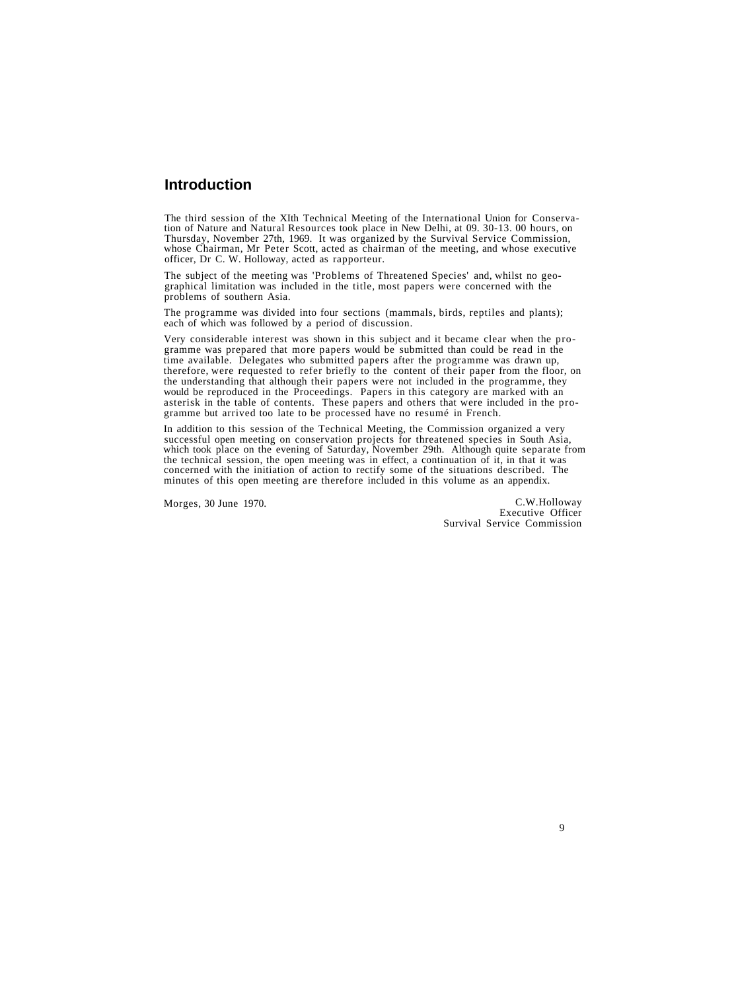# **Introduction**

The third session of the XIth Technical Meeting of the International Union for Conservation of Nature and Natural Resources took place in New Delhi, at 09. 30-13. 00 hours, on Thursday, November 27th, 1969. It was organize

The subject of the meeting was 'Problems of Threatened Species' and, whilst no geographical limitation was included in the title, most papers were concerned with the problems of southern Asia.

The programme was divided into four sections (mammals, birds, reptiles and plants); each of which was followed by a period of discussion.

Very considerable interest was shown in this subject and it became clear when the programme was prepared that more papers would be submitted than could be read in the time available. Delegates who submitted papers after the programme was drawn up, therefore, were requested to refer briefly to the content of their paper from the floor, on the understanding that although their papers were not included in the programme, they would be reproduced in the Proceedings. Papers in this category are marked with an asterisk in the table of contents. These papers and others that were included in the programme but arrived too late to be processed have no resumé in French.

In addition to this session of the Technical Meeting, the Commission organized a very successful open meeting on conservation projects for threatened species in South Asia. which took place on the evening of Saturday, November 29th. Although quite separate from<br>the technical session, the open meeting was in effect, a continuation of it, in that it was<br>concerned with the initiation of action t

Morges, 30 June 1970. C.W.Holloway Executive Officer Survival Service Commission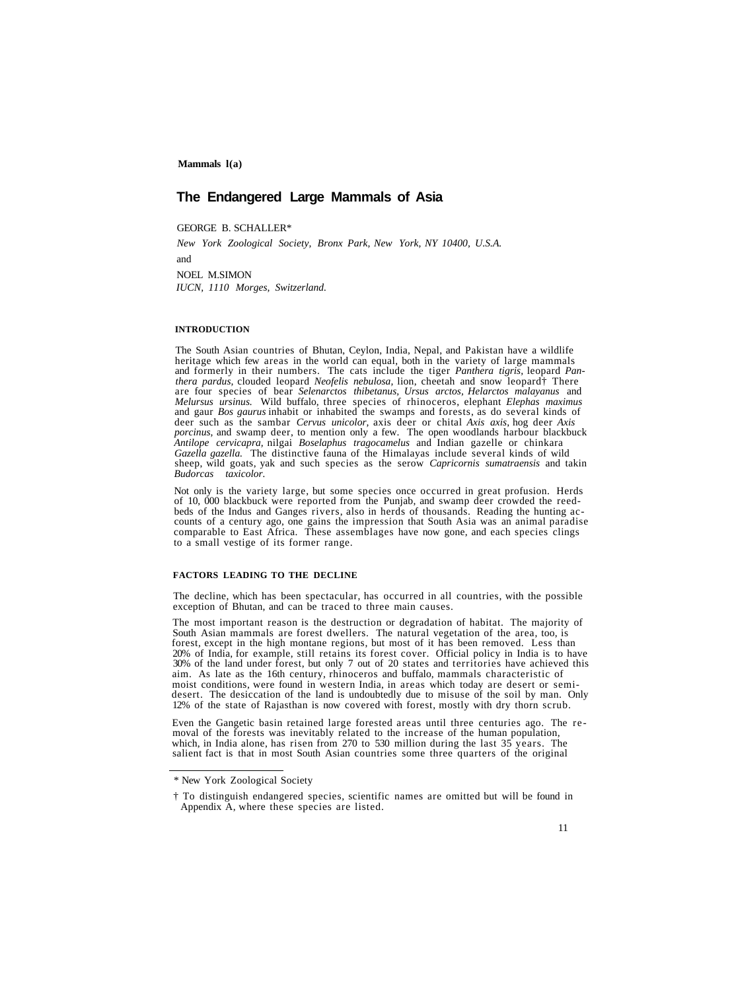# **The Endangered Large Mammals of Asia**

GEORGE B. SCHALLER\*

*New York Zoological Society, Bronx Park, New York, NY 10400, U.S.A.*

and

NOEL M.SIMON *IUCN, 1110 Morges, Switzerland.*

#### **INTRODUCTION**

The South Asian countries of Bhutan, Ceylon, India, Nepal, and Pakistan have a wildlife<br>heritage which few areas in the world can equal, both in the variety of large mammals<br>and formerly in their numbers. The cats include are four species of bear *Selenarctos thibetanus, Ursus arctos, Helarctos malayanus* and *Melursus ursinus*. Wild buffalo, three species of rhinoceros, elephant *Elephas maximus* and gaur *Bos gaurus* inhabit or inhabited the swamps and forests, as do several kinds of deer such as the sambar *Cervus unicolor,* axis deer or chital *Axis axis*, hog deer *Axis porcinus,* and swamp deer, to mention only a few. The open woodlands harbour blackbuck *Antilope cervicapra,* nilgai *Boselaphus tragocamelus* and Indian gazelle or chinkara *Gazella gazella.* The distinctive fauna of the Himalayas include several kinds of wild sheep, wild goats, yak and such species as the serow *Capricornis sumatraensis* and takin *Budorcas taxicolor.*

Not only is the variety large, but some species once occurred in great profusion. Herds of 10, 000 blackbuck were reported from the Punjab, and swamp deer crowded the reed-<br>beds of the Indus and Ganges rivers, also in herd

#### **FACTORS LEADING TO THE DECLINE**

The decline, which has been spectacular, has occurred in all countries, with the possible exception of Bhutan, and can be traced to three main causes.

The most important reason is the destruction or degradation of habitat. The majority of South Asian mammals are forest dwellers. The natural vegetation of the area, too, is forest, except in the high montane regions, but most of it has been removed. Less than 20% of India, for example, still retains its forest cover. Official policy in India is to have 30% of the land under forest, but only 7 moist conditions, were found in western India, in areas which today are desert or semi- desert. The desiccation of the land is undoubtedly due to misuse of the soil by man. Only 12% of the state of Rajasthan is now covered with forest, mostly with dry thorn scrub.

Even the Gangetic basin retained large forested areas until three centuries ago. The re-<br>moval of the forests was inevitably related to the increase of the human population,<br>which, in India alone, has risen from 270 to 530

<sup>\*</sup> New York Zoological Society

<sup>†</sup> To distinguish endangered species, scientific names are omitted but will be found in Appendix A, where these species are listed.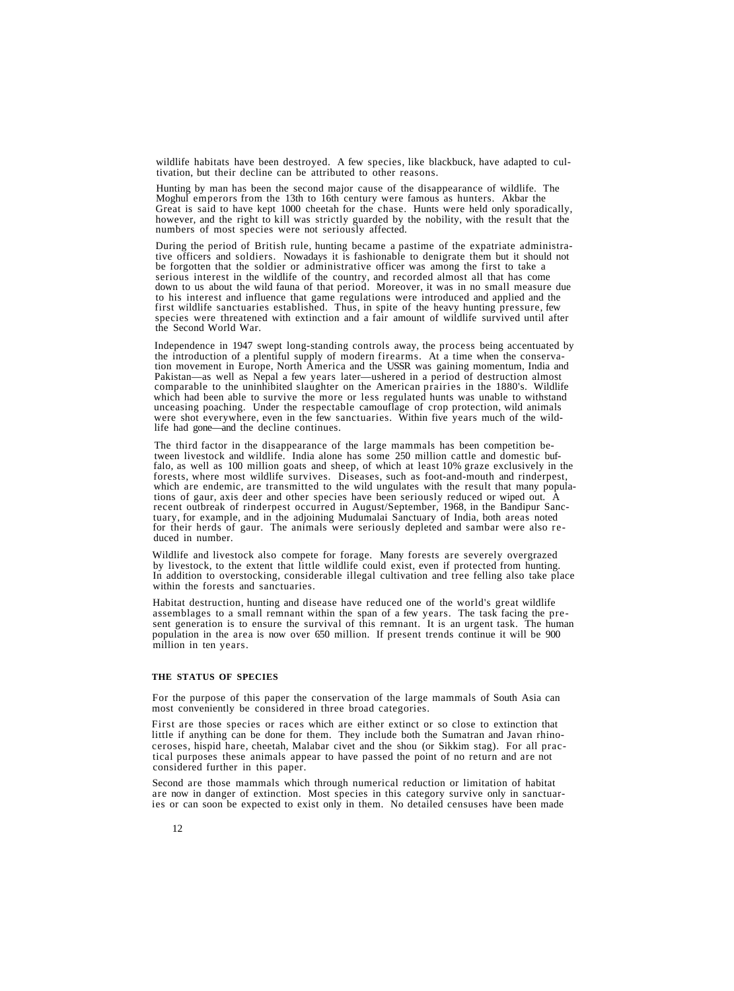wildlife habitats have been destroyed. A few species, like blackbuck, have adapted to cul- tivation, but their decline can be attributed to other reasons.

Hunting by man has been the second major cause of the disappearance of wildlife. The Moghul emperors from the 13th to 16th century were famous as hunters. Akbar the Great is said to have kept 1000 cheetah for the chase. Hu

During the period of British rule, hunting became a pastime of the expatriate administrative officers and soldiers. Nowadays it is fashionable to denigrate them but it should not be forgotten that the soldier or administra serious interest in the wildlife of the country, and recorded almost all that has come<br>down to us about the wild fauna of that period. Moreover, it was in no small measure due<br>to his interest and influence that game regula

Independence in 1947 swept long-standing controls away, the process being accentuated by the introduction of a plentiful supply of modern firearms. At a time when the conservation movement in Europe, North America and the USSR was gaining momentum, India and Pakistan—as well as Nepal a few years later—ushered in a period of destruction almost which had been able to survive the more or less regulated hunts was unable to with stand unceasing poaching. Under the respectable camouflage of crop protection, wild animals were shot everywhere, even in the few sanctuaries. Within five years much of the wild-<br>life had gone—and the decline continues.

The third factor in the disappearance of the large mammals has been competition be-<br>tween livestock and wildlife. India alone has some 250 million cattle and domestic buf-<br>falo, as well as 100 million goats and sheep, of w for their herds of gaur. The animals were seriously depleted and sambar were also re - duced in number.

Wildlife and livestock also compete for forage. Many forests are severely overgrazed by livestock, to the extent that little wildlife could exist, even if protected from hunting. In addition to overstocking, considerable illegal cultivation and tree felling also take place within the forests and sanctuaries.

Habitat destruction, hunting and disease have reduced one of the world's great wildlife assemblages to a small remnant within the span of a few years. The task facing the present generation is to ensure the survival of this remnant. It is an urgent task. The human population in the area is now over 650 million. If present trends continue it will be 900 million in ten years.

#### **THE STATUS OF SPECIES**

For the purpose of this paper the conservation of the large mammals of South Asia can most conveniently be considered in three broad categories.

First are those species or races which are either extinct or so close to extinction that little if anything can be done for them. They include both the Sumatran and Javan rhinoceroses, hispid hare, cheetah, Malabar civet and the shou (or Sikkim stag). For all practical purposes these animals appear to have passed the point of no return and are not considered further in this paper.

Second are those mammals which through numerical reduction or limitation of habitat are now in danger of extinction. Most species in this category survive only in sanctuaries or can soon be expected to exist only in them. No detailed censuses have been made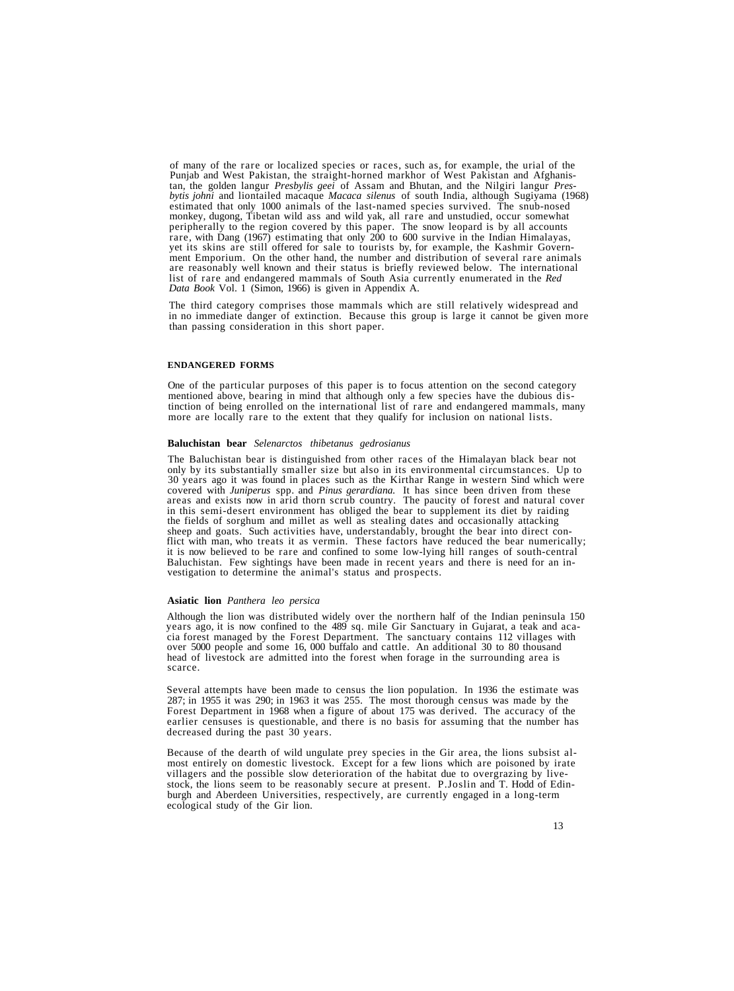of many of the rare or localized species or races, such as, for example, the urial of the Punjab and West Pakistan, the straight-horned markhor of West Pakistan and Afghanistan, the golden langur *Presbylis geei* of Assam *bytis johni* and liontailed macaque *Macaca silenus* of south India, although Sugiyama (1968) estimated that only 1000 animals of the last-named species survived. The snub-nosed monkey, dugong, Tibetan wild ass and wild yak, all rare and unstudied, occur somewhat rare, with Dang (1967) estimating that only 200 to 600 survive in the Indian Himalayas,<br>yet its skins are still offered for sale to tourists by, for example, the Kashmir Govern-<br>ment Emporium. On the other hand, the number list of rare and endangered mammals of South Asia currently enumerated in the *Red Data Book* Vol. 1 (Simon, 1966) is given in Appendix A.

The third category comprises those mammals which are still relatively widespread and in no immediate danger of extinction. Because this group is large it cannot be given more than passing consideration in this short paper.

#### **ENDANGERED FORMS**

One of the particular purposes of this paper is to focus attention on the second category mentioned above, bearing in mind that although only a few species have the dubious distinction of being enrolled on the international list of rare and endangered mammals, many more are locally rare to the extent that they qualify for inclusion on national lists.

#### **Baluchistan bear** *Selenarctos thibetanus gedrosianus*

The Baluchistan bear is distinguished from other races of the Himalayan black bear not only by its substantially smaller size but also in its environmental circumstances. Up to 30 years ago it was found in places such as the Kirthar Range in western Sind which were<br>covered with *Juniperus* spp. and *Pinus gerardiana*. It has since been driven from these<br>areas and exists now in arid thorn scrub co the fields of sorghum and millet as well as stealing dates and occasionally attacking sheep and goats. Such activities have, understandably, brought the bear into direct conflict with man, who treats it as vermin. These factors have reduced the bear numerically; it is now believed to be rare and confined to some low-lying hill ranges of south-central Baluchistan. Few sightings have been made in recent years and there is need for an in- vestigation to determine the animal's status and prospects.

#### **Asiatic lion** *Panthera leo persica*

Although the lion was distributed widely over the northern half of the Indian peninsula 150 years ago, it is now confined to the 489 sq. mile Gir Sanctuary in Gujarat, a teak and acacia forest managed by the Forest Department. The sanctuary contains 112 villages with over 5000 people and some 16,000 buffalo and cattle. An additional 30 to 80 thousand head of livestock are admitted into the forest when forage in the surrounding area is scarce.

Several attempts have been made to census the lion population. In 1936 the estimate was 287; in 1955 it was 290; in 1963 it was 255. The most thorough census was made by the Forest Department in 1968 when a figure of about 175 was derived. The accuracy of the earlier censuses is questionable, and there is no basis for assuming that the number has decreased during the past 30 years.

Because of the dearth of wild ungulate prey species in the Gir area, the lions subsist almost entirely on domestic livestock. Except for a few lions which are poisoned by irate villagers and the possible slow deterioration of the habitat due to overgrazing by livestock, the lions seem to be reasonably secure at present. P.Joslin and T. Hodd of Edinburgh and Aberdeen Universities, respectively, are currently engaged in a long-term ecological study of the Gir lion.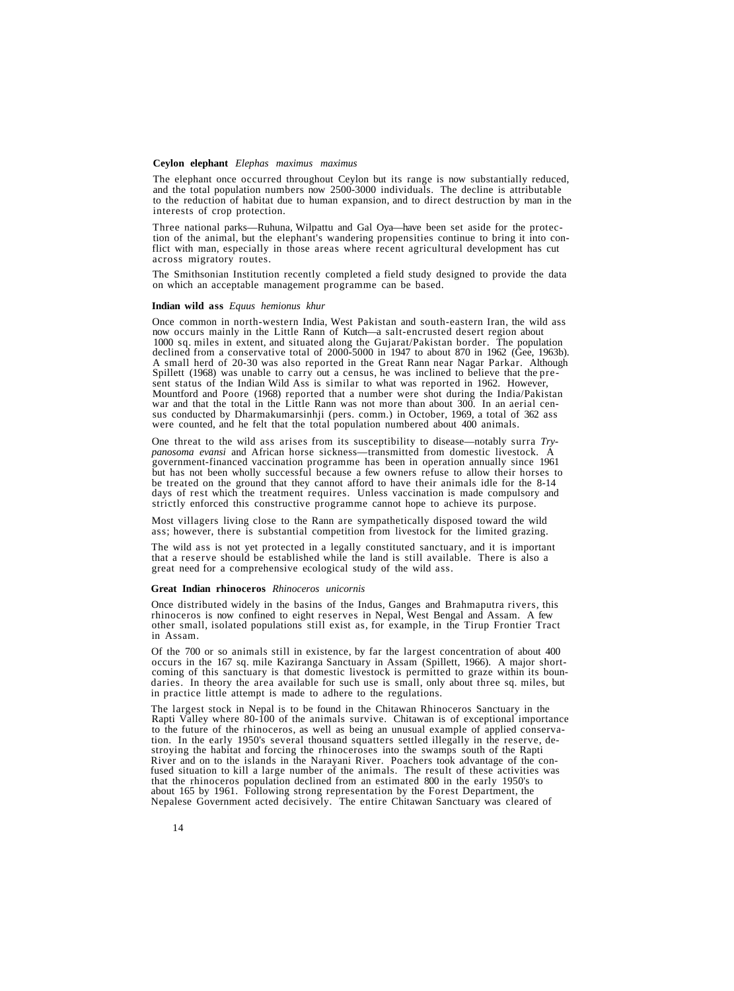#### **Ceylon elephant** *Elephas maximus maximus*

The elephant once occurred throughout Ceylon but its range is now substantially reduced, and the total population numbers now 2500-3000 individuals. The decline is attributable to the reduction of habitat due to human expansion, and to direct destruction by man in the interests of crop protection.

Three national parks—Ruhuna, Wilpattu and Gal Oya—have been set aside for the protection of the animal, but the elephant's wandering propensities continue to bring it into conflict with man, especially in those areas where recent agricultural development has cut across migratory routes.

The Smithsonian Institution recently completed a field study designed to provide the data on which an acceptable management programme can be based.

#### **Indian wild ass** *Equus hemionus khur*

Once common in north-western India, West Pakistan and south-eastern Iran, the wild ass now occurs mainly in the Little Rann of Kutch—a salt-encrusted desert region about 1000 sq. miles in extent, and situated along the Guj declined from a conservative total of 2000-5000 in 1947 to about 870 in 1962 (Gee, 1963b).<br>A small herd of 20-30 was also reported in the Great Rann near Nagar Parkar. Although Spillett (1968) was unable to carry out a cen sent status of the Indian Wild Ass is similar to what was reported in 1962. However,<br>Mountford and Poore (1968) reported that a number were shot during the India/Pakistan<br>war and that the total in the Little Rann was not m

One threat to the wild ass arises from its susceptibility to disease—notably surra *Trypanosoma evansi* and African horse sickness—transmitted from domestic livestock. A government-financed vaccination programme has been in operation annually since 1961 but has not been wholly successful because a few owners refuse to allow their horses to be treated on the ground that they cannot afford to have their animals idle for the 8-14 days of rest which the treatment requires. Unless vaccination is made compulsory and strictly enforced this constructive programme cannot hope to achieve its purpose.

Most villagers living close to the Rann are sympathetically disposed toward the wild ass; however, there is substantial competition from livestock for the limited grazing.

The wild ass is not yet protected in a legally constituted sanctuary, and it is important that a reserve should be established while the land is still available. There is also a great need for a comprehensive ecological study of the wild ass.

#### **Great Indian rhinoceros** *Rhinoceros unicornis*

Once distributed widely in the basins of the Indus, Ganges and Brahmaputra rivers, this rhinoceros is now confined to eight reserves in Nepal, West Bengal and Assam. A few other small, isolated populations still exist as, in Assam.

Of the 700 or so animals still in existence, by far the largest concentration of about 400 occurs in the 167 sq. mile Kaziranga Sanctuary in Assam (Spillett, 1966). A major short-coming of this sanctuary is that domestic l in practice little attempt is made to adhere to the regulations.

The largest stock in Nepal is to be found in the Chitawan Rhinoceros Sanctuary in the Rapti Valley where 80-100 of the animals survive. Chitawan is of exceptional importance to the future of the rhinoceros, as well as bein fused situation to kill a large number of the animals. The result of these activities was<br>that the rhinoceros population declined from an estimated 800 in the early 1950's to<br>about 165 by 1961. Following strong representat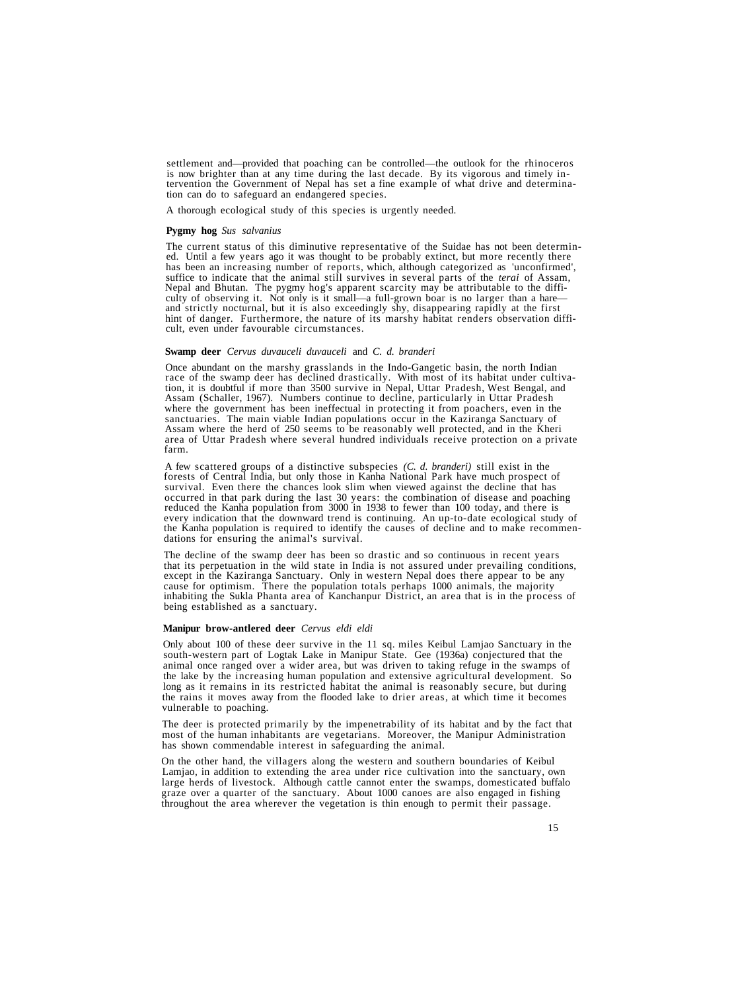settlement and—provided that poaching can be controlled—the outlook for the rhinoceros<br>is now brighter than at any time during the last decade. By its vigorous and timely in-<br>tervention the Government of Nepal has set a fi

A thorough ecological study of this species is urgently needed.

#### **Pygmy hog** *Sus salvanius*

The current status of this diminutive representative of the Suidae has not been determined. Until a few years ago it was thought to be probably extinct, but more recently there has been an increasing number of reports, whi hint of danger. Furthermore, the nature of its marshy habitat renders observation diffi- cult, even under favourable circumstances.

#### **Swamp deer** *Cervus duvauceli duvauceli* and *C. d. branderi*

Once abundant on the marshy grasslands in the Indo-Gangetic basin, the north Indian race of the swamp deer has declined drastically. With most of its habitat under cultivation, it is doubtful if more than 3500 survive in N Assam (Schaller, 1967). Numbers continue to decline, particularly in Uttar Pradesh sanctuaries. The main viable Indian populations occur in the Kaziranga Sanctuary of Assam where the herd of 250 seems to be reasonably well protected, and in the Kheri area of Uttar Pradesh where several hundred individuals receive protection on a private farm.

A few scattered groups of a distinctive subspecies (*C. d. branderi*) still exist in the forests of Central India, but only those in Kanha National Park have much prospect of survival. Even there the chances look slim when occurred in that park during the last 30 years: the combination of disease and poaching reduced the Kanha population from 3000 in 1938 to fewer than 100 today, and there is every indication that the downward trend is continuing. An up-to-date ecological study of the Kanha population is required to identify the causes of decline and to make recommen- dations for ensuring the animal's survival.

The decline of the swamp deer has been so drastic and so continuous in recent years<br>that its perpetuation in the wild state in India is not assured under prevailing conditions,<br>except in the Kaziranga Sanctuary. Only in we inhabiting the Sukla Phanta area of Kanchanpur District, an area that is in the process of being established as a sanctuary.

#### **Manipur brow-antlered deer** *Cervus eldi eldi*

Only about 100 of these deer survive in the 11 sq. miles Keibul Lamjao Sanctuary in the south-western part of Logtak Lake in Manipur State. Gee (1936a) conjectured that the animal once ranged over a wider area, but was driven to taking refuge in the swamps of the lake by the increasing human population and extensive agricultural development. So long as it remains in its restricted habitat the animal is reasonably secure, but during the rains it moves away from the flooded lake to drier areas, at which time it becomes vulnerable to poaching.

The deer is protected primarily by the impenetrability of its habitat and by the fact that most of the human inhabitants are vegetarians. Moreover, the Manipur Administration has shown commendable interest in safeguarding the animal.

On the other hand, the villagers along the western and southern boundaries of Keibul Lamjao, in addition to extending the area under rice cultivation into the sanctuary, own large herds of livestock. Although cattle cannot enter the swamps, domesticated buffalo graze over a quarter of the sanctuary. About 1000 canoes are also engaged in fishing throughout the area wherever the vegetation is thin enough to permit their passage.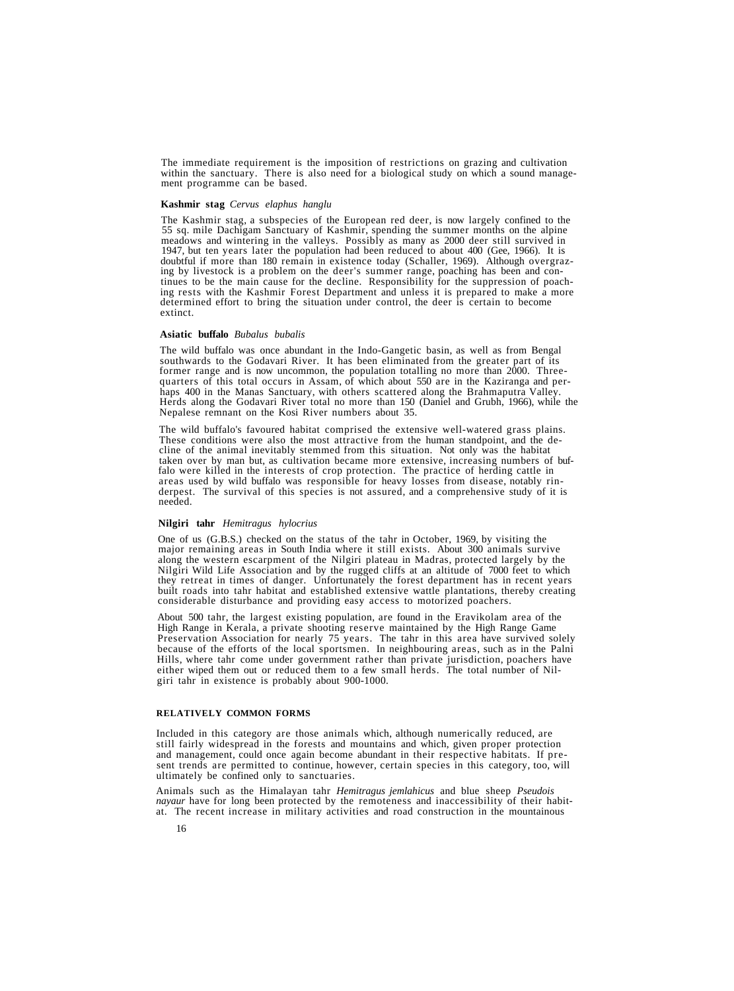The immediate requirement is the imposition of restrictions on grazing and cultivation within the sanctuary. There is also need for a biological study on which a sound manage- ment programme can be based.

#### **Kashmir stag** *Cervus elaphus hanglu*

The Kashmir stag, a subspecies of the European red deer, is now largely confined to the 55 sq. mile Dachigam Sanctuary of Kashmir, spending the summer months on the alpine meadows and wintering in the valleys. Possibly as

#### **Asiatic buffalo** *Bubalus bubalis*

The wild buffalo was once abundant in the Indo-Gangetic basin, as well as from Bengal former range and is now uncommon, the population totalling no more than 2000. Three-<br>quarters of this total occurs in Assam, of which about 550 are in the Kaziranga and per-<br>haps 400 in the Manas Sanctuary, with others sca

The wild buffalo's favoured habitat comprised the extensive well-watered grass plains.<br>These conditions were also the most attractive from the human standpoint, and the de-<br>cline of the animal inevitably stemmed from this falo were killed in the interests of crop protection. The practice of herding cattle in areas used by wild buffalo was responsible for heavy losses from disease, notably rinderpest. The survival of this species is not assu

#### **Nilgiri tahr** *Hemitragus hylocrius*

One of us (G.B.S.) checked on the status of the tahr in October, 1969, by visiting the major remaining areas in South India where it still exists. About 300 animals survive along the western escarpment of the Nilgiri plate built roads into tahr habitat and established extensive wattle plantations, thereby creating considerable disturbance and providing easy access to motorized poachers.

About 500 tahr, the largest existing population, are found in the Eravikolam area of the High Range in Kerala, a private shooting reserve maintained by the High Range Game Preservation Association for nearly 75 years. The tahr in this area have survived solely because of the efforts of the local sportsmen. In neighbouring areas, such as in the Palni Hills, where tahr come under government rather than private jurisdiction, poachers have either wiped them out or reduced them to a few small herds. The total number of Nilgiri tahr in existence is probably about 900-1000.

#### **RELATIVELY COMMON FORMS**

Included in this category are those animals which, although numerically reduced, are still fairly widespread in the forests and mountains and which, given proper protection and management, could once again become abundant in their respective habitats. If present trends are permitted to continue, however, certain species in this category, too, will ultimately be confined only to sanctuaries.

Animals such as the Himalayan tahr *Hemitragus jemlahicus* and blue sheep *Pseudois* at. The recent increase in military activities and road construction in the mountainous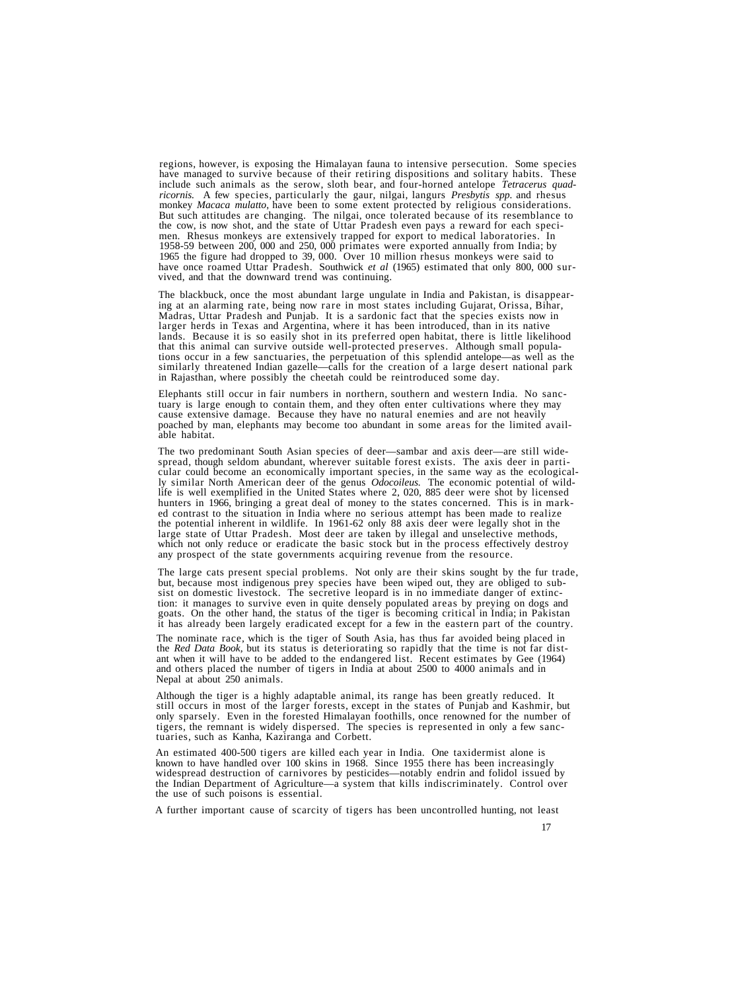regions, however, is exposing the Himalayan fauna to intensive persecution. Some species have managed to survive because of their retiring dispositions and solitary habits. These include such animals as the serow, sloth be monkey *Macaca mulatto*, have been to some extent protected by religious considerations.<br>But such attitudes are changing. The nilgai, once tolerated because of its resemblance to<br>the cow, is now shot, and the state of Utt have once roamed Uttar Pradesh. Southwick *et al* (1965) estimated that only 800, 000 survived, and that the downward trend was continuing.

The blackbuck, once the most abundant large ungulate in India and Pakistan, is disappearing at an alarming rate, being now rare in most states including Gujarat, Orissa, Bihar, Madras, Uttar Pradesh and Punjab. It is a sar tions occur in a few sanctuaries, the perpetuation of this splendid antelope—as well as the similarly threatened Indian gazelle—calls for the creation of a large desert national park in Rajasthan, where possibly the cheetah could be reintroduced some day.

Elephants still occur in fair numbers in northern, southern and western India. No sanctuary is large enough to contain them, and they often enter cultivations where they may cause extensive damage. Because they have no nat poached by man, elephants may become too abundant in some areas for the limited avail- able habitat.

The two predominant South Asian species of deer—sambar and axis deer—are still wide-<br>spread, though seldom abundant, wherever suitable forest exists. The axis deer in parti-<br>cular could become an economically important spe ed contrast to the situation in India where no serious attempt has been made to realize<br>the potential inherent in wildlife. In 1961-62 only 88 axis deer were legally shot in the<br>large state of Uttar Pradesh. Most deer are

The large cats present special problems. Not only are their skins sought by the fur trade, but, because most indigenous prey species have been wiped out, they are obliged to subsist on domestic livestock. The secretive leo it has already been largely eradicated except for a few in the eastern part of the country.

The nominate race, which is the tiger of South Asia, has thus far avoided being placed in the *Red Data Book*, but its status is deteriorating so rapidly that the time is not far distant when it will have to be added to th

Although the tiger is a highly adaptable animal, its range has been greatly reduced. It still occurs in most of the larger forests, except in the states of Punjab and Kashmir, but only sparsely. Even in the forested Himalayan foothills, once renowned for the number of tigers, the remnant is widely dispersed. The species is represented in only a few sanc- tuaries, such as Kanha, Kaziranga and Corbett.

An estimated 400-500 tigers are killed each year in India. One taxidermist alone is known to have handled over 100 skins in 1968. Since 1955 there has been increasingly widespread destruction of carnivores by pesticides—notably endrin and folidol issued by the Indian Department of Agriculture—a system that kills indiscriminately. Control over the use of such poisons is essential.

A further important cause of scarcity of tigers has been uncontrolled hunting, not least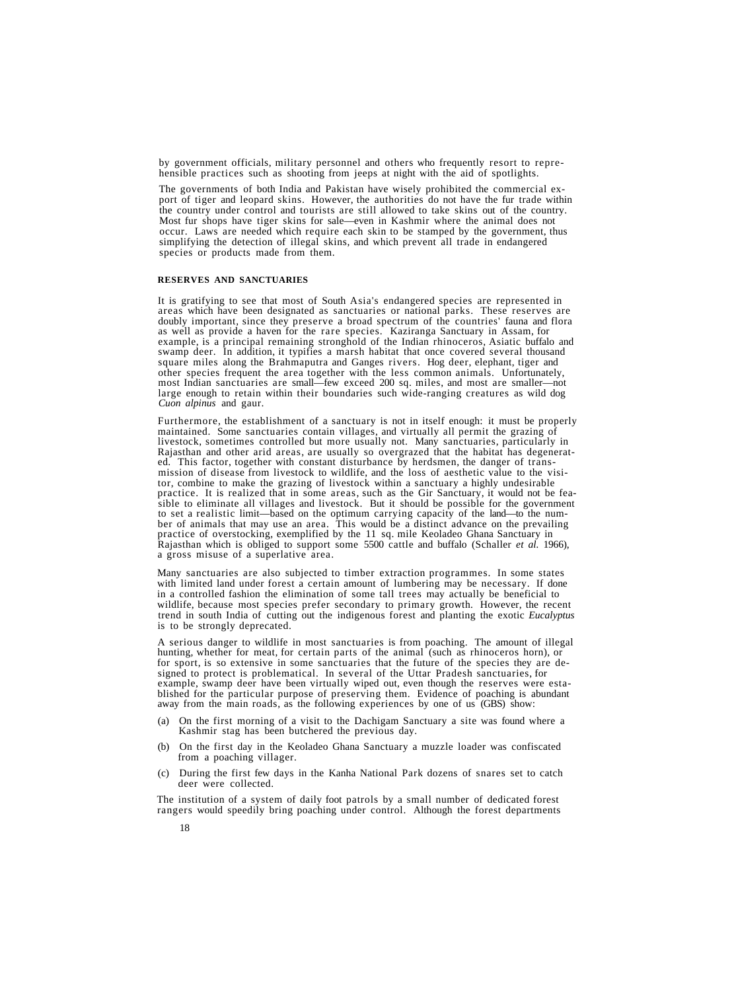by government officials, military personnel and others who frequently resort to reprehensible practices such as shooting from jeeps at night with the aid of spotlights.

The governments of both India and Pakistan have wisely prohibited the commercial export of tiger and leopard skins. However, the authorities do not have the fur trade within the country under control and tourists are still allowed to take skins out of the country. Most fur shops have tiger skins for sale—even in Kashmir where the animal does not occur. Laws are needed which require each skin to be stamped by the government, thus simplifying the detection of illegal skins, and which prevent all trade in endangered species or products made from them.

#### **RESERVES AND SANCTUARIES**

It is gratifying to see that most of South Asia's endangered species are represented in<br>areas which have been designated as sanctuaries or national parks. These reserves are<br>doubly important, since they preserve a broad sp square miles along the Brahmaputra and Ganges rivers. Hog deer, elephant, tiger and other species frequent the area together with the less common animals. Unfortunately, most Indian sanctuaries are small—few exceed 200 sq. miles, and most are smaller—not large enough to retain within their boundaries such wide-ranging creatures as wild dog *Cuon alpinus* and gaur.

Furthermore, the establishment of a sanctuary is not in itself enough: it must be properly maintained. Some sanctuaries contain villages, and virtually all permit the grazing of livestock, sometimes controlled but more usually not. Many sanctuaries, particularly in Rajasthan and other arid areas, are usually so overgrazed that the habitat has degenerated. This factor, together with constant disturbance by herdsmen, the danger of transmission of disease from livestock to wildlife, and ber of animals that may use an area. This would be a distinct advance on the prevailing practice of overstocking, exemplified by the 11 sq. mile Keoladeo Ghana Sanctuary in Rajasthan which is obliged to support some 5500 cattle and buffalo (Schaller *et al.* 1966), a gross misuse of a superlative area.

Many sanctuaries are also subjected to timber extraction programmes. In some states with limited land under forest a certain amount of lumbering may be necessary. If done in a controlled fashion the elimination of some tall trees may actually be beneficial to wildlife, because most species prefer secondary to primary growth. However, the recent trend in south India of cutting out the indigenous forest and planting the exotic *Eucalyptus* is to be strongly deprecated.

A serious danger to wildlife in most sanctuaries is from poaching. The amount of illegal hunting, whether for meat, for certain parts of the animal (such as rhinoceros horn), or for sport, is so extensive in some sanctuaries that the future of the species they are de-<br>signed to protect is problematical. In several of the Uttar Pradesh sanctuaries, for<br>example, swamp deer have been virtually wiped

- (a) On the first morning of a visit to the Dachigam Sanctuary a site was found where a Kashmir stag has been butchered the previous day.
- (b) On the first day in the Keoladeo Ghana Sanctuary a muzzle loader was confiscated from a poaching villager.
- (c) During the first few days in the Kanha National Park dozens of snares set to catch deer were collected.

The institution of a system of daily foot patrols by a small number of dedicated forest rangers would speedily bring poaching under control. Although the forest departments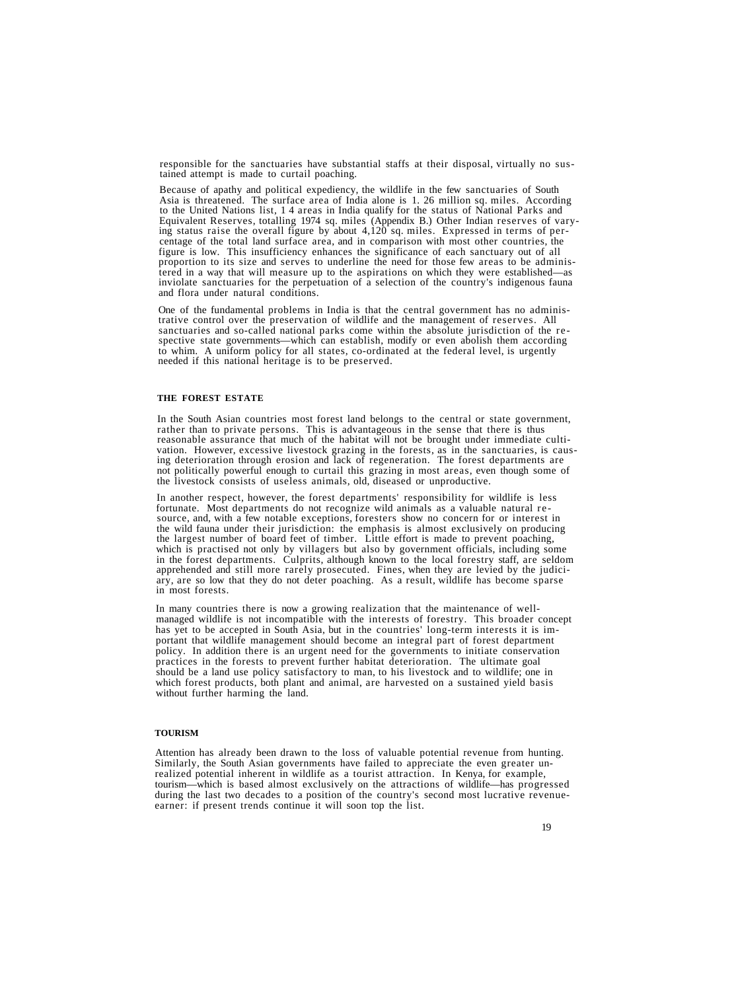responsible for the sanctuaries have substantial staffs at their disposal, virtually no sus- tained attempt is made to curtail poaching.

Because of apathy and political expediency, the wildlife in the few sanctuaries of South Asia is threatened. The surface area of India alone is 1. 26 million sq. miles. According to the United Nations list, 1 4 areas in India qualify for the status of National Parks and<br>Equivalent Reserves, totalling 1974 sq. miles (Appendix B.) Other Indian reserves of varying status raise the overall figure by about  $4,120$  sq. miles. Expressed in terms of per-<br>centage of the total land surface area, and in comparison with most other countries, the<br>figure is low. This insufficiency enhance tered in a way that will measure up to the aspirations on which they were established—as<br>inviolate sanctuaries for the perpetuation of a selection of the country's indigenous fauna<br>and flora under natural conditions.

One of the fundamental problems in India is that the central government has no administrative control over the preservation of wildlife and the management of reserves. All sanctuaries and so-called national parks come with spective state governments—which can establish, modify or even abolish them according to whim. A uniform policy for all states, co-ordinated at the federal level, is urgently needed if this national heritage is to be preserved.

#### **THE FOREST ESTATE**

In the South Asian countries most forest land belongs to the central or state government,<br>rather than to private persons. This is advantageous in the sense that there is thus<br>reasonable assurance that much of the habitat w the livestock consists of useless animals, old, diseased or unproductive.

In another respect, however, the forest departments' responsibility for wildlife is less<br>fortunate. Most departments do not recognize wild animals as a valuable natural re-<br>source, and, with a few notable exceptions, fores which is practised not only by villagers but also by government officials, including some<br>in the forest departments. Culprits, although known to the local forestry staff, are seldom<br>apprehended and still more rarely prosec

In many countries there is now a growing realization that the maintenance of wellmanaged wildlife is not incompatible with the interests of forestry. This broader concept has yet to be accepted in South Asia, but in the countries' long-term interests it is important that wildlife management should become an integral part of forest department policy. In addition there is an urgent need for the governments to initiate conservation practices in the forests to prevent further habitat deterioration. The ultimate goal should be a land use policy satisfactory to man, to his livestock and to wildlife; one in which forest products, both plant and animal, are harvested on a sustained yield basis without further harming the land.

#### **TOURISM**

Attention has already been drawn to the loss of valuable potential revenue from hunting. Similarly, the South Asian governments have failed to appreciate the even greater unrealized potential inherent in wildlife as a tourist attraction. In Kenya, for example, tourism—which is based almost exclusively on the attractions of wildlife—has progressed during the last two decades to a position of the country's second most lucrative revenueearner: if present trends continue it will soon top the list.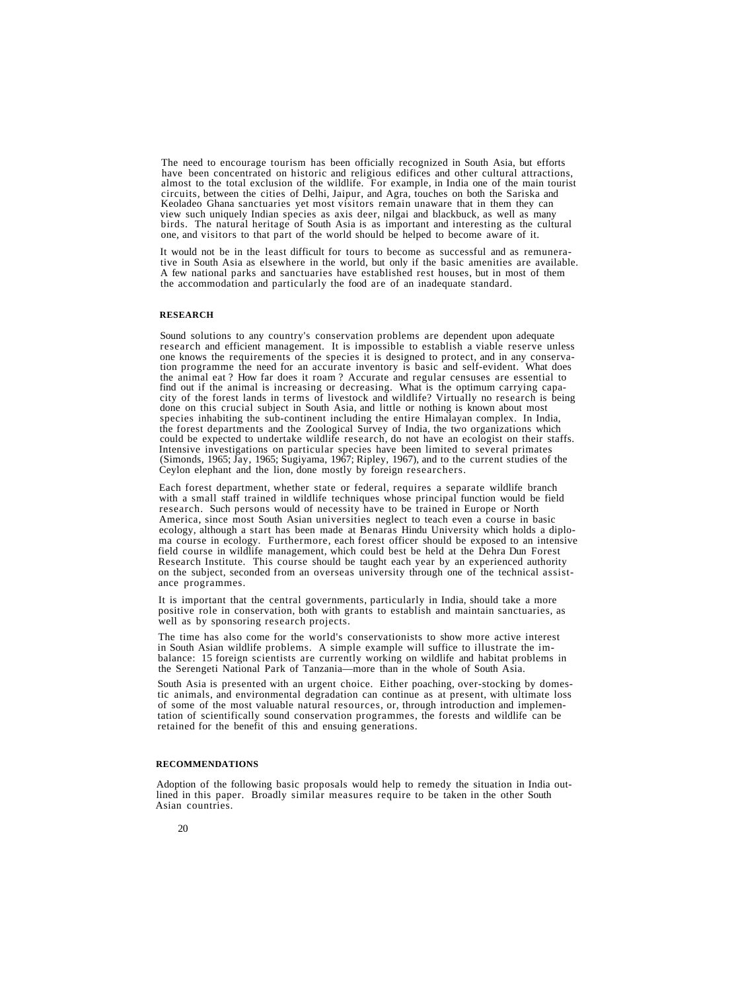The need to encourage tourism has been officially recognized in South Asia, but efforts have been concentrated on historic and religious edifices and other cultural attractions, almost to the total exclusion of the wildlif circuits, between the cities of Delhi, Jaipur, and Agra, touches on both the Sariska and view such uniquely Indian species as axis deer, nilgai and blackbuck, as well as many<br>birds. The natural heritage of South Asia is as important and interesting as the cultural one, and visitors to that part of the world should be helped to become aware of it.

It would not be in the least difficult for tours to become as successful and as remunerative in South Asia as elsewhere in the world, but only if the basic amenities are available. A few national parks and sanctuaries have established rest houses, but in most of them the accommodation and particularly the food are of an inadequate standard.

#### **RESEARCH**

Sound solutions to any country's conservation problems are dependent upon adequate<br>research and efficient management. It is impossible to establish a viable reserve unless<br>one knows the requirements of the species it is de done on this crucial subject in South Asia, and little or nothing is known about most species inhabiting the sub-continent including the entire Himalayan complex. In India, the forest departments and the Zoological Survey of India, the two organizations which could be expected to undertake wildlife research, do not have an ecologist on their staffs. Intensive investigations on particular species have been limited to several primates<br>(Simonds, 1965; Jay, 1965; Sugiyama, 1967; Ripley, 1967), and to the current studies of the<br>Ceylon elephant and the lion, done mostly by

Each forest department, whether state or federal, requires a separate wildlife branch with a small staff trained in wildlife techniques whose principal function would be field research. Such persons would of necessity have to be trained in Europe or North America, since most South Asian universities neglect to teach even a course in basic ecology, although a start has been made at Benaras Hindu University which holds a diploma course in ecology. Furthermore, each forest officer should be exposed to an intensive field course in wildlife management, which could best be held at the Dehra Dun Forest Research Institute. This course should be taught each year by an experienced authority on the subject, seconded from an overseas university through one of the technical assistance programmes.

It is important that the central governments, particularly in India, should take a more positive role in conservation, both with grants to establish and maintain sanctuaries, as well as by sponsoring research projects.

The time has also come for the world's conservationists to show more active interest in South Asian wildlife problems. A simple example will suffice to illustrate the imbalance: 15 foreign scientists are currently working on wildlife and habitat problems in the Serengeti National Park of Tanzania—more than in the whole of South Asia.

South Asia is presented with an urgent choice. Either poaching, over-stocking by domestic animals, and environmental degradation can continue as at present, with ultimate loss of some of the most valuable natural resources, or, through introduction and implementation of scientifically sound conservation programmes, the forests and wildlife can be retained for the benefit of this and ensuing generations.

#### **RECOMMENDATIONS**

Adoption of the following basic proposals would help to remedy the situation in India outlined in this paper. Broadly similar measures require to be taken in the other South Asian countries.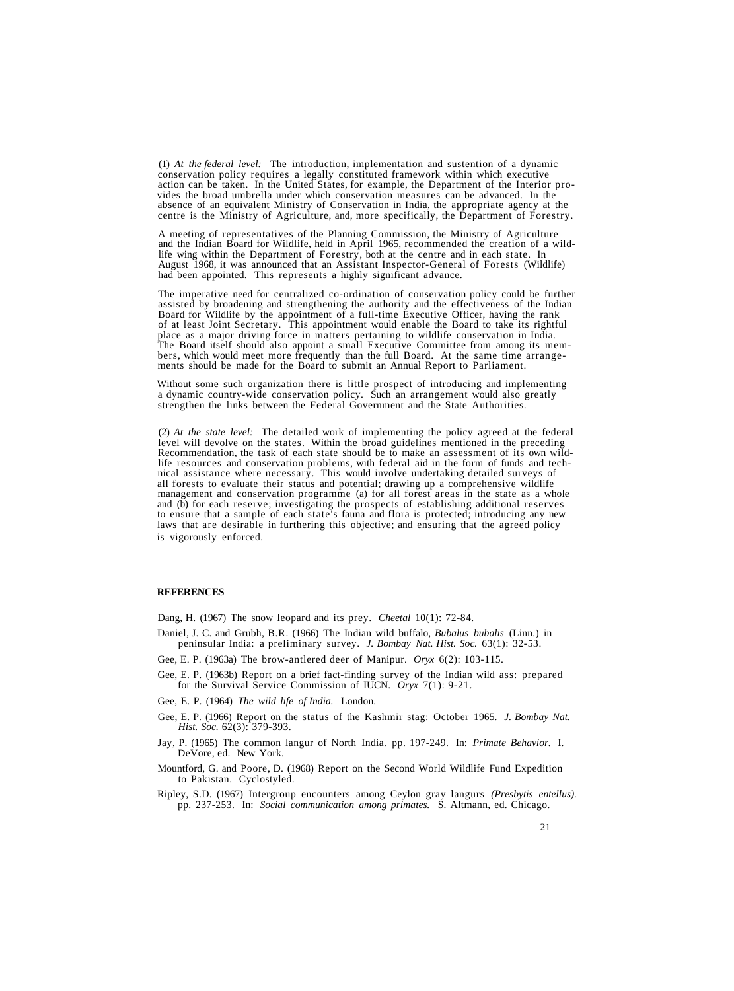(1) At the federal level: The introduction, implementation and sustention of a dynamic conservation policy requires a legally constituted framework within which executive action can be taken. In the United States, for exa

A meeting of representatives of the Planning Commission, the Ministry of Agriculture<br>and the Indian Board for Wildlife, held in April 1965, recommended the creation of a wild-<br>life wing within the Department of Forestry, b had been appointed. This represents a highly significant advance.

The imperative need for centralized co-ordination of conservation policy could be further assisted by broadening and strengthening the authority and the effectiveness of the Indian Board for Wildlife by the appointment of The Board itself should also appoint a small Executive Committee from among its members, which would meet more frequently than the full Board. At the same time arrangements should be made for the Board to submit an Annual

Without some such organization there is little prospect of introducing and implementing a dynamic country-wide conservation policy. Such an arrangement would also greatly strengthen the links between the Federal Government and the State Authorities.

(2) *At the state level:* The detailed work of implementing the policy agreed at the federal Level will devolve on the states. Within the broad guidelines mentioned in the preceding<br>Recommendation, the task of each state should be to make an assessment of its own wildlife resources and conservation problems, with federal aid in the form of funds and technical assistance where necessary. This would involve undertaking detailed surveys of all forests to evaluate their status and potentia management and conservation programme (a) for all forest areas in the state as a whole<br>and (b) for each reserve; investigating the prospects of establishing additional reserves<br>to ensure that a sample of each state's fauna is vigorously enforced.

#### **REFERENCES**

Dang, H. (1967) The snow leopard and its prey. *Cheetal* 10(1): 72-84.

- Daniel, J. C. and Grubh, B.R. (1966) The Indian wild buffalo, *Bubalus bubalis* (Linn.) in peninsular India: a preliminary survey. *J. Bombay Nat. Hist. Soc.* 63(1): 32-53.
- Gee, E. P. (1963a) The brow-antlered deer of Manipur. *Oryx* 6(2): 103-115.
- Gee, E. P. (1963b) Report on a brief fact-finding survey of the Indian wild ass: prepared for the Survival Service Commission of IUCN. *Oryx* 7(1): 9-21.
- Gee, E. P. (1964) *The wild life of India.* London.
- Gee, E. P. (1966) Report on the status of the Kashmir stag: October 1965. *J. Bombay Nat. Hist. Soc.* 62(3): 379-393.
- Jay, P. (1965) The common langur of North India. pp. 197-249. In: *Primate Behavior.* I. DeVore, ed. New York.
- Mountford, G. and Poore, D. (1968) Report on the Second World Wildlife Fund Expedition to Pakistan. Cyclostyled.
- Ripley, S.D. (1967) Intergroup encounters among Ceylon gray langurs *(Presbytis entellus).* pp. 237-253. In: *Social communication among primates.* S. Altmann, ed. Chicago.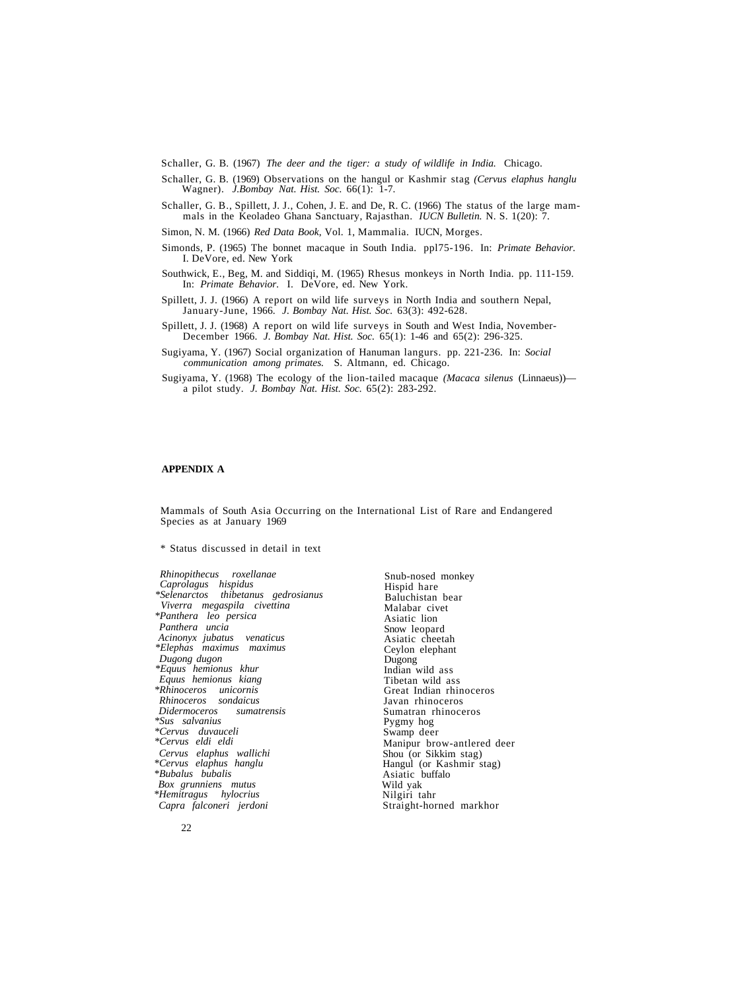Schaller, G. B. (1967) *The deer and the tiger: a study of wildlife in India.* Chicago.

Schaller, G. B. (1969) Observations on the hangul or Kashmir stag *(Cervus elaphus hanglu* Wagner). *J.Bombay Nat. Hist. Soc.* 66(1): 1-7.

Schaller, G. B., Spillett, J. J., Cohen, J. E. and De, R. C. (1966) The status of the large mammals in the Keoladeo Ghana Sanctuary, Rajasthan. *IUCN Bulletin.* N. S. 1(20): 7.

Simon, N. M. (1966) *Red Data Book,* Vol. 1, Mammalia. IUCN, Morges.

- Simonds, P. (1965) The bonnet macaque in South India. ppl75-196. In: *Primate Behavior.* I. DeVore, ed. New York
- Southwick, E., Beg, M. and Siddiqi, M. (1965) Rhesus monkeys in North India. pp. 111-159. In: *Primate Behavior.* I. DeVore, ed. New York.
- Spillett, J. J. (1966) A report on wild life surveys in North India and southern Nepal, January-June, 1966. *J. Bombay Nat. Hist. Soc.* 63(3): 492-628.
- Spillett, J. J. (1968) A report on wild life surveys in South and West India, November-December 1966. *J. Bombay Nat. Hist. Soc.* 65(1): 1-46 and 65(2): 296-325.
- Sugiyama, Y. (1967) Social organization of Hanuman langurs. pp. 221-236. In: *Social communication among primates.* S. Altmann, ed. Chicago.
- Sugiyama, Y. (1968) The ecology of the lion-tailed macaque *(Macaca silenus* (Linnaeus)) a pilot study. *J. Bombay Nat. Hist. Soc.* 65(2): 283-292.

#### **APPENDIX A**

Mammals of South Asia Occurring on the International List of Rare and Endangered Species as at January 1969

\* Status discussed in detail in text

*Rhinopithecus roxellanae Caprolagus hispidus \*Selenarctos thibetanus gedrosianus Viverra megaspila civettina \*Panthera leo persica Panthera uncia Acinonyx jubatus venaticus \*Elephas maximus maximus Dugong dugon \*Equus hemionus khur Equus hemionus kiang \*Rhinoceros unicornis Rhinoceros sondaicus Didermoceros sumatrensis \*Sus salvanius \*Cervus duvauceli \*Cervus eldi eldi Cervus elaphus wallichi \*Cervus elaphus hanglu \*Bubalus bubalis Box grunniens mutus \*Hemitragus hylocrius Capra falconeri jerdoni*

Snub-nosed monkey Hispid hare Baluchistan bear Malabar civet Asiatic lion Snow leopard Asiatic cheetah Ceylon elephant Dugong<br>Indian wild ass Tibetan wild ass<br>Great Indian rhinoceros<br>Javan rhinoceros Sumatran rhinoceros Pygmy hog Swamp deer Manipur brow-antlered deer Shou (or Sikkim stag) Hangul (or Kashmir stag) Asiatic buffalo Wild yak Nilgiri tahr Straight-horned markhor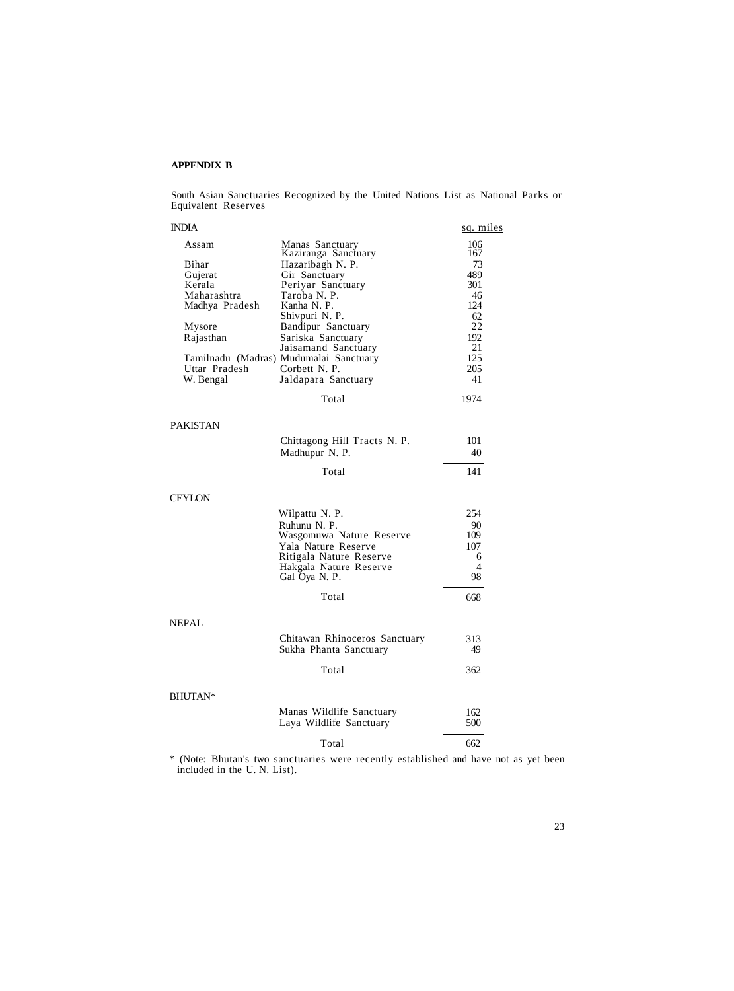#### **APPENDIX B**

South Asian Sanctuaries Recognized by the United Nations List as National Parks or Equivalent Reserves

| <b>INDIA</b>   |                                         | sq. miles |
|----------------|-----------------------------------------|-----------|
| Assam          | Manas Sanctuary                         | 106       |
|                | Kaziranga Sanctuary                     | 167       |
| Bihar          | Hazaribagh N. P.                        | 73        |
| Gujerat        | Gir Sanctuary                           | 489       |
| Kerala         | Periyar Sanctuary                       | 301       |
| Maharashtra    | Taroba N. P.<br>Kanha N. P.             | 46<br>124 |
| Madhya Pradesh | Shivpuri N. P.                          | 62        |
| Mysore         |                                         | 22        |
| Rajasthan      | Bandipur Sanctuary<br>Sariska Sanctuary | 192       |
|                | Jaisamand Sanctuary                     | 21        |
|                | Tamilnadu (Madras) Mudumalai Sanctuary  | 125       |
| Uttar Pradesh  | Corbett N. P.                           | 205       |
| W. Bengal      | Jaldapara Sanctuary                     | 41        |
|                | Total                                   | 1974      |
| PAKISTAN       |                                         |           |
|                | Chittagong Hill Tracts N. P.            | 101       |
|                | Madhupur N. P.                          | 40        |
|                | Total                                   | 141       |
| CEYLON         |                                         |           |
|                | Wilpattu N. P.                          | 254       |
|                | Ruhunu N. P.                            | 90        |
|                | Wasgomuwa Nature Reserve                | 109       |
|                | Yala Nature Reserve                     | 107       |
|                | Ritigala Nature Reserve                 | 6         |
|                | Hakgala Nature Reserve                  | 4         |
|                | Gal Oya N. P.                           | 98        |
|                | Total                                   | 668       |
| NEPAL          |                                         |           |
|                | Chitawan Rhinoceros Sanctuary           | 313       |
|                | Sukha Phanta Sanctuary                  | 49        |
|                | Total                                   | 362       |
| BHUTAN*        |                                         |           |
|                | Manas Wildlife Sanctuary                | 162       |
|                | Laya Wildlife Sanctuary                 | 500       |
|                | Total                                   | 662       |

\* (Note: Bhutan's two sanctuaries were recently established and have not as yet been included in the U. N. List).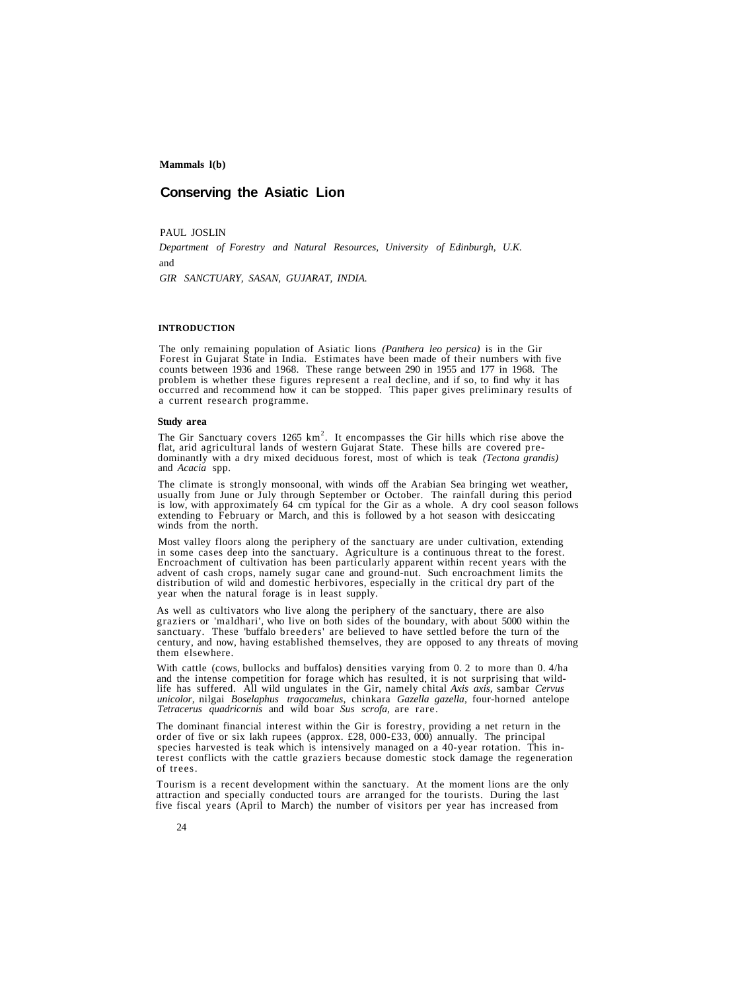# **Conserving the Asiatic Lion**

PAUL JOSLIN

*Department of Forestry and Natural Resources, University of Edinburgh, U.K.* and

*GIR SANCTUARY, SASAN, GUJARAT, INDIA.*

#### **INTRODUCTION**

The only remaining population of Asiatic lions (*Panthera leo persica*) is in the Gir Forest in Gujarat State in India. Estimates have been made of their numbers with five counts between 1936 and 1968. These range between

#### **Study area**

The Gir Sanctuary covers 1265 km<sup>2</sup>. It encompasses the Gir hills which rise above the flat, arid agricultural lands of western Gujarat State. These hills are covered pre-<br>dominantly with a dry mixed deciduous forest, most of which is teak (*Tectona grandis*)<br>and *Acacia* spp.

The climate is strongly monsoonal, with winds off the Arabian Sea bringing wet weather, usually from June or July through September or October. The rainfall during this period is low, with approximately 64 cm typical for t extending to February or March, and this is followed by a hot season with desiccating winds from the north.

Most valley floors along the periphery of the sanctuary are under cultivation, extending in some cases deep into the sanctuary. Agriculture is a continuous threat to the forest. Encroachment of cultivation has been particularly apparent within recent years with the advent of cash crops, namely sugar cane and ground-nut. Such encroachment limits the distribution of wild and domestic herbivores, esp

As well as cultivators who live along the periphery of the sanctuary, there are also graziers or 'maldhari', who live on both sides of the boundary, with about 5000 within the sanctuary. These 'buffalo breeders' are believed to have settled before the turn of the century, and now, having established themselves, they are opposed to any threats of moving them elsewhere.

With cattle (cows, bullocks and buffalos) densities varying from 0. 2 to more than 0. 4/ha and the intense competition for forage which has resulted, it is not surprising that wild-<br>life has suffered. All wild ungulates in *unicolor,* nilgai *Boselaphus tragocamelus,* chinkara *Gazella gazella,* four-horned antelope *Tetracerus quadricornis* and wild boar *Sus scrofa,* are rare.

The dominant financial interest within the Gir is forestry, providing a net return in the order of five or six lakh rupees (approx. £28, 000-£33, 000) annually. The principal species harvested is teak which is intensively managed on a 40-year rotation. This interest conflicts with the cattle graziers because domestic stock damage the regeneration of trees.

Tourism is a recent development within the sanctuary. At the moment lions are the only attraction and specially conducted tours are arranged for the tourists. During the last five fiscal years (April to March) the number of visitors per year has increased from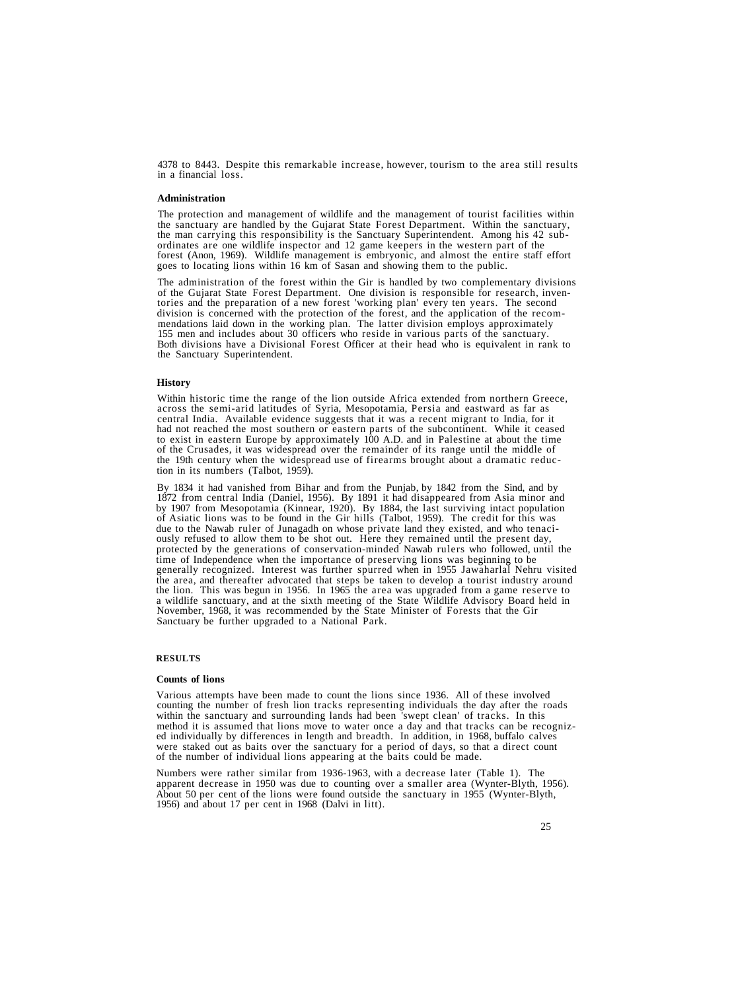4378 to 8443. Despite this remarkable increase, however, tourism to the area still results in a financial loss.

#### **Administration**

The protection and management of wildlife and the management of tourist facilities within<br>the sanctuary are handled by the Gujarat State Forest Department. Within the sanctuary,<br>the man carrying this responsibility is the goes to locating lions within 16 km of Sasan and showing them to the public.

The administration of the forest within the Gir is handled by two complementary divisions<br>of the Gujarat State Forest Department. One division is responsible for research, inven-<br>tories and the preparation of a new forest mendations laid down in the working plan. The latter division employs approximately 155 men and includes about 30 officers who reside in various parts of the sanctuary. Both divisions have a Divisional Forest Officer at their head who is equivalent in rank to the Sanctuary Superintendent.

#### **History**

Within historic time the range of the lion outside Africa extended from northern Greece, across the semi-arid latitudes of Syria, Mesopotamia, Persia and eastward as far as central India. Available evidence suggests that i had not reached the most southern or eastern parts of the subcontinent. While it ceased to exist in eastern Europe by approximately 100 A.D. and in Palestine at about the time of the Crusades, it was widespread over the remainder of its range until the middle of the 19th century when the widespread use of firearms brought about a dramatic reduc- tion in its numbers (Talbot, 1959).

By 1834 it had vanished from Bihar and from the Punjab, by 1842 from the Sind, and by 1872 from central India (Daniel, 1956). By 1891 it had disappeared from Asia minor and by 1907 from Mesopotamia (Kinnear, 1920). By 1884, the last surviving intact population by 1907 from Mesopotamia (Kinnear, 1920). By 1884, the last surviving intact population<br>of Asiatic lions was to be found in the Gir hills (Talbot, 1959). The credit for this was<br>due to the Nawab ruler of Junagadh on whose the area, and thereafter advocated that steps be taken to develop a tourist industry around the lion. This was begun in 1956. In 1965 the area was upgraded from a game reserve to<br>a wildlife sanctuary, and at the sixth meeting of the State Wildlife Advisory Board held in<br>November, 1968, it was recommended by the S

#### **RESULTS**

#### **Counts of lions**

Various attempts have been made to count the lions since 1936. All of these involved within the sanctuary and surrounding lands had been 'swept clean' of tracks. In this<br>method it is assumed that lions move to water once a day and that tracks can be recognized<br>individually by differences in length and brea

Numbers were rather similar from 1936-1963, with a decrease later (Table 1). The apparent decrease in 1950 was due to counting over a smaller area (Wynter-Blyth, 1956). About 50 per cent of the lions were found outside the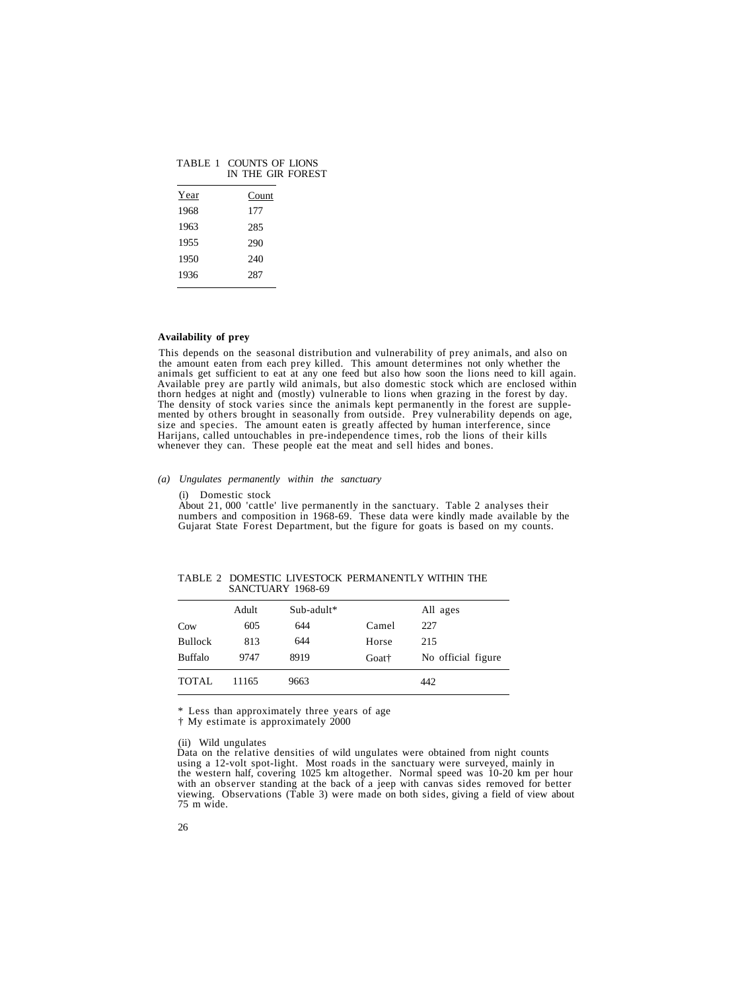|      | IN THE GIR FOR |
|------|----------------|
| Year | Count          |
| 1968 | 177            |
| 1963 | 285            |
| 1955 | 290            |
| 1950 | 240            |
| 1936 | 287            |
|      |                |

# TABLE 1 COUNTS OF LIONS EST

#### **Availability of prey**

This depends on the seasonal distribution and vulnerability of prey animals, and also on<br>the amount eaten from each prey killed. This amount determines not only whether the<br>animals get sufficient to eat at any one feed but

#### *(a) Ungulates permanently within the sanctuary*

#### (i) Domestic stock

About 21, 000 'cattle' live permanently in the sanctuary. Table 2 analyses their<br>numbers and composition in 1968-69. These data were kindly made available by the<br>Gujarat State Forest Department, but the figure for goats is

|                | Adult | Sub-adult* |       | All ages           |
|----------------|-------|------------|-------|--------------------|
| Cow            | 605   | 644        | Camel | 227                |
| <b>Bullock</b> | 813   | 644        | Horse | 215                |
| <b>Buffalo</b> | 9747  | 8919       | Goat† | No official figure |
| <b>TOTAL</b>   | 11165 | 9663       |       | 442                |

TABLE 2 DOMESTIC LIVESTOCK PERMANENTLY WITHIN THE SANCTUARY 1968-69

\* Less than approximately three years of age

† My estimate is approximately 2000

(ii) Wild ungulates<br>Data on the relative densities of wild ungulates were obtained from night counts<br>using a 12-volt spot-light. Most roads in the sanctuary were surveyed, mainly in<br>the western half, covering 1025 km altog 75 m wide.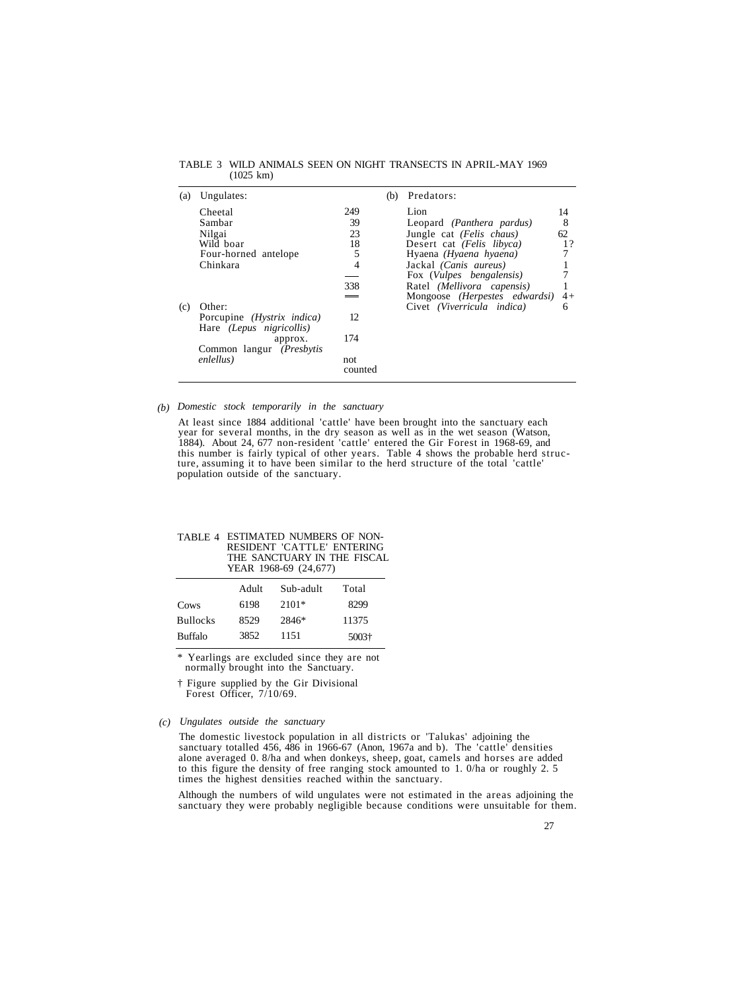| (a) | Ungulates:                                                           |                 | (b) | Predators:                        |      |
|-----|----------------------------------------------------------------------|-----------------|-----|-----------------------------------|------|
|     | Cheetal                                                              | 249             |     | Lion                              | 14   |
|     | Sambar                                                               | 39              |     | Leopard (Panthera pardus)         | 8    |
|     | Nilgai                                                               | 23              |     | Jungle cat (Felis chaus)          | 62   |
|     | Wild boar                                                            | 18              |     | Desert cat (Felis libyca)         | 1?   |
|     | Four-horned antelope                                                 | 5               |     | Hyaena (Hyaena hyaena)            |      |
|     | Chinkara                                                             | 4               |     | Jackal (Canis aureus)             |      |
|     |                                                                      |                 |     | Fox ( <i>Vulpes bengalensis</i> ) |      |
|     |                                                                      | 338             |     | Ratel (Mellivora capensis)        |      |
|     |                                                                      |                 |     | Mongoose (Herpestes edwardsi)     | $4+$ |
| (c) | Other:                                                               |                 |     | Civet (Viverricula indica)        | 6    |
|     | Porcupine <i>(Hystrix indica)</i><br>Hare <i>(Lepus nigricollis)</i> | 12              |     |                                   |      |
|     | approx.<br>Common langur (Presbytis                                  | 174             |     |                                   |      |
|     | enlellus)                                                            | not.<br>counted |     |                                   |      |

TABLE 3 WILD ANIMALS SEEN ON NIGHT TRANSECTS IN APRIL-MAY 1969 (1025 km)

*(b) Domestic stock temporarily in the sanctuary*

At least since 1884 additional 'cattle' have been brought into the sanctuary each year for several months, in the dry season as well as in the wet season (Watson, 1884). About 24, 677 non-resident 'cattle' entered the Gir Forest in 1968-69, and this number is fairly typical of other years. Table 4 shows the probable herd struc- ture, assuming it to have been similar to the herd structure of the total 'cattle' population outside of the sanctuary.

| TABLE 4 ESTIMATED NUMBERS OF NON- |
|-----------------------------------|
| RESIDENT 'CATTLE' ENTERING        |
| THE SANCTUARY IN THE FISCAL       |
| YEAR 1968-69 (24,677)             |
|                                   |

|                 | Adult | Sub-adult | Total |
|-----------------|-------|-----------|-------|
| Cows            | 6198  | $2101*$   | 8299  |
| <b>Bullocks</b> | 8529  | 2846*     | 11375 |
| <b>Buffalo</b>  | 3852  | 1151      | 5003+ |

\* Yearlings are excluded since they are not normally brought into the Sanctuary.

† Figure supplied by the Gir Divisional Forest Officer,  $7/10/69$ .

#### *Ungulates outside the sanctuary (c)*

The domestic livestock population in all districts or 'Talukas' adjoining the sanctuary totalled 456, 486 in 1966-67 (Anon, 1967a and b). The 'cattle' densities alone averaged 0. 8/ha and when donkeys, sheep, goat, camels and horses are added to this figure the density of free ranging stock amounted to 1. 0/ha or roughly 2. 5 times the highest densities reached within the sanctuary.

Although the numbers of wild ungulates were not estimated in the areas adjoining the sanctuary they were probably negligible because conditions were unsuitable for them.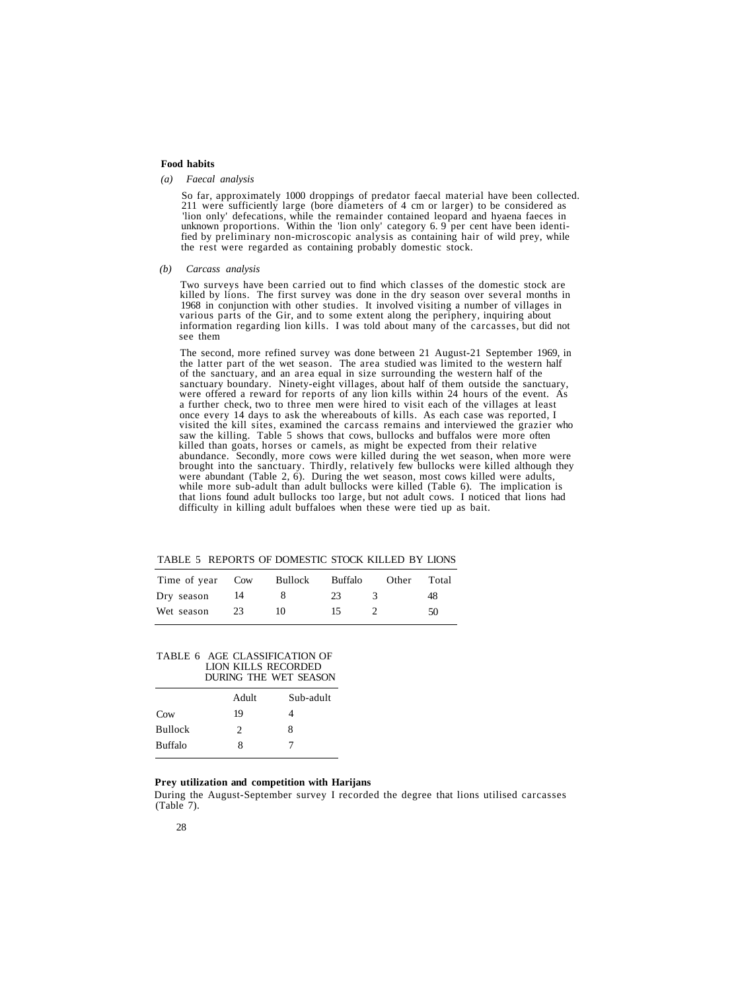#### **Food habits**

#### *(a) Faecal analysis*

So far, approximately 1000 droppings of predator faecal material have been collected.<br>211 were sufficiently large (bore diameters of 4 cm or larger) to be considered as<br>'lion only' defecations, while the remainder containe

#### *(b) Carcass analysis*

Two surveys have been carried out to find which classes of the domestic stock are killed by lions. The first survey was done in the dry season over several months in 1968 in conjunction with other studies. It involved visi information regarding lion kills. I was told about many of the carcasses, but did not see them

The second, more refined survey was done between 21 August-21 September 1969, in<br>the latter part of the wet season. The area studied was limited to the western half<br>of the sanctuary, and an area equal in size surrounding t saw the killing. Table 5 shows that cows, bullocks and buffalos were more often<br>killed than goats, horses or camels, as might be expected from their relative<br>abundance. Secondly, more cows were killed during the wet season difficulty in killing adult buffaloes when these were tied up as bait.

| Time of year Cow |      | Bullock | Buffalo | Other | Total |
|------------------|------|---------|---------|-------|-------|
| Dry season       | - 14 |         | 23      |       | 48    |
| Wet season       | 23   | 10      | 15.     |       | 50    |

TABLE 5 REPORTS OF DOMESTIC STOCK KILLED BY LIONS

#### TABLE 6 AGE CLASSIFICATION OF LION KILLS RECORDED DURING THE WET SEASON

|                | Adult | Sub-adult |
|----------------|-------|-----------|
| Cow            | 19    | 4         |
| <b>Bullock</b> | 2     | 8         |
| <b>Buffalo</b> | 8     | 7         |
|                |       |           |

#### **Prey utilization and competition with Harijans**

During the August-September survey I recorded the degree that lions utilised carcasses (Table 7).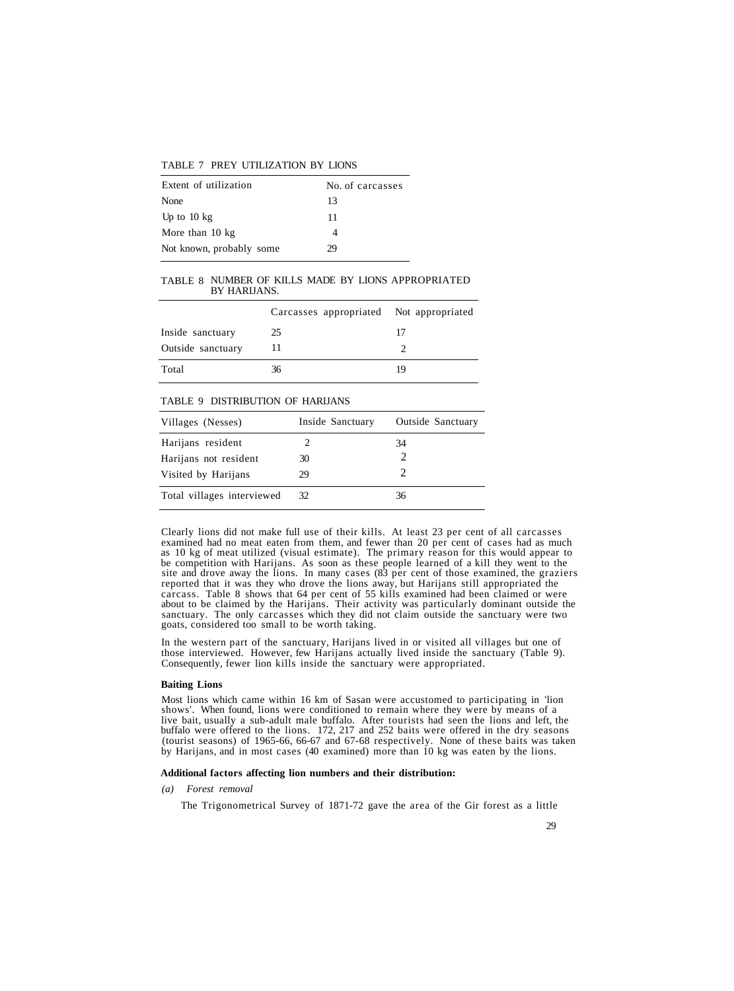| Extent of utilization    | No. of carcasses |
|--------------------------|------------------|
| None                     | 13               |
| Up to $10 \text{ kg}$    | 11               |
| More than 10 kg          |                  |
| Not known, probably some | 29               |

#### TABLE 7 PREY UTILIZATION BY LIONS

#### TABLE 8 NUMBER OF KILLS MADE BY LIONS APPROPRIATED BY HARIJANS.

|                   | Carcasses appropriated Not appropriated |    |
|-------------------|-----------------------------------------|----|
| Inside sanctuary  | 25                                      | 17 |
| Outside sanctuary |                                         |    |
| Total             | 36                                      | 19 |

#### TABLE 9 DISTRIBUTION OF HARIJANS

| Villages (Nesses)          | Inside Sanctuary | Outside Sanctuary |
|----------------------------|------------------|-------------------|
| Harijans resident          |                  | 34                |
| Harijans not resident      | 30               |                   |
| Visited by Harijans        | 29               |                   |
| Total villages interviewed | 32               | 36                |

Clearly lions did not make full use of their kills. At least 23 per cent of all carcasses examined had no meat eaten from them, and fewer than 20 per cent of cases had as much as 10 kg of meat utilized (visual estimate). T

In the western part of the sanctuary, Harijans lived in or visited all villages but one of those interviewed. However, few Harijans actually lived inside the sanctuary (Table 9). Consequently, fewer lion kills inside the sanctuary were appropriated.

#### **Baiting Lions**

Most lions which came within 16 km of Sasan were accustomed to participating in 'lion<br>shows'. When found, lions were conditioned to remain where they were by means of a<br>live bait, usually a sub-adult male buffalo. After to

#### **Additional factors affecting lion numbers and their distribution:**

#### *(a) Forest removal*

The Trigonometrical Survey of 1871-72 gave the area of the Gir forest as a little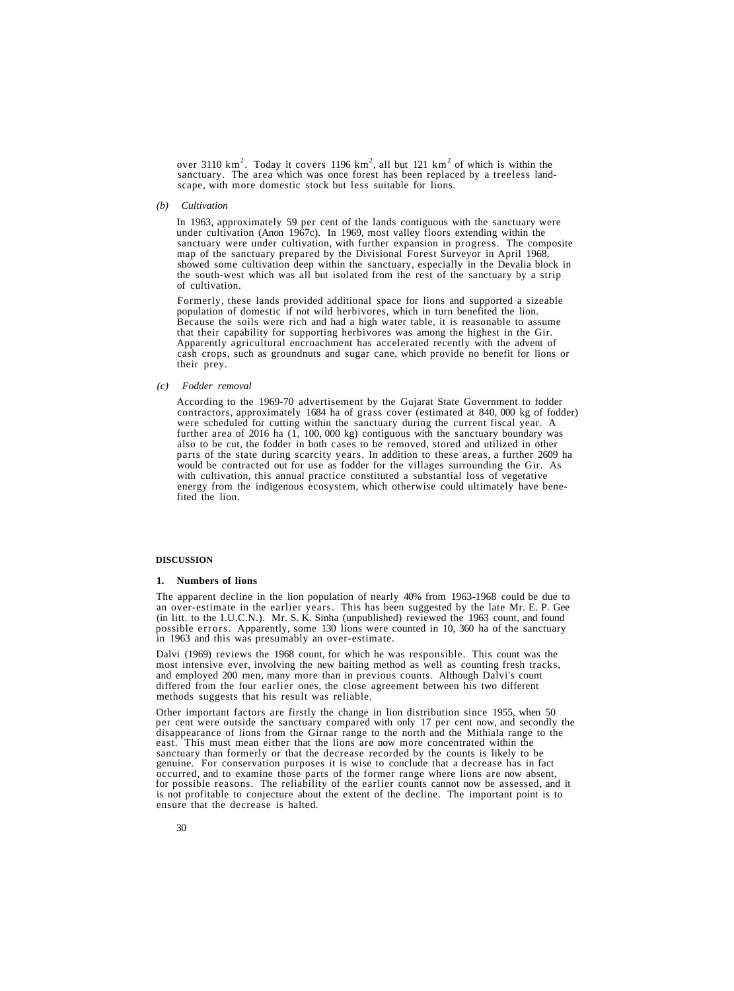over 3110 km<sup>2</sup>. Today it covers 1196 km<sup>2</sup>, all but 121 km<sup>2</sup> sanctuary. The area which was once forest has been replaced by a treeless land- scape, with more domestic stock but less suitable for lions.

*(b) Cultivation*

In 1963, approximately 59 per cent of the lands contiguous with the sanctuary were under cultivation (Anon 1967c). In 1969, most valley floors extending within the sanctuary were under cultivation, with further expansion in progress. The composite map of the sanctuary prepared by the Divisional Forest Surveyor in April 1968. showed some cultivation deep within the sanctuary, especially in the Devalia block in the south-west which was all but isolated from the rest of the sanctuary by a strip of cultivation.

Formerly, these lands provided additional space for lions and supported a sizeable population of domestic if not wild herbivores, which in turn benefited the lion. Because the soils were rich and had a high water table, it is reasonable to assume that their capability for supporting herbivores was among the highest in the Gir. Apparently agricultural encroachment has accelerated recently with the advent of cash crops, such as groundnuts and sugar cane, which provide no benefit for lions or their prey.

#### *(c) Fodder removal*

According to the 1969-70 advertisement by the Gujarat State Government to fodder contractors, approximately 1684 ha of grass cover (estimated at 840, 000 kg of fodder) were scheduled for cutting within the sanctuary during the current fiscal year. A further area of 2016 ha (1, 100, 000 kg) contiguous with the sanctuary boundary was also to be cut, the fodder in both cases to be removed, stored and utilized in other parts of the state during scarcity years. In addition to these areas, a further 2609 ha would be contracted out for use as fodder for the villages surrounding the Gir. As with cultivation, this annual practice constituted a substantial loss of vegetative energy from the indigenous ecosystem, which otherwise could ultimately have benefited the lion.

#### **DISCUSSION**

#### **1. Numbers of lions**

The apparent decline in the lion population of nearly 40% from 1963-1968 could be due to an over-estimate in the earlier years. This has been suggested by the late Mr. E. P. Gee (in litt. to the I.U.C.N.). Mr. S. K. Sinha (unpublished) reviewed the 1963 count, and found possible errors. Apparently, some 130 lions were counted in 10, 360 ha of the sanctuary in 1963 and this was presumably an over-estimate.

Dalvi (1969) reviews the 1968 count, for which he was responsible. This count was the most intensive ever, involving the new baiting method as well as counting fresh tracks, and employed 200 men, many more than in previous counts. Although Dalvi's count differed from the four earlier ones, the close agreement between his two different methods suggests that his result was reliable.

Other important factors are firstly the change in lion distribution since 1955, when 50 per cent were outside the sanctuary compared with only 17 per cent now, and secondly the disappearance of lions from the Girnar range to the north and the Mithiala range to the east. This must mean either that the lions are now more concentrated within the sanctuary than formerly or that the decrease recorded occurred, and to examine those parts of the former range where lions are now absent, for possible reasons. The reliability of the earlier counts cannot now be assessed, and it is not profitable to conjecture about the extent of the decline. The important point is to ensure that the decrease is halted.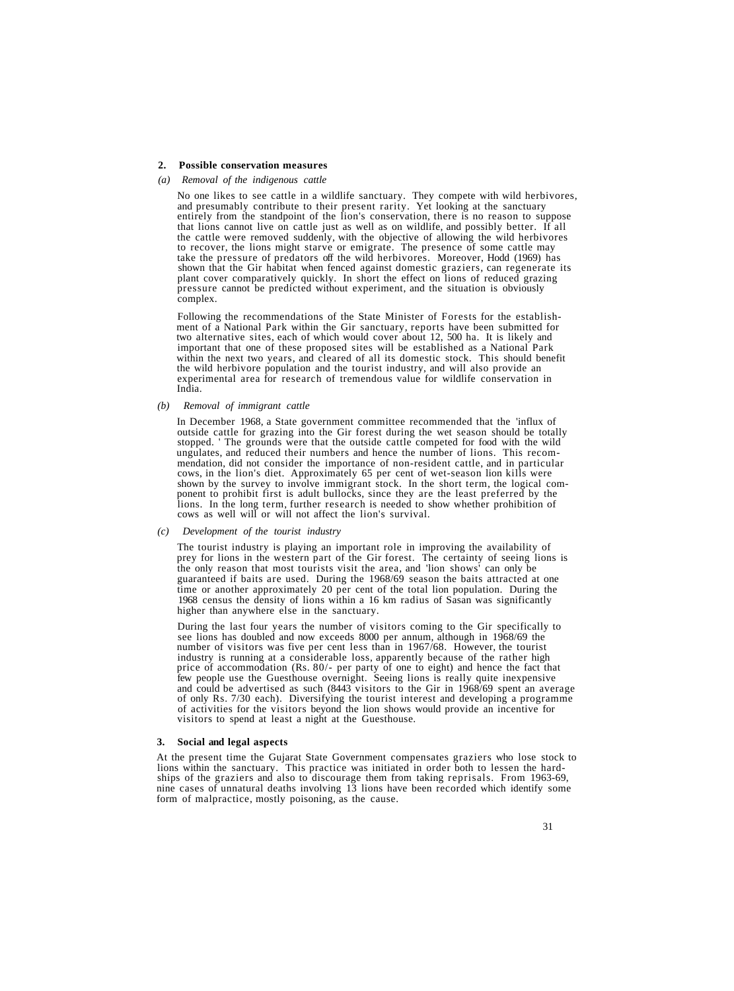#### **2. Possible conservation measures**

#### *(a) Removal of the indigenous cattle*

No one likes to see cattle in a wildlife sanctuary. They compete with wild herbivores, and presumably contribute to their present rarity. Yet looking at the sanctuary entirely from the standpoint of the lion's conservation that lions cannot live on cattle just as well as on wildlife, and possibly better. If all the cattle were removed suddenly, with the objective of allowing the wild herbivores the cattle were removed suddenly, with the objective of allowing the objective of some cattle may take the pressure of predators off the wild herbivores. Moreover, Hodd (1969) has shown that the Gir habitat when fenced against domestic graziers, can regenerate its plant cover comparatively quickly. In short the effect on lions of reduced grazing pressure cannot be predicted without experiment, and the situation is obviously complex.

Following the recommendations of the State Minister of Forests for the establishment of a National Park within the Gir sanctuary, reports have been submitted for two alternative sites, each of which would cover about 12, 5 important that one of these proposed sites will be established as a National Park within the next two years, and cleared of all its domestic stock. This should benefit the wild herbivore population and the tourist industry, and will also provide an experimental area for research of tremendous value for wildlife conservation in India.

#### *(b) Removal of immigrant cattle*

In December 1968, a State government committee recommended that the 'influx of outside cattle for grazing into the Gir forest during the wet season should be totally stopped. ' The grounds were that the outside cattle competed for food with the wild ungulates, and reduced their numbers and hence the number of lions. This recommendation, did not consider the importance of non-resident cattle, and in particular cows, in the lion's diet. Approximately 65 per cent of wet-season lion kills were shown by the survey to involve immigrant stock. In the

#### *(c) Development of the tourist industry*

The tourist industry is playing an important role in improving the availability of prey for lions in the western part of the Gir forest. The certainty of seeing lions is the only reason that most tourists visit the area, and 'lion shows' can only be guaranteed if baits are used. During the 1968/69 season the baits attracted at one time or another approximately 20 per cent of the total lion population. During the 1968 census the density of lions within a 16 km radius of Sasan was significantly higher than anywhere else in the sanctuary.

During the last four years the number of visitors coming to the Gir specifically to see lions has doubled and now exceeds 8000 per annum, although in 1968/69 the number of visitors was five per cent less than in 1967/68. H industry is running at a considerable loss, apparently because of the rather high price of accommodation (Rs. 80/- per party of one to eight) and hence the fact that few people use the Guesthouse overnight. Seeing lions is really quite inexpensive<br>and could be advertised as such (8443 visitors to the Gir in 1968/69 spent an average<br>of only Rs. 7/30 each). Diversifying the tourist inter

#### **3. Social and legal aspects**

At the present time the Gujarat State Government compensates graziers who lose stock to lions within the sanctuary. This practice was initiated in order both to lessen the hardships of the graziers and also to discourage t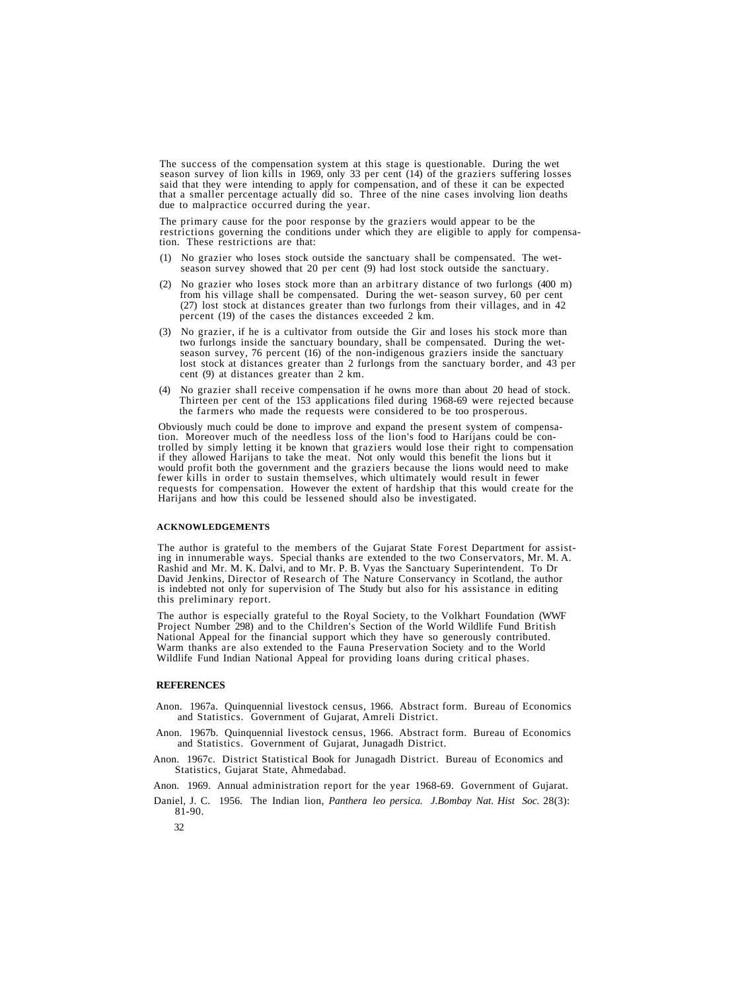The success of the compensation system at this stage is questionable. During the wet<br>season survey of lion kills in 1969, only 33 per cent (14) of the graziers suffering losses<br>said that they were intending to apply for co that a smaller percentage actually did so. Three of the nine cases involving lion deaths due to malpractice occurred during the year.

The primary cause for the poor response by the graziers would appear to be the restrictions governing the conditions under which they are eligible to apply for compensa- tion. These restrictions are that:

- (1) No grazier who loses stock outside the sanctuary shall be compensated. The wetseason survey showed that 20 per cent (9) had lost stock outside the sanctuary.
- (2) No grazier who loses stock more than an arbitrary distance of two furlongs (400 m) from his village shall be compensated. During the wet- season survey, 60 per cent (27) lost stock at distances greater than two furlongs from their villages, and in 42 percent (19) of the cases the distances exceeded 2 km.
- (3) No grazier, if he is a cultivator from outside the Gir and loses his stock more than two furlongs inside the sanctuary boundary, shall be compensated. During the wetseason survey, 76 percent (16) of the non-indigenous graziers inside the sanctuary lost stock at distances greater than 2 furlongs from the sanctuary border, and 43 per cent (9) at distances greater than 2 km.
- (4) No grazier shall receive compensation if he owns more than about 20 head of stock. Thirteen per cent of the 153 applications filed during 1968-69 were rejected because the farmers who made the requests were considered to be too prosperous.

Obviously much could be done to improve and expand the present system of compensation. Moreover much of the needless loss of the lion's food to Harijans could be controlled by simply letting it be known that graziers would fewer kills in order to sustain themselves, which ultimately would result in fewer<br>requests for compensation. However the extent of hardship that this would create for the<br>Harijans and how this could be lessened should als

#### **ACKNOWLEDGEMENTS**

The author is grateful to the members of the Gujarat State Forest Department for assisting in innumerable ways. Special thanks are extended to the two Conservators, Mr. M. A. Rashid and Mr. M. K. Dalvi, and to Mr. P. B. Vy this preliminary report.

The author is especially grateful to the Royal Society, to the Volkhart Foundation (WWF Project Number 298) and to the Children's Section of the World Wildlife Fund British National Appeal for the financial support which they have so generously contributed. Warm thanks are also extended to the Fauna Preservation Society and to the World Wildlife Fund Indian National Appeal for providing loans during critical phases.

#### **REFERENCES**

- Anon. 1967a. Quinquennial livestock census, 1966. Abstract form. Bureau of Economics and Statistics. Government of Gujarat, Amreli District.
- Anon. 1967b. Quinquennial livestock census, 1966. Abstract form. Bureau of Economics and Statistics. Government of Gujarat, Junagadh District.
- Anon. 1967c. District Statistical Book for Junagadh District. Bureau of Economics and Statistics, Gujarat State, Ahmedabad.
- Anon. 1969. Annual administration report for the year 1968-69. Government of Gujarat.
- Daniel, J. C. 1956. The Indian lion, *Panthera leo persica. J.Bombay Nat. Hist Soc.* 28(3): 81-90.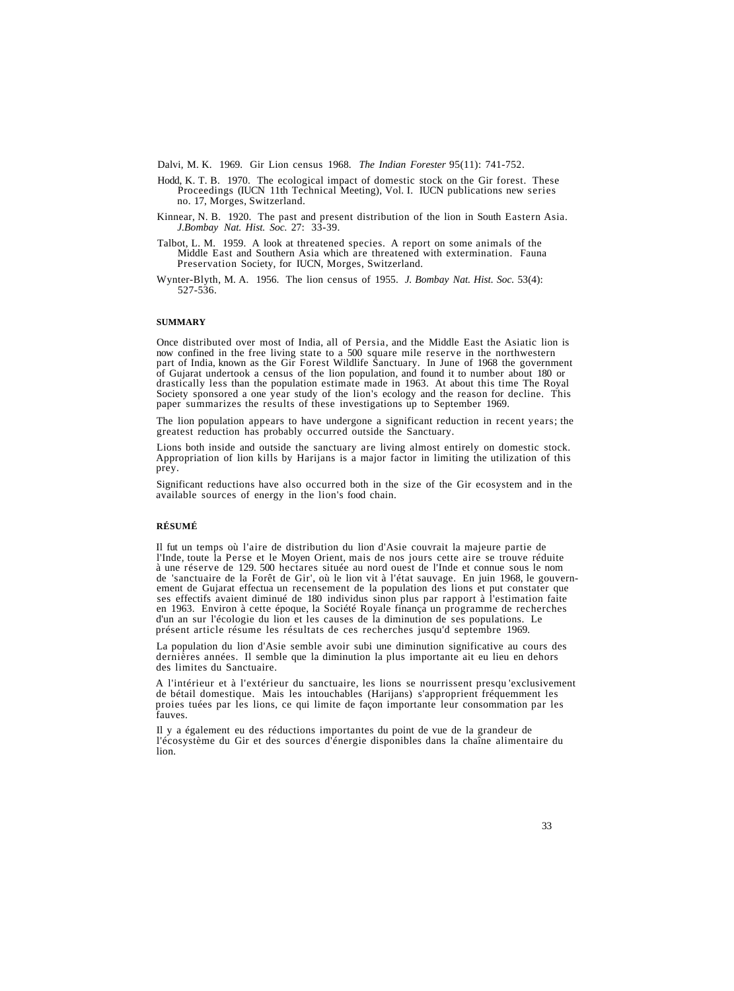Dalvi, M. K. 1969. Gir Lion census 1968. *The Indian Forester* 95(11): 741-752.

- Hodd, K. T. B. 1970. The ecological impact of domestic stock on the Gir forest. These Proceedings (IUCN 11th Technical Meeting), Vol. I. IUCN publications new series no. 17, Morges, Switzerland.
- Kinnear, N. B. 1920. The past and present distribution of the lion in South Eastern Asia. *J.Bombay Nat. Hist. Soc.* 27: 33-39.
- Talbot, L. M. 1959. A look at threatened species. A report on some animals of the Middle East and Southern Asia which are threatened with extermination. Fauna Preservation Society, for IUCN, Morges, Switzerland.
- Wynter-Blyth, M. A. 1956. The lion census of 1955. *J. Bombay Nat. Hist. Soc.* 53(4): 527-536.

#### **SUMMARY**

Once distributed over most of India, all of Persia, and the Middle East the Asiatic lion is<br>now confined in the free living state to a 500 square mile reserve in the northwestern<br>part of India, known as the Gir Forest Wild Society sponsored a one year study of the lion's ecology and the reason for decline. This paper summarizes the results of these investigations up to September 1969.

The lion population appears to have undergone a significant reduction in recent years; the greatest reduction has probably occurred outside the Sanctuary.

Lions both inside and outside the sanctuary are living almost entirely on domestic stock. Appropriation of lion kills by Harijans is a major factor in limiting the utilization of this prey.

Significant reductions have also occurred both in the size of the Gir ecosystem and in the available sources of energy in the lion's food chain.

#### **RÉSUMÉ**

Il fut un temps où l'aire de distribution du lion d'Asie couvrait la majeure partie de l'Inde, toute la Perse et le Moyen Orient, mais de nos jours cette aire se trouve réduite à une réserve de 129. 500 hectares située au

La population du lion d'Asie semble avoir subi une diminution significative au cours des dernières années. Il semble que la diminution la plus importante ait eu lieu en dehors des limites du Sanctuaire.

A l'intérieur et à l'extérieur du sanctuaire, les lions se nourrissent presqu 'exclusivement de bétail domestique. Mais les intouchables (Harijans) s'approprient fréquemment les proies tuées par les lions, ce qui limite de façon importante leur consommation par les fauves.

Il y a également eu des réductions importantes du point de vue de la grandeur de l'écosystème du Gir et des sources d'énergie disponibles dans la chaîne alimentaire du lion.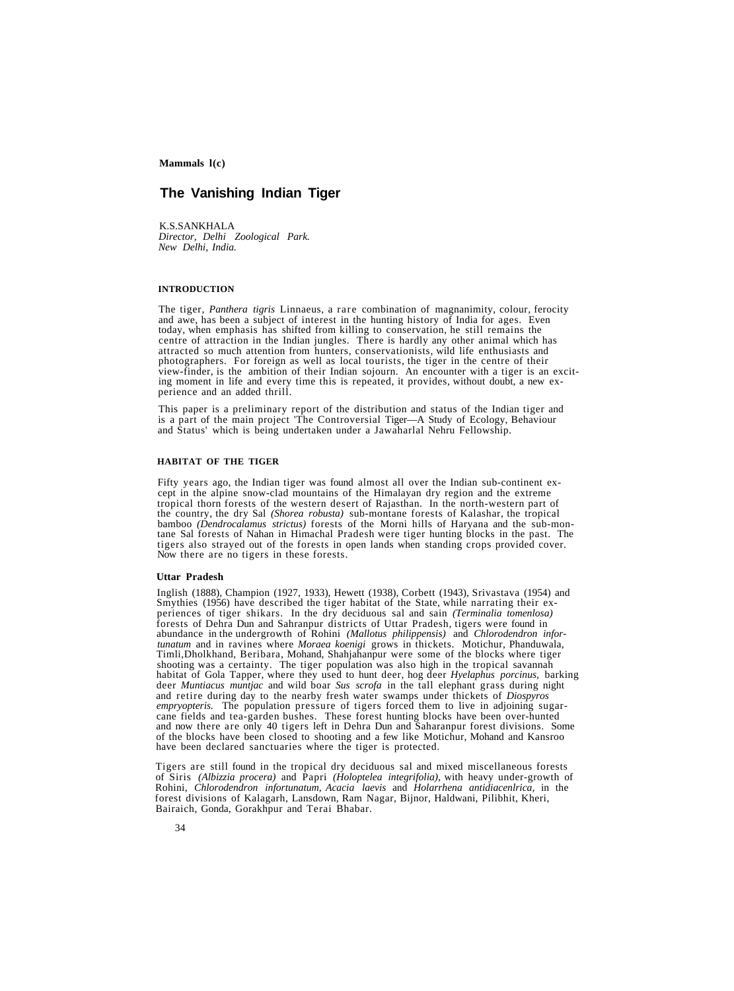# **The Vanishing Indian Tiger**

K.S.SANKHALA *Director, Delhi Zoological Park. New Delhi, India.*

#### **INTRODUCTION**

The tiger, *Panthera tigris* Linnaeus, a rare combination of magnanimity, colour, ferocity and awe, has been a subject of interest in the hunting history of India for ages. Even today, when emphasis has shifted from killin view-finder, is the ambition of their Indian sojourn. An encounter with a tiger is an exciting moment in life and every time this is repeated, it provides, without doubt, a new experience and an added thrill.

This paper is a preliminary report of the distribution and status of the Indian tiger and is a part of the main project 'The Controversial Tiger—A Study of Ecology, Behaviour and Status' which is being undertaken under a Jawaharlal Nehru Fellowship.

#### **HABITAT OF THE TIGER**

Fifty years ago, the Indian tiger was found almost all over the Indian sub-continent ex-<br>cept in the alpine snow-clad mountains of the Himalayan dry region and the extreme<br>tropical thorn forests of the western desert of Ra the country, the dry Sal *(Shorea robusta)* sub-montane forests of Kalashar, the tropical tane Sal forests of Nahan in Himachal Pradesh were tiger hunting blocks in the past. The tigers also strayed out of the forests in open lands when standing crops provided cover.<br>Now there are no tigers in these forests.

#### **Uttar Pradesh**

Inglish (1888), Champion (1927, 1933), Hewett (1938), Corbett (1943), Srivastava (1954) and periences of tiger shikars. In the dry deciduous sal and sain (Terminalia tomenlosa) forests of Dehra Dun and Sahranpur districts of Uttar Pradesh, tigers were found in forests of Dehrangur districts of Dehranic *Mallotus philippensis*) and *Chlorodendron infortunatum* and in ravines where *Moraea koenigi* grows in thickets. Motichur, Phanduwala, Timli, Dholkhand, Beribara, Mohand, Shahjahanpur were some of the blocks where tiger shooting was a certainty. The tiger population was also high in the tropical savannah habitat of Gola Tapper, where they used to hunt deer, hog deer *Hyelaphus porcinus*, barking deer *Muntiacus muntjac* and wild boar *Sus scrofa* in the tall elephant grass during night and retire during day to the nearby fresh water swamps under thickets of *Diospyros empryopteris.* The population pressure of tigers forced them to live in adjoining sugar-<br>cane fields and tea-garden bushes. These forest hunting blocks have been over-hunted<br>and now there are only 40 tigers left in Dehra

Tigers are still found in the tropical dry deciduous sal and mixed miscellaneous forests of Siris *(Albizzia procera)* and Papri *(Holoptelea integrifolia),* with heavy under-growth of Rohini, *Chlorodendron infortunatum, Acacia laevis* and *Holarrhena antidiacenlrica,* in the forest divisions of Kalagarh, Lansdown, Ram Nagar, Bijnor, Haldwani, Pilibhit, Kheri, Bairaich, Gonda, Gorakhpur and Terai Bhabar.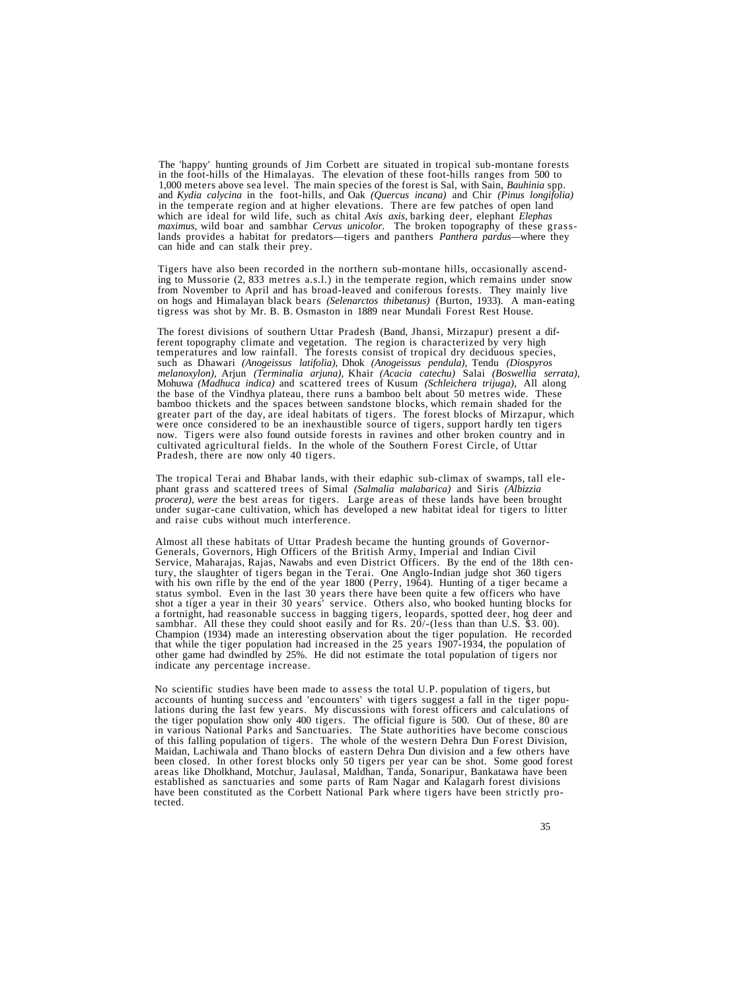The 'happy' hunting grounds of Jim Corbett are situated in tropical sub-montane forests<br>in the foot-hills of the Himalayas. The elevation of these foot-hills ranges from 500 to<br>1,000 meters above sea level. The main specie in the temperate region and at higher elevations. There are few patches of open land which are ideal for wild life, such as chital *Axis axis,* barking deer, elephant *Elephas* maximus, wild boar and sambhar *Cervus unicolor*. The broken topography of these grass-<br>lands provides a habitat for predators—tigers and panthers *Panthera pardus*—where they<br>can hide and can stalk their prey.

Tigers have also been recorded in the northern sub-montane hills, occasionally ascending to Mussorie (2, 833 metres a.s.l.) in the temperate region, which remains under snow from November to April and has broad-leaved and coniferous forests. They mainly live on hogs and Himalayan black bears *(Selenarctos thibetanus)* (Burton, 1933). A man-eating tigress was shot by Mr. B. B. Osmaston in 1889 near Mundali Forest Rest House.

The forest divisions of southern Uttar Pradesh (Band, Jhansi, Mirzapur) present a different topography climate and vegetation. The region is characterized by very high temperatures and low rainfall. The forests consist of temperatures and low rainfall. The forests consist of tropical dry deciduous species, such as Dhawari *(Anogeissus latifolia),* Dhok *(Anogeissus pendula),* Tendu *(Diospyros melanoxylon),* Arjun *(Terminalia arjuna),* Khair *(Acacia catechu)* Salai *(Boswellia serrata),* Mohuwa *(Madhuca indica)* and scattered trees of Kusum *(Schleichera trijuga),* All along bamboo thickets and the spaces between sandstone blocks, which remain shaded for the greater part of the day, are ideal habitats of tigers. The forest blocks of Mirzapur, which were once considered to be an inexhaustible s

The tropical Terai and Bhabar lands, with their edaphic sub-climax of swamps, tall ele- phant grass and scattered trees of Simal *(Salmalia malabarica)* and Siris *(Albizzia procera), were* the best areas for tigers. Large areas of these lands have been brought under sugar-cane cultivation, which has developed a new habitat ideal for tigers to litter and raise cubs without much interference.

Almost all these habitats of Uttar Pradesh became the hunting grounds of Governor-<br>Generals, Governors, High Officers of the British Army, Imperial and Indian Civil<br>Service, Maharajas, Rajas, Nawabs and even District Offic tury, the slaughter of tigers began in the Terai. One Anglo-Indian judge shot 360 tigers<br>with his own rifle by the end of the year 1800 (Perry, 1964). Hunting of a tiger became a<br>status symbol. Even in the last 30 years th Champion (1934) made an interesting observation about the tiger population. He recorded that while the tiger population had increased in the 25 years 1907-1934, the population of other game had dwindled by 25%. He did not estimate the total population of tigers nor indicate any percentage increase.

No scientific studies have been made to assess the total U.P. population of tigers, but accounts of hunting success and 'encounters' with tigers suggest a fall in the tiger populations during the last few years. My discussions with forest officers and calculations of the tiger population show only 400 tigers. The official figure is 500. Out of these, 80 are in various National Parks and Sanctuaries. The State authorities have become conscious<br>of this falling population of tigers. The whole of the western Dehra Dun Forest Division,<br>Maidan, Lachiwala and Thano blocks of eastern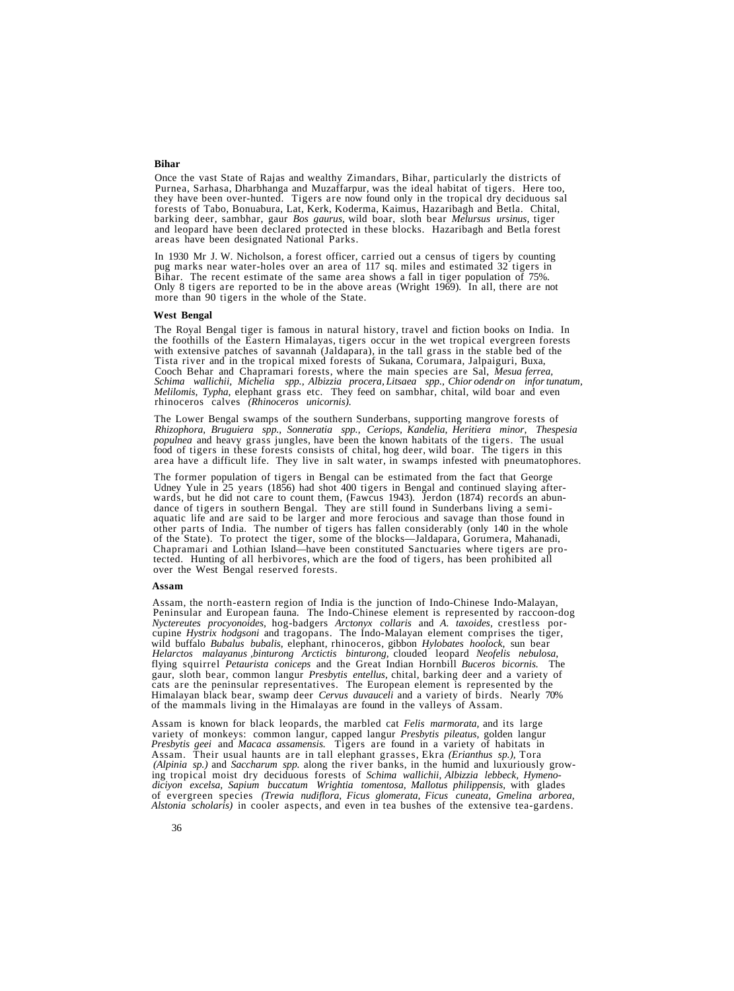## **Bihar**

Once the vast State of Rajas and wealthy Zimandars, Bihar, particularly the districts of they have been over-hunted. Tigers are now found only in the tropical dry deciduous sal forests of Tabo. Bonuabura, Lat. Kerk. Koderma, Kaimus, Hazaribagh and Betla. Chital. barking deer, sambhar, gaur Bos gaurus, wild boar, sloth bear Melursus ursinus, tiger<br>and leopard have been declared protected in these blocks. Hazaribagh and Betla forest<br>areas have been designated National Parks.

In 1930 Mr J. W. Nicholson, a forest officer, carried out a census of tigers by counting pug marks near water-holes over an area of 117 sq. miles and estimated 32 tigers in Bihar. The recent estimate of the same area shows a fall in tiger population of 75%.<br>Only 8 tigers are reported to be in the above areas (Wright 1969). In all, there are not more than 90 tigers in the whole of the State.

## **West Bengal**

The Royal Bengal tiger is famous in natural history, travel and fiction books on India. In the foothills of the Eastern Himalayas, tigers occur in the wet tropical evergreen forests with extensive patches of savannah (Jald *Schima wallichii, Michelia spp., Albizzia procera, Litsaea spp., Chior odendr on infor tunatum, Melilomis, Typha,* elephant grass etc. They feed on sambhar, chital, wild boar and even rhinoceros calves *(Rhinoceros unicornis).*

The Lower Bengal swamps of the southern Sunderbans, supporting mangrove forests of *Rhizophora, Bruguiera spp., Sonneratia spp., Ceriops, Kandelia, Heritiera minor, Thespesia populnea* and heavy grass jungles, have been the known habitats of the tigers. The usual food of tigers in these forests consists of chital, hog deer, wild boar. The tigers in this area have a difficult life. They live in salt water, in swamps infested with pneumatophores.

The former population of tigers in Bengal can be estimated from the fact that George Udney Yule in 25 years (1856) had shot 400 tigers in Bengal and continued slaying afterwards, but he did not care to count them, (Fawcus

#### **Assam**

Assam, the north-eastern region of India is the junction of Indo-Chinese Indo-Malayan, Peninsular and European fauna. The Indo-Chinese element is represented by raccoon-dog Nyctereutes procyonoides, hog-badgers Arctonyx co Nyctereutes procyonoides, hog-badgers Arctonyx collaris and A. taxoides, crestless por-<br>cupine Hystrix hodgsoni and tragopans. The Indo-Malayan element comprises the tiger,<br>wild buffalo Bubalus bubalis, elephant, rhinocero flying squirrel *Petaurista coniceps* and the Great Indian Hornbill *Buceros bicornis.* The gaur, sloth bear, common langur *Presbytis entellus,* chital, barking deer and a variety of cats are the peninsular representatives. The European element is represented by the Himalayan black bear, swamp deer *Cervus duvauceli* and a variety of birds. Nearly 70% of the mammals living in the Himalayas are found in

Assam is known for black leopards, the marbled cat *Felis marmorata*, and its large variety of monkeys: common langur, capped langur *Presbytis pileatus*, golden langur *Presbytis geei* and *Macaca assamensis*. Tigers are *diciyon excelsa, Sapium buccatum Wrightia tomentosa, Mallotus philippensis,* with glades of evergreen species *(Trewia nudiflora, Ficus glomerata, Ficus cuneata, Gmelina arborea, Alstonia scholaris)* in cooler aspects, and even in tea bushes of the extensive tea-gardens.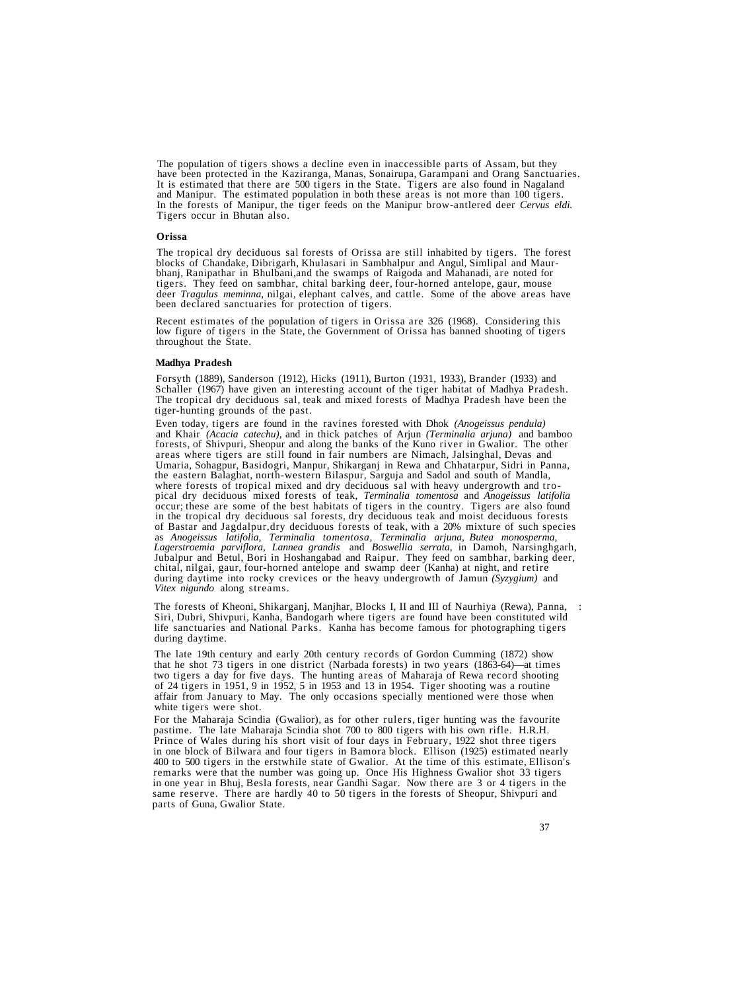The population of tigers shows a decline even in inaccessible parts of Assam, but they have been protected in the Kaziranga, Manas, Sonairupa, Garampani and Orang Sanctuaries. It is estimated that there are 500 tigers in the State. Tigers are also found in Nagaland and Manipur. The estimated population in both these areas is not more than 100 tigers. In the forests of Manipur, the tiger feeds on Tigers occur in Bhutan also.

## **Orissa**

The tropical dry deciduous sal forests of Orissa are still inhabited by tigers. The forest bhanj, Ranipathar in Bhulbani, and the swamps of Raigoda and Mahanadi, are noted for tigers. They feed on sambhar, chital barking deer, four-horned antelope, gaur, mouse deer *Tragulus meminna*, nilgai, elephant calves, an

Recent estimates of the population of tigers in Orissa are 326 (1968). Considering this low figure of tigers in the State, the Government of Orissa has banned shooting of tigers throughout the State.

## **Madhya Pradesh**

Forsyth (1889), Sanderson (1912), Hicks (1911), Burton (1931, 1933), Brander (1933) and Schaller (1967) have given an interesting account of the tiger habitat of Madhya Pradesh. The tropical dry deciduous sal, teak and mixed forests of Madhya Pradesh have been the tiger-hunting grounds of the past.

Even today, tigers are found in the ravines forested with Dhok (Anogeissus pendula) and Khair (Acacia catechu), and in thick patches of Arjun (Terminalia arjuna) and bamboo forests, of Shivpuri, Sheopur and along the banks the eastern Balaghat, north-western Bilaspur, Sarguja and Sadol and south of Mandla,<br>where forests of tropical mixed and dry deciduous sal with heavy undergrowth and tro-<br>pical dry deciduous mixed forests of teak, *Termina* in the tropical dry deciduous sal forests, dry deciduous teak and moist deciduous forests<br>of Bastar and Jagdalpur,dry deciduous forests of teak, with a 20% mixture of such species<br>as Anogeissus latifolia, Terminalia toment Lagerstroemia parviflora, Lannea grandis and Boswellia serrata, in Damoh, Narsinghgarh,<br>Jubalpur and Betul, Bori in Hoshangabad and Raipur. They feed on sambhar, barking deer,<br>chital, nilgai, gaur, four-horned antelope and *Vitex nigundo* along streams.

The forests of Kheoni, Shikarganj, Manjhar, Blocks I, II and III of Naurhiya (Rewa), Panna, : Siri, Dubri, Shivpuri, Kanha, Bandogarh where tigers are found have been constituted wild life sanctuaries and National Parks. Kanha has become famous for photographing tigers during daytime.

The late 19th century and early 20th century records of Gordon Cumming (1872) show that he shot 73 tigers in one district (Narbada forests) in two years (1863-64)—at times two tigers a day for five days. The hunting areas of Maharaja of Rewa record shooting of 24 tigers in 1951, 9 in 1952, 5 in 1953 and 13 in 1954. Tiger shooting was a routine affair from January to May. The only occasions specially mentioned were those when white tigers were shot.

For the Maharaja Scindia (Gwalior), as for other rulers, tiger hunting was the favourite pastime. The late Maharaja Scindia shot 700 to 800 tigers with his own rifle. H.R.H. Prince of Wales during his short visit of four days in February, 1922 shot three tigers in one block of Bilwara and four tigers in Bamora block. Ellison (1925) estimated nearly 400 to 500 tigers in the erstwhile state of Gwalior. At the time of this estimate, Ellison's remarks were that the number was going up. Once His Highness Gwalior shot 33 tigers in one year in Bhuj, Besla forests, near Gandhi Sagar. Now there are 3 or 4 tigers in the same reserve. There are hardly 40 to 50 tigers in the forests of Sheopur, Shivpuri and parts of Guna, Gwalior State.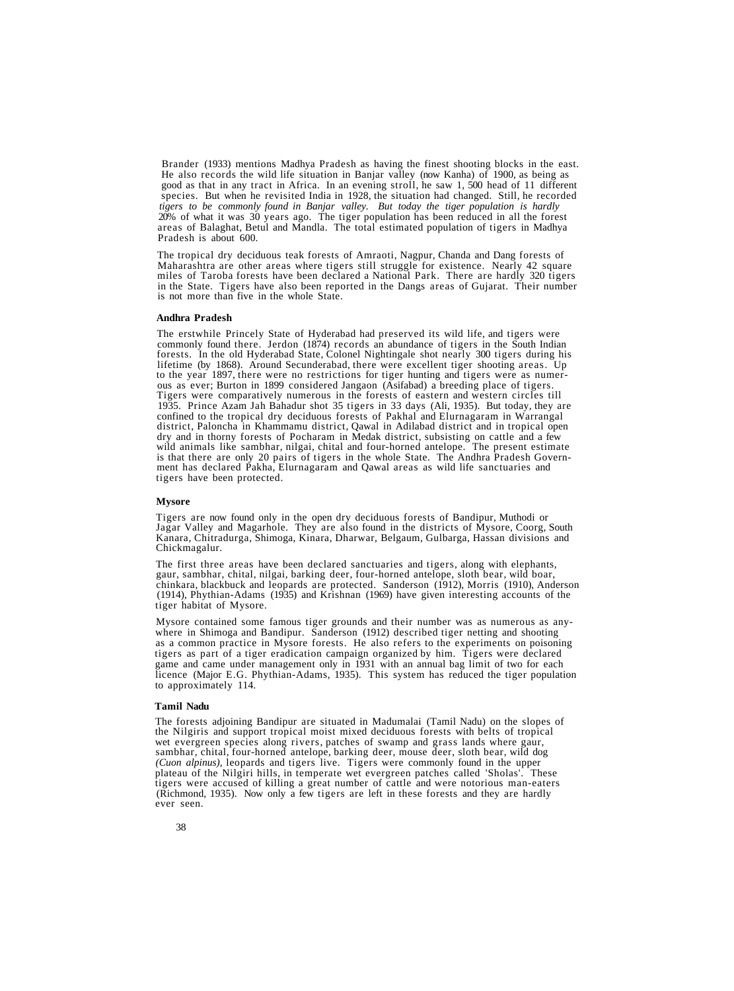Brander (1933) mentions Madhya Pradesh as having the finest shooting blocks in the east. He also records the wild life situation in Banjar valley (now Kanha) of 1900, as being as good as that in any tract in Africa. In an evening stroll, he saw 1, 500 head of 11 different species. But when he revisited India in 1928, the situation had changed. Still, he recorded *tigers to be commonly found in Banjar valley. But today the tiger population is hardly* 20% of what it was 30 years ago. The tiger population has been reduced in all the forest areas of Balaghat, Betul and Mandla. The total estimated population of tigers in Madhya Pradesh is about 600.

The tropical dry deciduous teak forests of Amraoti, Nagpur, Chanda and Dang forests of miles of Taroba forests have been declared a National Park. There are hardly 320 tigers<br>in the State. Tigers have also been reported in the Dangs areas of Gujarat. Their number<br>is not more than five in the whole State.

## **Andhra Pradesh**

The erstwhile Princely State of Hyderabad had preserved its wild life, and tigers were<br>commonly found there. Jerdon (1874) records an abundance of tigers in the South Indian<br>forests. In the old Hyderabad State, Colonel Nig to the year 1897, there were no restrictions for tiger hunting and tigers were as numer-<br>ous as ever; Burton in 1899 considered Jangaon (Asifabad) a breeding place of tigers.<br>Tigers were comparatively numerous in the fores 1935. Prince Azam Jah Bahadur shot 35 tigers in 33 days (Ali, 1935). But today, they are confined to the tropical dry deciduous forests of Pakhal and Elurnagaram in Warrangal district, Paloncha in Khammamu district, Qawal in Adilabad district and in tropical open<br>dry and in thorny forests of Pocharam in Medak district, subsisting on cattle and a few<br>wild animals like sambhar, nilgai, chital and tigers have been protected.

#### **Mysore**

Tigers are now found only in the open dry deciduous forests of Bandipur, Muthodi or Jagar Valley and Magarhole. They are also found in the districts of Mysore, Coorg, South Kanara, Chitradurga, Shimoga, Kinara, Dharwar, Belgaum, Gulbarga, Hassan divisions and Chickmagalur.

The first three areas have been declared sanctuaries and tigers, along with elephants, gaur, sambhar, chital, nilgai, barking deer, four-horned antelope, sloth bear, wild boar, chinkara, blackbuck and leopards are protecte

Mysore contained some famous tiger grounds and their number was as numerous as anywhere in Shimoga and Bandipur. Sanderson (1912) described tiger netting and shooting as a common practice in Mysore forests. He also refers to the experiments on poisoning tigers as part of a tiger eradication campaign organized by him. Tigers were declared game and came under management only in 1931 with an annual bag limit of two for each licence (Major E.G. Phythian-Adams, 1935). This system has reduced the tiger population to approximately 114.

## **Tamil Nadu**

The forests adjoining Bandipur are situated in Madumalai (Tamil Nadu) on the slopes of wet evergreen species along rivers, patches of swamp and grass lands where gaur, sambhar, chital, four-horned antelope, barking deer, mouse deer, sloth bear, wild dog (Cuon alpinus), leopards and tigers live. Tigers were c Figures were accused of killing a great number of cattle and were notorious man-eaters<br>(Richmond, 1935). Now only a few tigers are left in these forests and they are hardly<br>ever seen.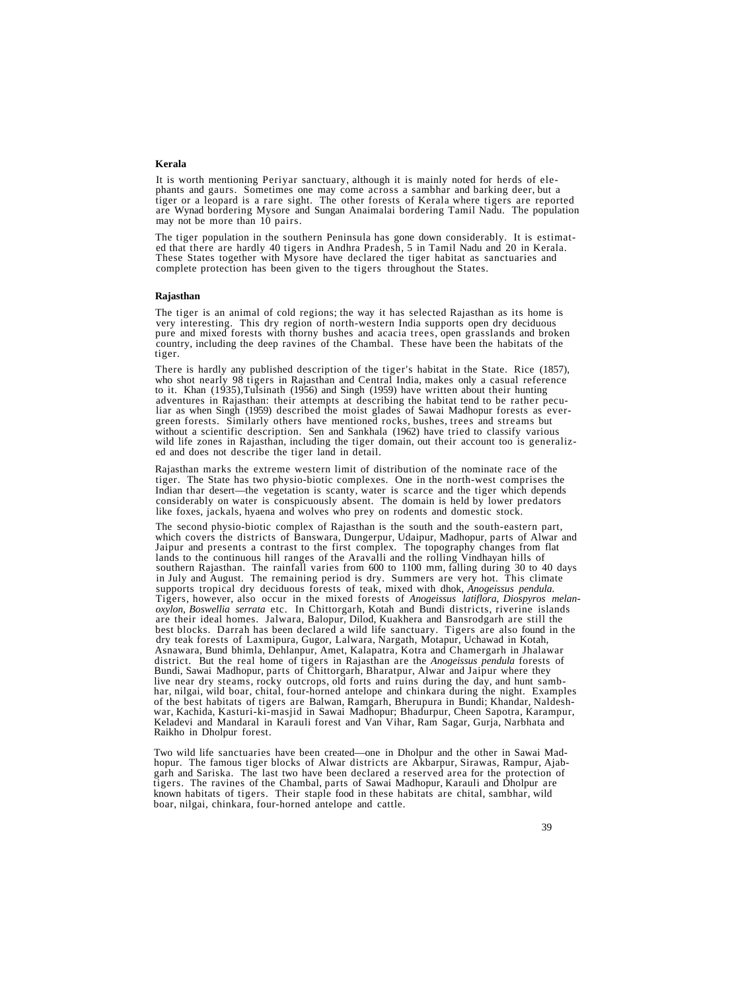## **Kerala**

It is worth mentioning Periyar sanctuary, although it is mainly noted for herds of elephants and gaurs. Sometimes one may come across a sambhar and barking deer, but a tiger or a leopard is a rare sight. The other forests

The tiger population in the southern Peninsula has gone down considerably. It is estimated that there are hardly 40 tigers in Andhra Pradesh, 5 in Tamil Nadu and 20 in Kerala.<br>These States together with Mysore have declare complete protection has been given to the tigers throughout the States.

### **Rajasthan**

The tiger is an animal of cold regions; the way it has selected Rajasthan as its home is<br>very interesting. This dry region of north-western India supports open dry deciduous<br>pure and mixed forests with thorny bushes and ac

There is hardly any published description of the tiger's habitat in the State. Rice (1857), who shot nearly 98 tigers in Rajasthan and Central India, makes only a casual reference<br>to it. Khan (1935),Tulsinath (1956) and Si adventures in Rajasthan: their attempts at describing the habitat tend to be rather pecular as when Singh (1959) described the moist glades of Sawai Madhopur forests as evergreen forests. Similarly others have mentioned ro without a scientific description. Sen and Sankhala (1962) have tried to classify various wild life zones in Rajasthan, including the tiger domain, out their account too is generalized and does not describe the tiger land i

Rajasthan marks the extreme western limit of distribution of the nominate race of the tiger. The State has two physio-biotic complexes. One in the north-west comprises the Indian thar desert—the vegetation is scanty, water is scarce and the tiger which depends considerably on water is conspicuously absent. The domain is held by lower predators like foxes, jackals, hyaena and wolves who prey on rodents and domestic stock.

The second physio-biotic complex of Rajasthan is the south and the south-eastern part, which covers the districts of Banswara, Dungerpur, Udaipur, Madhopur, parts of Alwar and Jaipur and presents a contrast to the first complex. The topography changes from flat lands to the continuous hill ranges of the Aravalli and the rolling Vindhayan hills of southern Rajasthan. The rainfall varies from 600 to 1100 mm, falling during 30 to 40 days<br>in July and August. The remaining period is dry. Summers are very hot. This climate<br>supports tropical dry deciduous forests of teak, Tigers, however, also occur in the mixed forests of *Anogeissus latiflora, Diospyros melan*are their ideal homes. Jalwara, Balopur, Dilod, Kuakhera and Bansrodgarh are still the<br>best blocks. Darrah has been declared a wild life sanctuary. Tigers are also found in the<br>dry teak forests of Laxmipura, Gugor, Lalwara Bundi, Sawai Madhopur, parts of Chittorgarh, Bharatpur, Alwar and Jaipur where they live near dry steams, rocky outcrops, old forts and ruins during the day, and hunt sambhar, nilgai, wild boar, chital, four-horned antelope and chinkara during the night. Examples<br>of the best habitats of tigers are Balwan, Ramgarh, Bherupura in Bundi; Khandar, Naldesh-<br>war, Kachida, Kasturi-ki-masjid in Sawa Raikho in Dholpur forest.

Two wild life sanctuaries have been created—one in Dholpur and the other in Sawai Madhopur. The famous tiger blocks of Alwar districts are Akbarpur, Sirawas, Rampur, Ajabgarh and Sariska. The last two have been declared a known habitats of tigers. Their staple food in these habitats are chital, sambhar, wild boar, nilgai, chinkara, four-horned antelope and cattle.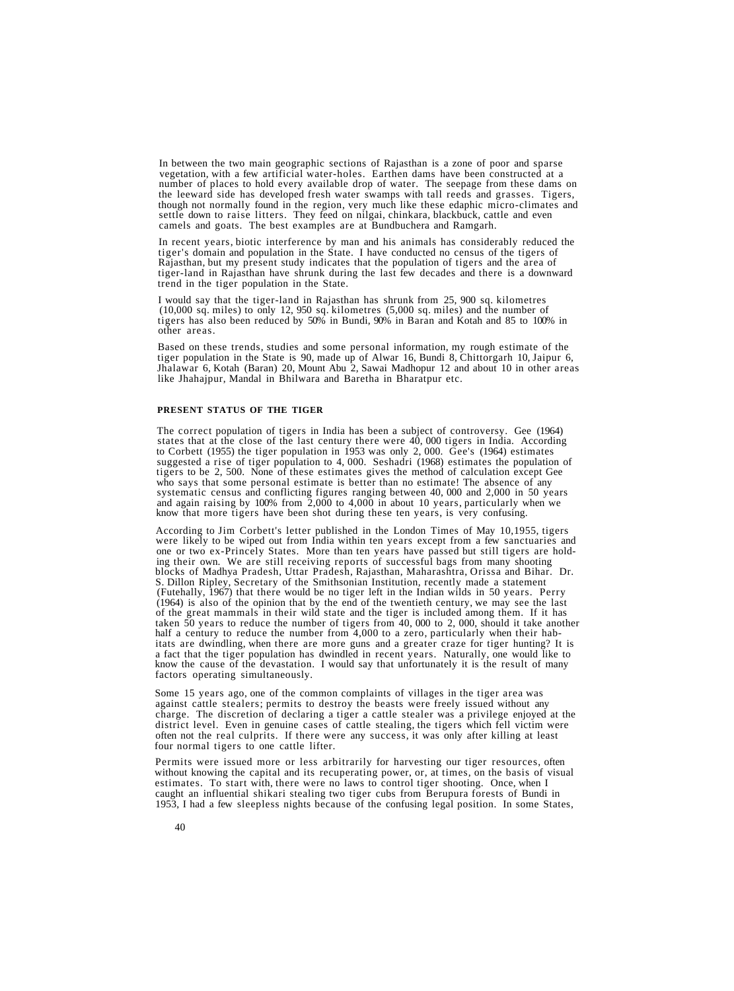In between the two main geographic sections of Rajasthan is a zone of poor and sparse vegetation, with a few artificial water-holes. Earthen dams have been constructed at a number of places to hold every available drop of settle down to raise litters. They feed on nilgai, chinkara, blackbuck, cattle and even camels and goats. The best examples are at Bundbuchera and Ramgarh.

In recent years, biotic interference by man and his animals has considerably reduced the tiger's domain and population in the State. I have conducted no census of the tigers of Rajasthan, but my present study indicates that the population of tigers and the area of tiger-land in Rajasthan have shrunk during the last few decades and there is a downward trend in the tiger population in the State.

I would say that the tiger-land in Rajasthan has shrunk from 25, 900 sq. kilometres (10,000 sq. miles) to only 12, 950 sq. kilometres (5,000 sq. miles) and the number of tigers has also been reduced by 50% in Bundi, 90% in Baran and Kotah and 85 to 100% in other areas.

Based on these trends, studies and some personal information, my rough estimate of the tiger population in the State is 90, made up of Alwar 16, Bundi 8, Chittorgarh 10, Jaipur 6, Jhalawar 6, Kotah (Baran) 20, Mount Abu 2, Sawai Madhopur 12 and about 10 in other areas like Jhahajpur, Mandal in Bhilwara and Baretha in Bharatpur etc.

## **PRESENT STATUS OF THE TIGER**

The correct population of tigers in India has been a subject of controversy. Gee (1964) states that at the close of the last century there were  $40$ , 000 tigers in India. According to Corbett (1955) the tiger population in 1953 was only 2, 000. Gee's (1964) estimates suggested a rise of tiger population to 4, 000. Seshadri (1968) estimates the population of tigers to be 2, 500. None of these estimates gives the method of calculation except Gee who says that some personal estimate is better than no estimate! The absence of any systematic census and conflicting figures ranging between 40, 000 and 2,000 in 50 years<br>and again raising by 100% from 2,000 to 4,000 in about 10 years, particularly when we<br>know that more tigers have been shot during thes

According to Jim Corbett's letter published in the London Times of May 10,1955, tigers<br>were likely to be wiped out from India within ten years except from a few sanctuaries and<br>one or two ex-Princely States. More than ten S. Dillon Ripley, Secretary of the Smithsonian Institution, recently made a statement (Futehally, 1967) that there would be no tiger left in the Indian wilds in 50 years. Perry of the great mammals in their wild state and the tiger is included among them. If it has<br>taken 50 years to reduce the number of tigers from 40, 000 to 2, 000, should it take another<br>half a century to reduce the number from factors operating simultaneously.

Some 15 years ago, one of the common complaints of villages in the tiger area was against cattle stealers; permits to destroy the beasts were freely issued without any charge. The discretion of declaring a tiger a cattle stealer was a privilege enjoyed at the district level. Even in genuine cases of cattle stealing, the tigers which fell victim were often not the real culprits. If there were any success, it was only after killing at least four normal tigers to one cattle lifter.

Permits were issued more or less arbitrarily for harvesting our tiger resources, often without knowing the capital and its recuperating power, or, at times, on the basis of visual estimates. To start with, there were no laws to control tiger shooting. Once, when I caught an influential shikari stealing two tiger cubs from Berupura forests of Bundi in 1953, I had a few sleepless nights because of the confusing legal position. In some States,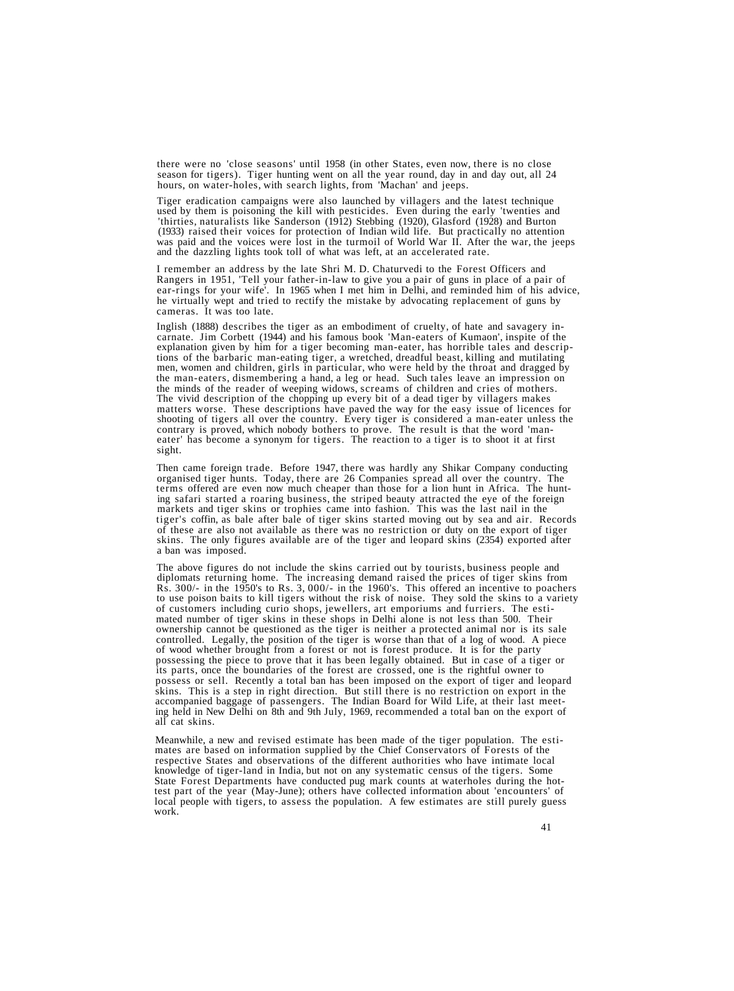there were no 'close seasons' until 1958 (in other States, even now, there is no close season for tigers). Tiger hunting went on all the year round, day in and day out, all 24 hours, on water-holes, with search lights, from 'Machan' and jeeps.

Tiger eradication campaigns were also launched by villagers and the latest technique used by them is poisoning the kill with pesticides. Even during the early 'twenties and 'thirties, naturalists like Sanderson (1912) Steb  $(1933)$  raised their voices for protection of Indian wild life. But practically no attention was paid and the voices were lost in the turmoil of World War II. After the war, the jeeps and the dazzling lights took toll of

I remember an address by the late Shri M. D. Chaturvedi to the Forest Officers and Rangers in 1951, 'Tell your father-in-law to give you a pair of guns in place of a pair of ear-rings for your wife'. In 1965 when I met him in Delhi, and reminded him of his advice, he virtually wept and tried to rectify the mistake by advocating replacement of guns by cameras. It was too late.

Inglish (1888) describes the tiger as an embodiment of cruelty, of hate and savagery in-<br>carnate. Jim Corbett (1944) and his famous book 'Man-eaters of Kumaon', inspite of the<br>explanation given by him for a tiger becoming the minds of the reader of weeping widows, screams of children and cries of mothers.<br>The vivid description of the chopping up every bit of a dead tiger by villagers makes<br>matters worse. These descriptions have paved the wa sight.

Then came foreign trade. Before 1947, there was hardly any Shikar Company conducting organised tiger hunts. Today, there are 26 Companies spread all over the country. The terms offered are even now much cheaper than those for a lion hunt in Africa. The hunt-<br>ing safari started a roaring business, the striped beauty attracted the eye of the foreign<br>markets and tiger skins or trophies came in

The above figures do not include the skins carried out by tourists, business people and diplomats returning home. The increasing demand raised the prices of tiger skins from Rs. 300/- in the 1950's to Rs. 3, 000/- in the 1960's. This offered an incentive to poachers<br>to use poison baits to kill tigers without the risk of noise. They sold the skins to a variety<br>of customers including curio shop its parts, once the boundaries of the forest are crossed, one is the rightful owner to<br>possess or sell. Recently a total ban has been imposed on the export of tiger and leopard<br>skins. This is a step in right direction. But accompanied baggage of passengers. The Indian Board for Wild Life, at their last meeting held in New Delhi on 8th and 9th July, 1969, recommended a total ban on the export of all cat skins.

Meanwhile, a new and revised estimate has been made of the tiger population. The estimates are based on information supplied by the Chief Conservators of Forests of the respective States and observations of the different a State Forest Departments have conducted pug mark counts at waterholes during the hottest part of the year (May-June); others have collected information about 'encounters' of local people with tigers, to assess the population. A few estimates are still purely guess work.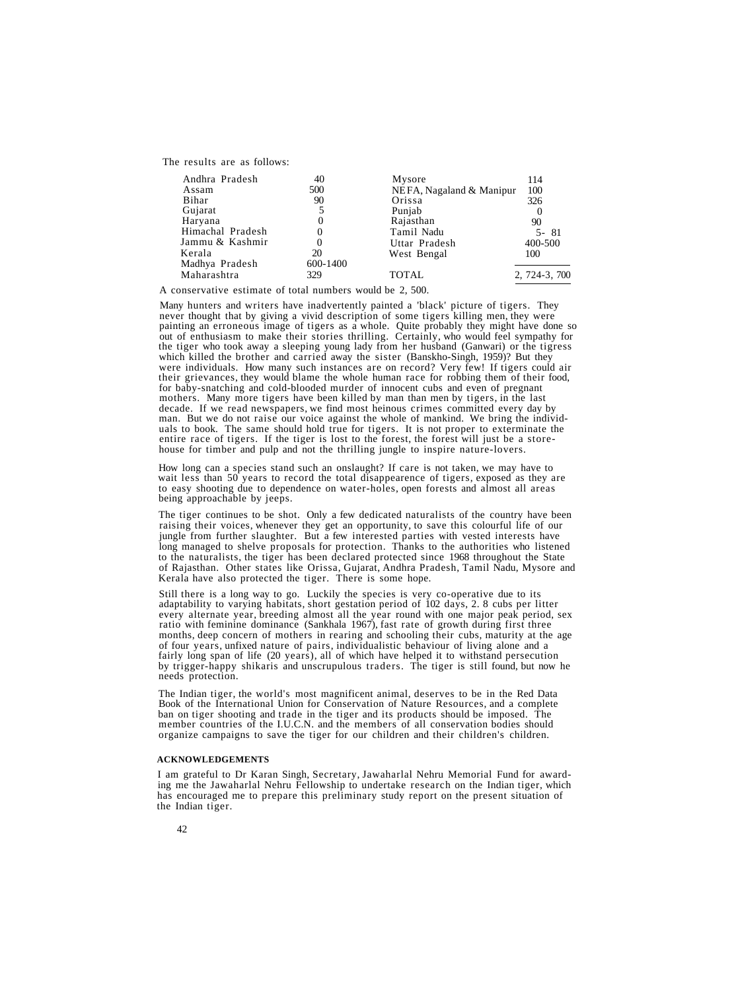The results are as follows:

| Andhra Pradesh   | 40       | Mysore                   | 114           |
|------------------|----------|--------------------------|---------------|
| Assam            | 500      | NEFA, Nagaland & Manipur | 100           |
| Bihar            | 90       | Orissa                   | 326           |
| Gujarat          |          | Punjab                   | $\theta$      |
| Haryana          | 0        | Rajasthan                | 90            |
| Himachal Pradesh |          | Tamil Nadu               | 5-81          |
| Jammu & Kashmir  | 0        | Uttar Pradesh            | 400-500       |
| Kerala           | 20       | West Bengal              | 100           |
| Madhya Pradesh   | 600-1400 |                          |               |
| Maharashtra      | 329      | <b>TOTAL</b>             | 2, 724-3, 700 |

A conservative estimate of total numbers would be 2, 500.

Many hunters and writers have inadvertently painted a 'black' picture of tigers. They<br>never thought that by giving a vivid description of some tigers killing men, they were<br>painting an erroneous image of tigers as a whole. mothers. Many more tigers have been killed by man than men by tigers, in the last decade. If we read newspapers, we find most heinous crimes committed every day by man. But we do not raise our voice against the whole of mankind. We bring the individuals to book. The same should hold true for tigers. It is not proper to exterminate the entire race of tigers. If the tiger is lost to th

How long can a species stand such an onslaught? If care is not taken, we may have to wait less than 50 years to record the total disappearence of tigers, exposed as they are to easy shooting due to dependence on water-hole

The tiger continues to be shot. Only a few dedicated naturalists of the country have been raising their voices, whenever they get an opportunity, to save this colourful life of our jungle from further slaughter. But a few interested parties with vested interests have long managed to shelve proposals for protection. Thanks to the authorities who listened to the naturalists, the tiger has been declared protected since 1968 throughout the State of Rajasthan. Other states like Orissa, Gujarat, Andhra Pradesh, Tamil Nadu, Mysore and Kerala have also protected the tiger. There is some hope.

Still there is a long way to go. Luckily the species is very co-operative due to its<br>adaptability to varying habitats, short gestation period of 102 days, 2.8 cubs per litter<br>every alternate year, breeding almost all the y

The Indian tiger, the world's most magnificent animal, deserves to be in the Red Data<br>Book of the International Union for Conservation of Nature Resources, and a complete<br>ban on tiger shooting and trade in the tiger and it organize campaigns to save the tiger for our children and their children's children.

## **ACKNOWLEDGEMENTS**

I am grateful to Dr Karan Singh, Secretary, Jawaharlal Nehru Memorial Fund for awarding me the Jawaharlal Nehru Fellowship to undertake research on the Indian tiger, which has encouraged me to prepare this preliminary study report on the present situation of the Indian tiger.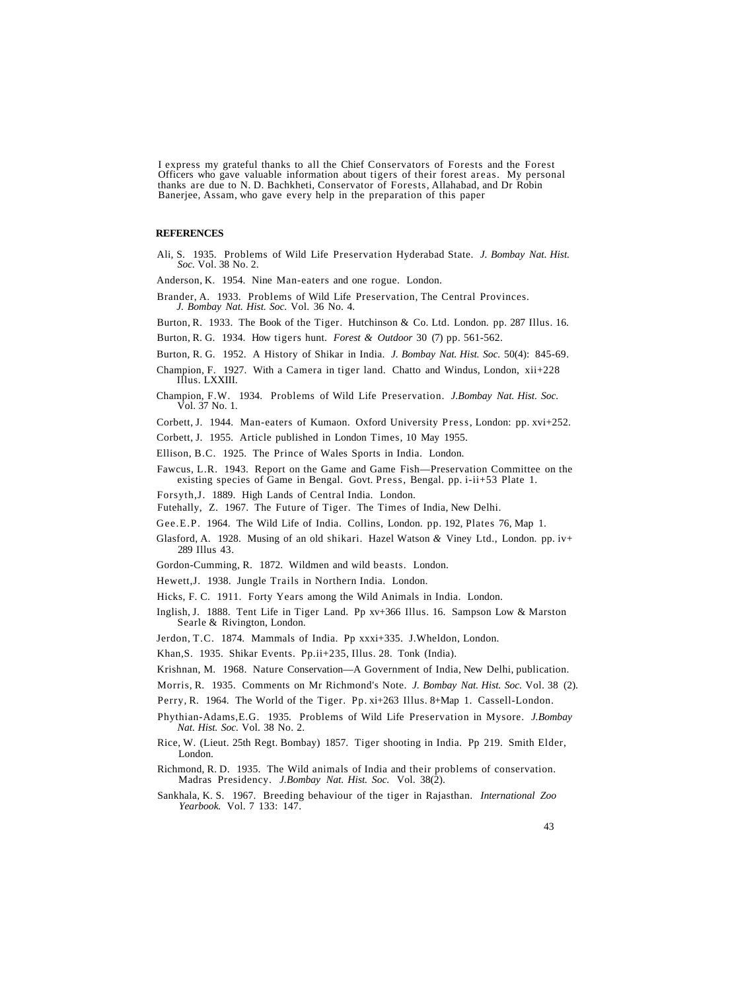I express my grateful thanks to all the Chief Conservators of Forests and the Forest Officers who gave valuable information about tigers of their forest areas. My personal thanks are due to N. D. Bachkheti, Conservator of Forests, Allahabad, and Dr Robin Banerjee, Assam, who gave every help in the preparation of this paper

## **REFERENCES**

Ali, S. 1935. Problems of Wild Life Preservation Hyderabad State. *J. Bombay Nat. Hist. Soc.* Vol. 38 No. 2.

Anderson, K. 1954. Nine Man-eaters and one rogue. London.

- Brander, A. 1933. Problems of Wild Life Preservation, The Central Provinces. *J. Bombay Nat. Hist. Soc.* Vol. 36 No. 4.
- Burton, R. 1933. The Book of the Tiger. Hutchinson & Co. Ltd. London. pp. 287 Illus. 16.
- Burton, R. G. 1934. How tigers hunt. *Forest & Outdoor* 30 (7) pp. 561-562.
- Burton, R. G. 1952. A History of Shikar in India. *J. Bombay Nat. Hist. Soc.* 50(4): 845-69.
- Champion, F. 1927. With a Camera in tiger land. Chatto and Windus, London, xii+228 Illus. LXXIII.
- Champion, F.W. 1934. Problems of Wild Life Preservation. *J.Bombay Nat. Hist. Soc.* Vol. 37 No. 1.
- Corbett, J. 1944. Man-eaters of Kumaon. Oxford University Press, London: pp. xvi+252.
- Corbett, J. 1955. Article published in London Times, 10 May 1955.

Ellison, B.C. 1925. The Prince of Wales Sports in India. London.

- Fawcus, L.R. 1943. Report on the Game and Game Fish—Preservation Committee on the existing species of Game in Bengal. Govt. Press, Bengal. pp. i-ii+53 Plate 1.
- Forsyth,J. 1889. High Lands of Central India. London.
- Futehally, Z. 1967. The Future of Tiger. The Times of India, New Delhi.
- Gee.E.P. 1964. The Wild Life of India. Collins, London. pp. 192, Plates 76, Map 1.
- Glasford, A. 1928. Musing of an old shikari. Hazel Watson *&* Viney Ltd., London. pp. iv+ 289 Illus 43.
- Gordon-Cumming, R. 1872. Wildmen and wild beasts. London.
- Hewett,J. 1938. Jungle Trails in Northern India. London.
- Hicks, F. C. 1911. Forty Years among the Wild Animals in India. London.
- Inglish, J. 1888. Tent Life in Tiger Land. Pp xv+366 Illus. 16. Sampson Low & Marston Searle & Rivington, London.
- Jerdon, T.C. 1874. Mammals of India. Pp xxxi+335. J.Wheldon, London.

Khan,S. 1935. Shikar Events. Pp.ii+235, Illus. 28. Tonk (India).

- Krishnan, M. 1968. Nature Conservation—A Government of India, New Delhi, publication.
- Morris, R. 1935. Comments on Mr Richmond's Note. *J. Bombay Nat. Hist. Soc.* Vol. 38 (2).
- Perry, R. 1964. The World of the Tiger. Pp. xi+263 Illus. 8+Map 1. Cassell-London.
- Phythian-Adams,E.G. 1935. Problems of Wild Life Preservation in Mysore. *J.Bombay Nat. Hist. Soc.* Vol. 38 No. 2.
- Rice, W. (Lieut. 25th Regt. Bombay) 1857. Tiger shooting in India. Pp 219. Smith Elder, London.
- Richmond, R. D. 1935. The Wild animals of India and their problems of conservation. Madras Presidency. *J.Bombay Nat. Hist. Soc.* Vol. 38(2).
- Sankhala, K. S. 1967. Breeding behaviour of the tiger in Rajasthan. *International Zoo Yearbook.* Vol. 7 133: 147.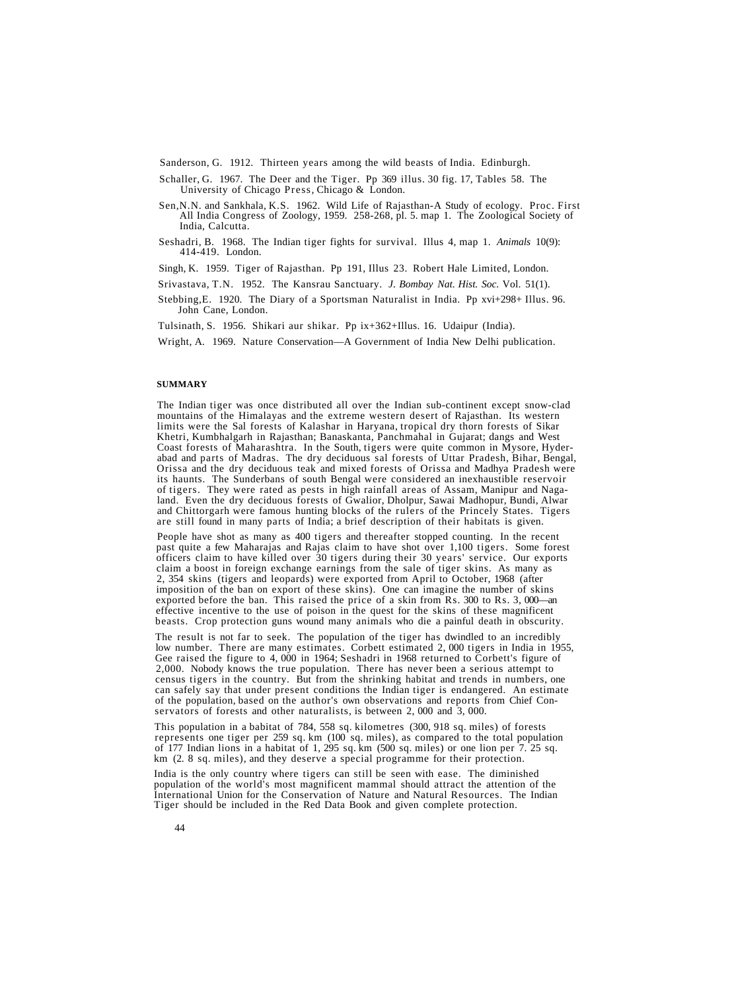Sanderson, G. 1912. Thirteen years among the wild beasts of India. Edinburgh.

- Schaller, G. 1967. The Deer and the Tiger. Pp 369 illus. 30 fig. 17, Tables 58. The University of Chicago Press, Chicago & London.
- Sen,N.N. and Sankhala, K.S. 1962. Wild Life of Rajasthan-A Study of ecology. Proc. First All India Congress of Zoology, 1959. 258-268, pl. 5. map 1. The Zoological Society of India, Calcutta.
- Seshadri, B. 1968. The Indian tiger fights for survival. Illus 4, map 1. *Animals* 10(9): 414-419. London.

Singh, K. 1959. Tiger of Rajasthan. Pp 191, Illus 23. Robert Hale Limited, London.

Srivastava, T.N. 1952. The Kansrau Sanctuary. *J. Bombay Nat. Hist. Soc.* Vol. 51(1).

Stebbing,E. 1920. The Diary of a Sportsman Naturalist in India. Pp xvi+298+ Illus. 96. John Cane, London.

Tulsinath, S. 1956. Shikari aur shikar. Pp ix+362+Illus. 16. Udaipur (India).

Wright, A. 1969. Nature Conservation—A Government of India New Delhi publication.

#### **SUMMARY**

The Indian tiger was once distributed all over the Indian sub-continent except snow-clad mountains of the Himalayas and the extreme western desert of Rajasthan. Its western limits were the Sal forests of Kalashar in Haryana, tropical dry thorn forests of Sikar Khetri, Kumbhalgarh in Rajasthan; Banaskanta, Panchmahal in Gujarat; dangs and West Coast forests of Maharashtra. In the South, tigers were quite common in Mysore, Hyderabad and parts of Madras. The dry deciduous sal forests of Uttar Pradesh, Bihar, Bengal, Orissa and the dry deciduous teak and mixed forests of Orissa and Madhya Pradesh were its haunts. The Sunderbans of south Bengal were considered an inexhaustible reservoir of tigers. They were rated as pests in high rainfall areas of Assam, Manipur and Nagaland. Even the dry deciduous forests of Gwalior, Dholpur, Sawai Madhopur, Bundi, Alwar and Chittorgarh were famous hunting blocks of the rulers of the Princely States. Tigers are still found in many parts of India; a brief description of their habitats is given.

People have shot as many as 400 tigers and thereafter stopped counting. In the recent past quite a few Maharajas and Rajas claim to have shot over 1,100 tigers. Some forest officers claim to have killed over 30 tigers during their 30 years' service. Our exports claim a boost in foreign exchange earnings from the sale of tiger skins. As many as 2, 354 skins (tigers and leopards) were exported from April to October, 1968 (after imposition of the ban on export of these skins). One can imagine the number of skins exported before the ban. This raised the price of a skin from Rs. 300 to Rs. 3, 000—an effective incentive to the use of poison in the quest for the skins of these magnificent beasts. Crop protection guns wound many animals who die a painful death in obscurity.

The result is not far to seek. The population of the tiger has dwindled to an incredibly low number. There are many estimates. Corbett estimated 2,000 tigers in India in 1955, Gee raised the figure to 4, 000 in 1964; Seshadri in 1968 returned to Corbett's figure of 2,000. Nobody knows the true population. There has never been a serious attempt to census tigers in the country. But from the shrinking habitat and trends in numbers, one can safely say that under present conditions the Indian tiger is endangered. An estimate of the population, based on the author's own observations and reports from Chief Conservators of forests and other naturalists, is between 2,000 and 3,000.

This population in a babitat of 784, 558 sq. kilometres (300, 918 sq. miles) of forests represents one tiger per 259 sq. km (100 sq. miles), as compared to the total population of 177 Indian lions in a habitat of 1, 295 sq. km (500 sq. miles) or one lion per 7. 25 sq. km (2. 8 sq. miles), and they deserve a special programme for their protection.

India is the only country where tigers can still be seen with ease. The diminished population of the world's most magnificent mammal should attract the attention of the International Union for the Conservation of Nature and Natural Resources. The Indian Tiger should be included in the Red Data Book and given complete protection.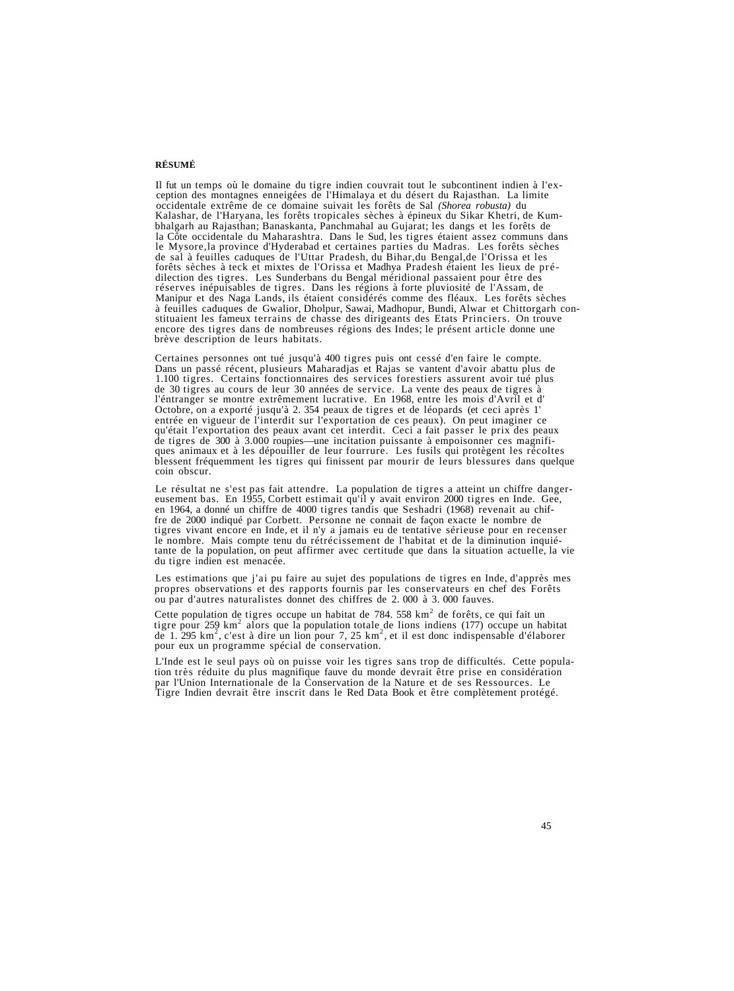## **RÉSUMÉ**

Il fut un temps où le domaine du tigre indien couvrait tout le subcontinent indien à l'exception des montagnes enneigées de l'Himalaya et du désert du Rajasthan. La limite cocidentale extrême de ce domaine suivait les forê

Certaines personnes ont tué jusqu'à 400 tigres puis ont cessé d'en faire le compte.<br>Dans un passé récent, plusieurs Maharadjas et Rajas se vantent d'avoir abattu plus de<br>1.100 tigres. Certains fonctionnaires des services f Octobre, on a exporté jusqu'à 2. 354 peaux de tigres et de léopards (et ceci après l'<br>entrée en vigueur de l'interdit sur l'exportation de ces peaux). On peut imaginer ce<br>qu'était l'exportation des peaux avant cet interdit

Le résultat ne s'est pas fait attendre. La population de tigres a atteint un chiffre danger-<br>eusement bas. En 1955, Corbett estimait qu'il y avait environ 2000 tigres en Inde. Gee,<br>en 1964, a donné un chiffre de 4000 tigre

Les estimations que j'ai pu faire au sujet des populations de tigres en Inde, d'apprès mes propres observations et des rapports fournis par les conservateurs en chef des Forêts ou par d'autres naturalistes donnet des chiffres de 2. 000 à 3. 000 fauves.

Cette population de tigres occupe un habitat de 784.  $558 \text{ km}^2$  de forêts, ce qui fait un Cette population de tigres occupe un habitat de 784. 558 km<sup>2</sup> de forêts, ce qui fait un tigre pour 259 km<sup>2</sup> alors que la population totale de lions indiens (177) occupe un habitat de 1. 295 km<sup>2</sup>, c'est à dire un lion pour 7, 25 km<sup>2</sup>, et il est donc indispensable d'élaborer pour eux un programme spécial de conservation.

L'Inde est le seul pays où on puisse voir les tigres sans trop de difficultés. Cette population très réduite du plus magnifique fauve du monde devrait être prise en considération par l'Union Internationale de la Conservati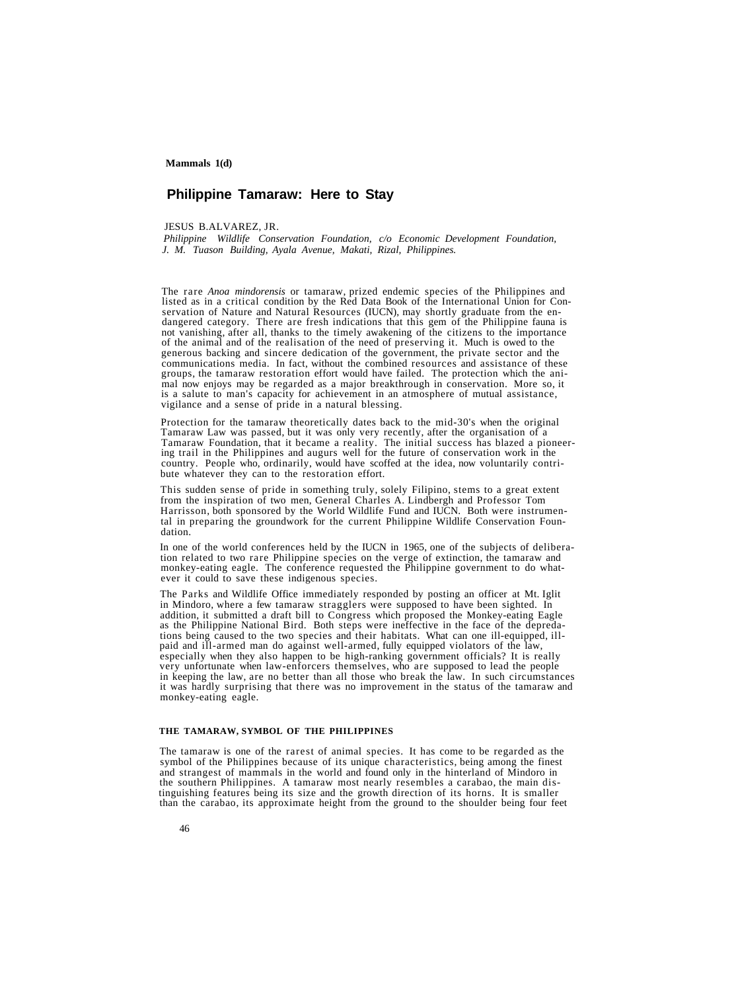## **Philippine Tamaraw: Here to Stay**

JESUS B.ALVAREZ, JR.

*Philippine Wildlife Conservation Foundation, c/o Economic Development Foundation, J. M. Tuason Building, Ayala Avenue, Makati, Rizal, Philippines.*

The rare *Anoa mindorensis* or tamaraw, prized endemic species of the Philippines and servation of Nature and Natural Resources (IUCN), may shortly graduate from the en-<br>dangered category. There are fresh indications that this gem of the Philippine fauna is<br>not vanishing, after all, thanks to the timely awa is a salute to man's capacity for achievement in an atmosphere of mutual assistance, vigilance and a sense of pride in a natural blessing.

Protection for the tamaraw theoretically dates back to the mid-30's when the original Tamaraw Law was passed, but it was only very recently, after the organisation of a<br>Tamaraw Foundation, that it became a reality. The initial success has blazed a pioneer-<br>ing trail in the Philippines and augurs well for th

This sudden sense of pride in something truly, solely Filipino, stems to a great extent from the inspiration of two men, General Charles A. Lindbergh and Professor Tom Harrisson, both sponsored by the World Wildlife Fund and IUCN. Both were instrumental in preparing the groundwork for the current Philippine Wildlife Conservation Foundation.

In one of the world conferences held by the IUCN in 1965, one of the subjects of delibera- tion related to two rare Philippine species on the verge of extinction, the tamaraw and monkey-eating eagle. The conference requested the Philippine government to do what-<br>ever it could to save these indigenous species.

The Parks and Wildlife Office immediately responded by posting an officer at Mt. Iglit in Mindoro, where a few tamaraw stragglers were supposed to have been sighted. In addition, it submitted a draft bill to Congress which proposed the Monkey-eating Eagle<br>as the Philippine National Bird. Both steps were ineffective in the face of the depreda-<br>tions being caused to the two species and thei monkey-eating eagle.

#### **THE TAMARAW, SYMBOL OF THE PHILIPPINES**

The tamaraw is one of the rarest of animal species. It has come to be regarded as the symbol of the Philippines because of its unique characteristics, being among the finest and strangest of mammals in the world and found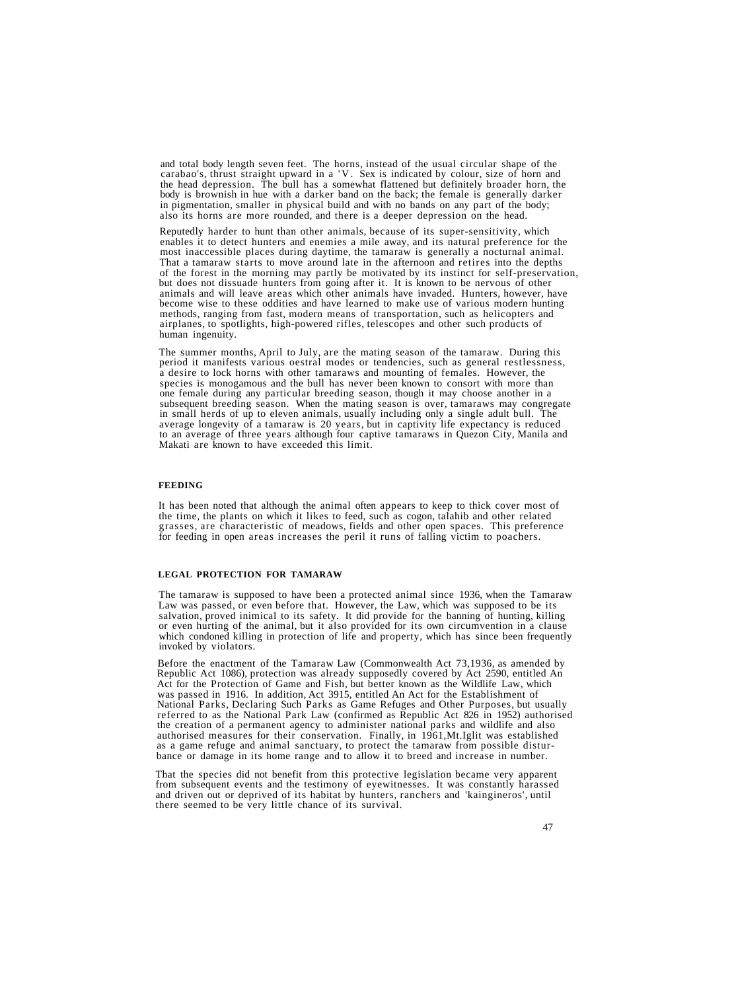and total body length seven feet. The horns, instead of the usual circular shape of the carabao's, thrust straight upward in a 'V. Sex is indicated by colour, size of horn and the head depression. The bull has a somewhat f body is brownish in hue with a darker band on the back; the female is generally darker<br>in pigmentation, smaller in physical build and with no bands on any part of the body; also its horns are more rounded, and there is a deeper depression on the head.

Reputedly harder to hunt than other animals, because of its super-sensitivity, which enables it to detect hunters and enemies a mile away, and its natural preference for the most inaccessible places during daytime, the tamaraw is generally a nocturnal animal.<br>That a tamaraw starts to move around late in the afternoon and retires into the depths<br>of the forest in the morning may partly be motiva methods, ranging from fast, modern means of transportation, such as helicopters and airplanes, to spotlights, high-powered rifles, telescopes and other such products of human ingenuity.

The summer months, April to July, are the mating season of the tamaraw. During this<br>period it manifests various oestral modes or tendencies, such as general restlessness,<br>a desire to lock horns with other tamaraws and moun to an average of three years although four captive tamaraws in Quezon City, Manila and Makati are known to have exceeded this limit.

#### **FEEDING**

It has been noted that although the animal often appears to keep to thick cover most of the time, the plants on which it likes to feed, such as cogon, talahib and other related grasses, are characteristic of meadows, fields and other open spaces. This preference for feeding in open areas increases the peril it runs of falling victim to poachers.

#### **LEGAL PROTECTION FOR TAMARAW**

The tamaraw is supposed to have been a protected animal since 1936, when the Tamaraw<br>Law was passed, or even before that. However, the Law, which was supposed to be its<br>salvation, proved inimical to its safety. It did prov invoked by violators.

Before the enactment of the Tamaraw Law (Commonwealth Act 73,1936, as amended by Republic Act 1086), protection was already supposedly covered by Act 2590, entitled An Act for the Protection of Game and Fish, but better known as the Wildlife Law, which was passed in 1916. In addition, Act 3915, entitle National Parks, Declaring Such Parks as Game Refuges and Other Purposes, but usually referred to as the National Park Law (confirmed as Republic Act 826 in 1952) authorised<br>the creation of a permanent agency to administer national parks and wildlife and also authorised measures for their conservation. Finally, in 1961, Mt. Iglit was established<br>as a game refuge and animal sanctuary, to protect the tamaraw from possible distur-<br>bance or damage in its home range and to allow it

That the species did not benefit from this protective legislation became very apparent from subsequent events and the testimony of eyewitnesses. It was constantly harassed and driven out or deprived of its habitat by hunters, ranchers and 'kaingineros', until there seemed to be very little chance of its survival.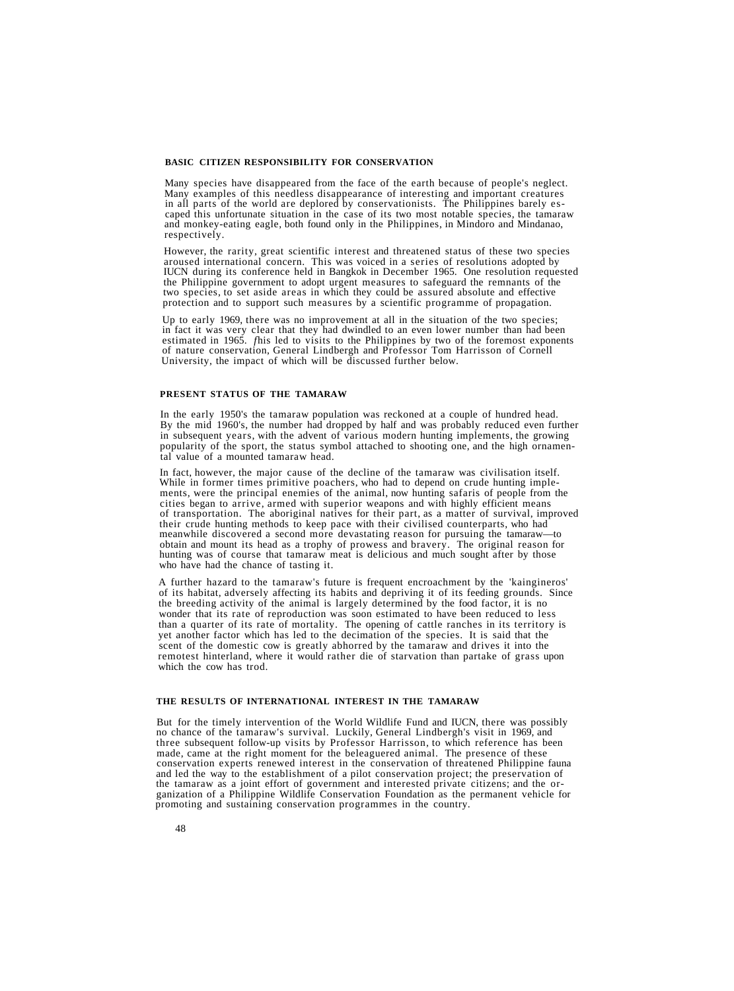#### **BASIC CITIZEN RESPONSIBILITY FOR CONSERVATION**

Many species have disappeared from the face of the earth because of people's neglect.<br>Many examples of this needless disappearance of interesting and important creatures<br>in all parts of the world are deplored by conservati

However, the rarity, great scientific interest and threatened status of these two species aroused international concern. This was voiced in a series of resolutions adopted by IUCN during its conference held in Bangkok in December 1965. One resolution requested two species, to set aside areas in which they could be assured absolute and effective protection and to support such measures by a scientific programme of propagation.

Up to early 1969, there was no improvement at all in the situation of the two species;<br>in fact it was very clear that they had dwindled to an even lower number than had been estimated in 1965. *fhis* led to visits to the Philippines by two of the foremost exponents of nature conservation, General Lindbergh and Professor Tom Harrisson of Cornell University, the impact of which will be discussed further below.

#### **PRESENT STATUS OF THE TAMARAW**

In the early 1950's the tamaraw population was reckoned at a couple of hundred head. By the mid 1960's, the number had dropped by half and was probably reduced even further in subsequent years, with the advent of various modern hunting implements, the growing popularity of the sport, the status symbol attached to shooting one, and the high ornamental value of a mounted tamaraw head.

In fact, however, the major cause of the decline of the tamaraw was civilisation itself.<br>While in former times primitive poachers, who had to depend on crude hunting imple-<br>ments, were the principal enemies of the animal, their crude hunting methods to keep pace with their civilised counterparts, who had meanwhile discovered a second more devastating reason for pursuing the tamaraw—to obtain and mount its head as a trophy of prowess and bravery. The original reason for hunting was of course that tamaraw meat is delicious and much sought after by those who have had the chance of tasting it.

A further hazard to the tamaraw's future is frequent encroachment by the 'kaingineros' of its habitat, adversely affecting its habits and depriving it of its feeding grounds. Since the breeding activity of the animal is largely determined by the food factor, it is no wonder that its rate of reproduction was soon estimated to have been reduced to less than a quarter of its rate of mortality. The opening of cattle ranches in its territory is yet another factor which has led to the decimation of the species. It is said that the scent of the domestic cow is greatly abhorred by the tamaraw and drives it into the remotest hinterland, where it would rather die of starvation than partake of grass upon which the cow has trod.

## **THE RESULTS OF INTERNATIONAL INTEREST IN THE TAMARAW**

But for the timely intervention of the World Wildlife Fund and IUCN, there was possibly no chance of the tamaraw's survival. Luckily, General Lindbergh's visit in 1969, and three subsequent follow-up visits by Professor Ha made, came at the right moment for the beleaguered animal. The presence of these<br>conservation experts renewed interest in the conservation of threatened Philippine fauna<br>and led the way to the establishment of a pilot cons the tamaraw as a joint effort of government and interested private citizens; and the organization of a Philippine Wildlife Conservation Foundation as the permanent vehicle for promoting and sustaining conservation programm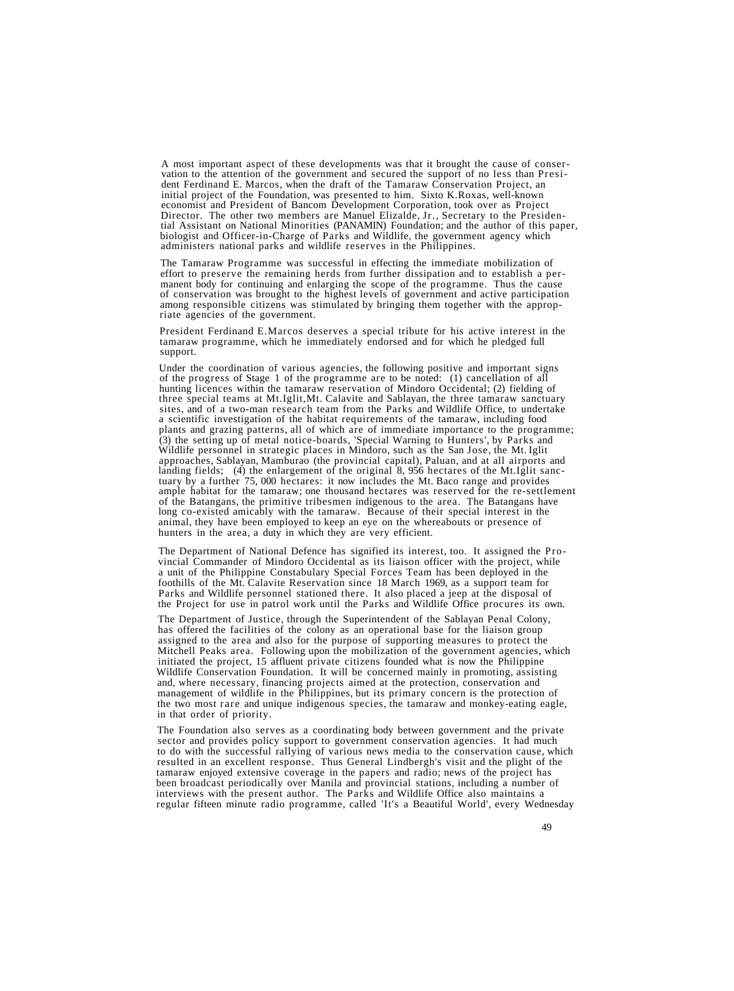A most important aspect of these developments was that it brought the cause of conservation to the attention of the government and secured the support of no less than President Ferdinand E. Marcos, when the draft of the Ta tial Assistant on National Minorities (PANAMIN) Foundation; and the author of this paper, biologist and Officer-in-Charge of Parks and Wildlife, the government agency which administers national parks and wildlife reserves in the Philippines.

The Tamaraw Programme was successful in effecting the immediate mobilization of effort to preserve the remaining herds from further dissipation and to establish a permanent body for continuing and enlarging the scope of the programme. Thus the cause<br>of conservation was brought to the highest levels of government and active participation<br>among responsible citizens was stimulated by brin

President Ferdinand E.Marcos deserves a special tribute for his active interest in the tamaraw programme, which he immediately endorsed and for which he pledged full support.

Under the coordination of various agencies, the following positive and important signs of the progress of Stage 1 of the programme are to be noted: (1) cancellation of all hunting licences within the tamaraw reservation of Mindoro Occidental; (2) fielding of three special teams at Mt.Iglit,Mt. Calavite and Sablayan, the three tamaraw sanctuary a scientific investigation of the habitat requirements of the tamaraw, including food plants and grazing patterns, all of which are of immediate importance to the programme; (3) the setting up of metal notice-boards, 'Special Warning to Hunters', by Parks and Wildlife personnel in strategic places in Mindoro, such as the San Jose, the Mt. Iglit approaches, Sablayan, Mamburao (the provincial capital), Paluan, and at all airports and tuary by a further 75, 000 hectares: it now includes the Mt. Baco range and provides<br>ample habitat for the tamaraw; one thousand hectares was reserved for the re-settlement<br>of the Batangans, the primitive tribesmen indigen hunters in the area, a duty in which they are very efficient.

The Department of National Defence has signified its interest, too. It assigned the Provincial Commander of Mindoro Occidental as its liaison officer with the project, while a unit of the Philippine Constabulary Special Forces Team has been deployed in the foothills of the Mt. Calavite Reservation since 18 March 1969, as a support team for Parks and Wildlife personnel stationed there. It also placed a jeep at the disposal of the Project for use in patrol work until the Parks and Wildlife Office procures its own.

The Department of Justice, through the Superintendent of the Sablayan Penal Colony, has offered the facilities of the colony as an operational base for the liaison group assigned to the area and also for the purpose of supporting measures to protect the Mitchell Peaks area. Following upon the mobilization of the government agencies, which initiated the project, 15 affluent private citizens founded what is now the Philippine Wildlife Conservation Foundation. It will be concerned mainly in promoting, assisting and, where necessary, financing projects aimed at the protection, conservation and management of wildlife in the Philippines, but its primary concern is the protection of the two most rare and unique indigenous species, the tamaraw and monkey-eating eagle, in that order of priority.

The Foundation also serves as a coordinating body between government and the private sector and provides policy support to government conservation agencies. It had much to do with the successful rallying of various news media to the conservation cause, which resulted in an excellent response. Thus General Lindbergh's visit and the plight of the tamaraw enjoyed extensive coverage in the papers and radio; news of the project has been broadcast periodically over Manila and provincial stations, including a number of interviews with the present author. The Parks and Wildlife Office also maintains a regular fifteen minute radio programme, called 'It's a Beautiful World', every Wednesday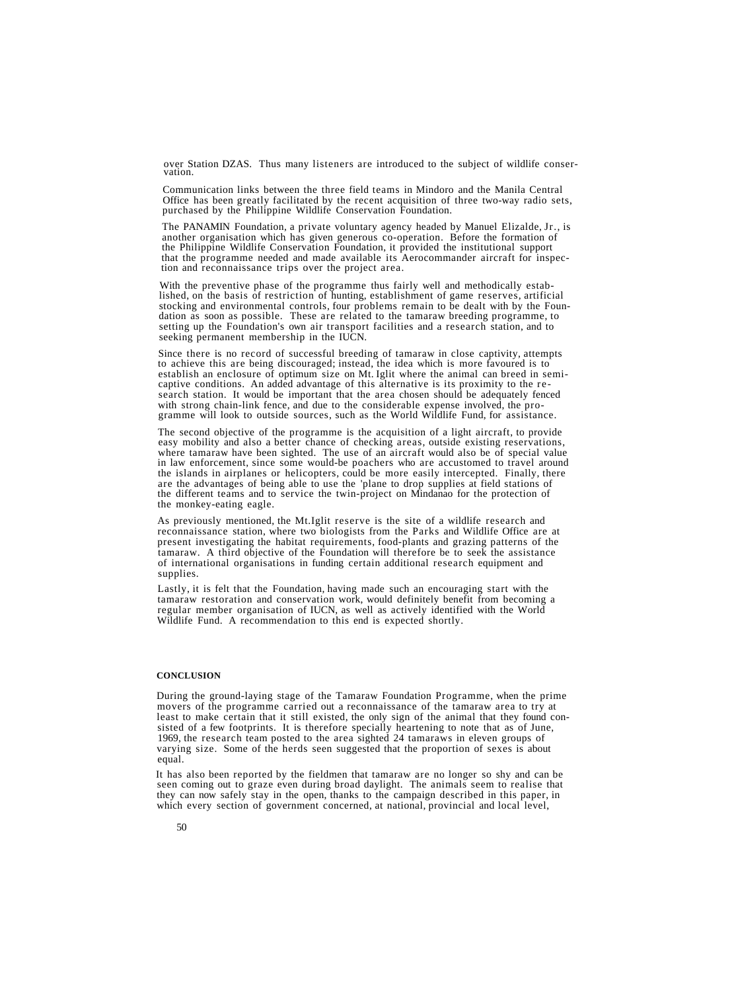over Station DZAS. Thus many listeners are introduced to the subject of wildlife conser- vation.

Communication links between the three field teams in Mindoro and the Manila Central Office has been greatly facilitated by the recent acquisition of three two-way radio sets, purchased by the Philippine Wildlife Conservation Foundation.

The PANAMIN Foundation, a private voluntary agency headed by Manuel Elizalde, Jr., is another organisation which has given generous co-operation. Before the formation of the Philippine Wildlife Conservation Foundation, it provided the institutional support that the programme needed and made available its Aerocommander aircraft for inspec- tion and reconnaissance trips over the project area.

With the preventive phase of the programme thus fairly well and methodically estab-<br>lished, on the basis of restriction of hunting, establishment of game reserves, artificial<br>stocking and environmental controls, four probl stocking and contained to the temperature of the temperature of the temperature of the setting up the Foundation's own air transport facilities and a research station, and to seeking permanent membership in the IUCN.

Since there is no record of successful breeding of tamaraw in close captivity, attempts<br>to achieve this are being discouraged; instead, the idea which is more favoured is to<br>establish an enclosure of optimum size on Mt. Ig gramme will look to outside sources, such as the World Wildlife Fund, for assistance.

The second objective of the programme is the acquisition of a light aircraft, to provide<br>easy mobility and also a better chance of checking areas, outside existing reservations,<br>where tamaraw have been sighted. The use of are the advantages of being able to use the 'plane to drop supplies at field stations of the different teams and to service the twin-project on Mindanao for the protection of the monkey-eating eagle.

As previously mentioned, the Mt.Iglit reserve is the site of a wildlife research and reconnaissance station, where two biologists from the Parks and Wildlife Office are at present investigating the habitat requirements, food-plants and grazing patterns of the tamaraw. A third objective of the Foundation will therefore be to seek the assistance of international organisations in funding certain additional research equipment and supplies.

Lastly, it is felt that the Foundation, having made such an encouraging start with the tamaraw restoration and conservation work, would definitely benefit from becoming a regular member organisation of IUCN, as well as actively identified with the World Wildlife Fund. A recommendation to this end is expected shortly.

#### **CONCLUSION**

During the ground-laying stage of the Tamaraw Foundation Programme, when the prime movers of the programme carried out a reconnaissance of the tamaraw area to try at least to make certain that it still existed, the only sign of the animal that they found consisted of a few footprints. It is therefore specially heartening to note that as of June, 1969, the research team posted to the area sighted 24 tamaraws in eleven groups of varying size. Some of the herds seen suggested that the proportion of sexes is about equal.

It has also been reported by the fieldmen that tamaraw are no longer so shy and can be seen coming out to graze even during broad daylight. The animals seem to realise that they can now safely stay in the open, thanks to the campaign described in this paper, in which every section of government concerned, at national, provincial and local level,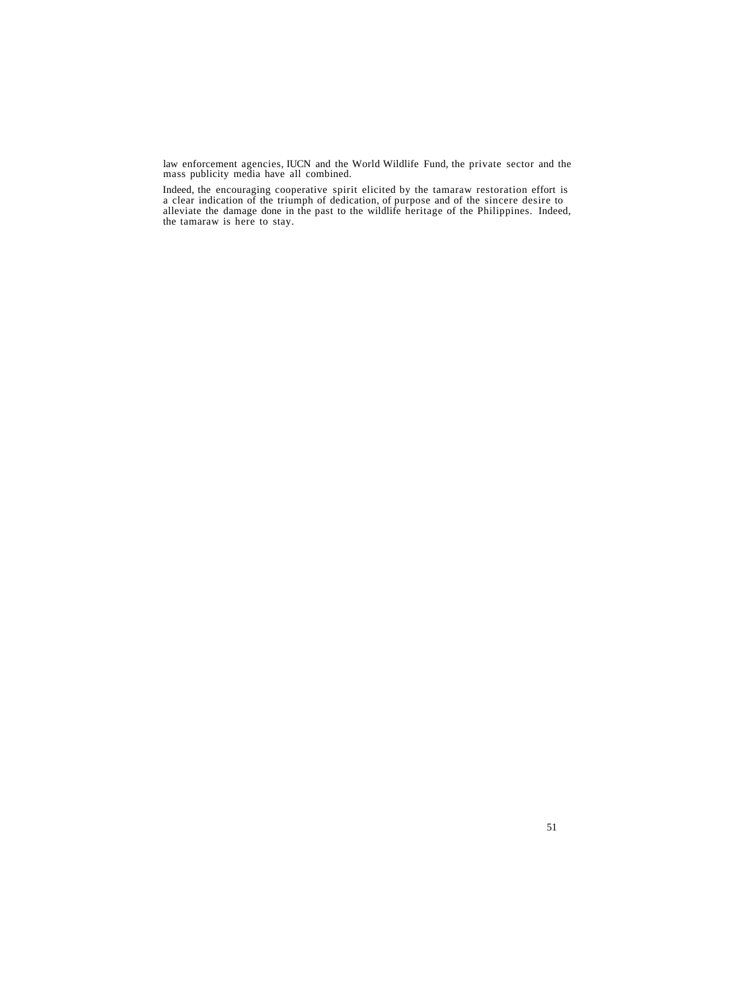law enforcement agencies, IUCN and the World Wildlife Fund, the private sector and the mass publicity media have all combined.

Indeed, the encouraging cooperative spirit elicited by the tamaraw restoration effort is a clear indication of the triumph of dedication, of purpose and of the sincere desire to alleviate the damage done in the past to the wildlife heritage of the Philippines. Indeed, the tamaraw is here to stay.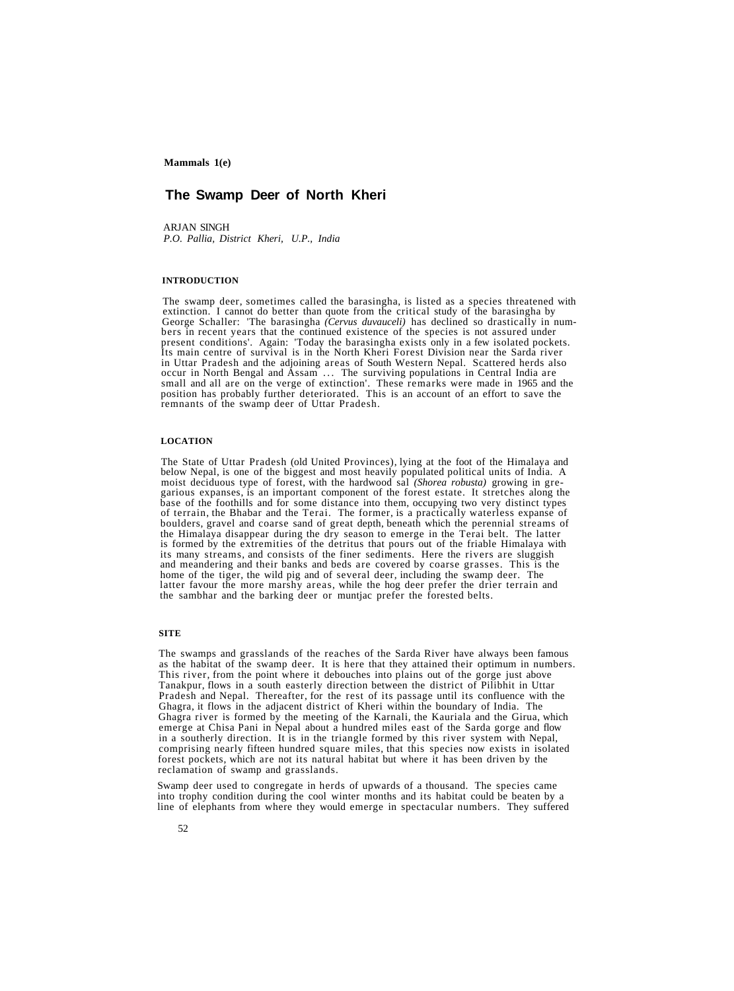# **The Swamp Deer of North Kheri**

ARJAN SINGH *P.O. Pallia, District Kheri, U.P., India*

#### **INTRODUCTION**

The swamp deer, sometimes called the barasingha, is listed as a species threatened with extinction. I cannot do better than quote from the critical study of the barasingha by George Schaller: 'The barasingha *(Cervus duvauceli)* has declined so drastically in numbers in recent years that the continued existen best conditions'. Again: "Today the barasingha exists only in a few isolated pockets.<br>Its main centre of survival is in the North Kheri Forest Division near the Sarda river<br>in Uttar Pradesh and the adjoining areas of South

## **LOCATION**

The State of Uttar Pradesh (old United Provinces), lying at the foot of the Himalaya and below Nepal, is one of the biggest and most heavily populated political units of India. A garious expanses, is an important component of the forest estate. It stretches along the<br>base of the foothills and for some distance into them, occupying two very distinct types<br>of terrain, the Bhabar and the Terai. The fo boulders, gravel and coarse sand of great depth, beneath which the perennial streams of the Himalaya disappear during the dry season to emerge in the Terai belt. The latter is formed by the extremities of the detritus that pours out of the friable Himalaya with its many streams, and consists of the finer sediments. Here the rivers are sluggish and meandering and their banks and beds are covered by coarse grasses. This is the home of the tiger, the wild pig and of several deer, including the swamp deer. The latter favour the more marshy areas, while the hog deer the sambhar and the barking deer or muntjac prefer the forested belts. moist deciduous type of forest, with the hardwood sal *(Shorea robusta)* growing in gre-

## **SITE**

The swamps and grasslands of the reaches of the Sarda River have always been famous as the habitat of the swamp deer. It is here that they attained their optimum in numbers. This river, from the point where it debouches into plains out of the gorge just above Tanakpur, flows in a south easterly direction between the district of Pilibhit in Uttar Pradesh and Nepal. Thereafter, for the rest of its passage until its confluence with the Ghagra, it flows in the adjacent district of Kheri within the boundary of India. The Ghagra river is formed by the meeting of the Karnali, the Kauriala and the Girua, which emerge at Chisa Pani in Nepal about a hundred miles east of the Sarda gorge and flow in a southerly direction. It is in the triangle formed by this river system with Nepal, comprising nearly fifteen hundred square miles, that this species now exists in isolated forest pockets, which are not its natural habitat but where it has been driven by the reclamation of swamp and grasslands.

Swamp deer used to congregate in herds of upwards of a thousand. The species came into trophy condition during the cool winter months and its habitat could be beaten by a line of elephants from where they would emerge in spectacular numbers. They suffered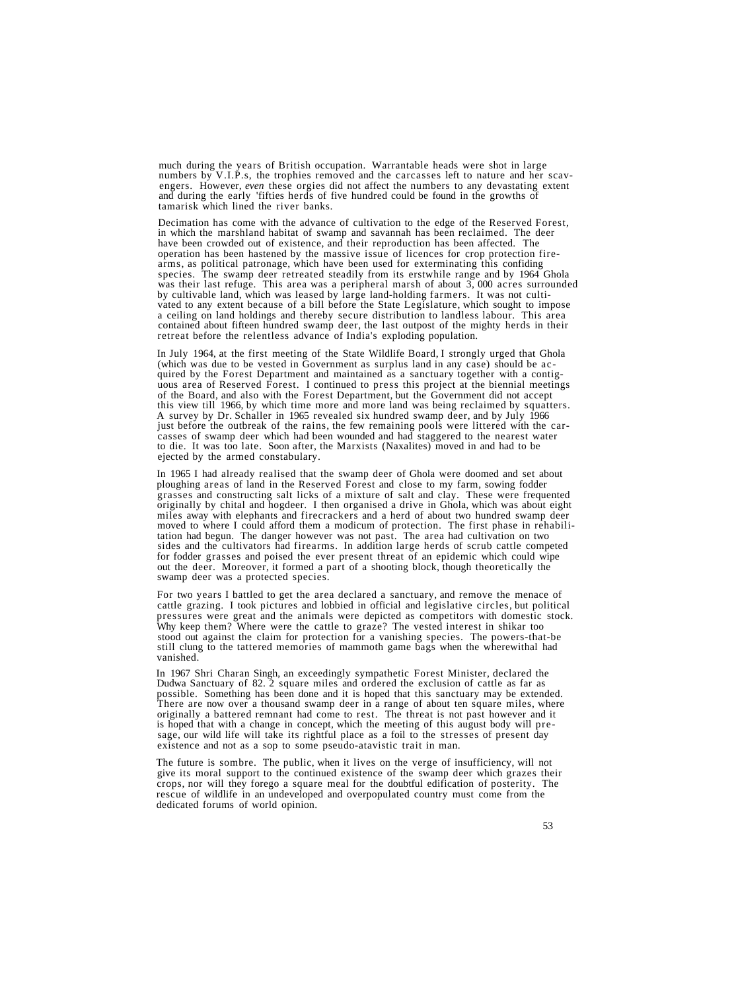much during the years of British occupation. Warrantable heads were shot in large<br>numbers by V.I.P.s, the trophies removed and the carcasses left to nature and her scav-<br>engers. However, *even* these orgies did not affect tamarisk which lined the river banks.

Decimation has come with the advance of cultivation to the edge of the Reserved Forest,<br>in which the marshland habitat of swamp and savannah has been reclaimed. The deer<br>have been crowded out of existence, and their reprod species. The swamp deer retreated steadily from its erstwhile range and by 1964 Ghola<br>was their last refuge. This area was a peripheral marsh of about 3, 000 acres surrounded by cultivable land, which was leased by large land-holding farmers. It was not cultivated to any extent because of a bill before the State Legislature, which sought to impose a ceiling on land holdings and thereby secure d

In July 1964, at the first meeting of the State Wildlife Board, I strongly urged that Ghola<br>(which was due to be vested in Government as surplus land in any case) should be ac-<br>quired by the Forest Department and maintaine A survey by Dr. Schaller in 1965 revealed six hundred swamp deer, and by July 1966 just before the outbreak of the rains, the few remaining pools were littered with the carcasses of swamp deer which had been wounded and had staggered to the nearest water<br>to die. It was too late. Soon after, the Marxists (Naxalites) moved in and had to be<br>ejected by the armed constabulary.

In 1965 I had already realised that the swamp deer of Ghola were doomed and set about ploughing areas of land in the Reserved Forest and close to my farm, sowing fodder prasses and constructing salt licks of a mixture of salt and clay. These were frequented originally by chital and hogdeer. I then organised a drive in Ghola, which was about eight moved to where I could afford them a modicum of protection. The first phase in rehabilitation had begun. The danger however was not past. The area had cultivation on two sides and the cultivators had firearms. In addition out the deer. Moreover, it formed a part of a shooting block, though theoretically the swamp deer was a protected species.

For two years I battled to get the area declared a sanctuary, and remove the menace of cattle grazing. I took pictures and lobbied in official and legislative circles, but political pressures were great and the animals were depicted as competitors with domestic stock. Why keep them? Where were the cattle to graze? The vested interest in shikar too stood out against the claim for protection for a vanishing species. The powers-that-be still clung to the tattered memories of mammoth game bags when the wherewithal had vanished.

In 1967 Shri Charan Singh, an exceedingly sympathetic Forest Minister, declared the Dudwa Sanctuary of 82. 2 square miles and ordered the exclusion of cattle as far as possible. Something has been done and it is hoped that sage, our wild life will take its rightful place as a foil to the stresses of present day existence and not as a sop to some pseudo-atavistic trait in man.

The future is sombre. The public, when it lives on the verge of insufficiency, will not give its moral support to the continued existence of the swamp deer which grazes their crops, nor will they forego a square meal for the doubtful edification of posterity. The rescue of wildlife in an undeveloped and overpopulated country must come from the dedicated forums of world opinion.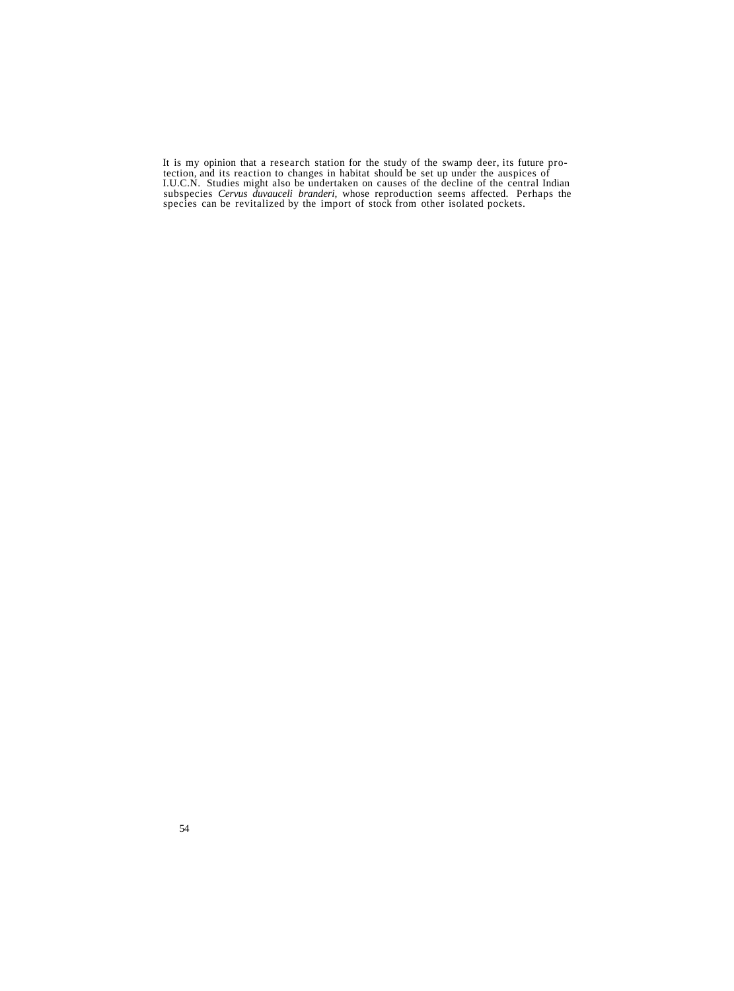It is my opinion that a research station for the study of the swamp deer, its future pro- tection, and its reaction to changes in habitat should be set up under the auspices of LUC.N. Studies might also be undertaken on causes of the decline of the central Indian<br>subspecies *Cervus duvauceli branderi*, whose reproduction seems affected. Perhaps the<br>species can be revitalized by the import of stoc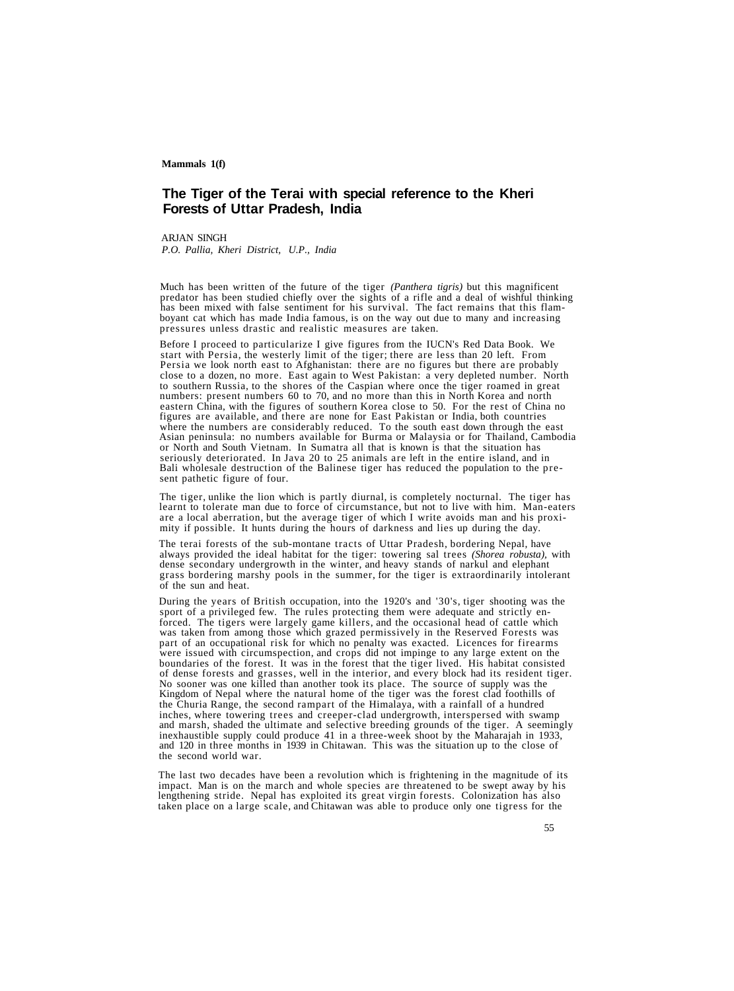## **The Tiger of the Terai with special reference to the Kheri Forests of Uttar Pradesh, India**

ARJAN SINGH *P.O. Pallia, Kheri District, U.P., India*

Much has been written of the future of the tiger *(Panthera tigris)* but this magnificent predator has been studied chiefly over the sights of a rifle and a deal of wishful thinking has been mixed with false sentiment for his survival. The fact remains that this flam- boyant cat which has made India famous, is on the way out due to many and increasing pressures unless drastic and realistic measures are taken.

Before I proceed to particularize I give figures from the IUCN's Red Data Book. We start with Persia, the westerly limit of the tiger; there are less than 20 left. From Persia we look north east to Afghanistan: there are n close to a dozen, no more. East again to West Pakistan: a very depleted number. North to southern Russia, to the shores of the Caspian where once the tiger roamed in great numbers: present numbers 60 to 70, and no more than this in North Korea and north eastern China, with the figures of southern Korea close to 50. For the rest of China no figures are available, and there are none for East Pakistan or India, both countries<br>where the numbers are considerably reduced. To the south east down through the east<br>Asian peninsula: no numbers available for Burma or Ma Fisher permanental Bouth Vietnam. In Sumatra all that is known is that the situation has<br>seriously deteriorated. In Java 20 to 25 animals are left in the entire island, and in<br>Bali wholesale destruction of the Balinese tig

The tiger, unlike the lion which is partly diurnal, is completely nocturnal. The tiger has learnt to tolerate man due to force of circumstance, but not to live with him. Man-eaters are a local aberration, but the average t

The terai forests of the sub-montane tracts of Uttar Pradesh, bordering Nepal, have always provided the ideal habitat for the tiger: towering sal trees *(Shorea robusta),* with dense secondary undergrowth in the winter, and heavy stands of narkul and elephant grass bordering marshy pools in the summer, for the tiger is extraordinarily intolerant of the sun and heat.

During the years of British occupation, into the 1920's and '30's, tiger shooting was the sport of a privileged few. The rules protecting them were adequate and strictly enforced. The tigers were largely game killers, and the Churia Range, the second rampart of the Himalaya, with a rainfall of a hundred inches, where towering trees and creeper-clad undergrowth, interspersed with swamp and marsh, shaded the ultimate and selective breeding grounds of the tiger. A seemingly inexhaustible supply could produce 41 in a three-week shoot by the Maharajah in 1933, and 120 in three months in 1939 in Chitawan. This was the situation up to the close of the second world war.

The last two decades have been a revolution which is frightening in the magnitude of its impact. Man is on the march and whole species are threatened to be swept away by his lengthening stride. Nepal has exploited its grea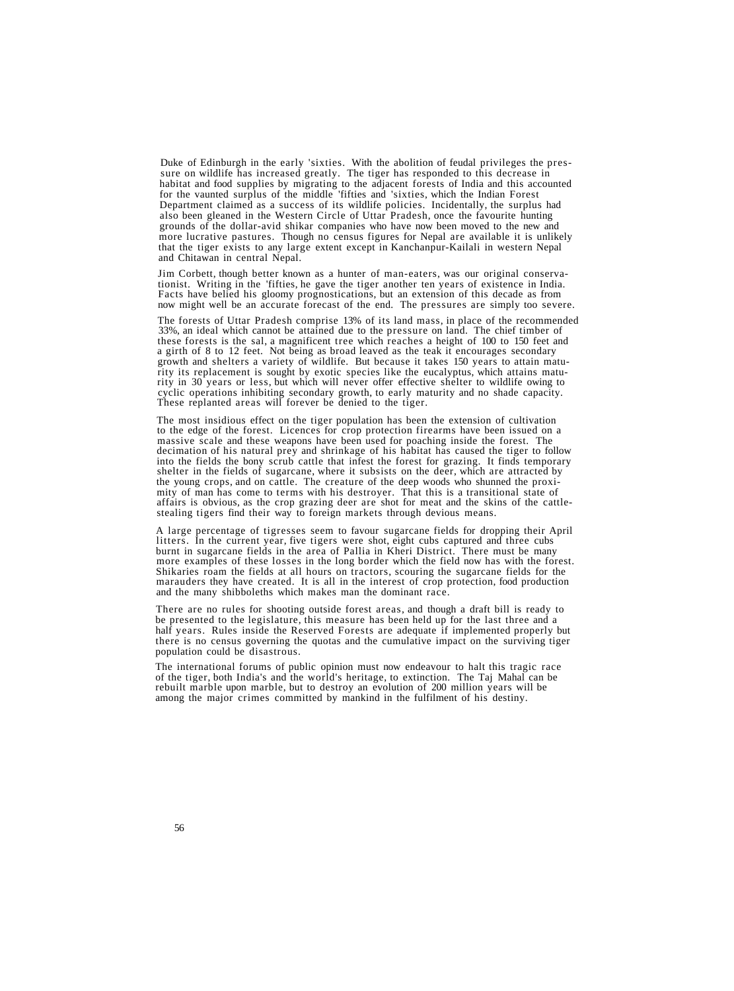Duke of Edinburgh in the early 'sixties. With the abolition of feudal privileges the pressure on wildlife has increased greatly. The tiger has responded to this decrease in habitat and food supplies by migrating to the adjacent forests of India and this accounted for the vaunted surplus of the middle 'fifties and 'sixties, which the Indian Forest Department claimed as a success of its wildlife policies. Incidentally, the surplus had also been gleaned in the Western Circle of Uttar Pradesh, once the favourite hunting grounds of the dollar-avid shikar companies who have now been moved to the new and more lucrative pastures. Though no census figures for Nepal are available it is unlikely that the tiger exists to any large extent except in Kanchanpur-Kailali in western Nepal and Chitawan in central Nepal.

Jim Corbett, though better known as a hunter of man-eaters, was our original conservationist. Writing in the 'fifties, he gave the tiger another ten years of existence in India.<br>Facts have belied his gloomy prognostication

The forests of Uttar Pradesh comprise 13% of its land mass, in place of the recommended  $33\%$ , an ideal which cannot be attained due to the pressure on land. The chief timber of these forests is the sal, a magnificent tree which reaches a height of  $100$  to  $150$  feet and a girth of 8 to 12 feet. Not being as broad leaved as the teak it encourages secondary growth and shelters a variety of wildlife. But because it takes 150 years to attain maturity its replacement is sought by exotic species like the eucalyptus, which attains maturity in 30 years or less, but which will never offer effective shelter to wildlife owing to cyclic operations inhibiting secondary gro

The most insidious effect on the tiger population has been the extension of cultivation<br>to the edge of the forest. Licences for crop protection firearms have been issued on a<br>massive scale and these weapons have been used shelter in the fields of sugarcane, where it subsists on the deer, which are attracted by the young crops, and on cattle. The creature of the deep woods who shunned the proximity of man has come to terms with his destroyer. That this is a transitional state of affairs is obvious, as the crop grazing deer are shot for meat and the skins of the cattle- stealing tigers find their way to foreign markets through devious means.

A large percentage of tigresses seem to favour sugarcane fields for dropping their April burnt in sugarcane fields in the area of Pallia in Kheri District. There must be many<br>more examples of these losses in the long border which the field now has with the forest.<br>Shikaries roam the fields at all hours on trac

There are no rules for shooting outside forest areas, and though a draft bill is ready to be presented to the legislature, this measure has been held up for the last three and a half years. Rules inside the Reserved Forests are adequate if implemented properly but there is no census governing the quotas and the cumulative impact on the surviving tiger population could be disastrous.

The international forums of public opinion must now endeavour to halt this tragic race<br>of the tiger, both India's and the world's heritage, to extinction. The Taj Mahal can be<br>rebuilt marble upon marble, but to destroy an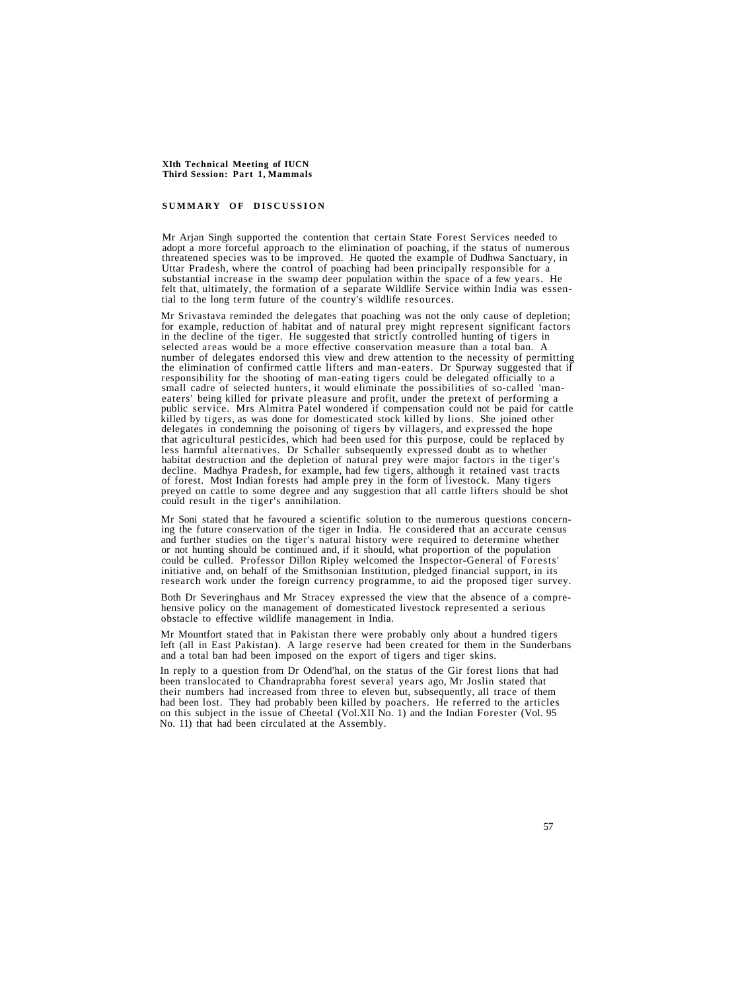#### **SUMMAR Y O F DISCUSSIO N**

Mr Arjan Singh supported the contention that certain State Forest Services needed to adopt a more forceful approach to the elimination of poaching, if the status of numerous threatened species was to be improved. He quoted

Mr Srivastava reminded the delegates that poaching was not the only cause of depletion;<br>for example, reduction of habitat and of natural prey might represent significant factors in the decline of the tiger. He suggested that strictly controlled hunting of tigers in selected areas would be a more effective conservation measure than a total ban. A number of delegates endorsed this view and drew attention to the necessity of permitting the elimination of confirmed cattle lifters and man-eaters. Dr Spurway suggested that if responsibility for the shooting of man-eating tigers could be delegated officially to a small cadre of selected hunters, it would eliminate the possibilities of so-called 'man-<br>eaters' being killed for private pleasure and profit, under the pretext of performing a<br>public service. Mrs Almitra Patel wondered if habitat destruction and the depletion of natural prey were major factors in the tiger's decline. Madhya Pradesh, for example, had few tigers, although it retained vast tracts of forest. Most Indian forests had ample prey i could result in the tiger's annihilation.

Mr Soni stated that he favoured a scientific solution to the numerous questions concerning the future conservation of the tiger in India. He considered that an accurate census and further studies on the tiger's natural his

Both Dr Severinghaus and Mr Stracey expressed the view that the absence of a comprehensive policy on the management of domesticated livestock represented a serious obstacle to effective wildlife management in India.

Mr Mountfort stated that in Pakistan there were probably only about a hundred tigers left (all in East Pakistan). A large reserve had been created for them in the Sunderbans and a total ban had been imposed on the export of tigers and tiger skins.

In reply to a question from Dr Odend'hal, on the status of the Gir forest lions that had been translocated to Chandraprabha forest several years ago, Mr Joslin stated that their numbers had increased from three to eleven but, subsequently, all trace of them had been lost. They had probably been killed by poachers. He referred to the articles on this subject in the issue of Cheetal (Vol.XII No. 1) and the Indian Forester (Vol. 95 No. 11) that had been circulated at the Assembly.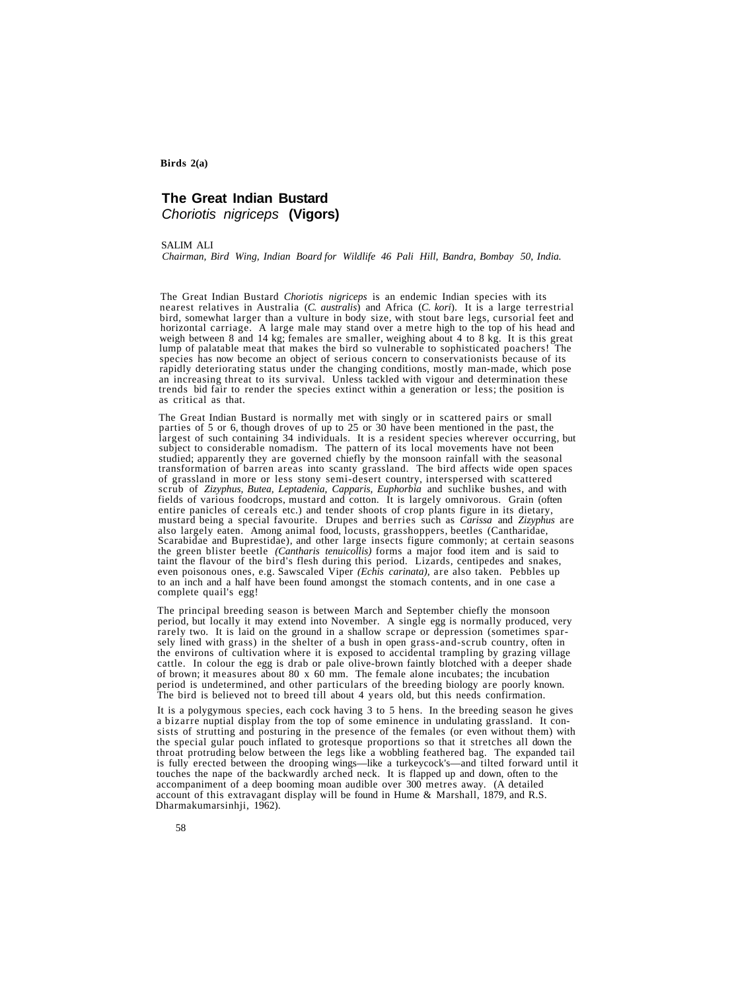## **The Great Indian Bustard** Choriotis nigriceps **(Vigors)**

#### SALIM ALI

*Chairman, Bird Wing, Indian Board for Wildlife 46 Pali Hill, Bandra, Bombay 50, India.*

The Great Indian Bustard *Choriotis nigriceps* is an endemic Indian species with its bird, somewhat larger than a vulture in body size, with stout bare legs, cursorial feet and horizontal carriage. A large male may stand over a metre high to the top of his head and weigh between 8 and 14 kg; females are smaller, weighing about 4 to 8 kg. It is this great lump of palatable meat that makes the bird so vulnerable to sophisticated poachers! The species has now become an object of serious concern to conservationists because of its<br>rapidly deteriorating status under the changing conditions, mostly man-made, which pose<br>an increasing threat to its survival. Unless ta nearest relatives in Australia (*C. australis*) and Africa (*C. kori*). It is a large terrestrial

The Great Indian Bustard is normally met with singly or in scattered pairs or small parties of 5 or 6, though droves of up to 25 or 30 have been mentioned in the past, the largest of such containing 34 individuals. It is a resident species wherever occurring, but subject to considerable nomadism. The pattern of its local movements have not been studied; apparently they are governed chiefly by the monsoon rainfall with the seasonal transformation of barren areas into scanty grasslan of grassland in more or less stony semi-desert country, interspersed with scattered scrub of Zizyphus, Butea, Leptadenia, Capparis, Euphorbia and suchlike bushes, and with fields of various foodcrops, mustard and cotton. I entire panicles of cereals etc.) and tender shoots of crop plants figure in its dietary,<br>mustard being a special favourite. Drupes and berries such as *Carissa* and *Zizyphus* are<br>also largely eaten. Among animal food, loc to an inch and a half have been found amongst the stomach contents, and in one case a complete quail's egg! even poisonous ones, e.g. Sawscaled Viper *(Echis carinata),* are also taken. Pebbles up

The principal breeding season is between March and September chiefly the monsoon period, but locally it may extend into November. A single egg is normally produced, very rarely two. It is laid on the ground in a shallow scrape or depression (sometimes sparsely lined with grass) in the shelter of a bush in open grass-and-scrub country, often in the environs of cultivation where it is exposed to accidental trampling by grazing village cattle. In colour the egg is drab or pale olive-brown faintly blotched with a deeper shade of brown; it measures about 80 x 60 mm. The female alone incubates; the incubation period is undetermined, and other particulars of the breeding biology are poorly known. The bird is believed not to breed till about 4 years old, but this needs confirmation.

It is a polygymous species, each cock having 3 to 5 hens. In the breeding season he gives a bizarre nuptial display from the top of some eminence in undulating grassland. It consists of strutting and posturing in the presence of the females (or even without them) with the special gular pouch inflated to grotesque proportions so that it stretches all down the throat protruding below between the legs like a wobbling feathered bag. The expanded tail is fully erected between the drooping wings—like a turkeycock's—and tilted forward until it touches the nape of the backwardly arched neck. It is flapped up and down, often to the accompaniment of a deep booming moan audible over 300 metres away. (A detailed account of this extravagant display will be found in Hume & Marshall, 1879, and R.S. Dharmakumarsinhji, 1962).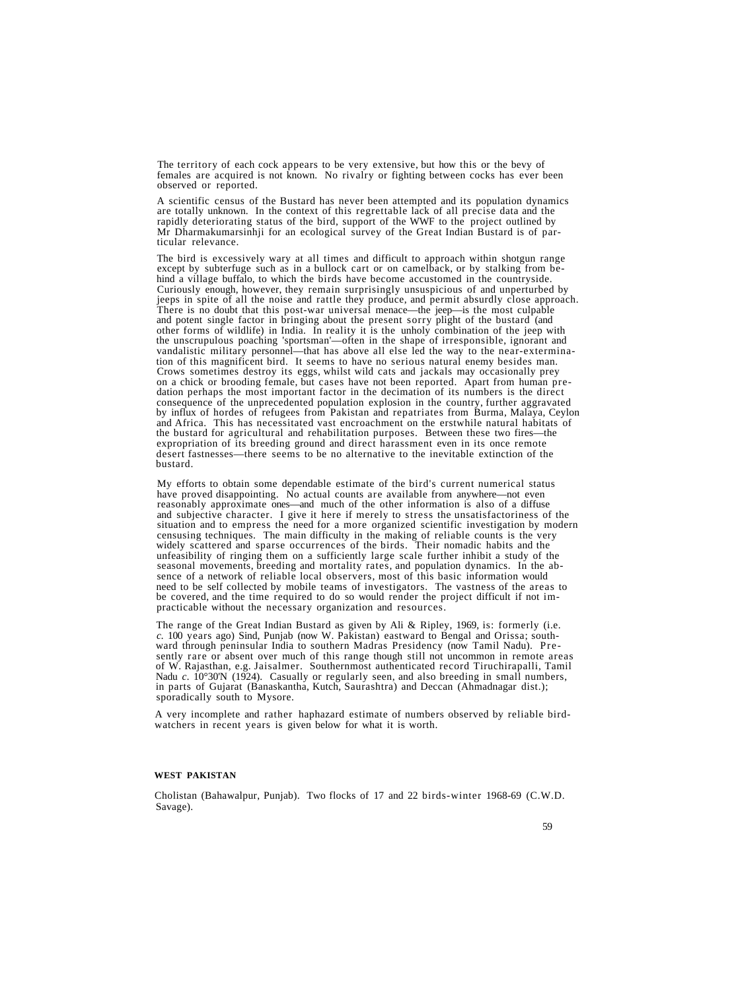The territory of each cock appears to be very extensive, but how this or the bevy of females are acquired is not known. No rivalry or fighting between cocks has ever been observed or reported.

A scientific census of the Bustard has never been attempted and its population dynamics<br>are totally unknown. In the context of this regrettable lack of all precise data and the<br>rapidly deteriorating status of the bird, sup Mr Dharmakumarsinhji for an ecological survey of the Great Indian Bustard is of par- ticular relevance.

The bird is excessively wary at all times and difficult to approach within shotgun range<br>except by subterfuge such as in a bullock cart or on camelback, or by stalking from be-<br>hind a village buffalo, to which the birds ha There is no doubt that this post-war universal menace—the jeep—is the most culpable<br>and potent single factor in bringing about the present sorry plight of the bustard (and other forms of wildlife) in India. In reality it is the unholy combination of the jeep with the unscrupulous poaching 'sportsman'—often in the shape of irresponsible, ignorant and tion of this magnificent bird. It seems to have no serious natural enemy besides man.<br>Crows sometimes destroy its eggs, whilst wild cats and jackals may occasionally prey<br>on a chick or brooding female, but cases have not b consequence of the unprecedented population explosion in the country, further aggravated<br>by influx of hordes of refugees from Pakistan and repatriates from Burma, Malaya, Ceylon and Africa. This has necessitated vast encroachment on the erstwhile natural habitats of the bustand for agricultural and rehabilitation purposes. Between these two fires—the expropriation of its breeding ground and direct harassment even in its once remote<br>desert fastnesses—there seems to be no alternative to the inevitable extinction of the<br>bustard.

My efforts to obtain some dependable estimate of the bird's current numerical status<br>have proved disappointing. No actual counts are available from anywhere—not even<br>reasonably approximate ones—and much of the other inform unfeasibility of ringing them on a sufficiently large scale further inhibit a study of the<br>seasonal movements, breeding and mortality rates, and population dynamics. In the ab-<br>sence of a network of reliable local observer

The range of the Great Indian Bustard as given by Ali & Ripley, 1969, is: formerly (i.e. c. 100 years ago) Sind, Punjab (now W. Pakistan) eastward to Bengal and Orissa; southward through peninsular India to southern Madra in parts of Gujarat (Banaskantha, Kutch, Saurashtra) and Deccan (Ahmadnagar dist.); sporadically south to Mysore.

A very incomplete and rather haphazard estimate of numbers observed by reliable bird- watchers in recent years is given below for what it is worth.

## **WEST PAKISTAN**

Cholistan (Bahawalpur, Punjab). Two flocks of 17 and 22 birds-winter 1968-69 (C.W.D. Savage).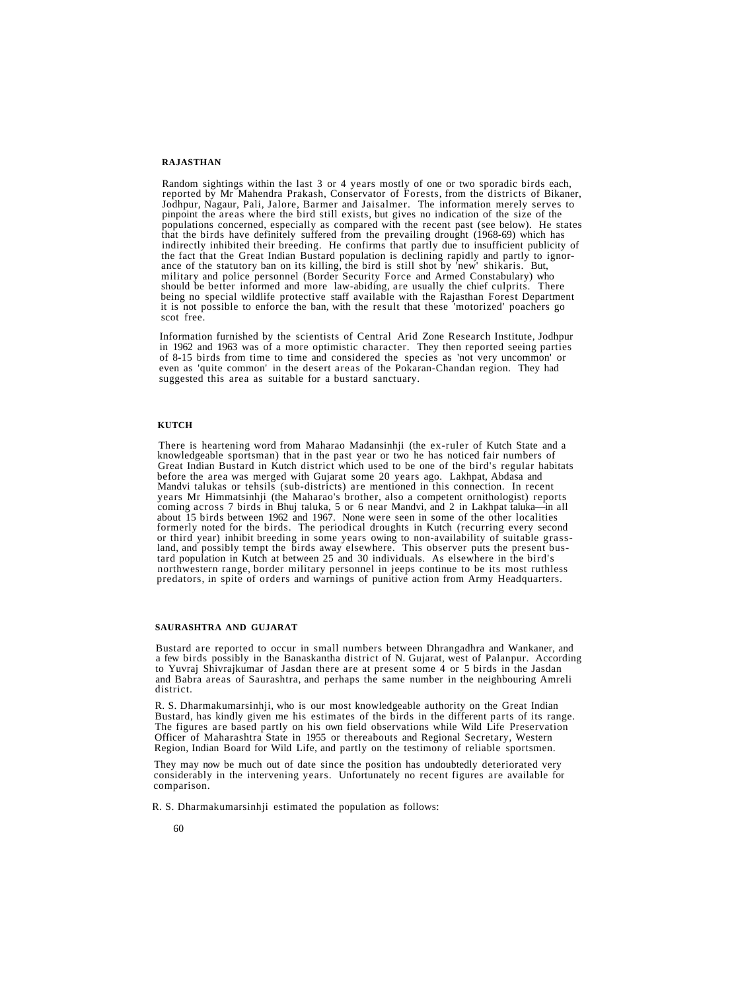#### **RAJASTHAN**

Random sightings within the last 3 or 4 years mostly of one or two sporadic birds each,<br>reported by Mr Mahendra Prakash, Conservator of Forests, from the districts of Bikaner,<br>Jodhpur, Nagaur, Pali, Jalore, Barmer and Jais ance of the statutory ban on its killing, the bird is still shot by 'new' shikaris. But,<br>military and police personnel (Border Security Force and Armed Constabulary) who<br>should be better informed and more law-abiding, are it is not possible to enforce the ban, with the result that these 'motorized' poachers go scot free.

Information furnished by the scientists of Central Arid Zone Research Institute, Jodhpur in 1962 and 1963 was of a more optimistic character. They then reported seeing parties of 8-15 birds from time to time and considered the species as 'not very uncommon' or even as 'quite common' in the desert areas of the Pokaran-Chandan region. They had suggested this area as suitable for a bustard sanctuary.

#### **KUTCH**

There is heartening word from Maharao Madansinhji (the ex-ruler of Kutch State and a knowledgeable sportsman) that in the past year or two he has noticed fair numbers of Great Indian Bustard in Kutch district which used to before the area was merged with Gujarat some 20 years ago. Lakhpat, Abdasa and Mandvi talukas or tehsils (sub-districts) are mentioned in this connection. In recent coming across 7 birds in Bhuj taluka, 5 or 6 near Mandvi, and 2 in Lakhpat taluka—in all about 15 birds between 1962 and 1967. None were seen in some of the other localities formerly noted for the birds. The periodical droughts in Kutch (recurring every second<br>or third year) inhibit breeding in some years owing to non-availability of suitable grass-<br>land, and possibly tempt the birds away else

#### **SAURASHTRA AND GUJARAT**

Bustard are reported to occur in small numbers between Dhrangadhra and Wankaner, and a few birds possibly in the Banaskantha district of N. Gujarat, west of Palanpur. According to Yuvraj Shivrajkumar of Jasdan there are at and Babra areas of Saurashtra, and perhaps the same number in the neighbouring Amreli district.

R. S. Dharmakumarsinhji, who is our most knowledgeable authority on the Great Indian Bustard, has kindly given me his estimates of the birds in the different parts of its range. The figures are based partly on his own field observations while Wild Life Preservation Officer of Maharashtra State in 1955 or thereabouts and Regional Secretary, Western Region, Indian Board for Wild Life, and partly on the testimony of reliable sportsmen.

They may now be much out of date since the position has undoubtedly deteriorated very considerably in the intervening years. Unfortunately no recent figures are available for comparison.

R. S. Dharmakumarsinhji estimated the population as follows: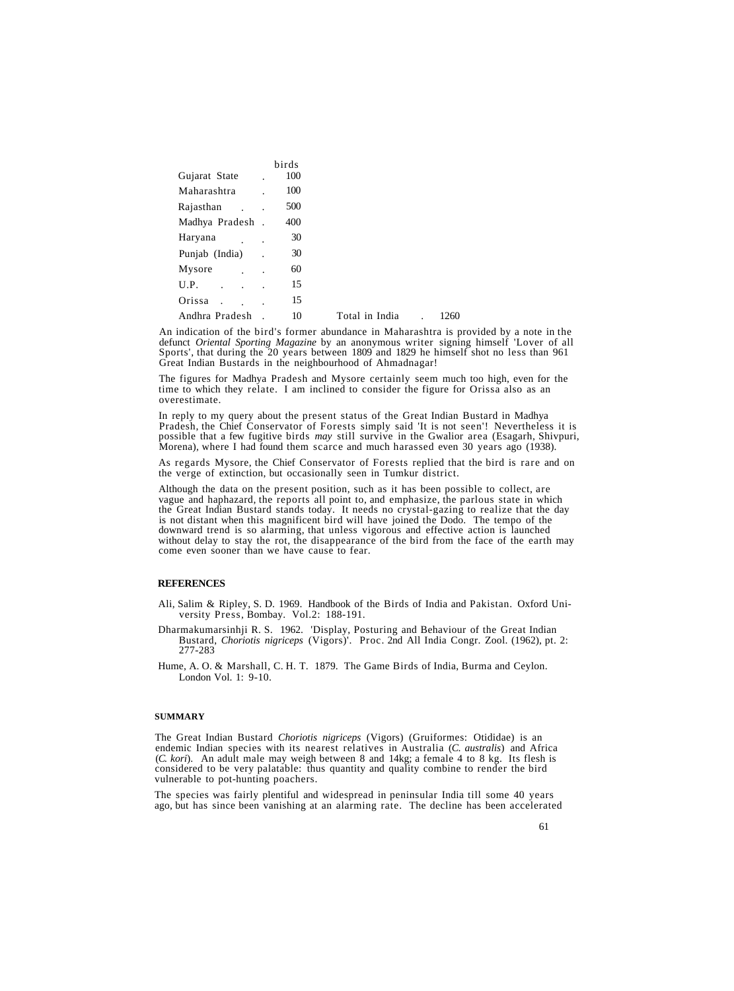|                              |        | birds |                |      |
|------------------------------|--------|-------|----------------|------|
| Gujarat State                |        | 100   |                |      |
| Maharashtra                  |        | 100   |                |      |
| Rajasthan                    |        | 500   |                |      |
| Madhya Pradesh               | $\sim$ | 400   |                |      |
| Haryana                      |        | 30    |                |      |
| Punjab (India)               |        | 30    |                |      |
| Mysore                       |        | 60    |                |      |
| U.P.<br>$\ddot{\phantom{a}}$ |        | 15    |                |      |
| Orissa                       |        | 15    |                |      |
| Andhra Pradesh               |        | 10    | Total in India | 1260 |

An indication of the bird's former abundance in Maharashtra is provided by a note in the defunct *Oriental Sporting Magazine* by an anonymous writer signing himself 'Lover of all Sports', that during the 20 years between 1809 and 1829 he himself shot no less than 961 Great Indian Bustards in the neighbourhood of Ahmadnagar!

The figures for Madhya Pradesh and Mysore certainly seem much too high, even for the time to which they relate. I am inclined to consider the figure for Orissa also as an overestimate.

In reply to my query about the present status of the Great Indian Bustard in Madhya<br>Pradesh, the Chief Conservator of Forests simply said 'It is not seen'! Nevertheless it is<br>possible that a few fugitive birds *may* still

As regards Mysore, the Chief Conservator of Forests replied that the bird is rare and on the verge of extinction, but occasionally seen in Tumkur district.

Although the data on the present position, such as it has been possible to collect, are vague and haphazard, the reports all point to, and emphasize, the parlous state in which the Great Indian Bustard stands today. It needs no crystal-gazing to realize that the day<br>is not distant when this magnificent bird will have joined the Dodo. The tempo of the downward trend is so alarming, that unless vigorous and effective action is launched without delay to stay the rot, the disappearance of the bird from the face of the earth may come even sooner than we have cause to fear.

## **REFERENCES**

- Ali, Salim & Ripley, S. D. 1969. Handbook of the Birds of India and Pakistan. Oxford University Press, Bombay. Vol.2: 188-191.
- Dharmakumarsinhji R. S. 1962. 'Display, Posturing and Behaviour of the Great Indian Bustard, *Choriotis nigriceps* (Vigors)'. Proc. 2nd All India Congr. Zool. (1962), pt. 2: 277-283
- Hume, A. O. & Marshall, C. H. T. 1879. The Game Birds of India, Burma and Ceylon. London Vol. 1: 9-10.

#### **SUMMARY**

The Great Indian Bustard *Choriotis nigriceps* (Vigors) (Gruiformes: Otididae) is an endemic Indian species with its nearest relatives in Australia (*C*. *australis*) and Africa (*C. kori*). An adult male may weigh between 8 and 14kg; a female 4 to 8 kg. Its flesh is considered to be very palatable: thus quantity and quality combine to render the bird vulnerable to pot-hunting poachers.

The species was fairly plentiful and widespread in peninsular India till some 40 years ago, but has since been vanishing at an alarming rate. The decline has been accelerated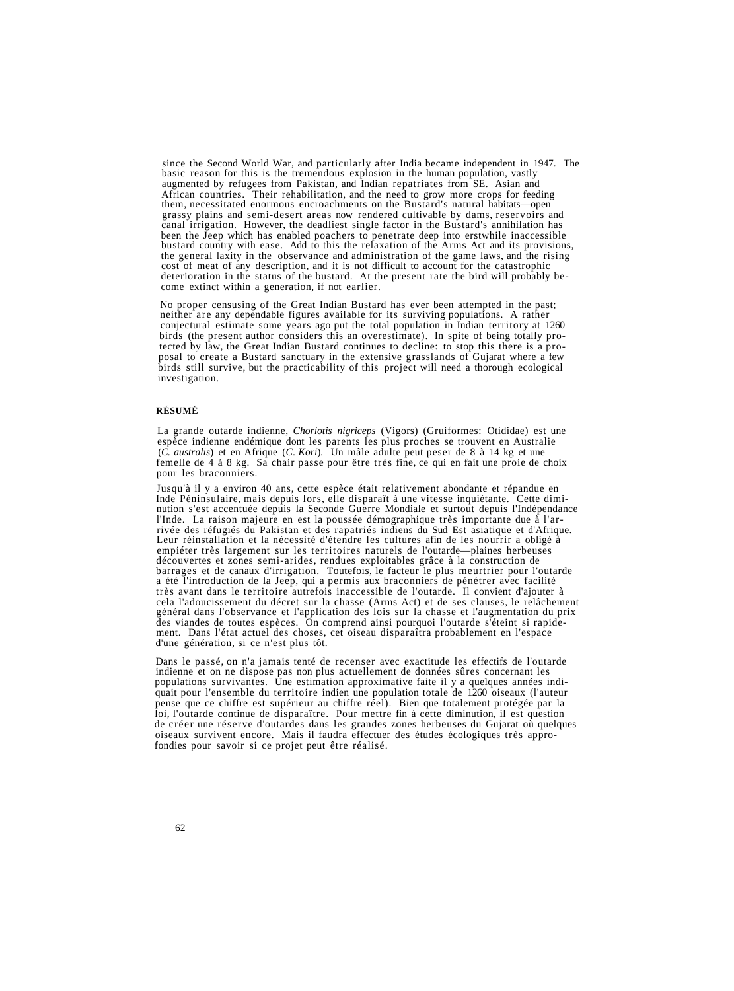since the Second World War, and particularly after India became independent in 1947. The basic reason for this is the tremendous explosion in the human population, vastly augmented by refugees from Pakistan, and Indian repatriates from SE. Asian and African countries. Their rehabilitation, and the need to grow more crops for feeding them, necessitated enormous encroachments on the Bustard's natural habitats—open grassy plains and semi-desert areas now rendered cultivable by dams, reservoirs and<br>canal irrigation. However, the deadliest single factor in the Bustard's annihilation has<br>been the Jeep which has enabled poachers to penet

No proper censusing of the Great Indian Bustard has ever been attempted in the past; neither are any dependable figures available for its surviving populations. A rather conjectural estimate some years ago put the total population in Indian territory at 1260 birds (the present author considers this an overestimate). In spite of being totally protected by law, the Great Indian Bustard continues to decline: to stop this there is a proposal to create a Bustard sanctuary in the extensive grasslands of Gujarat where a few birds still survive, but the practicability of this project will need a thorough ecological investigation.

## **RÉSUMÉ**

La grande outarde indienne, *Choriotis nigriceps* (Vigors) (Gruiformes: Otididae) est une espèce indienne endémique dont les parents les plus proches se trouvent en Australie (*C*. *australis*) et en Afrique (*C*. *Kori*)*.* Un mâle adulte peut peser de 8 à 14 kg et une femelle de 4 à 8 kg. Sa chair passe pour être très fine, ce qui en fait une proie de choix pour les braconniers.

Jusqu'à il y a environ 40 ans, cette espèce était relativement abondante et répandue en<br>Inde Péninsulaire, mais depuis lors, elle disparaît à une vitesse inquiétante. Cette dimi-<br>nution s'est accentuée depuis la Seconde Gu découvertes et zones semi-arides, rendues exploitables grâce à la construction de<br>barrages et de canaux d'irrigation. Toutefois, le facteur le plus meurtrier pour l'outarde<br>a été l'introduction de la Jeep, qui a permis aux très avant dans le territoire autrefois inaccessible de l'outarde. Il convient d'ajouter à cela l'adoucissement du décret sur la chasse (Arms Act) et de ses clauses, le relâchement des viandes de toutes espèces. On comprend ainsi pourquoi l'outarde s'éteint si rapidement. Dans l'état actuel des choses, cet oiseau disparaîtra probablement en l'espace d'une génération, si ce n'est plus tôt.

Dans le passé, on n'a jamais tenté de recenser avec exactitude les effectifs de l'outarde indienne et on ne dispose pas non plus actuellement de données sûres concernant les populations survivantes. Une estimation approximative faite il y a quelques années indiquait pour l'ensemble du territoire indien une population totale de 1260 oiseaux (l'auteur pense que ce chiffre est supérieur au chiffre réel). Bien que totalement protégée par la loi, l'outarde continue de disparaître. Pour mettre fin à cette diminution, il est question de créer une réserve d'outardes dans les grandes zones herbeuses du Gujarat où quelques oiseaux survivent encore. Mais il faudra effectuer des études écologiques très approfondies pour savoir si ce projet peut être réalisé.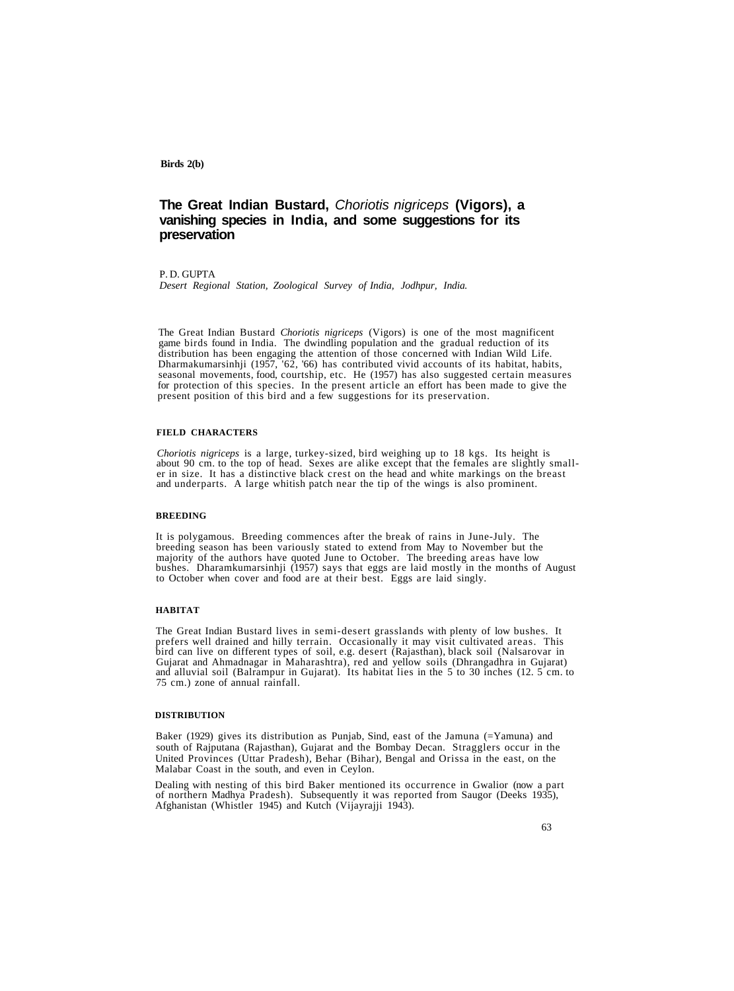## **The Great Indian Bustard,** Choriotis nigriceps **(Vigors), a vanishing species in India, and some suggestions for its preservation**

## P. D. GUPTA

*Desert Regional Station, Zoological Survey of India, Jodhpur, India.*

The Great Indian Bustard *Choriotis nigriceps* (Vigors) is one of the most magnificent game birds found in India. The dwindling population and the gradual reduction of its distribution has been engaging the attention of those concerned with Indian Wild Life. Dharmakumarsinhji (1957, '62, '66) has contributed vivid accounts of its habitat, habits, seasonal movements, food, courtship, etc. He (1957) has also suggested certain measures for protection of this species. In the present article an effort has been made to give the present position of this bird and a few suggestions for its preservation.

#### **FIELD CHARACTERS**

Choriotis nigriceps is a large, turkey-sized, bird weighing up to 18 kgs. Its height is<br>about 90 cm. to the top of head. Sexes are alike except that the females are slightly small-<br>er in size. It has a distinctive black cr

#### **BREEDING**

It is polygamous. Breeding commences after the break of rains in June-July. The<br>breeding season has been variously stated to extend from May to November but the<br>majority of the authors have quoted June to October. The bree to October when cover and food are at their best. Eggs are laid singly.

#### **HABITAT**

The Great Indian Bustard lives in semi-desert grasslands with plenty of low bushes. It bird can live on different types of soil, e.g. desert (Rajasthan), black soil (Nalsarovar in Gujarat and Ahmadnagar in Maharashtra), red and yellow soils (Dhrangadhra in Gujarat) and alluvial soil (Balrampur in Gujarat). I

#### **DISTRIBUTION**

Baker (1929) gives its distribution as Punjab, Sind, east of the Jamuna (=Yamuna) and south of Rajputana (Rajasthan), Gujarat and the Bombay Decan. Stragglers occur in the United Provinces (Uttar Pradesh), Behar (Bihar), Bengal and Orissa in the east, on the Malabar Coast in the south, and even in Ceylon.

Dealing with nesting of this bird Baker mentioned its occurrence in Gwalior (now a part of northern Madhya Pradesh). Subsequently it was reported from Saugor (Deeks 1935), Afghanistan (Whistler 1945) and Kutch (Vijayrajji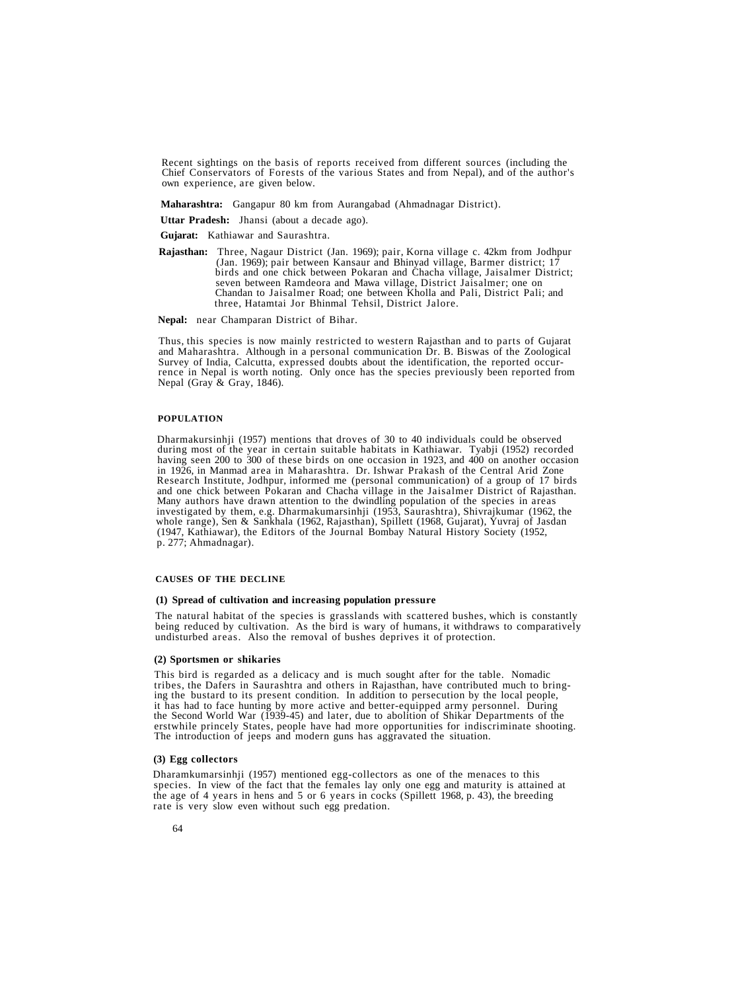Recent sightings on the basis of reports received from different sources (including the Chief Conservators of Forests of the various States and from Nepal), and of the author's own experience, are given below.

**Maharashtra:** Gangapur 80 km from Aurangabad (Ahmadnagar District).

**Uttar Pradesh:** Jhansi (about a decade ago).

- **Gujarat:** Kathiawar and Saurashtra.
- **Rajasthan:** Three, Nagaur District (Jan. 1969); pair, Korna village c. 42km from Jodhpur (Jan. 1969); pair between Kansaur and Bhinyad village, Barmer district; 17 birds and one chick between Pokaran and Chacha village, J seven between Ramdeora and Mawa village, District Jaisalmer; one on<br>Chandan to Jaisalmer Road; one between Kholla and Pali, District Pali; and three, Hatamtai Jor Bhinmal Tehsil, District Jalore.

**Nepal:** near Champaran District of Bihar.

Thus, this species is now mainly restricted to western Rajasthan and to parts of Gujarat and Maharashtra. Although in a personal communication Dr. B. Biswas of the Zoological rence in Nepal is worth noting. Only once has the species previously been reported from Nepal (Gray & Gray, 1846).

#### **POPULATION**

Dharmakursinhji (1957) mentions that droves of 30 to 40 individuals could be observed during most of the year in certain suitable habitats in Kathiawar. Tyabji (1952) recorded having seen 200 to 300 of these birds on one occasion in 1923, and 400 on another occasion in 1926, in Manmad area in Maharashtra. Dr. Ishwar Prakash of the Central Arid Zone<br>Research Institute, Jodhpur, informed me (personal communication) of a group of 17 birds<br>and one chick between Pokaran and Chacha village

## **CAUSES OF THE DECLINE**

#### **(1) Spread of cultivation and increasing population pressure**

The natural habitat of the species is grasslands with scattered bushes, which is constantly being reduced by cultivation. As the bird is wary of humans, it withdraws to comparatively undisturbed areas. Also the removal of bushes deprives it of protection.

#### **(2) Sportsmen or shikaries**

This bird is regarded as a delicacy and is much sought after for the table. Nomadic<br>tribes, the Dafers in Saurashtra and others in Rajasthan, have contributed much to bring-<br>ing the bustard to its present condition. In add erstwhile princely States, people have had more opportunities for indiscriminate shooting.<br>The introduction of jeeps and modern guns has aggravated the situation.

## **(3) Egg collectors**

Dharamkumarsinhji (1957) mentioned egg-collectors as one of the menaces to this species. In view of the fact that the females lay only one egg and maturity is attained at the age of 4 years in hens and 5 or 6 years in cocks (Spillett 1968, p. 43), the breeding rate is very slow even without such egg predation.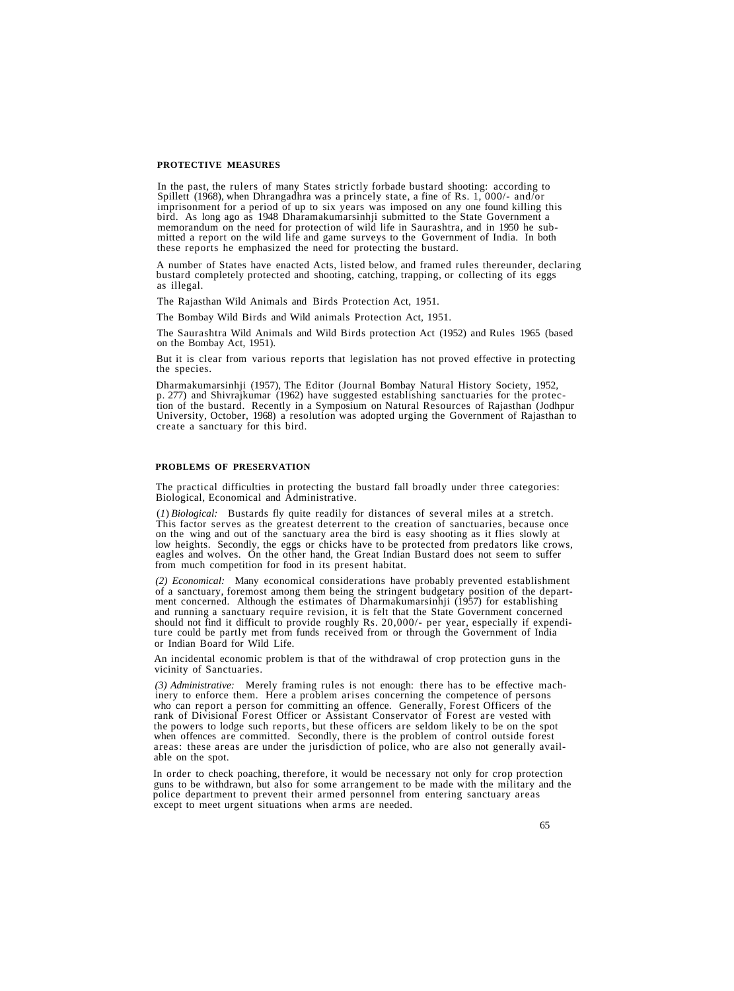#### **PROTECTIVE MEASURES**

In the past, the rulers of many States strictly forbade bustard shooting: according to Spillett (1968), when Dhrangadhra was a princely state, a fine of Rs. 1, 000/- and/or imprisonment for a period of up to six years was these reports he emphasized the need for protecting the bustard.

A number of States have enacted Acts, listed below, and framed rules thereunder, declaring bustard completely protected and shooting, catching, trapping, or collecting of its eggs as illegal.

The Rajasthan Wild Animals and Birds Protection Act, 1951.

The Bombay Wild Birds and Wild animals Protection Act, 1951.

The Saurashtra Wild Animals and Wild Birds protection Act (1952) and Rules 1965 (based on the Bombay Act, 1951).

But it is clear from various reports that legislation has not proved effective in protecting the species.

Dharmakumarsinhji (1957), The Editor (Journal Bombay Natural History Society, 1952, p. 277) and Shivrajkumar (1962) have suggested establishing sanctuaries for the protection of the bustard. Recently in a Symposium on Natu

### **PROBLEMS OF PRESERVATION**

The practical difficulties in protecting the bustard fall broadly under three categories: Biological, Economical and Administrative.

(*I*) *Biological:* Bustards fly quite readily for distances of several miles at a stretch.<br>This factor serves as the greatest deterrent to the creation of sanctuaries, because once<br>on the wing and out of the sanctuary are eagles and wolves. On the other hand, the Great Indian Bustard does not seem to suffer from much competition for food in its present habitat.

(2) *Economical:* Many economical considerations have probably prevented establishment of a sanctuary, foremost among them being the stringent budgetary position of the department concerned. Although the estimates of Dhar ture could be partly met from funds received from or through the Government of India or Indian Board for Wild Life.

An incidental economic problem is that of the withdrawal of crop protection guns in the vicinity of Sanctuaries.

(3) Administrative: Merely framing rules is not enough: there has to be effective machinery to enforce them. Here a problem arises concerning the competence of persons who can report a person for committing an offence. Gen the powers to lodge such reports, but these officers are seldom likely to be on the spot when offences are committed. Secondly, there is the problem of control outside forest areas: these areas are under the jurisdiction of police, who are also not generally avail-<br>able on the spot.

In order to check poaching, therefore, it would be necessary not only for crop protection<br>guns to be withdrawn, but also for some arrangement to be made with the military and the<br>police department to prevent their armed pe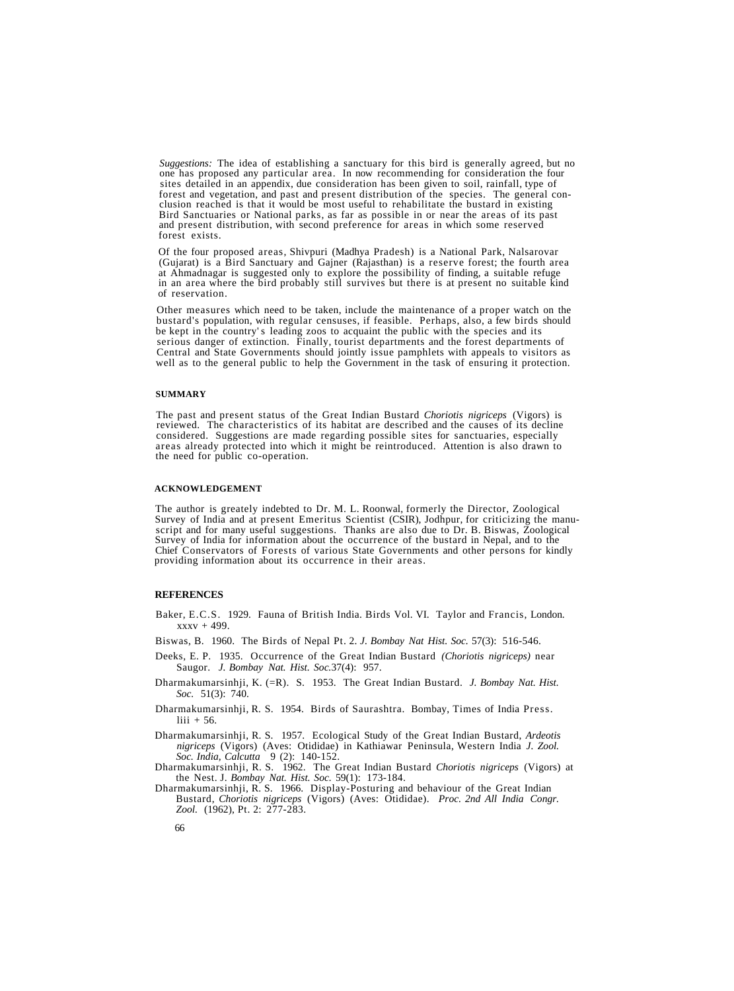Suggestions: The idea of establishing a sanctuary for this bird is generally agreed, but no<br>one has proposed any particular area. In now recommending for consideration the four<br>sites detailed in an appendix, due considerat clusion reached is that it would be most useful to rehabilitate the bustard in existing<br>Bird Sanctuaries or National parks, as far as possible in or near the areas of its past and present distribution, with second preference for areas in which some reserved forest exists.

Of the four proposed areas, Shivpuri (Madhya Pradesh) is a National Park, Nalsarovar (Gujarat) is a Bird Sanctuary and Gajner (Rajasthan) is a reserve forest; the fourth area at Ahmadnagar is suggested only to explore the

Other measures which need to be taken, include the maintenance of a proper watch on the bustard's population, with regular censuses, if feasible. Perhaps, also, a few birds should be kept in the country' s leading zoos to acquaint the public with the species and its serious danger of extinction. Finally, tourist departments and the forest departments of Central and State Governments should jointly issue pamphlets with appeals to visitors as well as to the general public to help the Government in the task of ensuring it protection.

#### **SUMMARY**

The past and present status of the Great Indian Bustard Choriotis nigriceps (Vigors) is reviewed. The characteristics of its habitat are described and the causes of its decline considered. Suggestions are made regarding po

#### **ACKNOWLEDGEMENT**

The author is greately indebted to Dr. M. L. Roonwal, formerly the Director, Zoological script and for many useful suggestions. Thanks are also due to Dr. B. Biswas, Zoological Survey of India for information about the occurrence of the bustard in Nepal, and to the Chief Conservators of Forests of various State Governments and other persons for kindly providing information about its occurrence in their areas.

#### **REFERENCES**

- Baker, E.C.S. 1929. Fauna of British India. Birds Vol. VI. Taylor and Francis, London.  $xxxv + 499$ .
- Biswas, B. 1960. The Birds of Nepal Pt. 2. *J. Bombay Nat Hist. Soc.* 57(3): 516-546.
- Deeks, E. P. 1935. Occurrence of the Great Indian Bustard *(Choriotis nigriceps)* near Saugor. *J. Bombay Nat. Hist. Soc.*37(4): 957.
- Dharmakumarsinhji, K. (=R). S. 1953. The Great Indian Bustard. *J. Bombay Nat. Hist. Soc.* 51(3): 740.
- Dharmakumarsinhji, R. S. 1954. Birds of Saurashtra. Bombay, Times of India Press. liii  $+ 56$ .
- Dharmakumarsinhji, R. S. 1957. Ecological Study of the Great Indian Bustard, *Ardeotis nigriceps* (Vigors) (Aves: Otididae) in Kathiawar Peninsula, Western India *J. Zool. Soc. India, Calcutta* 9 (2): 140-152.
- Dharmakumarsinhji, R. S. 1962. The Great Indian Bustard *Choriotis nigriceps* (Vigors) at the Nest. J. *Bombay Nat. Hist. Soc.* 59(1): 173-184.
- Dharmakumarsinhji, R. S. 1966. Display-Posturing and behaviour of the Great Indian Bustard, *Choriotis nigriceps* (Vigors) (Aves: Otididae). *Proc. 2nd All India Congr.* Zool. (1962), Pt. 2: 277-283.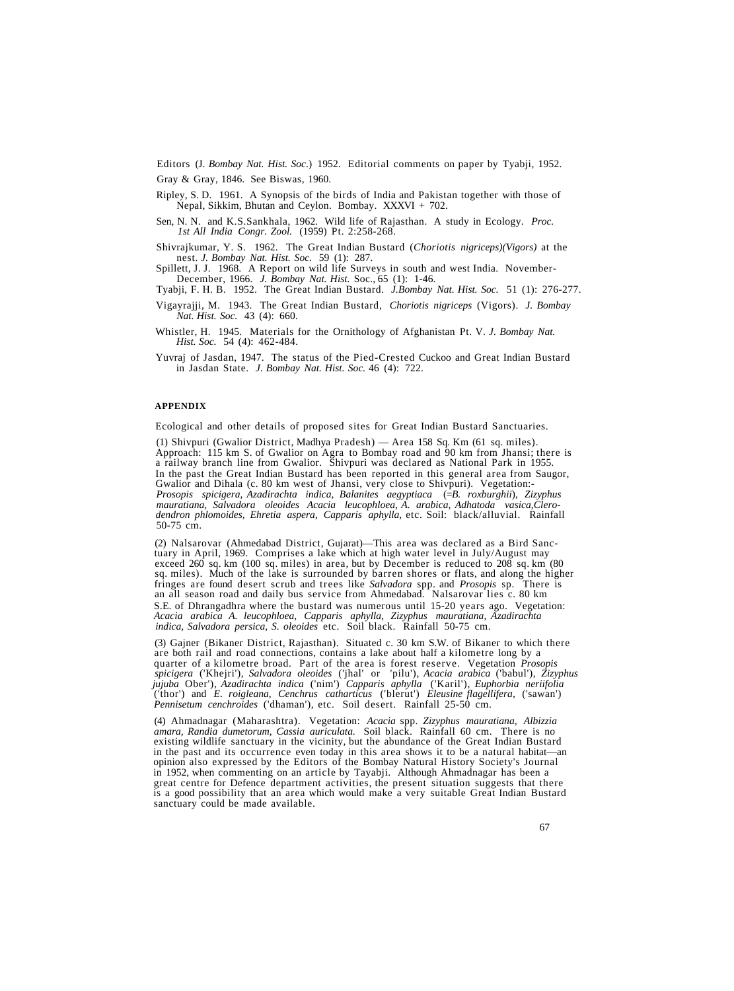Editors (J. *Bombay Nat. Hist. Soc*.) 1952. Editorial comments on paper by Tyabji, 1952.

Gray & Gray, 1846. See Biswas, 1960.

- Ripley, S. D. 1961. A Synopsis of the birds of India and Pakistan together with those of Nepal, Sikkim, Bhutan and Ceylon. Bombay. XXXVI + 702.
- Sen, N. N. and K.S.Sankhala, 1962. Wild life of Rajasthan. A study in Ecology. *Proc. 1st All India Congr. Zool.* (1959) Pt. 2:258-268.

Shivrajkumar, Y. S. 1962. The Great Indian Bustard (*Choriotis nigriceps)(Vigors)* at the nest. *J. Bombay Nat. Hist. Soc.* 59 (1): 287.

Spillett, J. J. 1968. A Report on wild life Surveys in south and west India. November- December, 1966. *J. Bombay Nat. Hist.* Soc., 65 (1): 1-46.

Tyabji, F. H. B. 1952. The Great Indian Bustard. *J.Bombay Nat. Hist. Soc.* 51 (1): 276-277.

- Vigayrajji, M. 1943. The Great Indian Bustard, *Choriotis nigriceps* (Vigors). *J. Bombay Nat. Hist. Soc.* 43 (4): 660.
- Whistler, H. 1945. Materials for the Ornithology of Afghanistan Pt. V. *J. Bombay Nat. Hist. Soc.* 54 (4): 462-484.
- Yuvraj of Jasdan, 1947. The status of the Pied-Crested Cuckoo and Great Indian Bustard in Jasdan State. *J. Bombay Nat. Hist. Soc.* 46 (4): 722.

## **APPENDIX**

Ecological and other details of proposed sites for Great Indian Bustard Sanctuaries.

(1) Shivpuri (Gwalior District, Madhya Pradesh) — Area 158 Sq. Km (61 sq. miles).<br>Approach: 115 km S. of Gwalior on Agra to Bombay road and 90 km from Jhansi; there is<br>a railway branch line from Gwalior. Shivpuri was decla In the past the Great Indian Bustard has been reported in this general area from Saugor,<br>Gwalior and Dihala (c. 80 km west of Jhansi, very close to Shivpuri). Vegetation:-<br>Prosopis spicigera, Azadirachta indica, Balanites *mauratiana, Salvadora oleoides Acacia leucophloea, A. arabica, Adhatoda vasica,Clerodendron phlomoides, Ehretia aspera, Capparis aphylla,* etc. Soil: black/alluvial. Rainfall 50-75 cm.

(2) Nalsarovar (Ahmedabad District, Gujarat)—This area was declared as a Bird Sanctuary in April, 1969. Comprises a lake which at high water level in July/August may exceed 260 sq. km (100 sq. miles) in area, but by Decemb Fringes are found desert scrub and trees like *Salvadora* spp. and *Prosopis* sp. There is<br>an all season road and daily bus service from Ahmedabad. Nalsarovar lies c. 80 km S.E. of Dhrangadhra where the bustard was numerous until 15-20 years ago. Vegetation: *Acacia arabica A. leucophloea, Capparis aphylla, Zizyphus mauratiana, Azadirachta indica, Salvadora persica, S. oleoides* etc. Soil black. Rainfall 50-75 cm.

(3) Gajner (Bikaner District, Rajasthan). Situated c. 30 km S.W. of Bikaner to which there are both rail and road connections, contains a lake about half a kilometre long by a quarter of a kilometre broad. Part of the area *spicigera* ('Khejri'), *Salvadora oleoides* ('jhal' or 'pilu'), *Acacia arabica* ('babul'), *Zizyphus jujuba* Ober'), *Azadirachta indica* ('nim') *Capparis aphylla* ('Karil'), *Euphorbia neriifolia* ('thor') and *E. roigleana, Cenchrus catharticus* ('blerut') *Eleusine flagellifera,* ('sawan') *Pennisetum cenchroides* ('dhaman'), etc. Soil desert. Rainfall 25-50 cm.

(4) Ahmadnagar (Maharashtra). Vegetation: *Acacia* spp. *Zizyphus mauratiana, Albizzia amara, Randia dumetorum, Cassia auriculata.* Soil black. Rainfall 60 cm. There is no existing wildlife sanctuary in the vicinity, but the abundance of the Great Indian Bustard in the past and its occurrence even today in this area shows it to be a natural habitat—an opinion also expressed by the Editors of the Bombay Natural History Society's Journal in 1952, when commenting on an article by Tay great centre for Defence department activities, the present situation suggests that there<br>is a good possibility that an area which would make a very suitable Great Indian Bustard sanctuary could be made available.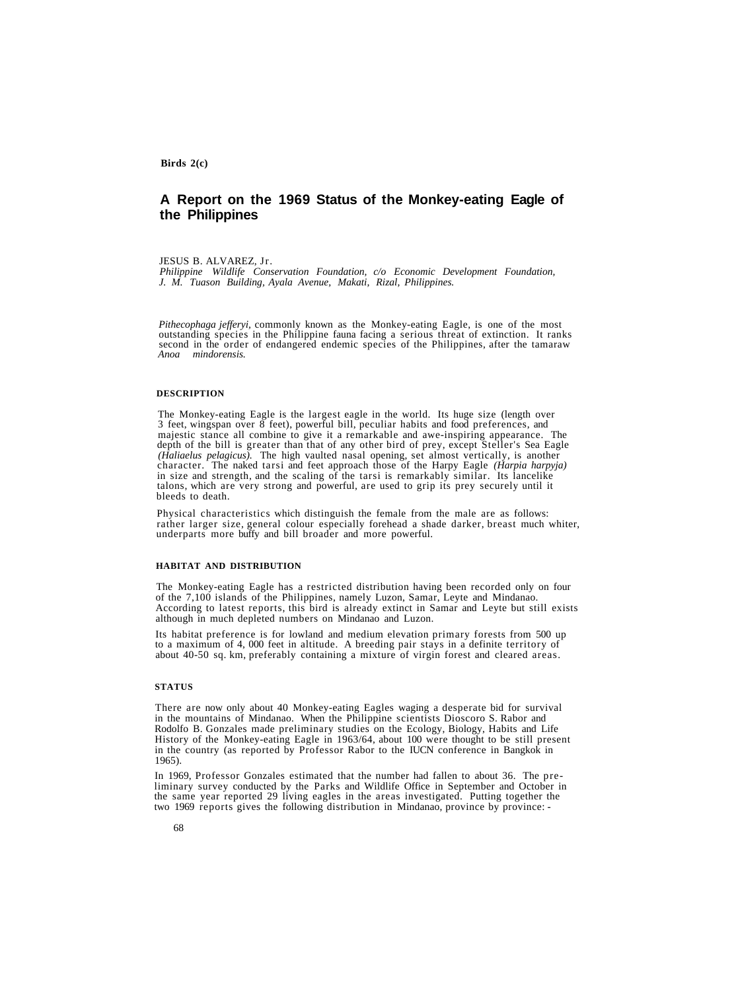## **A Report on the 1969 Status of the Monkey-eating Eagle of the Philippines**

#### JESUS B. ALVAREZ, Jr.

*Philippine Wildlife Conservation Foundation, c/o Economic Development Foundation, J. M. Tuason Building, Ayala Avenue, Makati, Rizal, Philippines.*

*Pithecophaga jefferyi,* commonly known as the Monkey-eating Eagle, is one of the most outstanding species in the Philippine fauna facing a serious threat of extinction. It ranks second in the order of endangered endemic species of the Philippines, after the tamaraw *Anoa* mindorensis.

#### **DESCRIPTION**

The Monkey-eating Eagle is the largest eagle in the world. Its huge size (length over 3 feet, wingspan over 8 feet), powerful bill, peculiar habits and food preferences, and depth of the bill is greater than that of any other bird of prey, except Steller's Sea Eagle (Haliaelus pelagicus). The high vaulted nasal opening, set almost vertically, is another character. The naked tarsi and feet appr talons, which are very strong and powerful, are used to grip its prey securely until it bleeds to death.

Physical characteristics which distinguish the female from the male are as follows:<br>rather larger size, general colour especially forehead a shade darker, breast much whiter,<br>underparts more buffy and bill broader and more

#### **HABITAT AND DISTRIBUTION**

The Monkey-eating Eagle has a restricted distribution having been recorded only on four of the 7,100 islands of the Philippines, namely Luzon, Samar, Leyte and Mindanao. According to latest reports, this bird is already extinct in Samar and Leyte but still exists although in much depleted numbers on Mindanao and Luzon.

Its habitat preference is for lowland and medium elevation primary forests from 500 up to a maximum of 4, 000 feet in altitude. A breeding pair stays in a definite territory of about 40-50 sq. km, preferably containing a mixture of virgin forest and cleared areas.

#### **STATUS**

There are now only about 40 Monkey-eating Eagles waging a desperate bid for survival in the mountains of Mindanao. When the Philippine scientists Dioscoro S. Rabor and Rodolfo B. Gonzales made preliminary studies on the Ecology, Biology, Habits and Life History of the Monkey-eating Eagle in 1963/64, about 100 were thought to be still present in the country (as reported by Professor Rabor to the IUCN conference in Bangkok in 1965).

In 1969, Professor Gonzales estimated that the number had fallen to about 36. The pre-<br>liminary survey conducted by the Parks and Wildlife Office in September and October in<br>the same year reported 29 living eagles in the a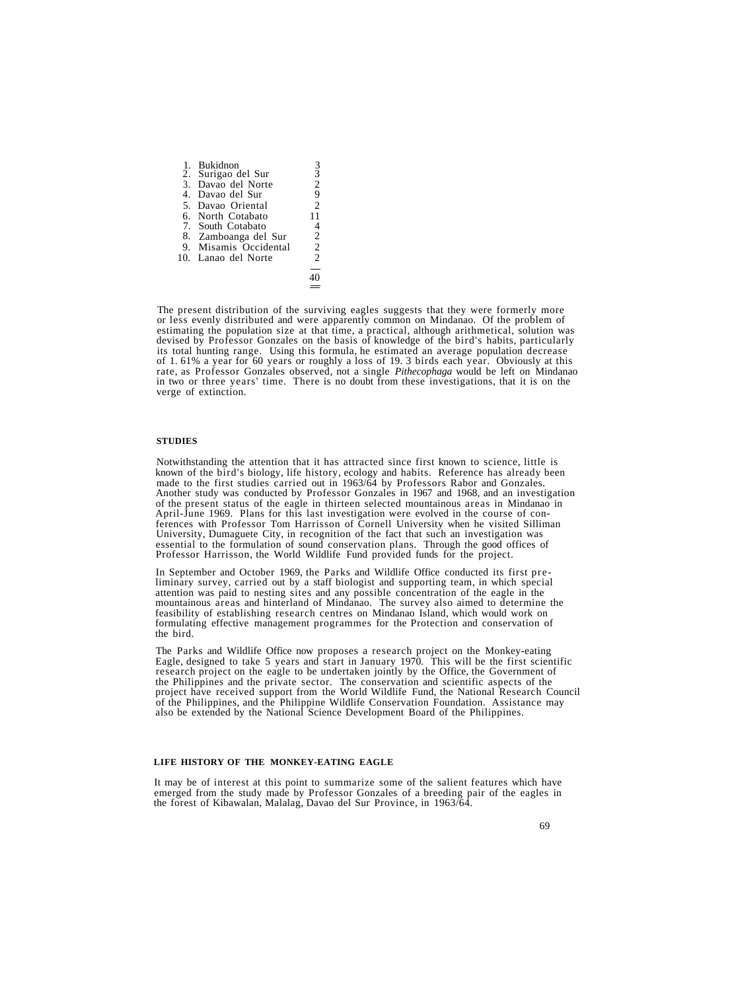|    | 1. Bukidnon          |                |
|----|----------------------|----------------|
|    | 2. Surigao del Sur   | $\overline{3}$ |
|    | 3. Davao del Norte   | $\overline{c}$ |
| 4. | Davao del Sur        | 9              |
|    | 5. Davao Oriental    | $\mathfrak{D}$ |
|    | 6. North Cotabato    | 11             |
|    | 7. South Cotabato    |                |
|    | 8. Zamboanga del Sur | $\overline{c}$ |
| 9. | Misamis Occidental   | $\overline{c}$ |
|    | 10. Lanao del Norte  | $\mathfrak{D}$ |
|    |                      |                |
|    |                      |                |
|    |                      |                |

The present distribution of the surviving eagles suggests that they were formerly more or less evenly distributed and were apparently common on Mindanao. Of the problem of estimating the population size at that time, a pra devised by Professor Gonzales on the basis of knowledge of the bird's habits, particularly its total hunting range. Using this formula, he estimated an average population decrease of 1.61% a year for 60 years or roughly a loss of 19.3 birds each year. Obviously at this rate, as Professor Gonzales observed, not a single *Pithecophaga* would be left on Mindanao in two or three years' time. There is no

#### **STUDIES**

Notwithstanding the attention that it has attracted since first known to science, little is<br>known of the bird's biology, life history, ecology and habits. Reference has already been<br>made to the first studies carried out in Professor Harrisson, the World Wildlife Fund provided funds for the project.

In September and October 1969, the Parks and Wildlife Office conducted its first pre-<br>liminary survey, carried out by a staff biologist and supporting team, in which special<br>attention was paid to nesting sites and any poss mountainous areas and hinterland of Mindanao. The survey also aimed to determine the feasibility of establishing research centres on Mindanao Island, which would work on formulating effective management programmes for the the bird.

The Parks and Wildlife Office now proposes a research project on the Monkey-eating Eagle, designed to take 5 years and start in January 1970. This will be the first scientific research project on the eagle to be undertaken jointly by the Office, the Government of the Philippines and the private sector. T project have received support from the World Wildlife Fund, the National Research Council<br>of the Philippines, and the Philippine Wildlife Conservation Foundation. Assistance may also be extended by the National Science Development Board of the Philippines.

## **LIFE HISTORY OF THE MONKEY-EATING EAGLE**

It may be of interest at this point to summarize some of the salient features which have<br>emerged from the study made by Professor Gonzales of a breeding pair of the eagles in<br>the forest of Kibawalan, Malalag, Davao del Sur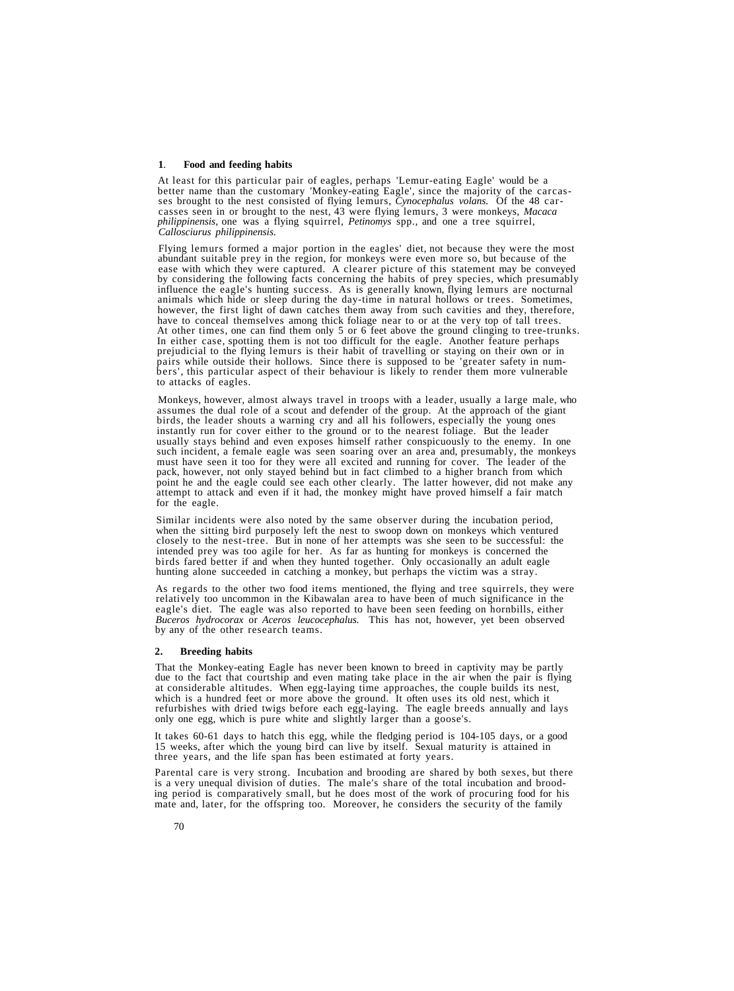## **1**. **Food and feeding habits**

At least for this particular pair of eagles, perhaps 'Lemur-eating Eagle' would be a<br>better name than the customary 'Monkey-eating Eagle', since the majority of the carcas-<br>ses brought to the nest consisted of flying lemur *philippinensis*, one was a flying squirrel, *Petinomys* spp., and one a tree squirrel, *Callosciurus philippinensis.*

Flying lemurs formed a major portion in the eagles' diet, not because they were the most abundant suitable prey in the region,  $\frac{1}{2}$ . A clearer picture of this statement may be conveyed by considering the following facts concerning the habits of prey species, which presumably influence the eagle's hunting success. As is generally known, flying lemurs are nocturnal animals which hide or sleep during the day-time in natural hollows or trees. Sometimes, however, the first light of dawn catches them away from such cavities and they, therefore, have to conceal themselves among thick foliage near to or at the very top of tall trees. At other times, one can find them only 5 o

Monkeys, however, almost always travel in troops with a leader, usually a large male, who assumes the dual role of a scout and defender of the group. At the approach of the giant birds, the leader shouts a warning cry and instantly run for cover either to the ground or to the nearest foliage. But the leader<br>usually stays behind and even exposes himself rather conspicuously to the enemy. In one<br>such incident, a female eagle was seen soaring point he and the eagle could see each other clearly. The latter however, did not make any attempt to attack and even if it had, the monkey might have proved himself a fair match for the eagle.

Similar incidents were also noted by the same observer during the incubation period, when the sitting bird purposely left the nest to swoop down on monkeys which ventured closely to the nest-tree. But in none of her attemp intended prey was too agile for her. As far as hunting for monkeys is concerned the birds fared better if and when they hunted together. Only occasionally an adult eagle hunting alone succeeded in catching a monkey, but pe

As regards to the other two food items mentioned, the flying and tree squirrels, they were relatively too uncommon in the Kibawalan area to have been of much significance in the eagle's diet. The eagle was also reported to by any of the other research teams.

## **2. Breeding habits**

That the Monkey-eating Eagle has never been known to breed in captivity may be partly due to the fact that courtship and even mating take place in the air when the pair is flying at considerable altitudes. When egg-laying time approaches, the couple builds its nest, which is a hundred feet or more above the ground. It often uses its old nest, which it refurbishes with dried twigs before each egg-laying. The eagle breeds annually and lays only one egg, which is pure white and slightly larger than a goose's.

It takes 60-61 days to hatch this egg, while the fledging period is 104-105 days, or a good 15 weeks, after which the young bird can live by itself. Sexual maturity is attained in three years, and the life span has been estimated at forty years.

Parental care is very strong. Incubation and brooding are shared by both sexes, but there is a very unequal division of duties. The male's share of the total incubation and brooding period is comparatively small, but he does most of the work of procuring food for his mate and, later, for the offspring too. Moreover, he considers the security of the family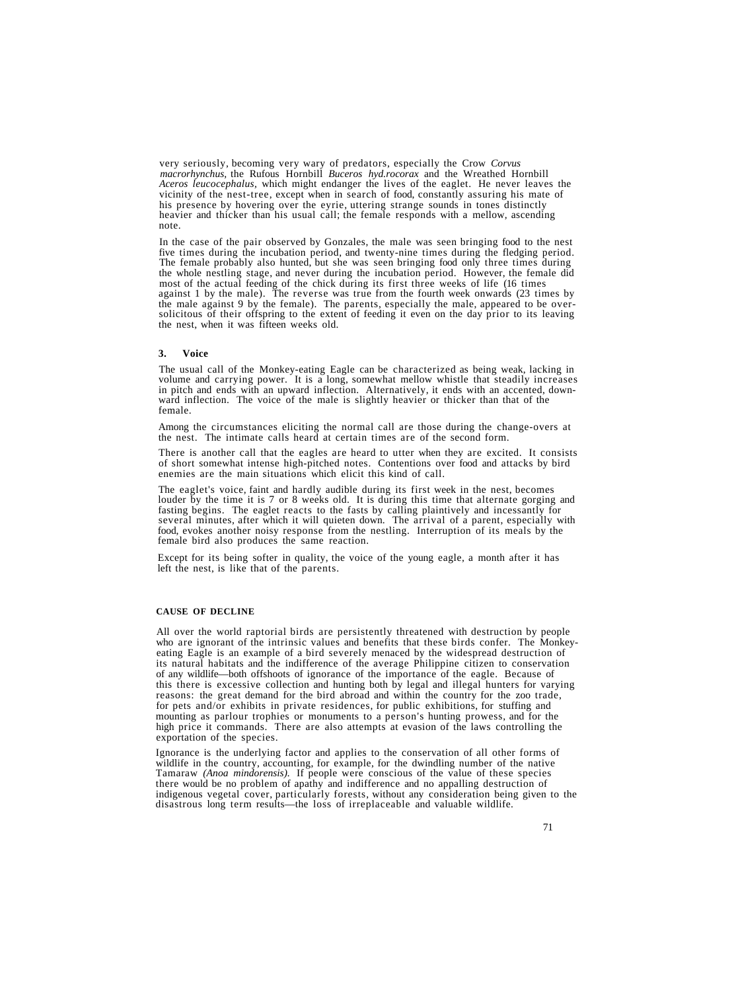very seriously, becoming very wary of predators, especially the Crow *Corvus macrorhynchus*, the Rufous Hornbill *Buceros hyd.rocorax* and the Wreathed Hornbill<br>*Aceros leucocephalus*, which might endanger the lives of the eaglet. He never leaves the vicinity of the nest-tree, except when in search of food, constantly assuring his mate of his presence by hovering over the eyrie, uttering strange sounds in tones distinctly heavier and thicker than his usual call; the female responds with a mellow, ascending note.

In the case of the pair observed by Gonzales, the male was seen bringing food to the nest five times during the incubation period, and twenty-nine times during the fledging period. The female probably also hunted, but she was seen bringing food only three times during the whole nestling stage, and never during the incubation period. However, the female did most of the actual feeding of the chick during its first three weeks of life (16 times against 1 by the male). The reverse was true solicitous of their offspring to the extent of feeding it even on the day prior to its leaving the nest, when it was fifteen weeks old.

## **3. Voice**

The usual call of the Monkey-eating Eagle can be characterized as being weak, lacking in volume and carrying power. It is a long, somewhat mellow whistle that steadily increases in pitch and ends with an upward inflection.

Among the circumstances eliciting the normal call are those during the change-overs at the nest. The intimate calls heard at certain times are of the second form.

There is another call that the eagles are heard to utter when they are excited. It consists of short somewhat intense high-pitched notes. Contentions over food and attacks by bird enemies are the main situations which elicit this kind of call.

The eaglet's voice, faint and hardly audible during its first week in the nest, becomes louder by the time it is 7 or 8 weeks old. It is during this time that alternate gorging and fasting begins. The eaglet reacts to the several minutes, after which it will quieten down. The arrival of a parent, especially with food, evokes another noisy response from the nestling. Interruption of its meals by the female bird also produces the same reaction.

Except for its being softer in quality, the voice of the young eagle, a month after it has left the nest, is like that of the parents.

#### **CAUSE OF DECLINE**

All over the world raptorial birds are persistently threatened with destruction by people who are ignorant of the intrinsic values and benefits that these birds confer. The Monkeyeating Eagle is an example of a bird severely menaced by the widespread destruction of its natural habitats and the indifference of the average Philippine citizen to conservation of any wildlife—both offshoots of ignorance of the importance of the eagle. Because of this there is excessive collection and hunting both by legal and illegal hunters for varying reasons: the great demand for the bird abroad and within the country for the zoo trade, for pets and/or exhibits in private residences, for public exhibitions, for stuffing and mounting as parlour trophies or monuments to a person's hunting prowess, and for the high price it commands. There are also attempts at evasion of the laws controlling the exportation of the species.

Ignorance is the underlying factor and applies to the conservation of all other forms of wildlife in the country, accounting, for example, for the dwindling number of the native Tamaraw *(Anoa mindorensis)*. If people were conscious of the value of these species there would be no problem of apathy and indifference and no appalling destruction of indigenous vegetal cover, particularly forests, without any consideration being given to the disastrous long term results—the loss of irreplaceable and valuable wildlife.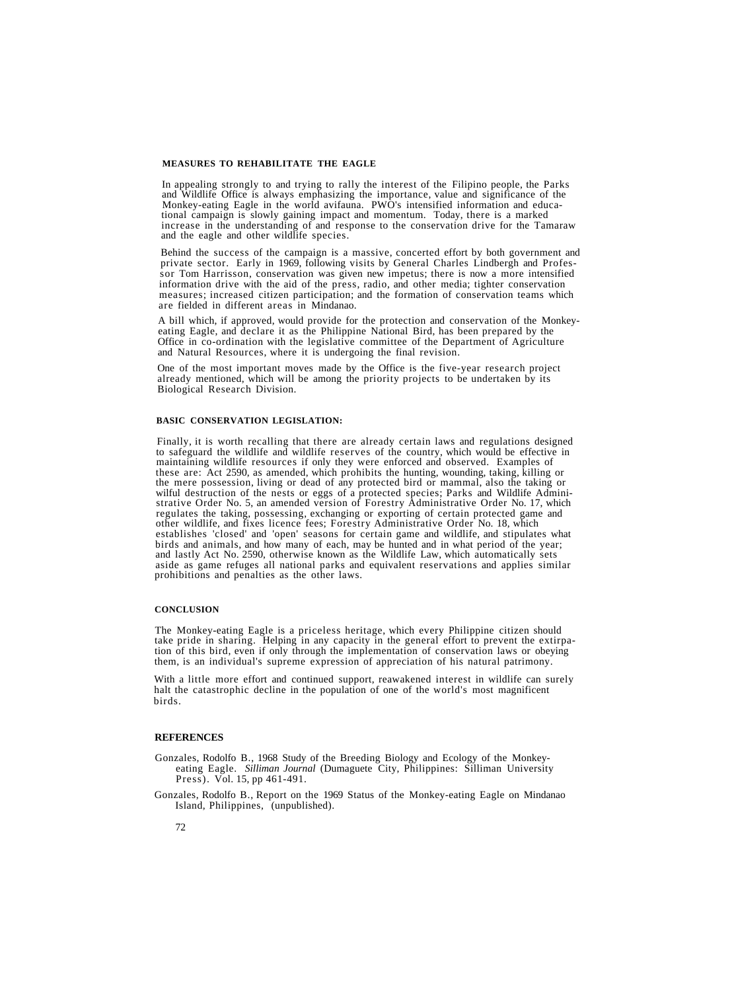# **MEASURES TO REHABILITATE THE EAGLE**

In appealing strongly to and trying to rally the interest of the Filipino people, the Parks<br>and Wildlife Office is always emphasizing the importance, value and significance of the<br>Monkey-eating Eagle in the world avifauna. increase in the understanding of and response to the conservation drive for the Tamaraw and the eagle and other wildlife species.

Behind the success of the campaign is a massive, concerted effort by both government and private sector. Early in 1969, following visits by General Charles Lindbergh and Professor Tom Harrisson, conservation was given new impetus; there is now a more intensified information drive with the aid of the press, radio, and other media; tighter conservation measures; increased citizen participation; and the formation of conservation teams which are fielded in different areas in Mindanao.

A bill which, if approved, would provide for the protection and conservation of the Monkeyeating Eagle, and declare it as the Philippine National Bird, has been prepared by the Office in co-ordination with the legislative committee of the Department of Agriculture and Natural Resources, where it is undergoing the final revision.

One of the most important moves made by the Office is the five-year research project already mentioned, which will be among the priority projects to be undertaken by its Biological Research Division.

## **BASIC CONSERVATION LEGISLATION:**

Finally, it is worth recalling that there are already certain laws and regulations designed to safeguard the wildlife and wildlife reserves of the country, which would be effective in maintaining wildlife resources if only they were enforced and observed. Examples of these are: Act 2590, as amended, which prohibits the hunting, wounding, taking, killing or the mere possession, living or dead of any protected bird or mammal, also the taking or wilful destruction of the nests or eggs of a protected species; Parks and Wildlife Administrative Order No. 5, an amended version of F regulates the taking, possessing, exchanging or exporting of certain protected game and other wildlife, and fixes licence fees; Forestry Administrative Order No. 18, which establishes 'closed' and 'open' seasons for certain game and wildlife, and stipulates what and lastly Act No. 2590, otherwise known as the Wildlife Law, which automatically sets aside as game refuges all national parks and equivalent reservations and applies similar prohibitions and penalties as the other laws.

### **CONCLUSION**

The Monkey-eating Eagle is a priceless heritage, which every Philippine citizen should take pride in sharing. Helping in any capacity in the general effort to prevent the extirpation of this bird, even if only through the implementation of conservation laws or obeying them, is an individual's supreme expression of appreciation of his natural patrimony.

With a little more effort and continued support, reawakened interest in wildlife can surely halt the catastrophic decline in the population of one of the world's most magnificent birds.

## **REFERENCES**

Gonzales, Rodolfo B., 1968 Study of the Breeding Biology and Ecology of the Monkeyeating Eagle. *Silliman Journal* (Dumaguete City, Philippines: Silliman University Press). Vol. 15, pp 461-491.

Gonzales, Rodolfo B., Report on the 1969 Status of the Monkey-eating Eagle on Mindanao Island, Philippines, (unpublished).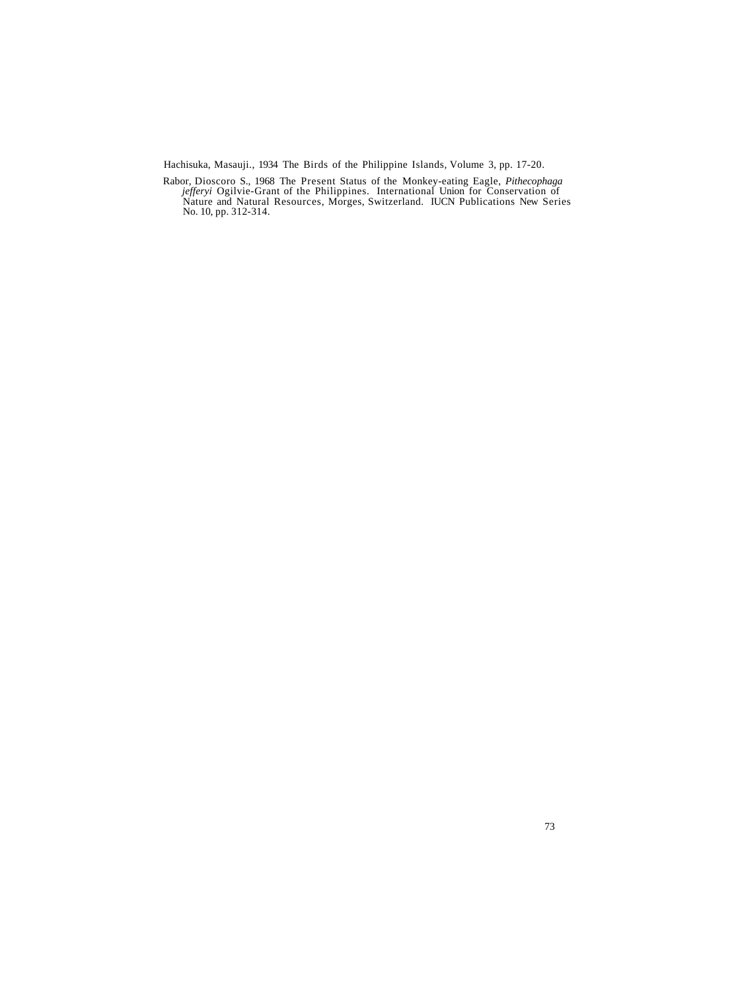Hachisuka, Masauji., 1934 The Birds of the Philippine Islands, Volume 3, pp. 17-20.

Rabor, Dioscoro S., 1968 The Present Status of the Monkey-eating Eagle, *Pithecophaga jefferyi* Ogilvie-Grant of the Philippines. International Union for Conservation of Nature and Natural Resources, Morges, Switzerland. IUCN Publications New Series<br>No. 10, pp. 312-314.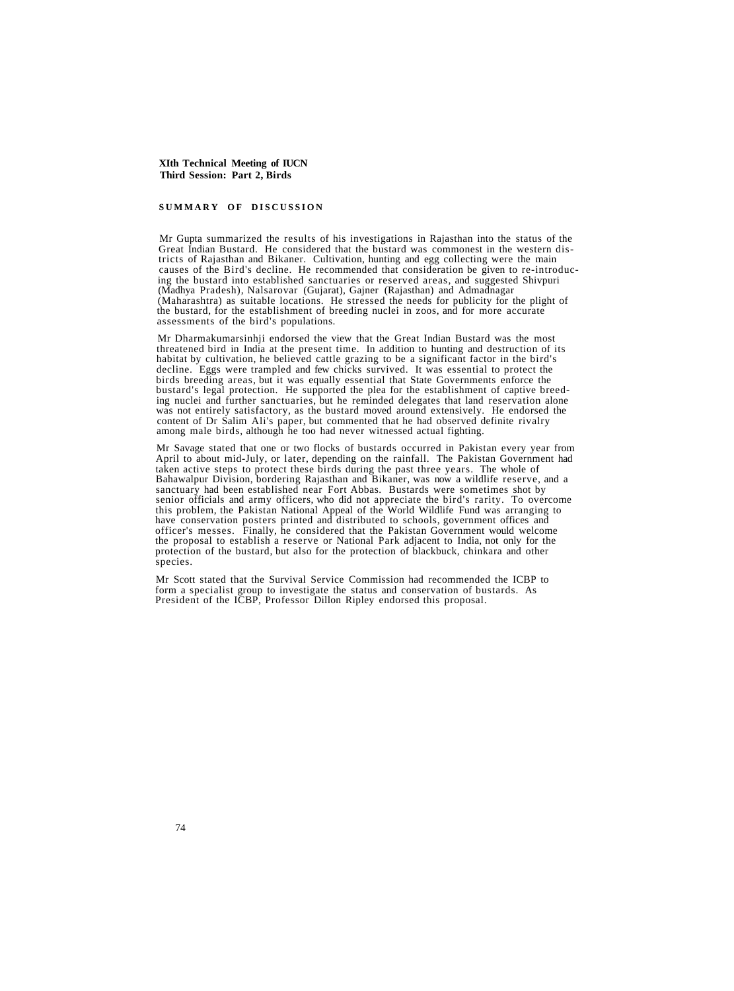# **SUMMARY OF DISCUSSION**

Mr Gupta summarized the results of his investigations in Rajasthan into the status of the<br>Great Indian Bustard. He considered that the bustard was commonest in the western dis-<br>tricts of Rajasthan and Bikaner. Cultivation, (Madhya Pradesh), Nalsarovar (Gujarat), Gajner (Rajasthan) and Admadnagar (Maharashtra) as suitable locations. He stressed the needs for publicity for the plight of the bustard, for the establishment of breeding nuclei in zoos, and for more accurate assessments of the bird's populations.

Mr Dharmakumarsinhji endorsed the view that the Great Indian Bustard was the most threatened bird in India at the present time. In addition to hunting and destruction of its habitat by cultivation, he believed cattle grazing to be a significant factor in the bird's decline. Eggs were trampled and few chicks survived. It was essential to protect the birds breeding areas, but it was equally esse

Mr Savage stated that one or two flocks of bustards occurred in Pakistan every year from April to about mid-July, or later, depending on the rainfall. The Pakistan Government had taken active steps to protect these birds during the past three years. The whole of Bahawalpur Division, bordering Rajasthan and Bikaner, was now a wildlife reserve, and a sanctuary had been established near Fort Abbas. Bustards were sometimes shot by senior officials and army officers, who did not appreciate the bird's rarity. To overcome this problem, the Pakistan National Appeal of the World Wildlife Fund was arranging to have conservation posters printed and distributed to schools, government offices and officer's messes. Finally, he considered that the the proposal to establish a reserve or National Park adjacent to India, not only for the protection of the bustard, but also for the protection of blackbuck, chinkara and other species.

Mr Scott stated that the Survival Service Commission had recommended the ICBP to form a specialist group to investigate the status and conservation of bustards. As President of the ICBP, Professor Dillon Ripley endorsed th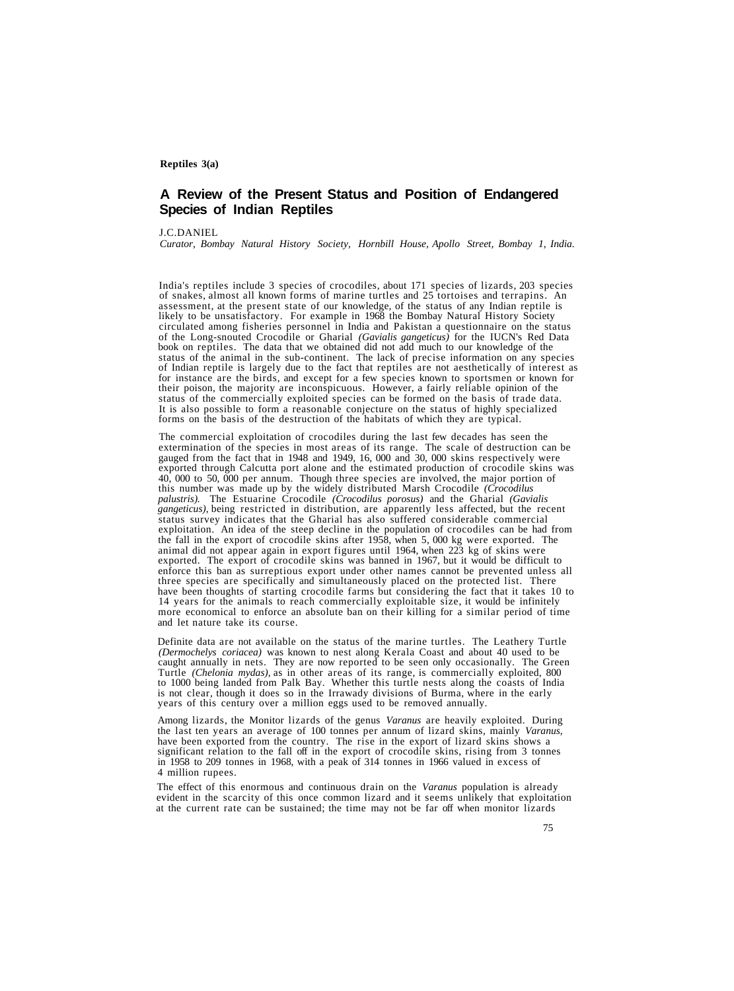# **A Review of the Present Status and Position of Endangered Species of Indian Reptiles**

## J.C.DANIEL

*Curator, Bombay Natural History Society, Hornbill House, Apollo Street, Bombay 1, India.*

India's reptiles include 3 species of crocodiles, about 171 species of lizards, 203 species of snakes, almost all known forms of marine turtles and 25 tortoises and terrapins. An assessment, at the present state of our kno of the Long-snouted Crocodile or Gharial (*Gavialis gangeticus*) for the IUCN's Red Data<br>book on reptiles. The data that we obtained did not add much to our knowledge of the<br>status of the animal in the sub-continent. The l forms on the basis of the destruction of the habitats of which they are typical.

The commercial exploitation of crocodiles during the last few decades has seen the extermination of the species in most areas of its range. The scale of destruction can be gauged from the fact that in 1948 and 1949, 16, 00 this number was made up by the widely distributed Marsh Crocodile *(Crocodilus palustris).* The Estuarine Crocodile *(Crocodilus porosus)* and the Gharial *(Gavialis gangeticus)*, being restricted in distribution, are apparently less affected, but the recent status survey indicates that the Gharial has also suffered considerable commercial exploitation. An idea of the steep decline in the population of crocodiles can be had from the fall in the export of crocodile skins after 1958, when 5, 000 kg were exported. The animal did not appear again in export figures until 1964, when 223 kg of skins were exported. The export of crocodile skins was banned have been thoughts of starting crocodile farms but considering the fact that it takes 10 to 14 years for the animals to reach commercially exploitable size, it would be infinitely more economical to enforce an absolute ban

Definite data are not available on the status of the marine turtles. The Leathery Turtle (*Dermochelys coriacea*) was known to nest along Kerala Coast and about 40 used to be caught annually in nets. They are now reported is not clear, though it does so in the Irrawady divisions of Burma, where in the early years of this century over a million eggs used to be removed annually.

Among lizards, the Monitor lizards of the genus *Varanus* are heavily exploited. During the last ten years an average of 100 tonnes per annum of lizard skins, mainly *Varanus,* have been exported from the country. The rise in the export of lizard skins shows a significant relation to the fall off in the export of crocodile skins, rising from 3 tonnes in 1958 to 209 tonnes in 1968, with a peak of 314 tonnes in 1966 valued in excess of 4 million rupees.

The effect of this enormous and continuous drain on the *Varanus* population is already evident in the scarcity of this once common lizard and it seems unlikely that exploitation at the current rate can be sustained; the time may not be far off when monitor lizards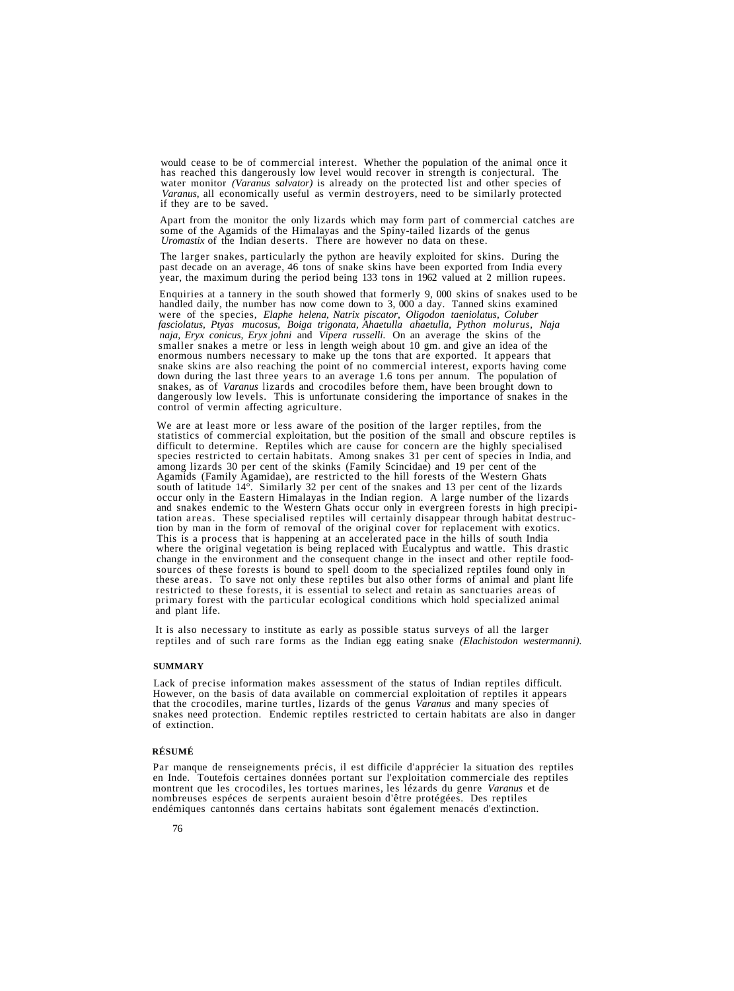would cease to be of commercial interest. Whether the population of the animal once it has reached this dangerously low level would recover in strength is conjectural. The water monitor *(Varanus salvator)* is already on the protected list and other species of *Varanus,* all economically useful as vermin destroyers, need to be similarly protected if they are to be saved.

Apart from the monitor the only lizards which may form part of commercial catches are<br>some of the Agamids of the Himalayas and the Spiny-tailed lizards of the genus<br>*Uromastix* of the Indian deserts. There are however no d

The larger snakes, particularly the python are heavily exploited for skins. During the past decade on an average, 46 tons of snake skins have been exported from India every year, the maximum during the period being 133 tons in 1962 valued at 2 million rupees.

Enquiries at a tannery in the south showed that formerly 9,000 skins of snakes used to be handled daily, the number has now come down to 3,000 a day. Tanned skins examined were of the species, *Elaphe helena*, *Natrix pisc fasciolatus, Ptyas mucosus, Boiga trigonata, Ahaetulla ahaetulla, Python molurus, Naja* smaller snakes a metre or less in length weigh about 10 gm. and give an idea of the enormous numbers necessary to make up the tons that are exported. It appears that snake skins are also reaching the point of no commercial down during the last three years to an average 1.6 tons per annum. The population of snakes, as of *Varanus* lizards and crocodiles before them, have been brought down to dangerously low levels. This is unfortunate considering the importance of snakes in the control of vermin affecting agriculture.

We are at least more or less aware of the position of the larger reptiles, from the statistics of commercial exploitation, but the position of the small and obscure reptiles is difficult to determine. Reptiles which are ca species restricted to certain habitats. Among snakes 31 per cent of species in India, and<br>among lizards 30 per cent of the skinks (Family Scincidae) and 19 per cent of the<br>Agamids (Family Agamidae), are restricted to the h primary forest with the particular ecological conditions which hold specialized animal and plant life.

It is also necessary to institute as early as possible status surveys of all the larger reptiles and of such rare forms as the Indian egg eating snake *(Elachistodon westermanni).*

## **SUMMARY**

Lack of precise information makes assessment of the status of Indian reptiles difficult. However, on the basis of data available on commercial exploitation of reptiles it appears that the crocodiles, marine turtles, lizards of the genus *Varanus* and many species of snakes need protection. Endemic reptiles restricted to certain habitats are also in danger of extinction.

## **RÉSUMÉ**

Par manque de renseignements précis, il est difficile d'apprécier la situation des reptiles<br>en Inde. Toutefois certaines données portant sur l'exploitation commerciale des reptiles<br>montrent que les crocodiles, les tortues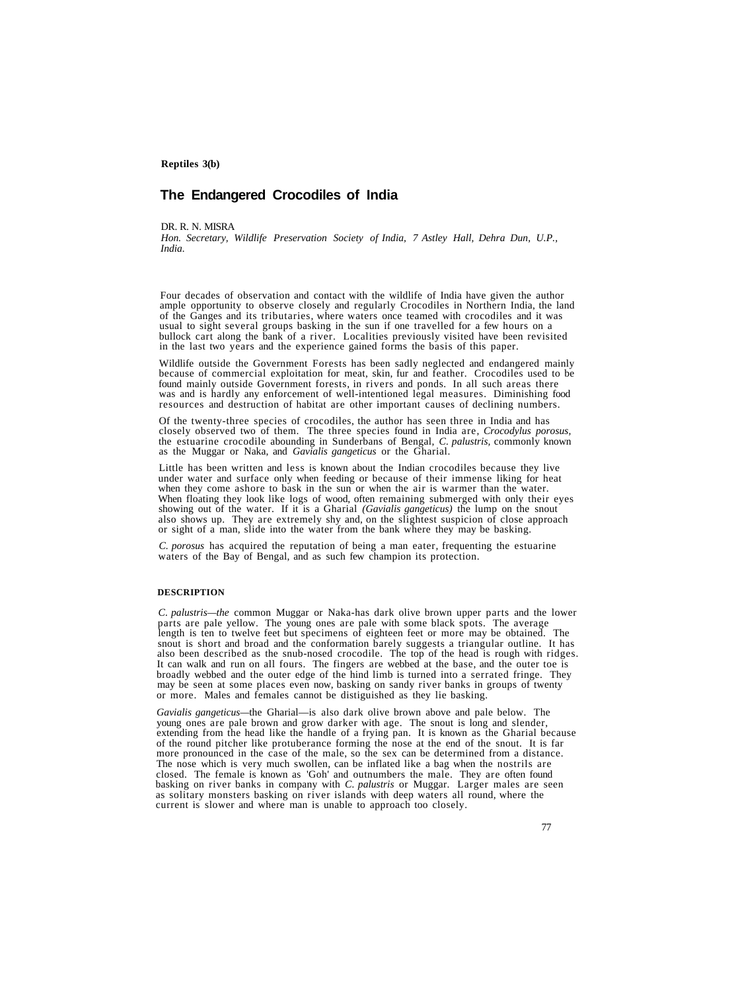# **The Endangered Crocodiles of India**

DR. R. N. MISRA

*Hon. Secretary, Wildlife Preservation Society of India, 7 Astley Hall, Dehra Dun, U.P., India.*

Four decades of observation and contact with the wildlife of India have given the author<br>ample opportunity to observe closely and regularly Crocodiles in Northern India, the land<br>of the Ganges and its tributaries, where wa in the last two years and the experience gained forms the basis of this paper.

Wildlife outside the Government Forests has been sadly neglected and endangered mainly because of commercial exploitation for meat, skin, fur and feather. Crocodiles used to be found mainly outside Government forests, in rivers and ponds. In all such areas there was and is hardly any enforcement of well-intentioned legal measures. Diminishing food resources and destruction of habitat are other im

Of the twenty-three species of crocodiles, the author has seen three in India and has closely observed two of them. The three species found in India are, *Crocodylus porosus,* the estuarine crocodile abounding in Sunderbans of Bengal, *C. palustris,* commonly known as the Muggar or Naka, and *Gavialis gangeticus* or the Gharial.

Little has been written and less is known about the Indian crocodiles because they live under water and surface only when feeding or because of their immense liking for heat when they come ashore to bask in the sun or when When floating they look like logs of wood, often remaining submerged with only their eyes showing out of the water. If it is a Gharial *(Gavialis gangeticus)* the lump on the snout also shows up. They are extremely shy and, on the slightest suspicion of close approach or sight of a man, slide into the water from the bank where they may be basking.

*C. porosus* has acquired the reputation of being a man eater, frequenting the estuarine waters of the Bay of Bengal, and as such few champion its protection.

## **DESCRIPTION**

C. palustris—the common Muggar or Naka-has dark olive brown upper parts and the lower<br>parts are pale yellow. The young ones are pale with some black spots. The average<br>length is ten to twelve feet but specimens of eighteen

Gavialis gangeticus—the Gharial—is also dark olive brown above and pale below. The<br>young ones are pale brown and grow darker with age. The snout is long and slender,<br>extending from the head like the handle of a frying pan. basking on river banks in company with *C. palustris* or Muggar. Larger males are seen<br>as solitary monsters basking on river islands with deep waters all round, where the<br>current is slower and where man is unable to approa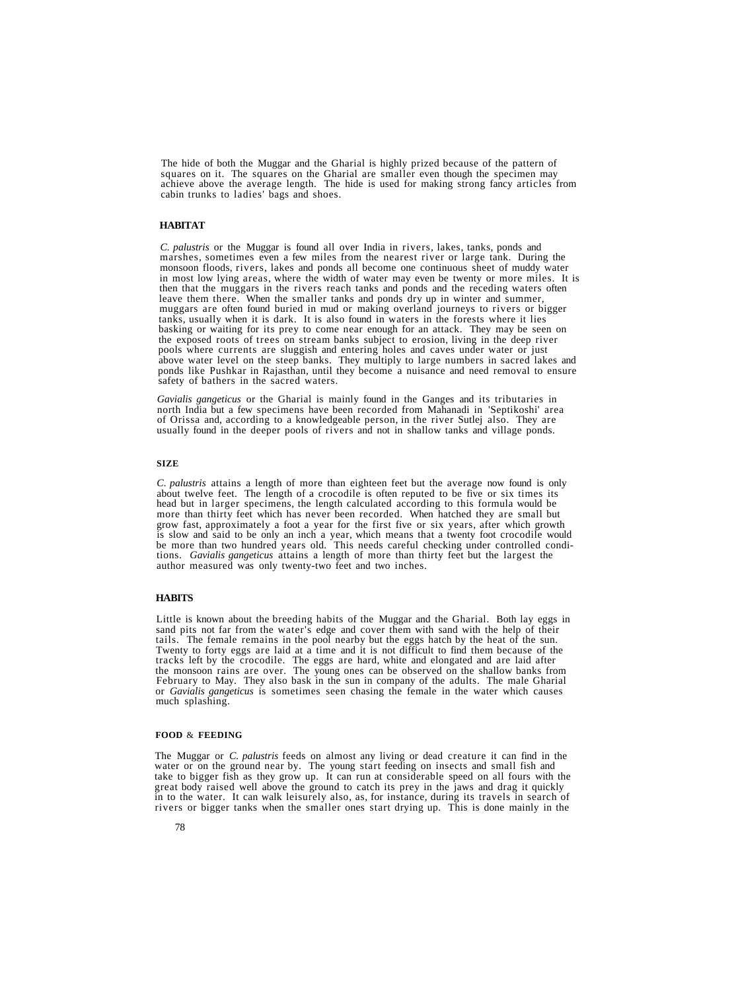The hide of both the Muggar and the Gharial is highly prized because of the pattern of squares on it. The squares on the Gharial are smaller even though the specimen may achieve above the average length. The hide is used for making strong fancy articles from cabin trunks to ladies' bags and shoes.

# **HABITAT**

*C. palustris* or the Muggar is found all over India in rivers, lakes, tanks, ponds and marshes, sometimes even a few miles from the nearest river or large tank. During the<br>monsoon floods, rivers, lakes and ponds all become one continuous sheet of muddy water<br>in most low lying areas, where the width of water above water level on the steep banks. They multiply to large numbers in sacred lakes and ponds like Pushkar in Rajasthan, until they become a nuisance and need removal to ensure safety of bathers in the sacred waters.

Gavialis gangeticus or the Gharial is mainly found in the Ganges and its tributaries in<br>north India but a few specimens have been recorded from Mahanadi in 'Septikoshi' area<br>of Orissa and, according to a knowledgeable pers

#### **SIZE**

*C. palustris* attains a length of more than eighteen feet but the average now found is only head but in larger specimens, the length calculated according to this formula would be more than thirty feet which has never been recorded. When hatched they are small but grow fast, approximately a foot a year for the first five or six years, after which growth is slow and said to be only an inch a year, which means that a twenty foot crocodile would be more than two hundred years old. This needs careful checking under controlled conditions. *Gavialis gangeticus* attains a length of more than thirty feet but the largest the author measured was only twenty-two feet and

## **HABITS**

Little is known about the breeding habits of the Muggar and the Gharial. Both lay eggs in sand pits not far from the water's edge and cover them with sand with the help of their tails. The female remains in the pool nearby

# **FOOD** & **FEEDING**

The Muggar or *C. palustris* feeds on almost any living or dead creature it can find in the water or on the ground near by. The young start feeding on insects and small fish and take to bigger fish as they grow up. It can great body raised well above the ground to catch its prey in the jaws and drag it quickly in to the water. It can walk leisurely also, as, for instance, during its travels in search of rivers or bigger tanks when the smaller ones start drying up. This is done mainly in the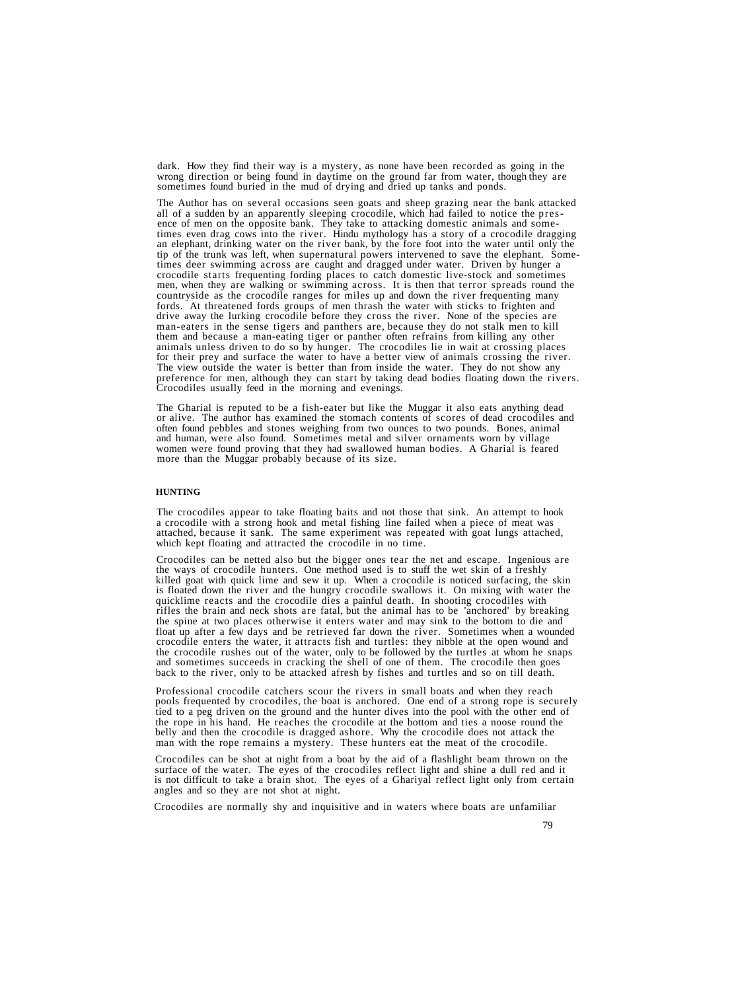dark. How they find their way is a mystery, as none have been recorded as going in the wrong direction or being found in daytime on the ground far from water, though they are sometimes found buried in the mud of drying and

The Author has on several occasions seen goats and sheep grazing near the bank attacked all of a sudden by an apparently sleeping crocodile, which had failed to notice the presence of men on the opposite bank. They take to attacking domestic animals and sometimes even drag cows into the river. Hindu mythology has a story of a crocodile dragging an elephant, drinking water on the river bank, by t fords. At threatened fords groups of men thrash the water with sticks to frighten and drive away the lurking crocodile before they cross the river. None of the species are man-eaters in the sense tigers and panthers are, because they do not stalk men to kill them and because a man-eating tiger or panther often refrains from killing any other animals unless driven to do so by hunger. The crocodiles lie in wait at crossing places<br>for their prey and surface the water to have a better view of animals crossing the river.<br>The view outside the water is better than fr preference for men, although they can start by taking dead bodies floating down the rivers. Crocodiles usually feed in the morning and evenings.

The Gharial is reputed to be a fish-eater but like the Muggar it also eats anything dead or alive. The author has examined the stomach contents of scores of dead crocodiles and often found pebbles and stones weighing from and human, were also found. Sometimes metal and silver ornaments worn by village women were found proving that they had swallowed human bodies. A Gharial is feared more than the Muggar probably because of its size.

## **HUNTING**

The crocodiles appear to take floating baits and not those that sink. An attempt to hook a crocodile with a strong hook and metal fishing line failed when a piece of meat was attached, because it sank. The same experiment

Crocodiles can be netted also but the bigger ones tear the net and escape. Ingenious are the ways of crocodile hunters. One method used is to stuff the wet skin of a freshly is floated down the river and the hungry crocodile swallows it. On mixing with water the quicklime reacts and the crocodile dies a painful death. In shooting crocodiles with rifles the brain and neck shots are fatal, but the animal has to be 'anchored' by breaking the spine at two places otherwise it enters water and may sink to the bottom to die and float up after a few days and be retrieved far down the river. Sometimes when a wounded crocodile enters the water, it attracts fish and turtles: they nibble at the open wound and the crocodile rushes out of the water, only to be followed by the turtles at whom he snaps and sometimes succeeds in cracking the shell of one of them. The crocodile then goes back to the river, only to be attacked afresh by fishes and turtles and so on till death.

Professional crocodile catchers scour the rivers in small boats and when they reach pools frequented by crocodiles, the boat is anchored. One end of a strong rope is securely tied to a peg driven on the ground and the hunter dives into the pool with the other end of the rope in his hand. He reaches the crocodile at the bottom and ties a noose round the belly and then the crocodile is dragged ashore. Why the crocodile does not attack the man with the rope remains a mystery. These hunters eat the meat of the crocodile.

Crocodiles can be shot at night from a boat by the aid of a flashlight beam thrown on the surface of the water. The eyes of the crocodiles reflect light and shine a dull red and it is not difficult to take a brain shot. The eyes of a Ghariyal reflect light only from certain angles and so they are not shot at night.

Crocodiles are normally shy and inquisitive and in waters where boats are unfamiliar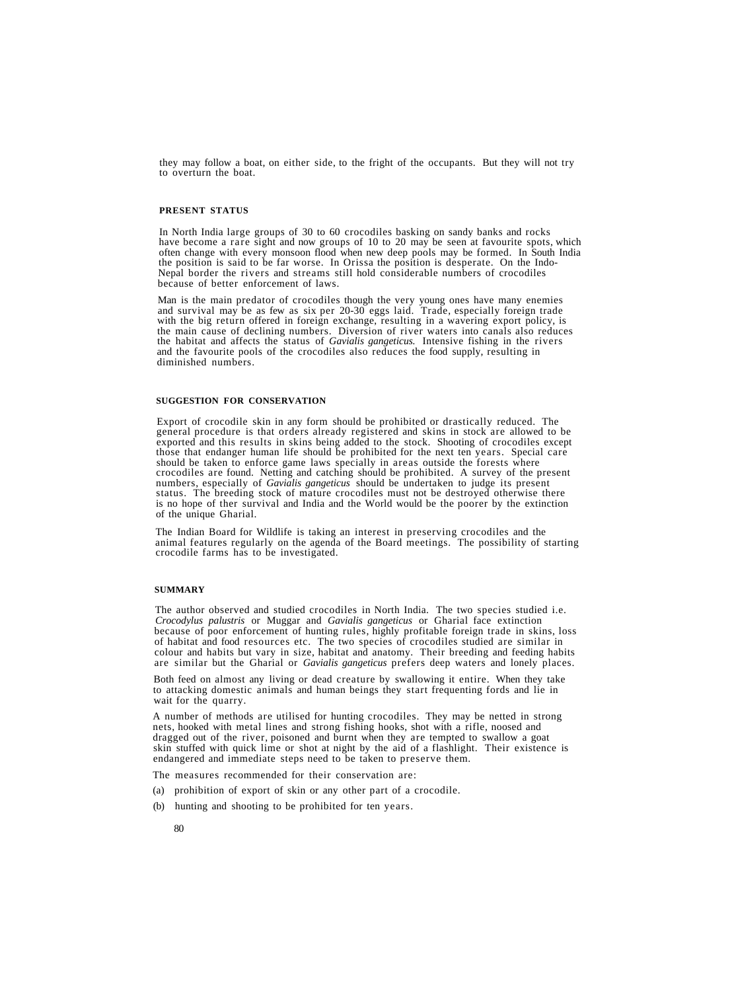they may follow a boat, on either side, to the fright of the occupants. But they will not try to overturn the boat.

# **PRESENT STATUS**

In North India large groups of 30 to 60 crocodiles basking on sandy banks and rocks have become a rare sight and now groups of 10 to 20 may be seen at favourite spots, which often change with every monsoon flood when new d the position is said to be far worse. In Orissa the position is desperate. On the Indo-Nepal border the rivers and streams still hold considerable numbers of crocodiles because of better enforcement of laws.

Man is the main predator of crocodiles though the very young ones have many enemies<br>and survival may be as few as six per 20-30 eggs laid. Trade, especially foreign trade<br>with the big return offered in foreign exchange, re

### **SUGGESTION FOR CONSERVATION**

Export of crocodile skin in any form should be prohibited or drastically reduced. The general procedure is that orders already registered and skins in stock are allowed to be exported and this results in skins being added should be taken to enforce game laws specially in areas outside the forests where<br>crocodiles are found. Netting and catching should be prohibited. A survey of the present numbers, especially of *Gavialis gangeticus* should be undertaken to judge its present status. The breeding stock of mature crocodiles must not be destroyed otherwise there is no hope of ther survival and India and the World would be the poorer by the extinction of the unique Gharial.

The Indian Board for Wildlife is taking an interest in preserving crocodiles and the animal features regularly on the agenda of the Board meetings. The possibility of starting crocodile farms has to be investigated.

## **SUMMARY**

The author observed and studied crocodiles in North India. The two species studied i.e. *Crocodylus palustris* or Muggar and *Gavialis gangeticus* or Gharial face extinction because of poor enforcement of hunting rules, highly profitable foreign trade in skins, loss of habitat and food resources etc. The two species of crocodiles studied are similar in colour and habits but vary in size, habitat and anatomy. Their breeding and feeding habits are similar but the Gharial or *Gavialis gangeticus* prefers deep waters and lonely places.

Both feed on almost any living or dead creature by swallowing it entire. When they take to attacking domestic animals and human beings they start frequenting fords and lie in wait for the quarry.

A number of methods are utilised for hunting crocodiles. They may be netted in strong nets, hooked with metal lines and strong fishing hooks, shot with a rifle, noosed and dragged out of the river, poisoned and burnt when they are tempted to swallow a goat skin stuffed with quick lime or shot at night by the aid of a flashlight. Their existence is endangered and immediate steps need to be taken to preserve them.

The measures recommended for their conservation are:

- (a) prohibition of export of skin or any other part of a crocodile.
- (b) hunting and shooting to be prohibited for ten years.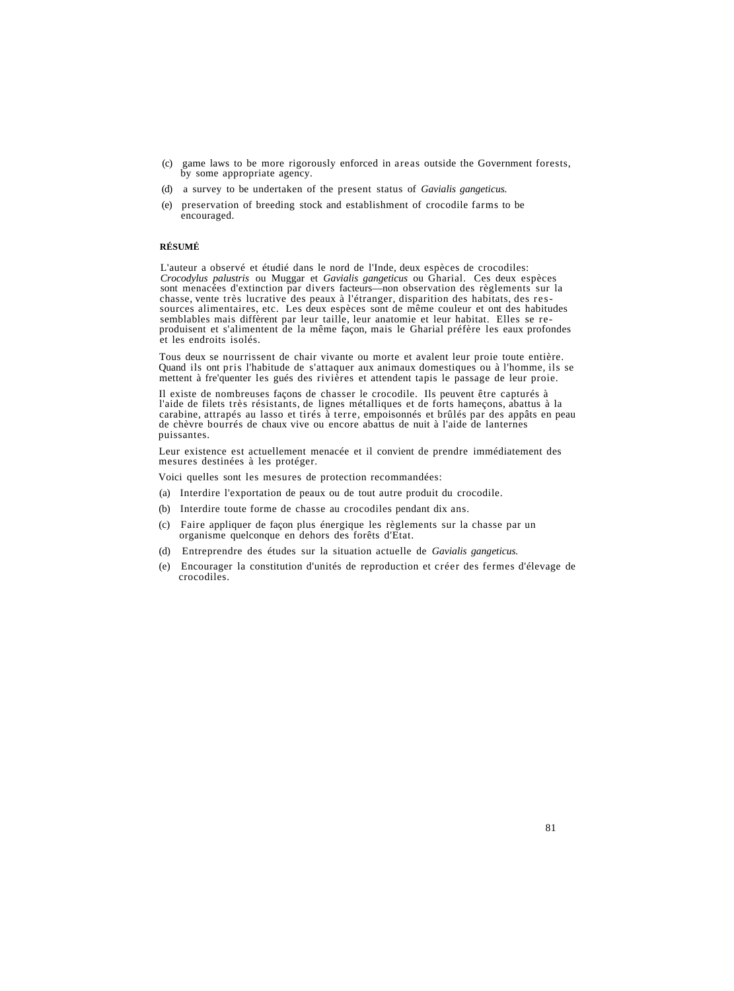- (c) game laws to be more rigorously enforced in areas outside the Government forests, by some appropriate agency.
- (d) a survey to be undertaken of the present status of *Gavialis gangeticus.*
- (e) preservation of breeding stock and establishment of crocodile farms to be encouraged.

# **RÉSUMÉ**

L'auteur a observé et étudié dans le nord de l'Inde, deux espèces de crocodiles:<br>Crocodylus palustris ou Muggar et Gavialis gangeticus ou Gharial. Ces deux espèces<br>sont menacées d'extinction par divers facteurs—non observa

Tous deux se nourrissent de chair vivante ou morte et avalent leur proie toute entière. Quand ils ont pris l'habitude de s'attaquer aux animaux domestiques ou à l'homme, ils se mettent à fre'quenter les gués des rivières et attendent tapis le passage de leur proie.

Il existe de nombreuses façons de chasser le crocodile. Ils peuvent être capturés à<br>l'aide de filets très résistants, de lignes métalliques et de forts hameçons, abattus à la carabine, attrapés au lasso et tirés à terre, empoisonnés et brûlés par des appâts en peau de chèvre bourrés de chaux vive ou encore abattus de nuit à l'aide de lanternes puissantes.

Leur existence est actuellement menacée et il convient de prendre immédiatement des mesures destinées à les protéger.

Voici quelles sont les mesures de protection recommandées:

- (a) Interdire l'exportation de peaux ou de tout autre produit du crocodile.
- (b) Interdire toute forme de chasse au crocodiles pendant dix ans.
- (c) Faire appliquer de façon plus énergique les règlements sur la chasse par un organisme quelconque en dehors des forêts d'Etat.
- (d) Entreprendre des études sur la situation actuelle de *Gavialis gangeticus.*
- (e) Encourager la constitution d'unités de reproduction et créer des fermes d'élevage de crocodiles.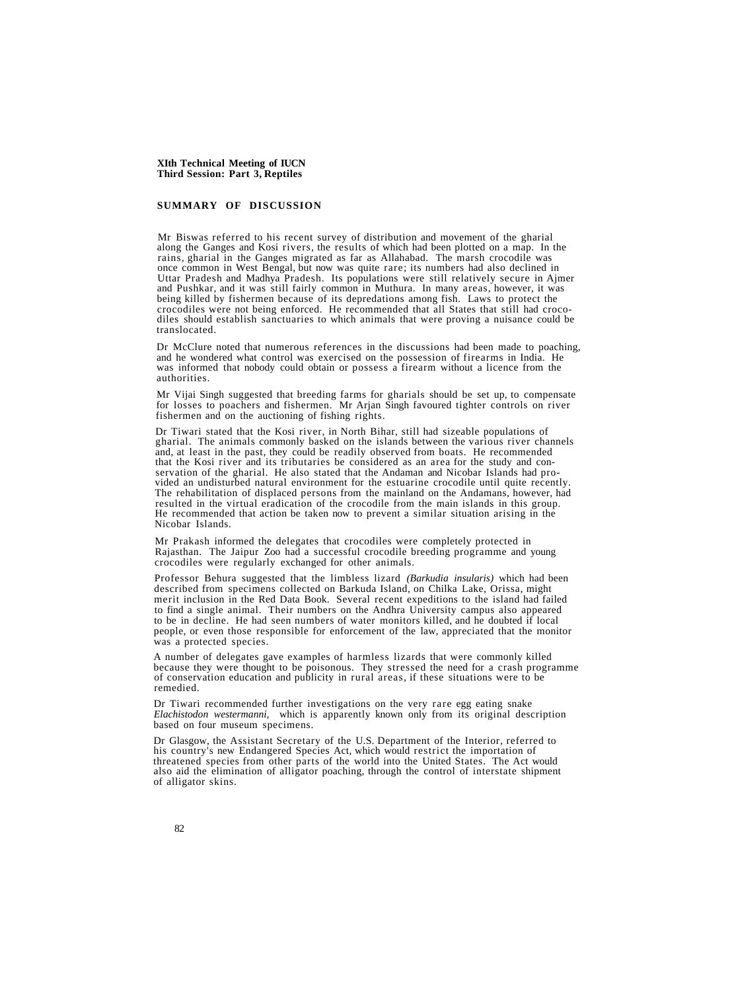# **SUMMARY OF DISCUSSION**

Mr Biswas referred to his recent survey of distribution and movement of the gharial along the Ganges and Kosi rivers, the results of which had been plotted on a map. In the rains, gharial in the Ganges migrated as far as Allahabad. The marsh crocodile was<br>once common in West Bengal, but now was quite rare; its numbers had also declined in<br>Uttar Pradesh and Madhya Pradesh. Its populations were

Dr McClure noted that numerous references in the discussions had been made to poaching, and he wondered what control was exercised on the possession of firearms in India. He was informed that nobody could obtain or possess

Mr Vijai Singh suggested that breeding farms for gharials should be set up, to compensate for losses to poachers and fishermen. Mr Arjan Singh favoured tighter controls on river fishermen and on the auctioning of fishing rights.

Dr Tiwari stated that the Kosi river, in North Bihar, still had sizeable populations of gharial. The animals commonly basked on the islands between the various river channels and, at least in the past, they could be readily observed from boats. He recommended that the Kosi river and its tributaries be considered as an area for the study and conservation of the gharial. He also stated that the Andaman and Nicobar Islands had provided an undisturbed natural environment for the estuarine crocodile until quite recently.<br>The rehabilitation of displaced persons from t He recommended that action be taken now to prevent a similar situation arising in the Nicobar Islands.

Mr Prakash informed the delegates that crocodiles were completely protected in Rajasthan. The Jaipur Zoo had a successful crocodile breeding programme and young crocodiles were regularly exchanged for other animals.

Professor Behura suggested that the limbless lizard *(Barkudia insularis)* which had been described from specimens collected on Barkuda Island, on Chilka Lake, Orissa, might merit inclusion in the Red Data Book. Several recent expeditions to the island had failed to find a single animal. Their numbers on the Andhra University campus also appeared to be in decline. He had seen numbers of water monitors killed, and he doubted if local people, or even those responsible for enforcement of the law, appreciated that the monitor was a protected species.

A number of delegates gave examples of harmless lizards that were commonly killed of conservation education and publicity in rural areas, if these situations were to be remedied.

Dr Tiwari recommended further investigations on the very rare egg eating snake *Elachistodon westermanni,* which is apparently known only from its original description based on four museum specimens.

Dr Glasgow, the Assistant Secretary of the U.S. Department of the Interior, referred to his country's new Endangered Species Act, which would restrict the importation of threatened species from other parts of the world into the United States. The Act would also aid the elimination of alligator poaching, through the control of interstate shipment of alligator skins.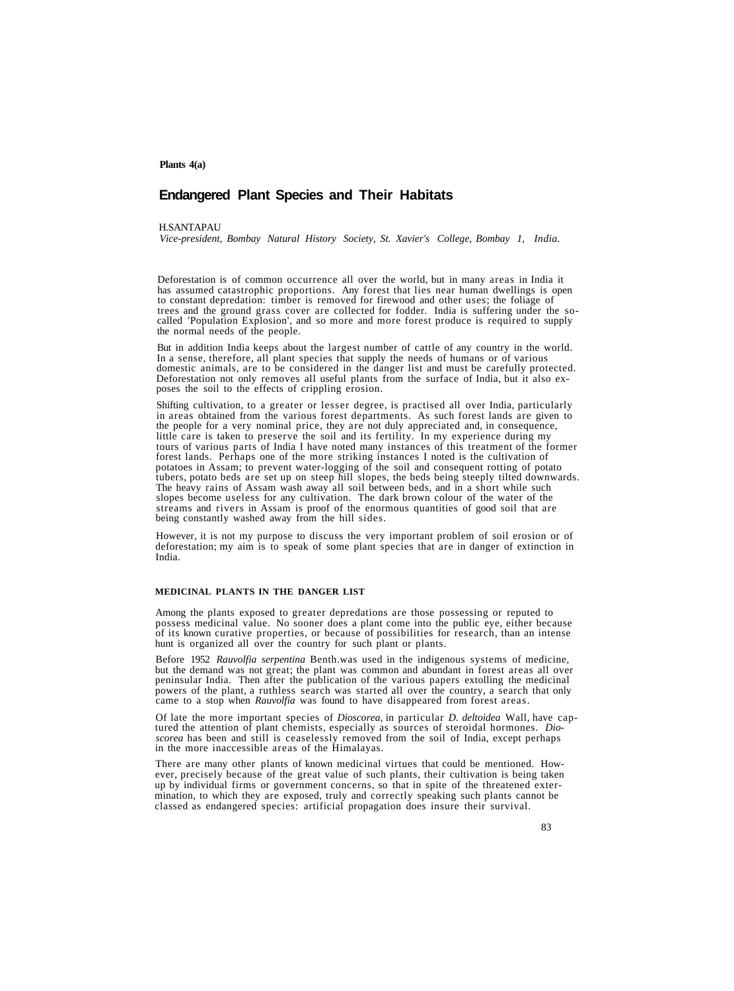## **Plants 4(a)**

# **Endangered Plant Species and Their Habitats**

## **H.SANTAPAU**

*Vice-president, Bombay Natural History Society, St. Xavier's College, Bombay 1, India.*

Deforestation is of common occurrence all over the world, but in many areas in India it to constant depredation: timber is removed for firewood and other uses; the foliage of trees and the ground grass cover are collected for fodder. India is suffering under the socalled 'Population Explosion', and so more and more forest produce is required to supply the normal needs of the people.

But in addition India keeps about the largest number of cattle of any country in the world.<br>In a sense, therefore, all plant species that supply the needs of humans or of various<br>domestic animals, are to be considered in t

Shifting cultivation, to a greater or lesser degree, is practised all over India, particularly in areas obtained from the various forest departments. As such forest lands are given to the people for a very nominal price, they are not duly appreciated and, in consequence,<br>little care is taken to preserve the soil and its fertility. In my experience during my<br>tours of various parts of India I have noted m forest lands. Perhaps one of the more striking instances I noted is the cultivation of potatoes in Assam; to prevent water-logging of the soil and consequent rotting of potato tubers, potato beds are set up on steep hill slopes, the beds being steeply tilted downwards.<br>The heavy rains of Assam wash away all soil between beds, and in a short while such slopes become useless for any cultivation. T streams and rivers in Assam is proof of the enormous quantities of good soil that are being constantly washed away from the hill sides.

However, it is not my purpose to discuss the very important problem of soil erosion or of deforestation; my aim is to speak of some plant species that are in danger of extinction in India.

# **MEDICINAL PLANTS IN THE DANGER LIST**

Among the plants exposed to greater depredations are those possessing or reputed to possess medicinal value. No sooner does a plant come into the public eye, either because of its known curative properties, or because of p

Before 1952 Rauvolfia serpentina Benth.was used in the indigenous systems of medicine, but the demand was not great; the plant was common and abundant in forest areas all over peninsular India. Then after the publication o powers of the plant, a ruthless search was started all over the country, a search that only came to a stop when *Rauvolfia* was found to have disappeared from forest areas.

Of late the more important species of *Dioscorea*, in particular *D. deltoidea* Wall, have captured the attention of plant chemists, especially as sources of steroidal hormones. *Dio-*<br>*scorea* has been and still is ceasel

There are many other plants of known medicinal virtues that could be mentioned. However, precisely because of the great value of such plants, their cultivation is being taken up by individual firms or government concerns, so that in spite of the threatened extermination, to which they are exposed, truly and correctly speaking such plants cannot be classed as endangered species: artificial propagation does insure their survival.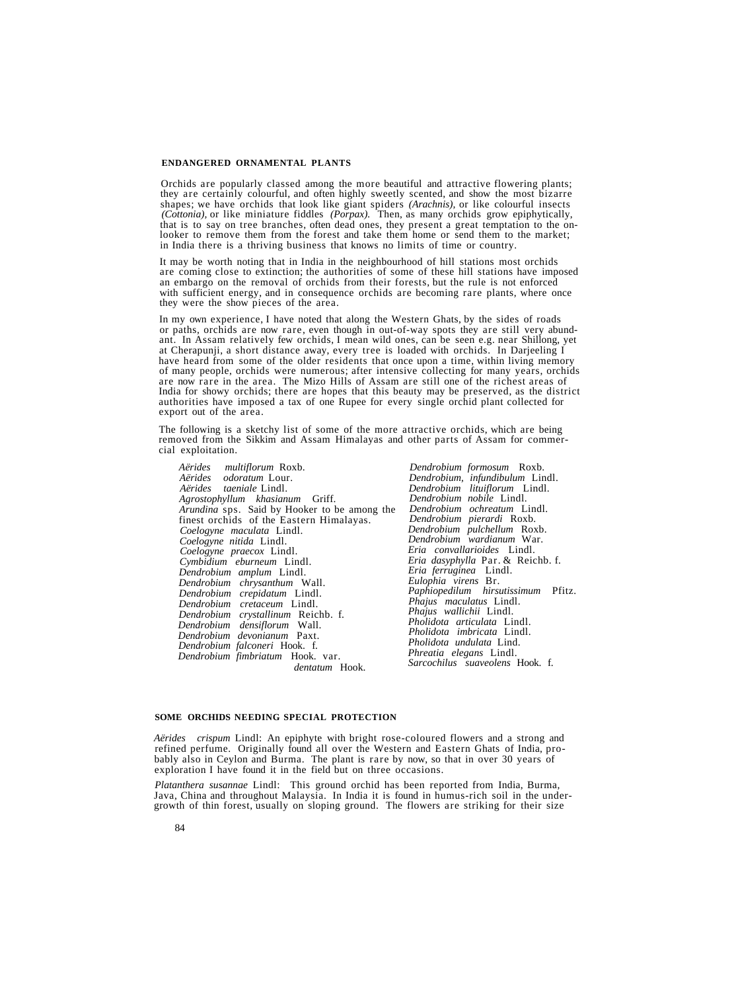## **ENDANGERED ORNAMENTAL PLANTS**

Orchids are popularly classed among the more beautiful and attractive flowering plants; shapes; we have orchids that look like giant spiders (*Arachnis*), or like colourful insects (*Cottonia*), or like miniature fiddles (*Porpax*). Then, as many orchids grow epiphytically, that is to say on tree branches, o in India there is a thriving business that knows no limits of time or country.

It may be worth noting that in India in the neighbourhood of hill stations most orchids<br>are coming close to extinction; the authorities of some of these hill stations have imposed<br>an embargo on the removal of orchids from with sufficient energy, and in consequence orchids are becoming rare plants, where once they were the show pieces of the area.

In my own experience, I have noted that along the Western Ghats, by the sides of roads<br>or paths, orchids are now rare, even though in out-of-way spots they are still very abund-<br>ant. In Assam relatively few orchids, I mean of many people, orchids were numerous; after intensive collecting for many years, orchids<br>are now rare in the area. The Mizo Hills of Assam are still one of the richest areas of India for showy orchids; there are hopes that this beauty may be preserved, as the district authorities have imposed a tax of one Rupee for every single orchid plant collected for export out of the area.

The following is a sketchy list of some of the more attractive orchids, which are being removed from the Sikkim and Assam Himalayas and other parts of Assam for commer- cial exploitation.

*Aërides multiflorum* Roxb. *Aërides odoratum* Lour. *Agrostophyllum khasianum* Griff.<br>*Arundina* sps. Said by Hooker to be among the *Finest orchids of the Eastern Himalayas.* Coelogyne maculata Lindl. *Coelogyne maculata* Lindl. *Coelogyne nitida* Lindl. *Coelogyne praecox* Lindl. *Cymbidium eburneum* Lindl. *Dendrobium amplum* Lindl. *Dendrobium chrysanthum* Wall. *Dendrobium crepidatum* Lindl. *Dendrobium cretaceum* Lindl. *Dendrobium densiflorum* Wall.<br>*Dendrobium devonianum* Paxt. *Dendrobium devonianum* Paxt. *Dendrobium falconeri* Hook. f. *Dendrobium fimbriatum* Hook. var. *dentatum* Hook.

Dendrobium formosum Roxb.<br>Dendrobium, infundibulum Lindl.<br>Dendrobium lituiflorum Lindl.<br>Dendrobium nobile Lindl.<br>Dendrobium ochreatum Lindl.<br>Dendrobium pierardi Roxb.<br>Dendrobium pierardi Roxb.<br>Dendrobium wardianum War.<br>Eri

#### **SOME ORCHIDS NEEDING SPECIAL PROTECTION**

*Aërides crispum* Lindl: An epiphyte with bright rose-coloured flowers and a strong and refined perfume. Originally found all over the Western and Eastern Ghats of India, probably also in Ceylon and Burma. The plant is rare by now, so that in over 30 years of exploration I have found it in the field but on three occasions.

*Platanthera susannae* Lind!: This ground orchid has been reported from India, Burma, Java, China and throughout Malaysia. In India it is found in humus-rich soil in the under-<br>growth of thin forest, usually on sloping gro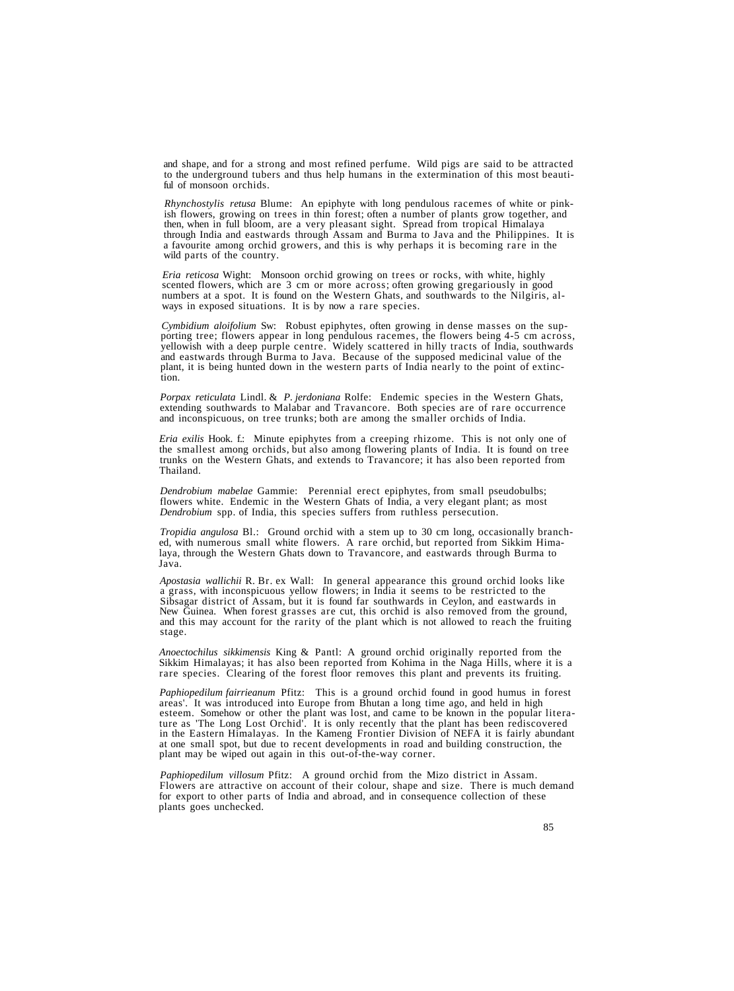and shape, and for a strong and most refined perfume. Wild pigs are said to be attracted to the underground tubers and thus help humans in the extermination of this most beautiful of monsoon orchids.

*Rhynchostylis retusa* Blume: An epiphyte with long pendulous racemes of white or pink-<br>ish flowers, growing on trees in thin forest; often a number of plants grow together, and<br>then, when in full bloom, are a very pleasan through India and eastwards through Assam and Burma to Java and the Philippines. It is<br>a favourite among orchid growers, and this is why perhaps it is becoming rare in the<br>wild parts of the country.

*Eria reticosa* Wight: Monsoon orchid growing on trees or rocks, with white, highly scented flowers, which are 3 cm or more across; often growing gregariously in good numbers at a spot. It is found on the Western Ghats, and southwards to the Nilgiris, al- ways in exposed situations. It is by now a rare species.

Cymbidium aloifolium Sw: Robust epiphytes, often growing in dense masses on the sup-<br>porting tree; flowers appear in long pendulous racemes, the flowers being 4-5 cm across,<br>yellowish with a deep purple centre. Widely scat

*Porpax reticulata* Lindl. & *P. jerdoniana* Rolfe: Endemic species in the Western Ghats, extending southwards to Malabar and Travancore. Both species are of rare occurrence and inconspicuous, on tree trunks; both are among the smaller orchids of India.

*Eria exilis* Hook. f.: Minute epiphytes from a creeping rhizome. This is not only one of the smallest among orchids, but also among flowering plants of India. It is found on tree trunks on the Western Ghats, and extends to Travancore; it has also been reported from Thailand.

*Dendrobium mabelae* Gammie: Perennial erect epiphytes, from small pseudobulbs; flowers white. Endemic in the Western Ghats of India, a very elegant plant; as most *Dendrobium* spp. of India, this species suffers from ruthless persecution.

*Tropidia angulosa* Bl.: Ground orchid with a stem up to 30 cm long, occasionally branched, with numerous small white flowers. A rare orchid, but reported from Sikkim Himalaya, through the Western Ghats down to Travancore, and eastwards through Burma to Java.

Apostasia wallichii R. Br. ex Wall: In general appearance this ground orchid looks like<br>a grass, with inconspicuous yellow flowers; in India it seems to be restricted to the<br>Sibsagar district of Assam, but it is found far stage.

*Anoectochilus sikkimensis* King & Pantl: A ground orchid originally reported from the Sikkim Himalayas; it has also been reported from Kohima in the Naga Hills, where it is a rare species. Clearing of the forest floor removes this plant and prevents its fruiting.

*Paphiopedilum fairrieanum* Pfitz: This is a ground orchid found in good humus in forest areas'. It was introduced into Europe from Bhutan a long time ago, and held in high esteem. Somehow or other the plant was lost, and came to be known in the popular literature as 'The Long Lost Orchid'. It is only recently that the plant has been rediscovered<br>in the Eastern Himalayas. In the Kameng Frontier Division of NEFA it is fairly abundant at one small spot, but due to recent developments in road and building construction, the plant may be wiped out again in this out-of-the-way corner.

*Paphiopedilum villosum* Pfitz: A ground orchid from the Mizo district in Assam. Flowers are attractive on account of their colour, shape and size. There is much demand for export to other parts of India and abroad, and in consequence collection of these plants goes unchecked.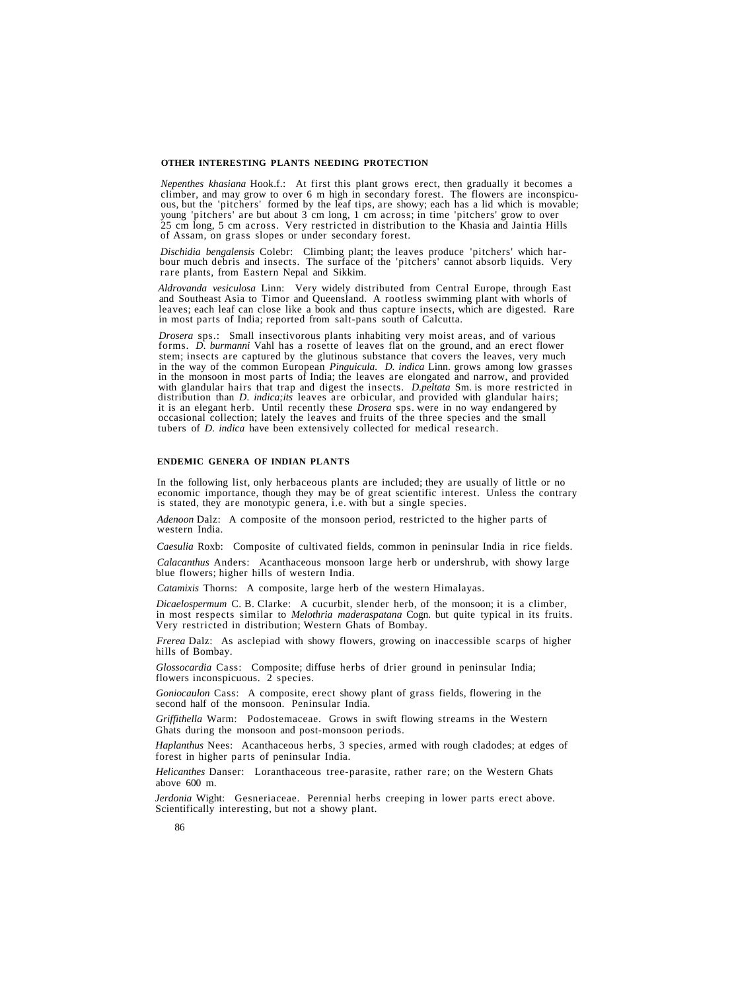# **OTHER INTERESTING PLANTS NEEDING PROTECTION**

*Nepenthes khasiana* Hook.f.: At first this plant grows erect, then gradually it becomes a climber, and may grow to over 6 m high in secondary forest. The flowers are inconspicuous, but the 'pitchers' formed by the leaf ti 25 cm long, 5 cm across. Very restricted in distribution to the Khasia and Jaintia Hills of Assam, on grass slopes or under secondary forest.

Dischidia bengalensis Colebr: Climbing plant; the leaves produce 'pitchers' which harbour much debris and insects. The surface of the 'pitchers' cannot absorb liquids. Very rare plants, from Eastern Nepal and Sikkim.

*Aldrovanda vesiculosa* Linn: Very widely distributed from Central Europe, through East and Southeast Asia to Timor and Queensland. A rootless swimming plant with whorls of leaves; each leaf can close like a book and thus capture insects, which are digested. Rare in most parts of India; reported from salt-pans south of Calcutta.

*Drosera* sps.: Small insectivorous plants inhabiting very moist areas, and of various forms. *D. burmanni* Vahl has a rosette of leaves flat on the ground, and an erect flower stem; insects are captured by the glutinous s in the monsoon in most parts of India; the leaves are elongated and narrow, and provided with glandular hairs that trap and digest the insects. *D. peltata* Sm. is more restricted in distribution than *D. indica;its* leaves are orbicular, and provided with glandular hairs; it is an elegant herb. Until recently these *Drosera* sps. were in no way endangered by occasional collection; lately the leaves and fruits of the three species and the small tubers of *D. indica* have been extensively collected for medical research.

## **ENDEMIC GENERA OF INDIAN PLANTS**

In the following list, only herbaceous plants are included; they are usually of little or no economic importance, though they may be of great scientific interest. Unless the contrary is stated, they are monotypic genera, i.e. with but a single species.

*Adenoon* Dalz: A composite of the monsoon period, restricted to the higher parts of western India.

*Caesulia* Roxb: Composite of cultivated fields, common in peninsular India in rice fields.

*Calacanthus* Anders: Acanthaceous monsoon large herb or undershrub, with showy large blue flowers; higher hills of western India.

*Catamixis* Thorns: A composite, large herb of the western Himalayas.

*Dicaelospermum* C. B. Clarke: A cucurbit, slender herb, of the monsoon; it is a climber, in most respects similar to *Melothria maderaspatana* Cogn. but quite typical in its fruits. Very restricted in distribution; Western Ghats of Bombay.

*Frerea* Dalz: As asclepiad with showy flowers, growing on inaccessible scarps of higher hills of Bombay.

*Glossocardia* Cass: Composite; diffuse herbs of drier ground in peninsular India; flowers inconspicuous. 2 species.

*Goniocaulon* Cass: A composite, erect showy plant of grass fields, flowering in the second half of the monsoon. Peninsular India.

*Griffithella* Warm: Podostemaceae. Grows in swift flowing streams in the Western Ghats during the monsoon and post-monsoon periods.

*Haplanthus* Nees: Acanthaceous herbs, 3 species, armed with rough cladodes; at edges of forest in higher parts of peninsular India.

*Helicanthes* Danser: Loranthaceous tree-parasite, rather rare; on the Western Ghats above 600 m.

*Jerdonia* Wight: Gesneriaceae. Perennial herbs creeping in lower parts erect above. Scientifically interesting, but not a showy plant.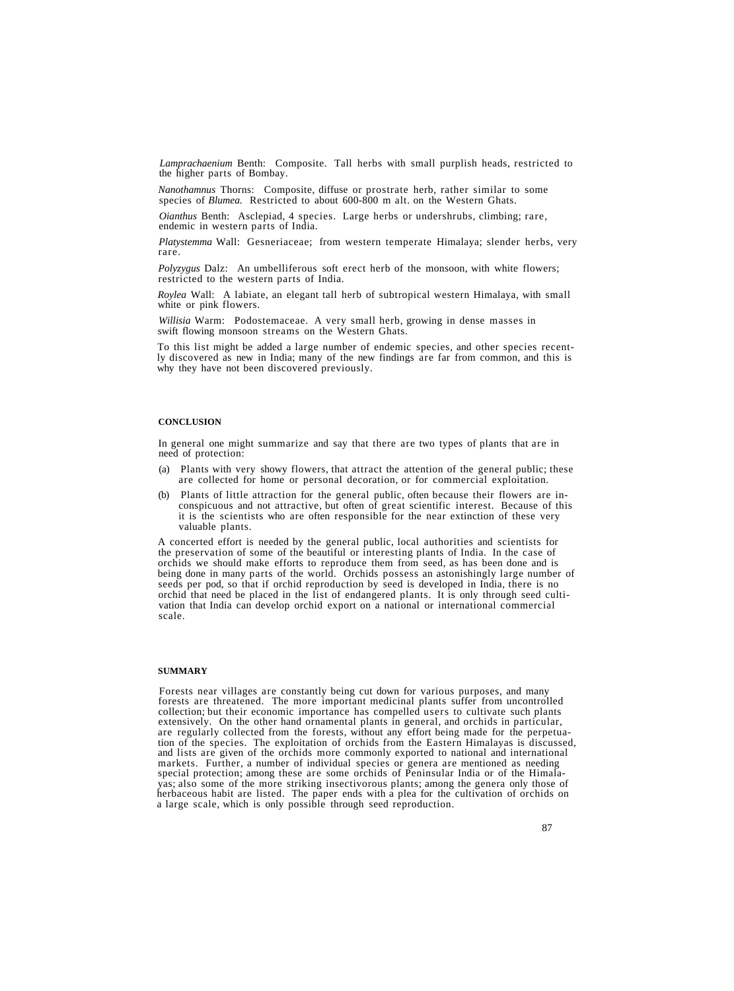*Lamprachaenium* Benth: Composite. Tall herbs with small purplish heads, restricted to the higher parts of Bombay.

*Nanothamnus* Thorns: Composite, diffuse or prostrate herb, rather similar to some species of *Blumea.* Restricted to about 600-800 m alt. on the Western Ghats.

*Oianthus* Benth: Asclepiad, 4 species. Large herbs or undershrubs, climbing; rare, endemic in western parts of India.

*Platystemma* Wall: Gesneriaceae; from western temperate Himalaya; slender herbs, very rare.

*Polyzygus* Dalz: An umbelliferous soft erect herb of the monsoon, with white flowers; restricted to the western parts of India.

*Roylea* Wall: A labiate, an elegant tall herb of subtropical western Himalaya, with small white or pink flowers.

*Willisia* Warm: Podostemaceae. A very small herb, growing in dense masses in swift flowing monsoon streams on the Western Ghats.

To this list might be added a large number of endemic species, and other species recent- ly discovered as new in India; many of the new findings are far from common, and this is why they have not been discovered previously.

## **CONCLUSION**

In general one might summarize and say that there are two types of plants that are in need of protection:

- (a) Plants with very showy flowers, that attract the attention of the general public; these are collected for home or personal decoration, or for commercial exploitation.
- (b) Plants of little attraction for the general public, often because their flowers are inconspicuous and not attractive, but often of great scientific interest. Because of this it is the scientists who are often responsible for the near extinction of these very valuable plants.

A concerted effort is needed by the general public, local authorities and scientists for the preservation of some of the beautiful or interesting plants of India. In the case of orchids we should make efforts to reproduce them from seed, as has been done and is being done in many parts of the world. Orchids possess an astonishingly large number of seeds per pod, so that if orchid reproduction by seed is developed in India, there is no orchid that need be placed in the list of endangered plants. It is only through seed cultivation that India can develop orchid export on a national or international commercial scale.

### **SUMMARY**

Forests near villages are constantly being cut down for various purposes, and many forests are threatened. The more important medicinal plants suffer from uncontrolled collection; but their economic importance has compelled users to cultivate such plants<br>extensively. On the other hand ornamental plants in general, and orchids in particular,<br>are regularly collected from the forests, witho markets. Further, a number of individual species or genera are mentioned as needing special protection; among these are some orchids of Peninsular India or of the Himala-<br>yas; also some of the more striking insectivorous plants; among the genera only those of herbaceous habit are listed. The paper ends with a plea for the cultivation of orchids on a large scale, which is only possible through seed reproduction.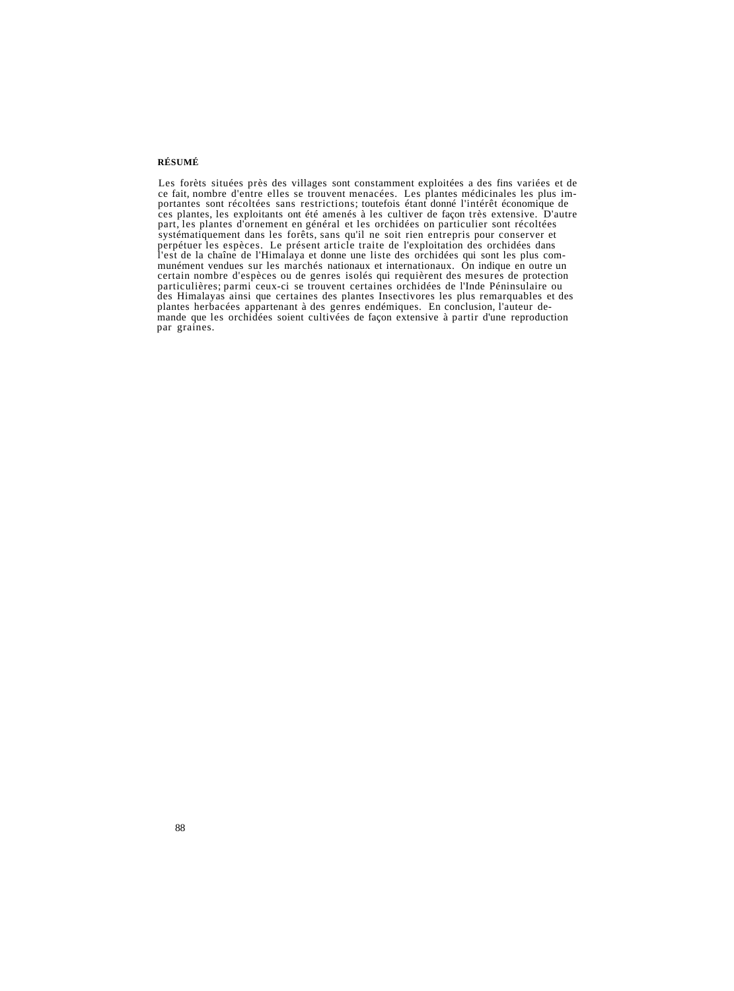# **RÉSUMÉ**

Les forèts situées près des villages sont constamment exploitées a des fins variées et de<br>ce fait, nombre d'entre elles se trouvent menacées. Les plantes médicinales les plus im-<br>portantes sont récoltées sans restrictions; l'est de la chaîne de l'Himalaya et donne une liste des orchidées qui sont les plus com-<br>munément vendues sur les marchés nationaux et internationaux. On indique en outre un<br>certain nombre d'espèces ou de genres isolés qui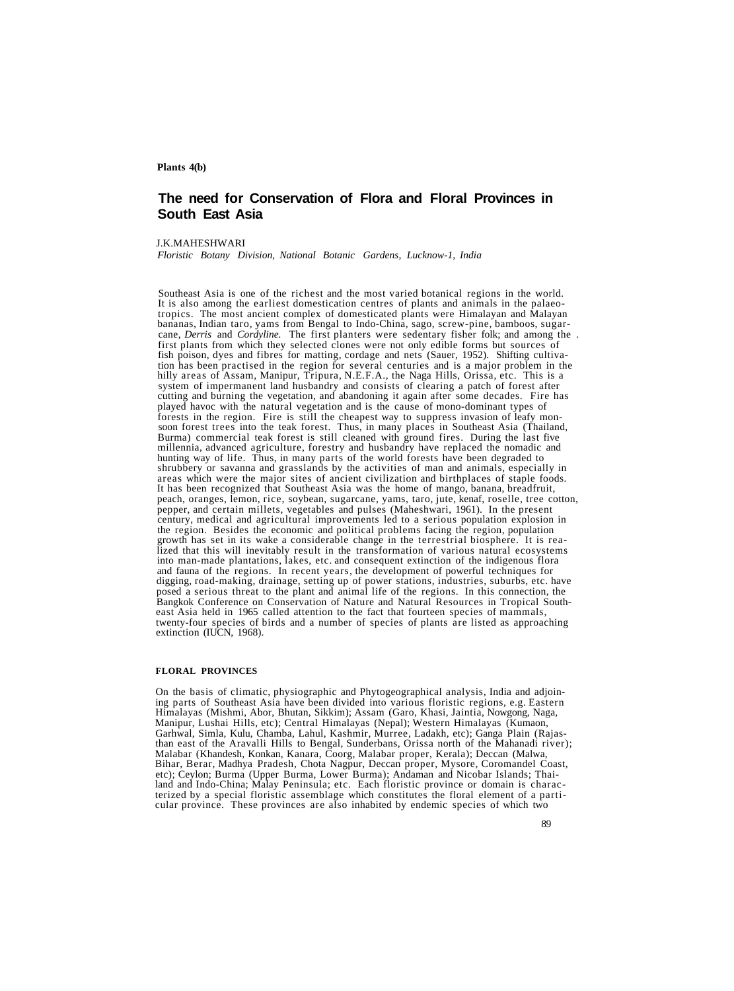### **Plants 4(b)**

# **The need for Conservation of Flora and Floral Provinces in South East Asia**

### J.K.MAHESHWARI

*Floristic Botany Division, National Botanic Gardens, Lucknow-1, India*

Southeast Asia is one of the richest and the most varied botanical regions in the world. It is also among the earliest domestication centres of plants and animals in the palaeotropics. The most ancient complex of domestica tion has been practised in the region for several centuries and is a major problem in the hilly areas of Assam, Manipur, Tripura, N.E.F.A., the Naga Hills, Orissa, etc. This is a system of impermanent land husbandry and co forests in the region. Fire is still the cheapest way to suppress invasion of leafy monsoon forest trees into the teak forest. Thus, in many places in Southeast Asia (Thailand, Burma) commercial teak forest is still cleane hunting way of life. Thus, in many parts of the world forests have been degraded to<br>shrubbery or savanna and grasslands by the activities of man and animals, especially in<br>areas which were the major sites of ancient civili century, medical and agricultural improvements led to a serious population explosion in<br>the region. Besides the economic and political problems facing the region, population<br>growth has set in its wake a considerable change extinction (IUCN, 1968).

### **FLORAL PROVINCES**

On the basis of climatic, physiographic and Phytogeographical analysis, India and adjoin-<br>ing parts of Southeast Asia have been divided into various floristic regions, e.g. Eastern<br>Himalayas (Mishmi, Abor, Bhutan, Sikkim); Bihar, Berar, Madhya Pradesh, Chota Nagpur, Deccan proper, Mysore, Coromandel Coast, etc); Ceylon; Burma (Upper Burma, Lower Burma); Andaman and Nicobar Islands; Thailand and Indo-China; Malay Peninsula; etc. Each floristi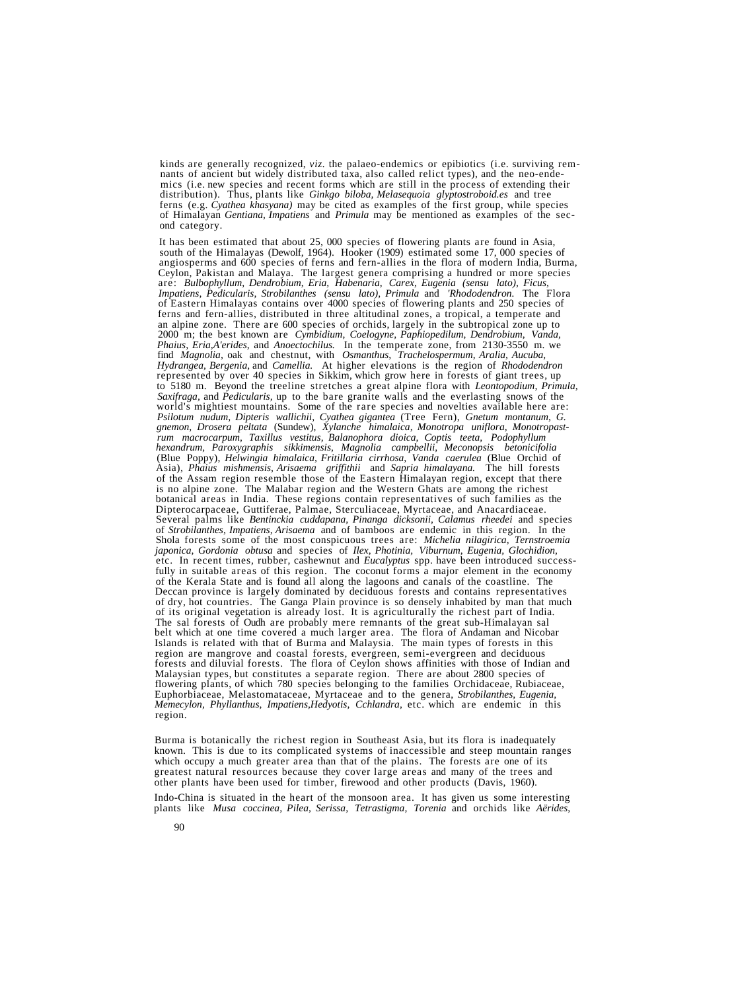kinds are generally recognized, viz. the palaeo-endemics or epibiotics (i.e. surviving rem-<br>nants of ancient but widely distributed taxa, also called relict types), and the neo-ende-<br>mics (i.e. new species and recent forms

It has been estimated that about 25, 000 species of flowering plants are found in Asia, south of the Himalayas (Dewolf, 1964). Hooker (1909) estimated some 17, 000 species of angiosperms and 600 species of ferns and fern-a Ceylon, Pakistan and Malaya. The largest genera comprising a hundred or more species<br>are: Bulbophyllum, Dendrobium, Eria, Habenaria, Carex, Eugenia (sensu lato), Ficus,<br>Impatiens, Pedicularis, Strobilanthes (sensu lato), P *Impather 6 Fastern Himalayas contains over 4000 species of flowering plants and 250 species of ferns and fern-allies, distributed in three altitudinal zones, a tropical, a temperate and* an alpine zone. There are 600 species of orchids, largely in the subtropical zone up to 2000 m; the best known are *Cymbidium, Coelogyne, Paphiopedilum, Dendrobium, Vanda, Phaius, Eria,A'erides,* and *Anoectochilus*. In th *Phaius, Eria,A'erides,* and *Anoectochilus.* In the temperate zone, from 2130-3550 m. we find *Magnolia,* oak and chestnut, with *Osmanthus, Trachelospermum, Aralia, Aucuba, Hydrangea, Bergenia,* and *Camellia.* At higher elevations is the region of *Rhododendron* represented by over 40 species in Sikkim, which grow here in forests of giant trees, up to 5180 m. Beyond the treeline stretches a great alpine flora with *Leontopodium, Primula,* world's mightiest mountains. Some of the rare species and novelties available here are:<br>Psilotum nudum, Dipteris wallichii, Cyathea gigantea (Tree Fern), Gnetum montanum, G.<br>gnemon, Drosera peltata (Sundew), Xylanche himal *hexandrum, Paroxygraphis sikkimensis*, *Magnolia campbellii, Meconopsis betonicifolia* (Blue Poppy), *Helwingia himalaica, Fritillaria cirrhosa, Vanda caerulea* (Blue Orchid of Antarcture and Sapria himalayan experimental Contains of the bill forests<br>of the Assam region resemble those of the Eastern Himalayan region, except that there<br>is no alpine zone. The Malabar region and the Western Ghats ar Dipterocarpaceae, Guttiferae, Palmae, Sterculiaceae, Myrtaceae, and Anacardiaceae.<br>Several palms like *Bentinckia cuddapana*, *Pinanga dicksonii*, *Calamus rheedei* and species<br>of *Strobilanthes, Impatiens, Arisaema* and o *japonica, Gordonia obtusa* and species of *Ilex, Photinia, Viburnum, Eugenia, Glochidion,* fully in suitable areas of this region. The coconut forms a major element in the economy<br>of the Kerala State and is found all along the lagoons and canals of the coastline. The<br>Deccan province is largely dominated by decid belt which at one time covered a much larger area. The flora of Andaman and Nicobar<br>Islands is related with that of Burma and Malaysia. The main types of forests in this<br>region are mangrove and coastal forests, evergreen, Malaysian types, but constitutes a separate region. There are about 2800 species of flowering plants, of which 780 species belonging to the families Orchidaceae, Rubiaceae, flowering plants, of which 780 species belonging to the families Orchidaceae, Rubiaceae, Euphorbiaceae, Melastomataceae, Myrtaceae and to the genera, *Strobilanthes, Eugenia, Memecylon, Phyllanthus, Impatiens,Hedyotis, Cchlandra,* etc. which are endemic in this region.

Burma is botanically the richest region in Southeast Asia, but its flora is inadequately known. This is due to its complicated systems of inaccessible and steep mountain ranges which occupy a much greater area than that of the plains. The forests are one of its greatest natural resources because they cover large areas and many of the trees and other plants have been used for timber, firewood and other products (Davis, 1960).

Indo-China is situated in the heart of the monsoon area. It has given us some interesting plants like *Musa coccinea, Pilea, Serissa, Tetrastigma, Torenia* and orchids like *Aërides,*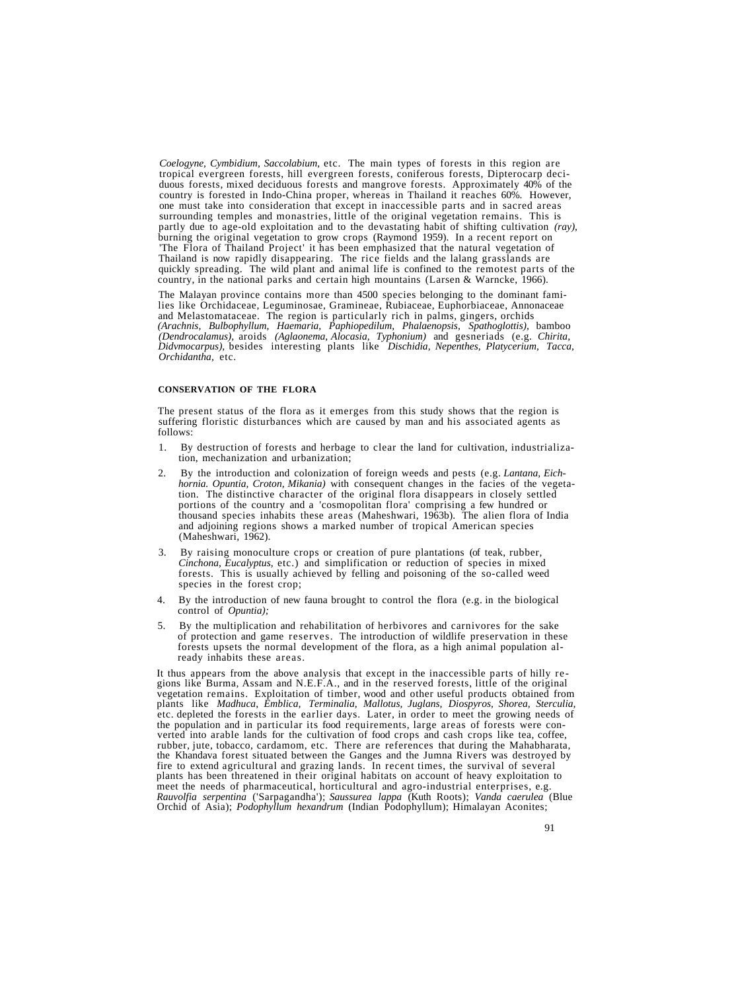*Coelogyne, Cymbidium, Saccolabium,* etc. The main types of forests in this region are tropical evergreen forests, hill evergreen forests, coniferous forests, Dipterocarp deciduous forests, mixed deciduous forests and mangrove forests. Approximately 40% of the country is forested in Indo-China proper, whereas in Thailand it reaches 60%. However, one must take into consideration that except in inaccessible parts and in sacred areas surrounding temples and monastries, little of the original vegetation remains. This is partly due to age-old exploitation and to the devastating habit of shifting cultivation *(ray),* burning the original vegetation to grow crops (Raymond 1959). In a recent report on 'The Flora of Thailand Project' it has been emphasized that the natural vegetation of Thailand is now rapidly disappearing. The rice fields and the lalang grasslands are quickly spreading. The wild plant and animal life is confined to the remotest parts of the country, in the national parks and certain high mountains (Larsen & Warncke, 1966).

The Malayan province contains more than 4500 species belonging to the dominant fami-<br>lies like Orchidaceae, Leguminosae, Gramineae, Rubiaceae, Euphorbiaceae, Annonaceae<br>and Melastomataceae. The region is particularly rich *Didvmocarpus),* besides interesting plants like *Dischidia, Nepenthes, Platycerium, Tacca, Orchidantha,* etc.

### **CONSERVATION OF THE FLORA**

The present status of the flora as it emerges from this study shows that the region is suffering floristic disturbances which are caused by man and his associated agents as follows:

- 1. By destruction of forests and herbage to clear the land for cultivation, industrializa- tion, mechanization and urbanization;
- 2. By the introduction and colonization of foreign weeds and pests (e.g. *Lantana, Eichhornia. Opuntia, Croton, Mikania)* with consequent changes in the facies of the vegetation. The distinctive character of the original flora disappears in closely settled portions of the country and a 'cosmopolitan flora' comprising a few hundred or thousand species inhabits these areas (Maheshwari, 1963b). The alien flora of India and adjoining regions shows a marked number of tropical American species (Maheshwari, 1962).
- 3. By raising monoculture crops or creation of pure plantations (of teak, rubber, *Cinchona, Eucalyptus,* etc.) and simplification or reduction of species in mixed forests. This is usually achieved by felling and poisoning of the so-called weed species in the forest crop;
- 4. By the introduction of new fauna brought to control the flora (e.g. in the biological control of *Opuntia);*
- 5. By the multiplication and rehabilitation of herbivores and carnivores for the sake of protection and game reserves. The introduction of wildlife preservation in these forests upsets the normal development of the flora, as a high animal population already inhabits these areas.

It thus appears from the above analysis that except in the inaccessible parts of hilly regions like Burma, Assam and N.E.F.A., and in the reserved forests, little of the original vegetation remains. Exploitation of timber, plants like Madhuca, Emblica, Terminalia, Mallotus, Juglans, Diospyros, Shorea, Sterculia, etc. depleted the forests in the earlier days. Later, in order to meet the growing needs of the population and in particular its food requirements, large areas of forests were converted into arable lands for the cultivation of food crops and cash crops like tea, coffee, rubber, jute, tobacco, cardamom, etc. There are references that during the Mahabharata, the Khandava forest situated between the G fire to extend agricultural and grazing lands. In recent times, the survival of several plants has been threatened in their original habitats on account of heavy exploitation to meet the needs of pharmaceutical, horticultural and agro-industrial enterprises, e.g.<br>Rauvolfia serpentina ('Sarpagandha'); Saussurea lappa (Kuth Roots); Vanda caerulea (Blue<br>Orchid of Asia); Podophyllum hexandrum (Indian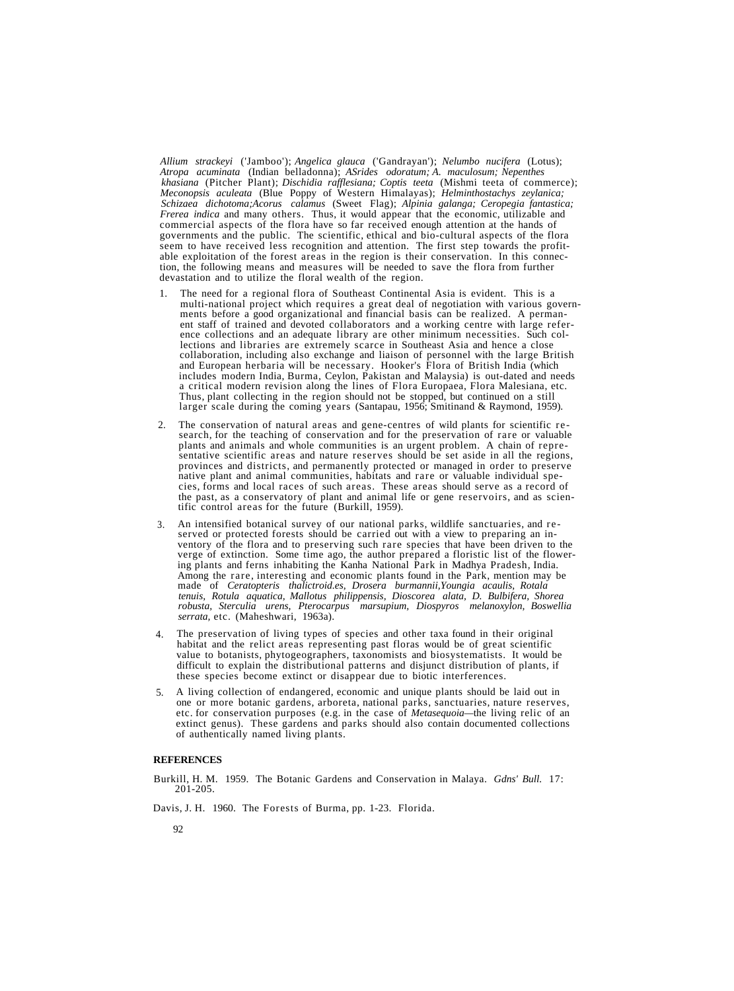*Allium strackeyi* ('Jamboo'); *Angelica glauca* ('Gandrayan'); *Nelumbo nucifera* (Lotus); *Atropa acuminata* (Indian belladonna); *ASrides odoratum; A. maculosum; Nepenthes khasiana* (Pitcher Plant); *Dischidia rafflesiana; Coptis teeta* (Mishmi teeta of commerce); *Meconopsis aculeata* (Blue Poppy of Western Himalayas); *Helminthostachys zeylanica; Schizaea dichotoma;Acorus calamus* (Sweet Flag); *Alpinia galanga; Ceropegia fantastica; Frerea indica* and many others. Thus, it would appear that the economic, utilizable and commercial aspects of the flora have so far received enough attention at the hands of governments and the public. The scientific, ethical and bio-cultural aspects of the flora seem to have received less recognition and attention. The first step towards the profitable exploitation of the forest areas in the region is their conservation. In this connection, the following means and measures will be needed to save the flora from further devastation and to utilize the floral wealth of the region.

- 1. The need for a regional flora of Southeast Continental Asia is evident. This is a<br>multi-national project which requires a great deal of negotiation with various govern-<br>ments before a good organizational and financial basi a critical modern revision along the lines of Flora Europaea, Flora Malesiana, etc.<br>Thus, plant collecting in the region should not be stopped, but continued on a still larger scale during the coming years (Santapau, 1956; Smitinand & Raymond, 1959).
- 2. The conservation of natural areas and gene-centres of wild plants for scientific re-<br>search, for the teaching of conservation and for the preservation of rare or valuable<br>plants and animals and whole communities is an urge the past, as a conservatory of plant and animal life or gene reservoirs, and as scien- tific control areas for the future (Burkill, 1959).
- 3. An intensified botanical survey of our national parks, wildlife sanctuaries, and reserved or protected forests should be carried out with a view to preparing an inventory of the flora and to preserving such rare species that have been driven to the verge of extinction. Some time ago, the author prepared *tenuis, Rotula aquatica, Mallotus philippensis, Dioscorea alata, D. Bulbifera, Shorea robusta, Sterculia urens, Pterocarpus marsupium, Diospyros melanoxylon, Boswellia serrata,* etc. (Maheshwari, 1963a).
- 4. The preservation of living types of species and other taxa found in their original habitat and the relict areas representing past floras would be of great scientific value to botanists, phytogeographers, taxonomists and biosystematists. It would be difficult to explain the distributional patterns and disjunct distribution of plants, if these species become extinct or disappear due to biotic interferences.
- 5. A living collection of endangered, economic and unique plants should be laid out in one or more botanic gardens, arboreta, national parks, sanctuaries, nature reserves, etc. for conservation purposes (e.g. in the case of *Metasequoia—*the living relic of an extinct genus). These gardens and parks should also contain documented collections of authentically named living plants.

## **REFERENCES**

Burkill, H. M. 1959. The Botanic Gardens and Conservation in Malaya. *Gdns' Bull.* 17: 201-205.

Davis, J. H. 1960. The Forests of Burma, pp. 1-23. Florida.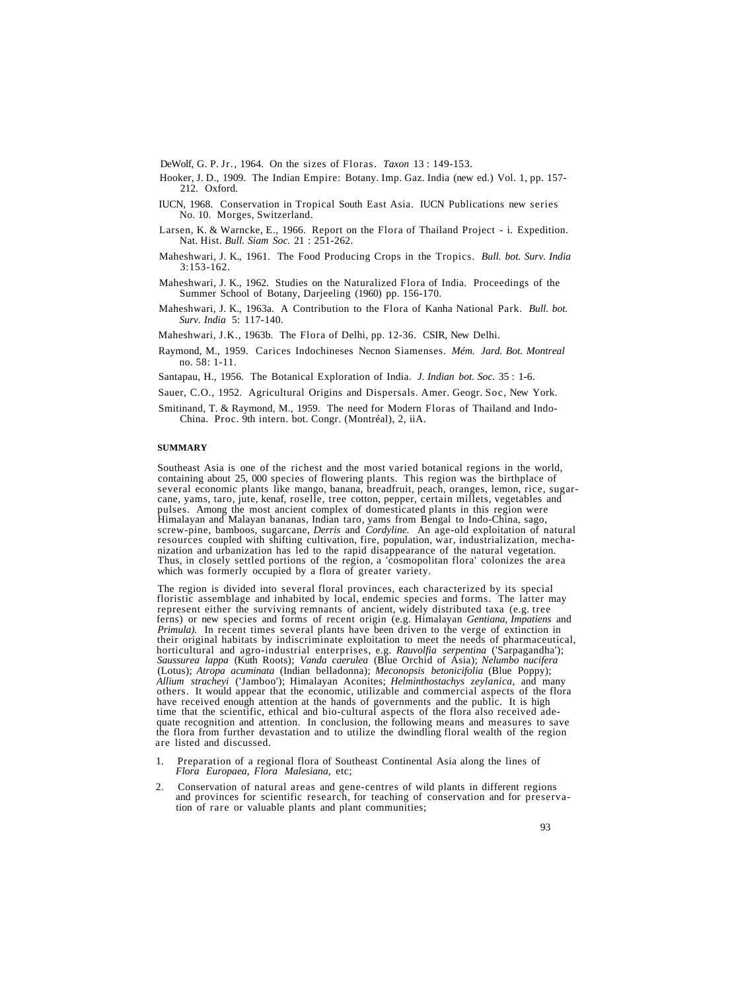DeWolf, G. P. Jr., 1964. On the sizes of Floras. *Taxon* 13 : 149-153.

- Hooker, J. D., 1909. The Indian Empire: Botany. Imp. Gaz. India (new ed.) Vol. 1, pp. 157- 212. Oxford.
- IUCN, 1968. Conservation in Tropical South East Asia. IUCN Publications new series No. 10. Morges, Switzerland.
- Larsen, K. & Warncke, E., 1966. Report on the Flora of Thailand Project i. Expedition. Nat. Hist. *Bull. Siam Soc.* 21 : 251-262.
- Maheshwari, J. K., 1961. The Food Producing Crops in the Tropics. *Bull. bot. Surv. India* 3:153-162.
- Maheshwari, J. K., 1962. Studies on the Naturalized Flora of India. Proceedings of the Summer School of Botany, Darjeeling (1960) pp. 156-170.
- Maheshwari, J. K., 1963a. A Contribution to the Flora of Kanha National Park. *Bull. bot. Surv. India* 5: 117-140.
- Maheshwari, J.K., 1963b. The Flora of Delhi, pp. 12-36. CSIR, New Delhi.
- Raymond, M., 1959. Carices Indochineses Necnon Siamenses. *Mém. Jard. Bot. Montreal* no. 58: 1-11.
- Santapau, H., 1956. The Botanical Exploration of India. *J. Indian bot. Soc.* 35 : 1-6.
- Sauer, C.O., 1952. Agricultural Origins and Dispersals. Amer. Geogr. Soc, New York.
- Smitinand, T. & Raymond, M., 1959. The need for Modern Floras of Thailand and Indo-China. Proc. 9th intern. bot. Congr. (Montréal), 2, iiA.

## **SUMMARY**

Southeast Asia is one of the richest and the most varied botanical regions in the world, containing about 25, 000 species of flowering plants. This region was the birthplace of several economic plants like mango, banana, b Himalayan and Malayan bananas, Indian taro, yams from Bengal to Indo-China, sago, screw-pine, bamboos, sugarcane, *Derris* and *Cordyline*. An age-old exploitation of natural resources coupled with shifting cultivation, fi

The region is divided into several floral provinces, each characterized by its special floristic assemblage and inhabited by local, endemic species and forms. The latter may represent either the surviving remnants of ancient, widely distributed taxa (e.g. tree ferns) or new species and forms of recent origin (e.g. Himalayan *Gentiana, Impatiens* and *Primula*). In recent times several plants have been driven to the verge of extinction in their original habitats by indiscriminate exploitation to meet the needs of pharmaceutical, horticultural and agro-industrial enterprises, e.g. Rauvolfia serpentina ('Sarpagandha'); *Saussurea lappa* (Kuth Roots); *Vanda caerulea* (Blue Orchid of Asia); *Nelumbo nucifera* (Lotus); *Atropa acuminata* (Indian belladonna); *Meconopsis betonicifolia* (Blue Poppy); *Allium stracheyi* ('Jamboo'); Himalayan Aconites; *Helminthostachys zeylanica,* and many have received enough attention at the hands of governments and the public. It is high time that the scientific, ethical and bio-cultural aspects of the flora also received adequate recognition and attention. In conclusion, the following means and measures to save the flora from further devastation and to utilize the dwindling floral wealth of the region are listed and discussed.

- 1. Preparation of a regional flora of Southeast Continental Asia along the lines of *Flora Europaea, Flora Malesiana,* etc;
- 2. Conservation of natural areas and gene-centres of wild plants in different regions and provinces for scientific research, for teaching of conservation and for preservation of rare or valuable plants and plant communitie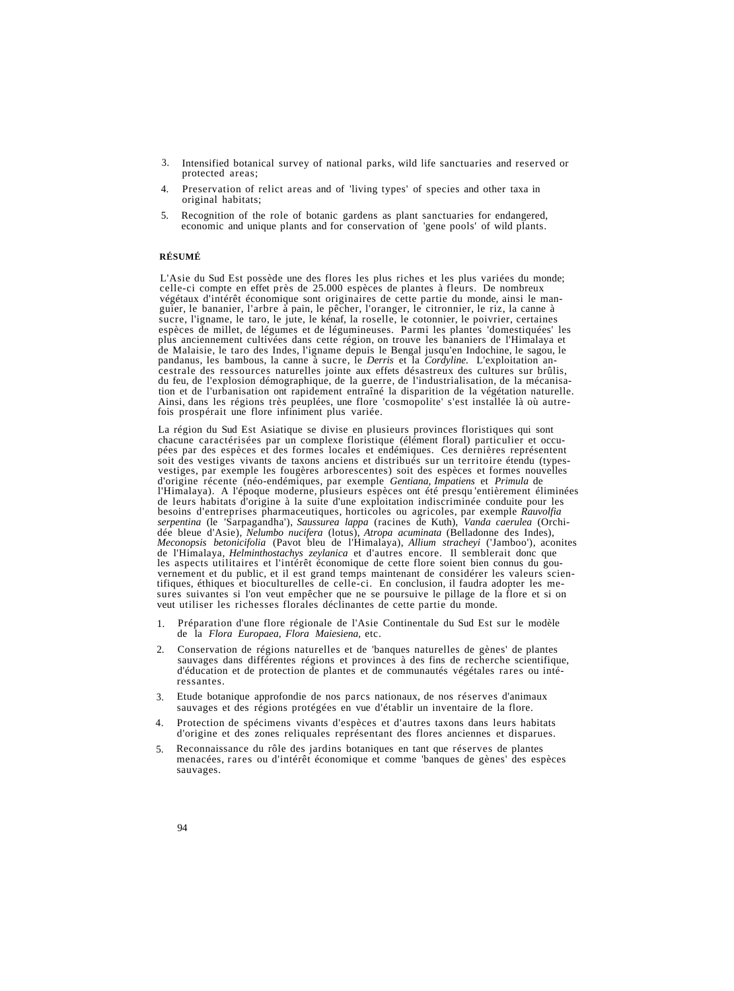- 3. Intensified botanical survey of national parks, wild life sanctuaries and reserved or protected areas;
- 4. Preservation of relict areas and of 'living types' of species and other taxa in original habitats;
- 5. Recognition of the role of botanic gardens as plant sanctuaries for endangered, economic and unique plants and for conservation of 'gene pools' of wild plants.

# **RÉSUMÉ**

L'Asie du Sud Est possède une des flores les plus riches et les plus variées du monde;<br>celle-ci compte en effet près de 25.000 espèces de plantes à fleurs. De nombreux végétaux d'intérêt économique sont originaires de cette partie du monde, ainsi le manguier, le bananier, l'arbre à pain, le pêcher, l'oranger, le citronnier, le riz, la canne à sucre, l'igname, le taro, le jute, le kénaf, pandanus, les bambous, la canne à sucre, le *Derris* et la *Cordyline*. L'exploitation ancestrale des ressources naturelles jointe aux effets désastreux des cultures sur brûlis, du feu, de l'explosion démographique, de la

La région du Sud Est Asiatique se divise en plusieurs provinces floristiques qui sont pées par des espèces et des formes locales et endémiques. Ces dernières représentent soit des vestiges vivants de taxons anciens et distribués sur un territoire étendu (types-<br>vestiges, par exemple les fougères arborescentes) soit des espèces et formes nouvelles<br>d'origine récente (néo-endémiques, par exemp dée bleue d'Asie), *Nelumbo nucifera* (lotus), *Atropa acuminata* (Belladonne des Indes), *Meconopsis betonicifolia* (Pavot bleu de l'Himalaya), *Allium stracheyi* ('Jamboo'), aconites de l'Himalaya, *Helminthostachys zeyl* 

- 1. Préparation d'une flore régionale de l'Asie Continentale du Sud Est sur le modèle de la *Flora Europaea, Flora Maiesiena,* etc.
- 2. Conservation de régions naturelles et de 'banques naturelles de gènes' de plantes sauvages dans différentes régions et provinces à des fins de recherche scientifique, d'éducation et de protection de plantes et de communautés végétales rares ou intéressantes.
- 3. Etude botanique approfondie de nos parcs nationaux, de nos réserves d'animaux sauvages et des régions protégées en vue d'établir un inventaire de la flore.
- 4. Protection de spécimens vivants d'espèces et d'autres taxons dans leurs habitats d'origine et des zones reliquales représentant des flores anciennes et disparues.
- 5. Reconnaissance du rôle des jardins botaniques en tant que réserves de plantes menacées, rares ou d'intérêt économique et comme 'banques de gènes' des espèces sauvages.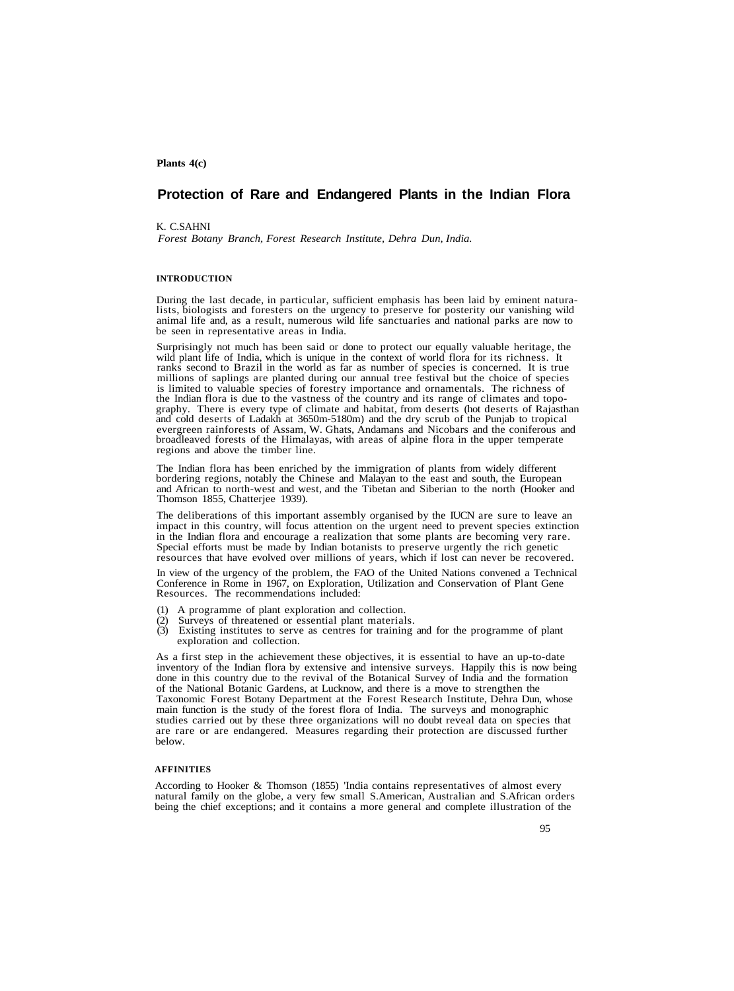# **Plants 4(c)**

# **Protection of Rare and Endangered Plants in the Indian Flora**

K. C.SAHNI *Forest Botany Branch, Forest Research Institute, Dehra Dun, India.*

### **INTRODUCTION**

During the last decade, in particular, sufficient emphasis has been laid by eminent natura- lists, biologists and foresters on the urgency to preserve for posterity our vanishing wild animal life and, as a result, numerous wild life sanctuaries and national parks are now to be seen in representative areas in India.

Surprisingly not much has been said or done to protect our equally valuable heritage, the wild plant life of India, which is unique in the context of world flora for its richness. It ranks second to Brazil in the world as far as number of species is concerned. It is true millions of saplings are planted during our annual tree festival but the choice of species is limited to valuable species of forestry graphy. There is every type of climate and habitat, from deserts (hot deserts of Rajasthan and cold deserts of Ladakh at 3650m-5180m) and the dry scrub of the Punjab to tropical evergreen rainforests of Assam, W. Ghats, Andamans and Nicobars and the coniferous and broadleaved forests of the Himalayas, with areas of alpine flora in the upper temperate regions and above the timber line.

The Indian flora has been enriched by the immigration of plants from widely different and African to north-west and west, and the Tibetan and Siberian to the north (Hooker and Thomson 1855, Chatterjee 1939).

The deliberations of this important assembly organised by the IUCN are sure to leave an impact in this country, will focus attention on the urgent need to prevent species extinction in the Indian flora and encourage a realization that some plants are becoming very rare. Special efforts must be made by Indian botanists to preserve urgently the rich genetic resources that have evolved over millions of years, which if lost can never be recovered.

In view of the urgency of the problem, the FAO of the United Nations convened a Technical Conference in Rome in 1967, on Exploration, Utilization and Conservation of Plant Gene Resources. The recommendations included:

- 
- 
- (1) A programme of plant exploration and collection. (2) Surveys of threatened or essential plant materials. (3) Existing institutes to serve as centres for training and for the programme of plant exploration and collection.

As a first step in the achievement these objectives, it is essential to have an up-to-date inventory of the Indian flora by extensive and intensive surveys. Happily this is now being done in this country due to the revival of the Botanical Survey of India and the formation of the National Botanic Gardens, at Lucknow, and there is a move to strengthen the Taxonomic Forest Botany Department at the Forest Research Institute, Dehra Dun, whose main function is the study of the forest flora of India. The surveys and monographic studies carried out by these three organizations will no doubt reveal data on species that are rare or are endangered. Measures regarding their protection are discussed further below.

## **AFFINITIES**

According to Hooker & Thomson (1855) 'India contains representatives of almost every natural family on the globe, a very few small S.American, Australian and S.African orders being the chief exceptions; and it contains a more general and complete illustration of the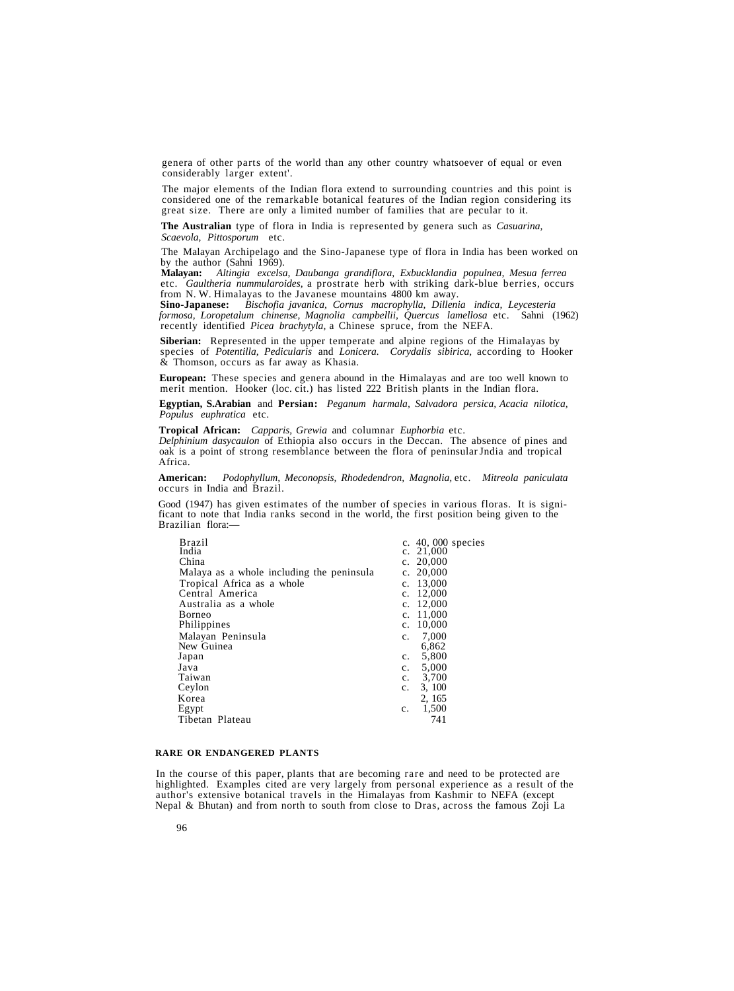genera of other parts of the world than any other country whatsoever of equal or even considerably larger extent'.

The major elements of the Indian flora extend to surrounding countries and this point is considered one of the remarkable botanical features of the Indian region considering its great size. There are only a limited number of families that are pecular to it.

**The Australian** type of flora in India is represented by genera such as *Casuarina, Scaevola, Pittosporum* etc.

The Malayan Archipelago and the Sino-Japanese type of flora in India has been worked on<br>by the author (Sahni 1969).<br>**Malayan:** Altingia excelsa. Daubanga grandiflora. Exbucklandia populnea. Mesua ferrea

**Malayan:** *Altingia excelsa, Daubanga grandiflora, Exbucklandia populnea, Mesua ferrea* etc. Gaultheria nummularoides, a prostrate herb with striking dark-blue berries, occurs from N.W. Himalayas to the Javanese mountains 4800 km away.<br>Sino-Japanese: Bischofia javanica, Cornus macrophylla, Dillenia indica, Le

*formosa, Loropetalum chinense, Magnolia campbellii, Quercus lamellosa* etc. Sahni (1962) recently identified *Picea brachytyla,* a Chinese spruce, from the NEFA.

**Siberian:** Represented in the upper temperate and alpine regions of the Himalayas by species of *Potentilla, Pedicularis* and *Lonicera. Corydalis sibirica,* according to Hooker & Thomson, occurs as far away as Khasia.

**European:** These species and genera abound in the Himalayas and are too well known to merit mention. Hooker (loc. cit.) has listed 222 British plants in the Indian flora.

**Egyptian, S.Arabian** and **Persian:** *Peganum harmala, Salvadora persica, Acacia nilotica, Populus euphratica* etc.

**Tropical African:** *Capparis, Grewia* and columnar *Euphorbia* etc.

*Delphinium dasycaulon* of Ethiopia also occurs in the Deccan. The absence of pines and oak is a point of strong resemblance between the flora of peninsular Jndia and tropical Africa.

**American:** *Podophyllum, Meconopsis, Rhodedendron, Magnolia,* etc. *Mitreola paniculata* occurs in India and Brazil.

Good (1947) has given estimates of the number of species in various floras. It is significant to note that India ranks second in the world, the first position being given to the Brazilian flora:—

| Brazil                                    | c. 40, 000 species       |
|-------------------------------------------|--------------------------|
| India                                     | 21,000<br>c.             |
| China                                     | c. $20,000$              |
| Malaya as a whole including the peninsula | c. $20,000$              |
| Tropical Africa as a whole                | 13,000<br>$\mathbf{c}$ . |
| Central America                           | 12,000<br>$\mathbf{c}$ . |
| Australia as a whole                      | 12,000<br>c.             |
| <b>Borneo</b>                             | 11,000<br>c.             |
| Philippines                               | 10,000<br>$\mathbf{c}$ . |
| Malayan Peninsula                         | 7,000<br>c.              |
| New Guinea                                | 6,862                    |
| Japan                                     | 5,800<br>$\mathbf{c}$ .  |
| Java                                      | 5,000<br>$c_{\rm}$ .     |
| Taiwan                                    | c. $3,700$               |
| Ceylon                                    | 3, 100<br>$c_{\cdot}$    |
| Korea                                     | 2, 165                   |
| Egypt                                     | 1,500<br>c.              |
| Tibetan Plateau                           | 741                      |
|                                           |                          |

## **RARE OR ENDANGERED PLANTS**

In the course of this paper, plants that are becoming rare and need to be protected are highlighted. Examples cited are very largely from personal experience as a result of the author's extensive botanical travels in the Himalayas from Kashmir to NEFA (except Nepal & Bhutan) and from north to south from close to Dras, across the famous Zoji La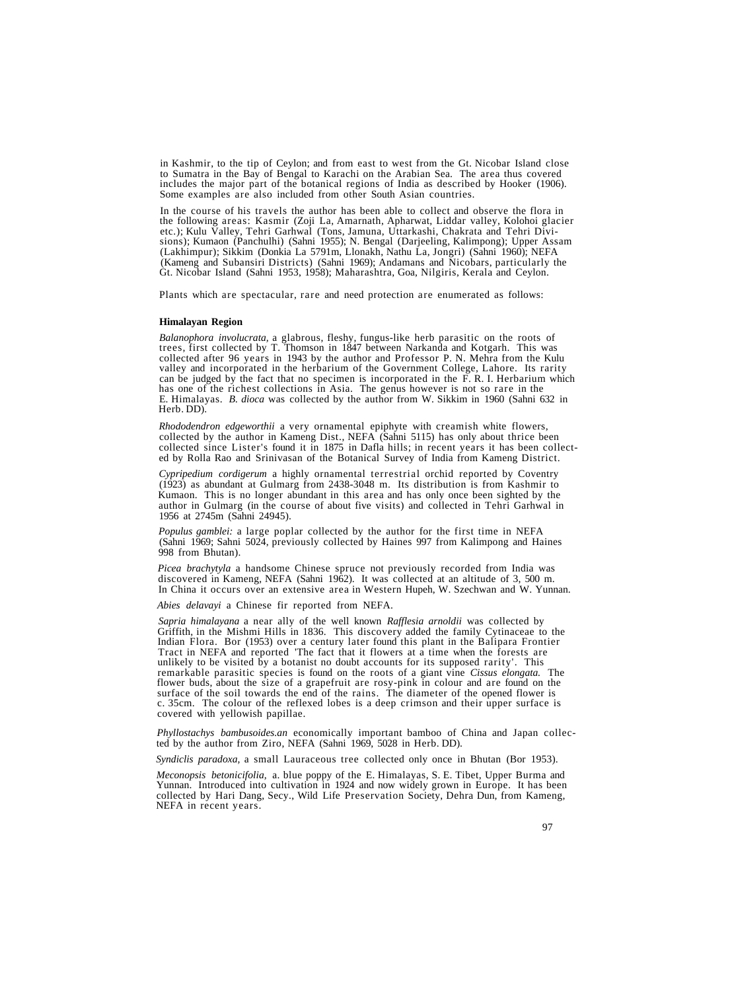in Kashmir, to the tip of Ceylon; and from east to west from the Gt. Nicobar Island close to Sumatra in the Bay of Bengal to Karachi on the Arabian Sea. The area thus covered includes the major part of the botanical regions of India as described by Hooker (1906). Some examples are also included from other South Asian countries.

In the course of his travels the author has been able to collect and observe the flora in<br>the following areas: Kasmir (Zoji La, Amarnath, Apharwat, Liddar valley, Kolohoi glacier<br>etc.); Kulu Valley, Tehri Garhwal (Tons, Ja Gt. Nicobar Island (Sahni 1953, 1958); Maharashtra, Goa, Nilgiris, Kerala and Ceylon.

Plants which are spectacular, rare and need protection are enumerated as follows:

## **Himalayan Region**

*Balanophora involucrata,* a glabrous, fleshy, fungus-like herb parasitic on the roots of collected after 96 years in 1943 by the author and Professor P. N. Mehra from the Kulu<br>valley and incorporated in the herbarium of the Government College, Lahore. Its rarity<br>can be judged by the fact that no specimen is in E. Himalayas. *B. dioca* was collected by the author from W. Sikkim in 1960 (Sahni 632 in Herb. DD).

*Rhododendron edgeworthii* a very ornamental epiphyte with creamish white flowers, collected by the author in Kameng Dist., NEFA (Sahni 5115) has only about thrice been collected since Lister's found it in 1875 in Dafla hills; in recent years it has been collected by Rolla Rao and Srinivasan of the Botanical Survey of India from Kameng District.

*Cypripedium cordigerum* a highly ornamental terrestrial orchid reported by Coventry (1923) as abundant at Gulmarg from 2438-3048 m. Its distribution is from Kashmir to Kumaon. This is no longer abundant in this area and has only once been sighted by the author in Gulmarg (in the course of about five visits) and collected in Tehri Garhwal in 1956 at 2745m (Sahni 24945).

*Populus gamblei:* a large poplar collected by the author for the first time in NEFA (Sahni 1969; Sahni 5024, previously collected by Haines 997 from Kalimpong and Haines 998 from Bhutan).

*Picea brachytyla* a handsome Chinese spruce not previously recorded from India was discovered in Kameng, NEFA (Sahni 1962). It was collected at an altitude of 3, 500 m. In China it occurs over an extensive area in Western

*Abies delavayi* a Chinese fir reported from NEFA.

*Sapria himalayana* a near ally of the well known *Rafflesia arnoldii* was collected by Griffith, in the Mishmi Hills in 1836. This discovery added the family Cytinaceae to the Indian Flora. Bor (1953) over a century later found this plant in the Balipara Frontier Tract in NEFA and reported 'The fact that it

*Phyllostachys bambusoides.an* economically important bamboo of China and Japan collected by the author from Ziro, NEFA (Sahni 1969, 5028 in Herb. DD).

*Syndiclis paradoxa,* a small Lauraceous tree collected only once in Bhutan (Bor 1953).

*Meconopsis betonicifolia,* a. blue poppy of the E. Himalayas, S. E. Tibet, Upper Burma and Yunnan. Introduced into cultivation in 1924 and now widely grown in Europe. It has been collected by Hari Dang, Secy., Wild Life Preservation Society, Dehra Dun, from Kameng, NEFA in recent years.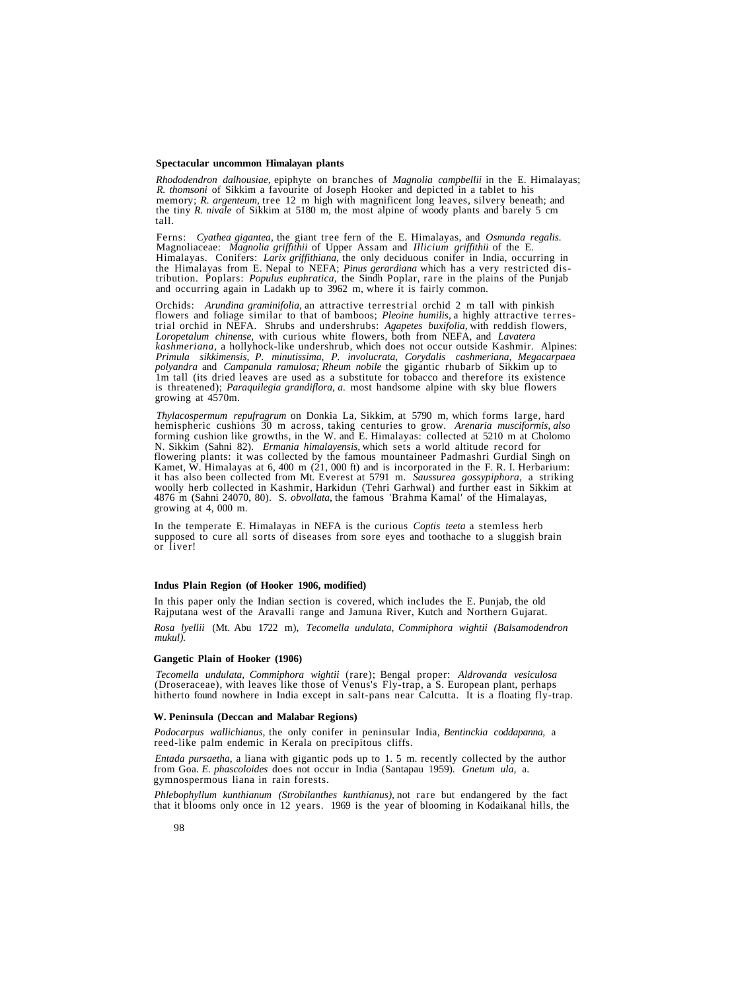### **Spectacular uncommon Himalayan plants**

*Rhododendron dalhousiae,* epiphyte on branches of *Magnolia campbellii* in the E. Himalayas; *R. thomsoni* of Sikkim a favourite of Joseph Hooker and depicted in a tablet to his memory; *R. argenteum,* tree 12 m high with magnificent long leaves, silvery beneath; and the tiny *R. nivale* of Sikkim at 5180 m, the most alpine of woody plants and barely 5 cm tall.

Ferns: *Cyathea gigantea,* the giant tree fern of the E. Himalayas, and *Osmunda regalis.* Himalayas. Conifers: *Larix griffithiana*, the only deciduous conifer in India, occurring in the Himalayas from E. Nepal to NEFA; *Pinus gerardiana* which has a very restricted distribution. Poplars: *Populus euphratica*,

Orchids: *Arundina graminifolia*, an attractive terrestrial orchid 2 m tall with pinkish flowers and foliage similar to that of bamboos; *Pleoine humilis*, a highly attractive terrestrial orchid in NEFA. Shrubs and undershrubs: Agapetes buxifolia, with reddish flowers, Loropetalum chinense, with curious white flowers, both from NEFA, and Lavatera kashmeriana, a hollyhock-like undershrub, which does no *Primula sikkimensis, P. minutissima, P. involucrata, Corydalis cashmeriana, Megacarpaea polyandra and Campanula ramulosa; Rheum nobile the gigantic rhubarb of Sikkim up to* Im tall (its dried leaves are used as a substitute for tobacco and therefore its existence is threatened); *Paraquilegia grandiflora*, *a*. most handsome alpine with sky blue flowers growing at 4570m.

*Thylacospermum repufragrum* on Donkia La, Sikkim, at 5790 m, which forms large, hard hemispheric cushions 30 m across, taking centuries to grow. Arenaria musciformis, also forming cushion like growths, in the W. and E. Himalayas: collected at 5210 m at Cholomo N. Sikkim (Sahni 82). *Ermania himalayensis*, which sets a world altitude record for flowering plants: it was collected by the famous mountaineer Padmashri Gurdial Singh on Kamet, W. Himalayas at 6, 400 m (21, 000 ft) and woolly herb collected in Kashmir, Harkidun (Tehri Garhwal) and further east in Sikkim at 4876 m (Sahni 24070, 80). S. *obvollata,* the famous 'Brahma Kamal' of the Himalayas, growing at 4, 000 m.

In the temperate E. Himalayas in NEFA is the curious *Coptis teeta* a stemless herb supposed to cure all sorts of diseases from sore eyes and toothache to a sluggish brain or liver!

## **Indus Plain Region (of Hooker 1906, modified)**

In this paper only the Indian section is covered, which includes the E. Punjab, the old Rajputana west of the Aravalli range and Jamuna River, Kutch and Northern Gujarat.

*Rosa lyellii* (Mt. Abu 1722 m), *Tecomella undulata, Commiphora wightii (Balsamodendron mukul).*

#### **Gangetic Plain of Hooker (1906)**

*Tecomella undulata, Commiphora wightii* (rare); Bengal proper: *Aldrovanda vesiculosa* hitherto found nowhere in India except in salt-pans near Calcutta. It is a floating fly-trap.

#### **W. Peninsula (Deccan and Malabar Regions)**

*Podocarpus wallichianus,* the only conifer in peninsular India, *Bentinckia coddapanna,* a reed-like palm endemic in Kerala on precipitous cliffs.

*Entada pursaetha,* a liana with gigantic pods up to 1. 5 m. recently collected by the author from Goa. *E. phascoloides* does not occur in India (Santapau 1959). *Gnetum ula,* a. gymnospermous liana in rain forests.

*Phlebophyllum kunthianum (Strobilanthes kunthianus),* not rare but endangered by the fact that it blooms only once in 12 years. 1969 is the year of blooming in Kodaikanal hills, the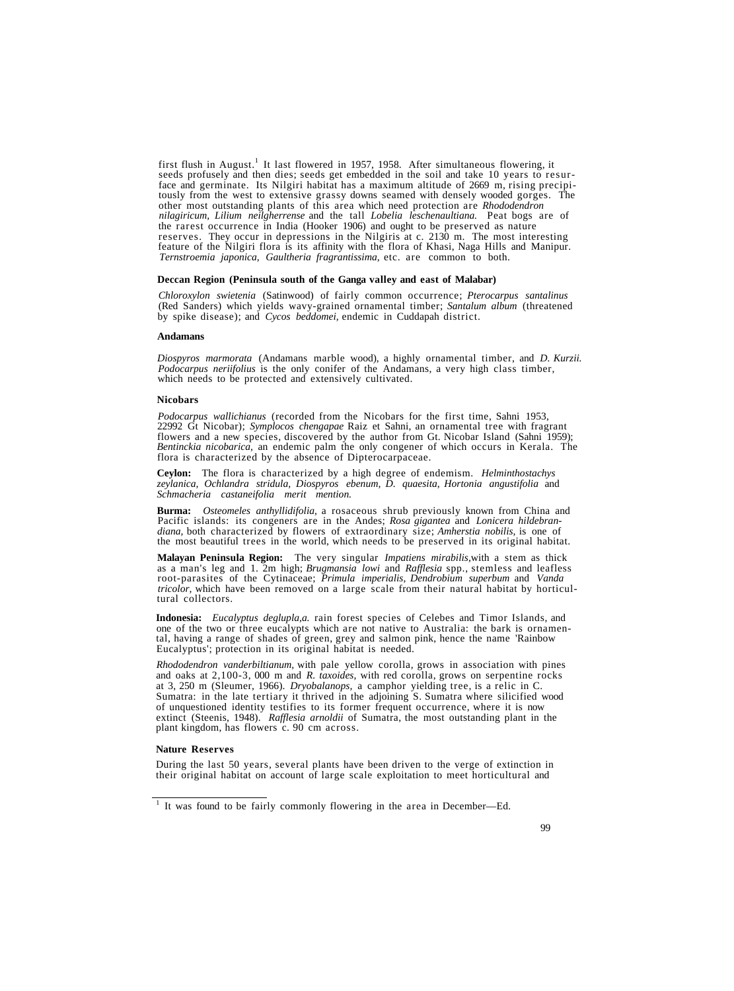first flush in August.<sup>1</sup> It last flowered in 1957, 1958. After simultaneous flowering, it seeds profusely and then dies; seeds get embedded in the soil and take 10 years to resurface and germinate. Its Nilgiri habitat has a maximum altitude of 2669 m, rising precipitously from the west to extensive grassy downs *nilagiricum, Lilium neilgherrense* and the tall *Lobelia leschenaultiana.* Peat bogs are of reserves. They occur in depressions in the Nilgiris at c. 2130 m. The most interesting feature of the Nilgiri flora is its affinity with the flora of Khasi, Naga Hills and Manipur. *Ternstroemia japonica, Gaultheria fragrantissima,* etc. are common to both.

## **Deccan Region (Peninsula south of the Ganga valley and east of Malabar)**

*Chloroxylon swietenia* (Satinwood) of fairly common occurrence; *Pterocarpus santalinus* (Red Sanders) which yields wavy-grained ornamental timber; *Santalum album* (threatened by spike disease); and *Cycos beddomei,* endemic in Cuddapah district.

## **Andamans**

*Diospyros marmorata* (Andamans marble wood), a highly ornamental timber, and *D. Kurzii. Podocarpus neriifolius* is the only conifer of the Andamans, a very high class timber, which needs to be protected and extensively cultivated.

## **Nicobars**

*Podocarpus wallichianus* (recorded from the Nicobars for the first time, Sahni 1953, 22992 Gt Nicobar); *Symplocos chengapae* Raiz et Sahni, an ornamental tree with fragrant flowers and a new species, discovered by the author from Gt. Nicobar Island (Sahni 1959); *Bentinckia nicobarica,* an endemic palm the only congener of which occurs in Kerala. The flora is characterized by the absence of Dipterocarpaceae.

**Ceylon:** The flora is characterized by a high degree of endemism. *Helminthostachys zeylanica, Ochlandra stridula, Diospyros ebenum, D. quaesita, Hortonia angustifolia* and *Schmacheria castaneifolia merit mention.*

**Burma:** *Osteomeles anthyllidifolia,* a rosaceous shrub previously known from China and Pacific islands: its congeners are in the Andes; *Rosa gigantea* and *Lonicera hildebrandiana,* both characterized by flowers of extraordinary size; *Amherstia nobilis,* is one of the most beautiful trees in the world, which needs to be preserved in its original habitat.

Malayan Peninsula Region: The very singular *Impatiens mirabilis*, with a stem as thick as a man's leg and 1. 2m high; *Brugmansia lowi* and *Rafflesia* spp., stemless and leafless root-parasites of the Cytinaceae; *Primul tricolor*, which have been removed on a large scale from their natural habitat by horticul-<br>tural collectors.

**Indonesia:** *Eucalyptus deglupla,a.* rain forest species of Celebes and Timor Islands, and one of the two or three eucalypts which are not native to Australia: the bark is ornamental, having a range of shades of green, gr

*Rhododendron vanderbiltianum,* with pale yellow corolla, grows in association with pines and oaks at 2,100-3, 000 m and *R. taxoides,* with red corolla, grows on serpentine rocks at 3, 250 m (Sleumer, 1966). *Dryobalanops,* a camphor yielding tree, is a relic in C. Sumatra: in the late tertiary it thrived in the adjoining S. Sumatra where silicified wood of unquestioned identity testifies to its former frequent occurrence, where it is now extinct (Steenis, 1948). *Rafflesia arnoldii* of Sumatra, the most outstanding plant in the plant kingdom, has flowers c. 90 cm across.

# **Nature Reserves**

During the last 50 years, several plants have been driven to the verge of extinction in their original habitat on account of large scale exploitation to meet horticultural and

<sup>&</sup>lt;sup>1</sup> It was found to be fairly commonly flowering in the area in December—Ed.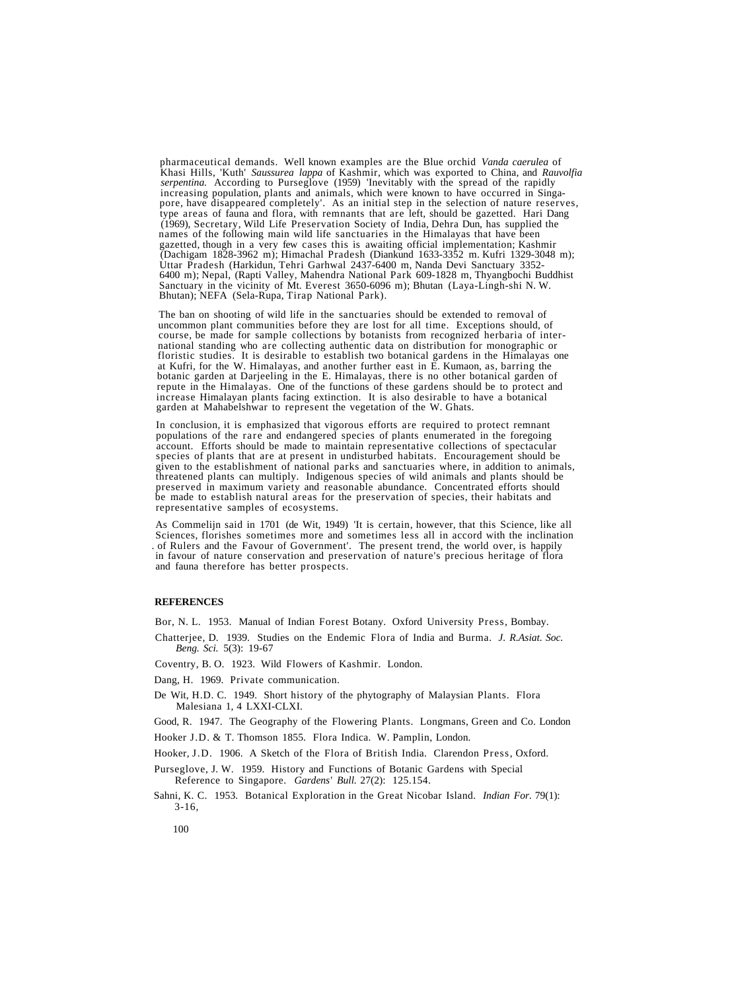pharmaceutical demands. Well known examples are the Blue orchid *Vanda caerulea* of Khasi Hills, 'Kuth' *Saussurea lappa* of Kashmir, which was exported to China, and *Rauvolfia serpentina.* According to Purseglove (1959) 'Inevitably with the spread of the rapidly increasing population, plants and animals, which were known to have occurred in Singapore, have disappeared completely'. As an initial step in the selection of nature reserves, type areas of fauna and flora, with remnants that are left, should be gazetted. Hari Dang (1969), Secretary, Wild Life Preservatio names of the following main wild life sanctuaries in the Himalayas that have been<br>gazetted, though in a very few cases this is awaiting official implementation; Kashmir<br>(Dachigam 1828-3962 m); Himachal Pradesh (Diankund 16 6400 m); Nepal, (Rapti Valley, Mahendra National Park 609-1828 m, Thyangbochi Buddhist Sanctuary in the vicinity of Mt. Everest 3650-6096 m); Bhutan (Laya-Lingh-shi N. W. Bhutan); NEFA (Sela-Rupa, Tirap National Park).

The ban on shooting of wild life in the sanctuaries should be extended to removal of uncommon plant communities before they are lost for all time. Exceptions should, of course, be made for sample collections by botanists f repute in the Himalayas. One of the functions of these gardens should be to protect and increase Himalayan plants facing extinction. It is also desirable to have a botanical garden at Mahabelshwar to represent the vegetation of the W. Ghats.

In conclusion, it is emphasized that vigorous efforts are required to protect remnant populations of the rare and endangered species of plants enumerated in the foregoing account. Efforts should be made to maintain representative collections of spectacular species of plants that are at present in undisturbed habitats. Encouragement should be<br>given to the establishment of national parks and sanctuaries where, in addition to animals,<br>threatened plants can multiply. Indigenous be made to establish natural areas for the preservation of species, their habitats and representative samples of ecosystems.

As Commelijn said in 1701 (de Wit, 1949) 'It is certain, however, that this Science, like all of Rulers and the Favour of Government'. The present trend, the world over, is happily in favour of nature conservation and preservation of nature's precious heritage of flora and fauna therefore has better prospects.

### **REFERENCES**

Bor, N. L. 1953. Manual of Indian Forest Botany. Oxford University Press, Bombay.

Chatterjee, D. 1939. Studies on the Endemic Flora of India and Burma. *J. R.Asiat. Soc. Beng. Sci.* 5(3): 19-67

Coventry, B. O. 1923. Wild Flowers of Kashmir. London.

Dang, H. 1969. Private communication.

De Wit, H.D. C. 1949. Short history of the phytography of Malaysian Plants. Flora Malesiana 1, 4 LXXI-CLXI.

Good, R. 1947. The Geography of the Flowering Plants. Longmans, Green and Co. London

Hooker J.D. & T. Thomson 1855. Flora Indica. W. Pamplin, London.

Hooker, J.D. 1906. A Sketch of the Flora of British India. Clarendon Press, Oxford.

Purseglove, J. W. 1959. History and Functions of Botanic Gardens with Special Reference to Singapore. *Gardens' Bull.* 27(2): 125.154.

Sahni, K. C. 1953. Botanical Exploration in the Great Nicobar Island. *Indian For.* 79(1): 3-16,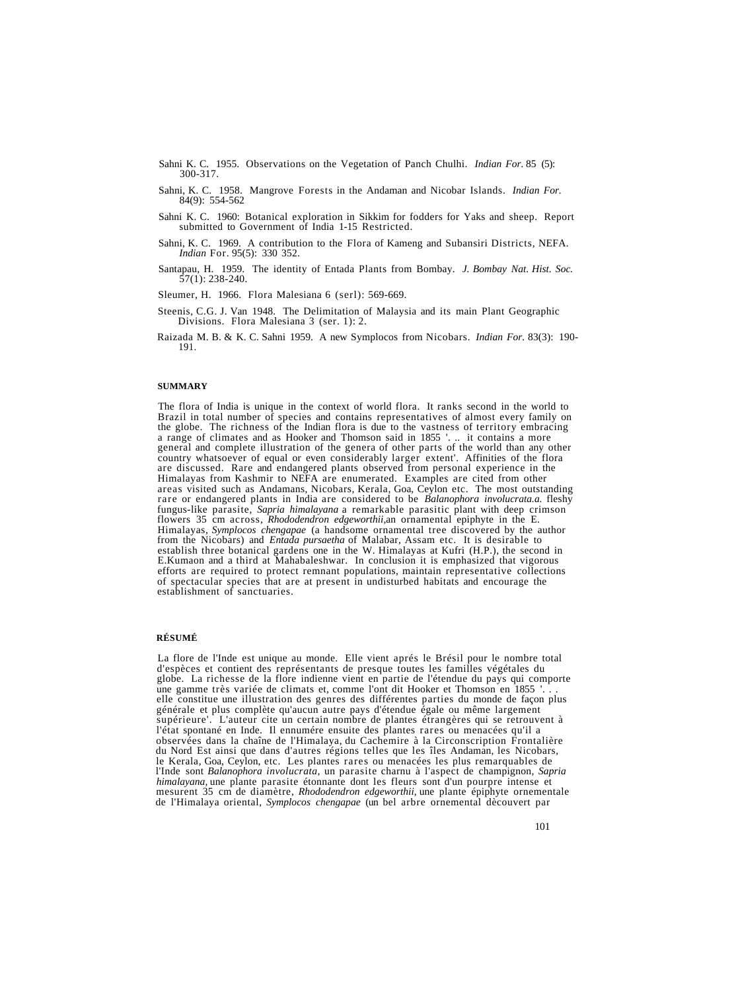- Sahni K. C. 1955. Observations on the Vegetation of Panch Chulhi. *Indian For.* 85 (5): 300-317.
- Sahni, K. C. 1958. Mangrove Forests in the Andaman and Nicobar Islands. *Indian For.* 84(9): 554-562
- Sahni K. C. 1960: Botanical exploration in Sikkim for fodders for Yaks and sheep. Report submitted to Government of India 1-15 Restricted.
- Sahni, K. C. 1969. A contribution to the Flora of Kameng and Subansiri Districts, NEFA. *Indian* For. 95(5): 330 352.
- Santapau, H. 1959. The identity of Entada Plants from Bombay. *J. Bombay Nat. Hist. Soc.*  $\overline{57(1)}$ : 238-240.
- Sleumer, H. 1966. Flora Malesiana 6 (serl): 569-669.
- Steenis, C.G. J. Van 1948. The Delimitation of Malaysia and its main Plant Geographic Divisions. Flora Malesiana 3 (ser. 1): 2.
- Raizada M. B. & K. C. Sahni 1959. A new Symplocos from Nicobars. *Indian For.* 83(3): 190- 191.

#### **SUMMARY**

The flora of India is unique in the context of world flora. It ranks second in the world to Brazil in total number of species and contains representatives of almost every family on the globe. The richness of the Indian flo flowers 35 cm across, *Rhododendron edgeworthii*, an ornamental epiphyte in the E.<br>Himalayas, *Symplocos chengapae* (a handsome ornamental tree discovered by the author<br>from the Nicobars) and *Entada pursaetha* of Malabar,

## **RÉSUMÉ**

La flore de l'Inde est unique au monde. Elle vient aprés le Brésil pour le nombre total d'espèces et contient des représentants de presque toutes les familles végétales du globe. La richesse de la flore indienne vient en partie de l'étendue du pays qui comporte une gamme très variée de climats et, comme l'ont dit Hooker et Thomson en 1855 '... elle constitue une illustration des genres des d supérieure'. L'auteur cite un certain nombre de plantes étrangères qui se retrouvent à l'état spontané en Inde. Il ennumére ensuite des plantes rares ou menacées qu'il a observées dans la chaîne de l'Himalaya, du Cachemire à la Circonscription Frontalière<br>du Nord Est ainsi que dans d'autres régions telles que les îles Andaman, les Nicobars,<br>le Kerala, Goa, Ceylon, etc. Les plantes rares ou mesurent 35 cm de diamètre, Rhododendron edgeworthii, une plante épiphyte ornementale de l'Himalaya oriental, Symplocos chengapae (un bel arbre ornemental dècouvert par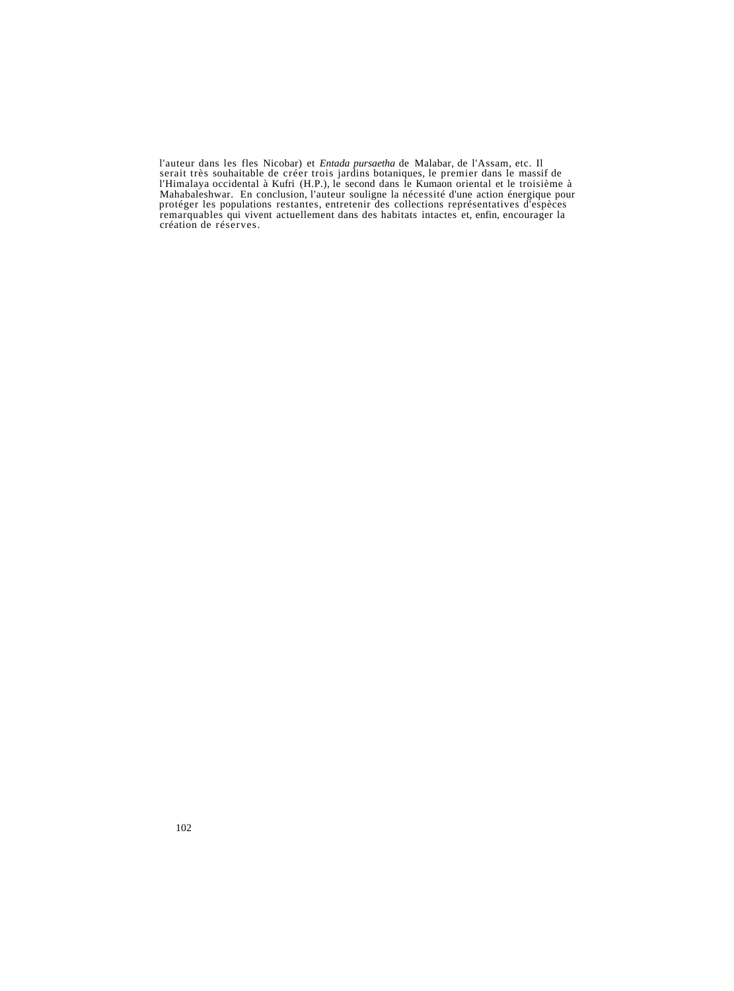l'auteur dans les fles Nicobar) et *Entada pursaetha* de Malabar, de l'Assam, etc. Il l'Himalaya occidental à Kufri (H.P.), le second dans le Kumaon oriental et le troisième à<br>Mahabaleshwar. En conclusion, l'auteur souligne la nécessité d'une action énergique pour protéger les populations restantes, entretenir des collections représentatives d'espèces remarquables qui vivent actuellement dans des habitats intactes et, enfin, encourager la création de réserves.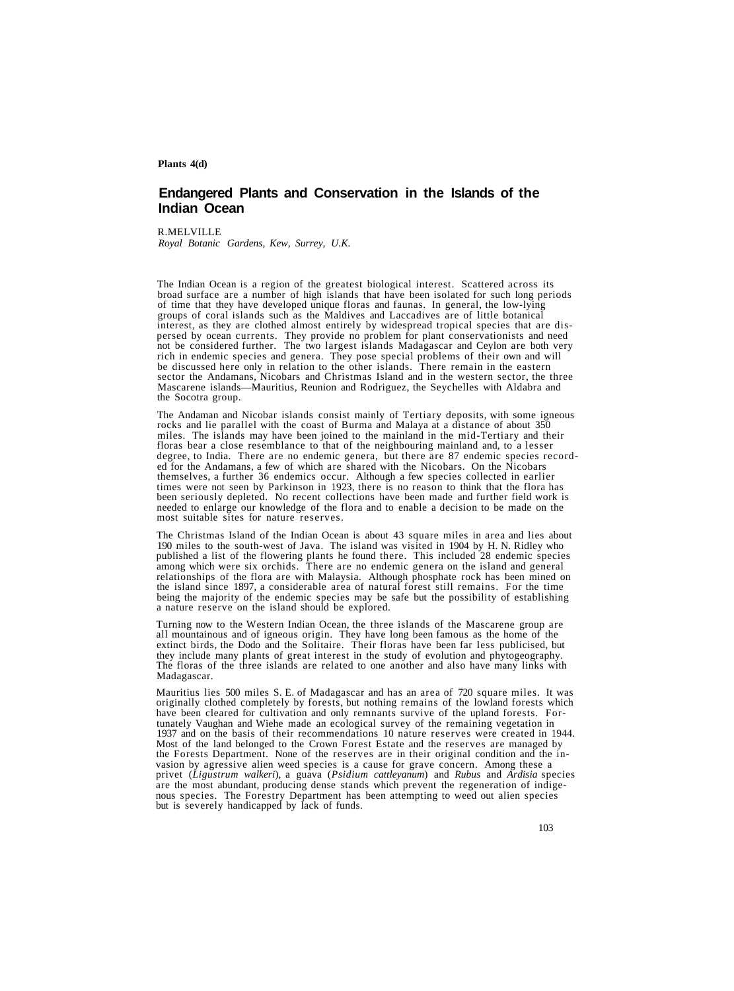## **Plants 4(d)**

# **Endangered Plants and Conservation in the Islands of the Indian Ocean**

R.MELVILLE *Royal Botanic Gardens, Kew, Surrey, U.K.*

The Indian Ocean is a region of the greatest biological interest. Scattered across its<br>broad surface are a number of high islands that have been isolated for such long periods<br>of time that they have developed unique floras groups of coral islands such as the Maldives and Laccadives are of little botanical interest, as they are clothed almost entirely by widespread tropical species that are dispersed by ocean currents. They provide no problem for plant conservationists and need not be considered further. The two largest islands Madagascar and Ceylon are both very rich in endemic species and genera. They pose special problems of their own and will sector the Andamans, Nicobars and Christmas Island and in the western sector, the three Mascarene islands—Mauritius, Reunion and Rodriguez, the Seychelles with Aldabra and the Socotra group.

The Andaman and Nicobar islands consist mainly of Tertiary deposits, with some igneous rocks and lie parallel with the coast of Burma and Malaya at a distance of about 350 floras bear a close resemblance to that of the neighbouring mainland and, to a lesser<br>degree, to India. There are no endemic genera, but there are 87 endemic species record-<br>ed for the Andamans, a few of which are shared w

The Christmas Island of the Indian Ocean is about 43 square miles in area and lies about 190 miles to the south-west of Java. The island was visited in 1904 by H. N. Ridley who published a list of the flowering plants he found there. This included 28 endemic species among which were six orchids. There are no endemic genera on the island and general relationships of the flora are with Malaysia. Al the island since 1897, a considerable area of natural forest still remains. For the time<br>being the majority of the endemic species may be safe but the possibility of establishing<br>a nature reserve on the island should be ex

Turning now to the Western Indian Ocean, the three islands of the Mascarene group are all mountainous and of igneous origin. They have long been famous as the home of the extinct birds, the Dodo and the Solitaire. Their fl The floras of the three islands are related to one another and also have many links with Madagascar.

Mauritius lies 500 miles S. E. of Madagascar and has an area of 720 square miles. It was originally clothed completely by forests, but nothing remains of the lowland forests which have been cleared for cultivation and only tunately Vaughan and Wiehe made an ecological survey of the remaining vegetation in 1937 and on the basis of their recommendations 10 nature reserves were created in 1944. Most of the land belonged to the Crown Forest Esta vasion by agressive alien weed species is a cause for grave concern. Among these a<br>privet (*Ligustrum walkeri*), a guava (*Psidium cattleyanum*) and *Rubus* and *Ardisia* species<br>are the most abundant, producing dense stan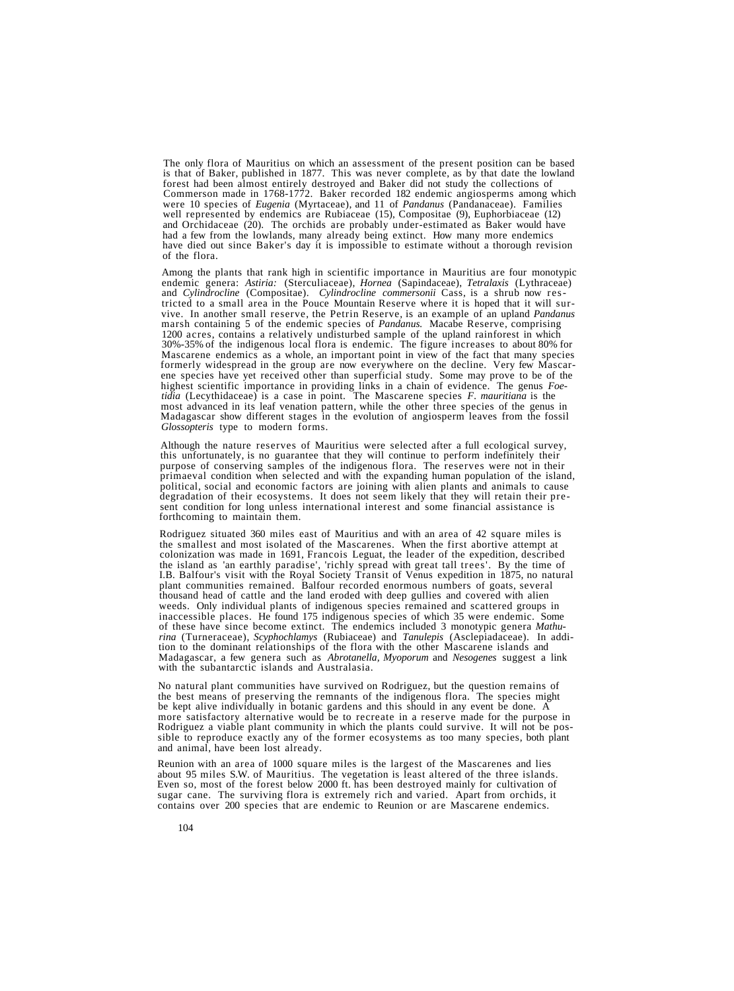The only flora of Mauritius on which an assessment of the present position can be based is that of Baker, published in 1877. This was never complete, as by that date the lowland forest had been almost entirely destroyed and Baker did not study the collections of were 10 species of *Eugenia* (Myrtaceae), and 11 of *Pandanus* (Pandanaceae). Families well represented by endemics are Rubiaceae (15), Compositae (9), Euphorbiaceae (12) and Orchidaceae (20). The orchids are probably unde

Among the plants that rank high in scientific importance in Mauritius are four monotypic<br>endemic genera: Astiria: (Sterculiaceae), *Hornea* (Sapindaceae), *Tetralaxis* (Lythraceae)<br>and *Cylindrocline* (Compositae). *Cylind* 1200 acres, contains a relatively undisturbed sample of the upland rainforest in which  $30\% -35\%$  of the indigenous local flora is endemic. The figure increases to about 80% for 30%-35% of the indigenous local flora is endemic. The figure increases to about 80% for Mascarene endemics as a whole, an important point in view of the fact that many species formerly widespread in the group are now every *tidia* (Lecythidaceae) is a case in point. The Mascarene species *F. mauritiana* is the most advanced in its leaf venation pattern, while the other three species of the genus in Madagascar show different stages in the evo *Glossopteris* type to modern forms.

Although the nature reserves of Mauritius were selected after a full ecological survey, this unfortunately, is no guarantee that they will continue to perform indefinitely their purpose of conserving samples of the indigen

Rodriguez situated 360 miles east of Mauritius and with an area of 42 square miles is the smallest and most isolated of the Mascarenes. When the first abortive attempt at colonization was made in 1691, Francois Leguat, the leader of the expedition, described the island as 'an earthly paradise', 'richly spread with great tall trees'. By the time of I.B. Balfour's visit with the Royal Society Transit of Venus expedition in 1875, no natural plant communities remained. Balfour recorded enormous numbers of goats, several thousand head of cattle and the land eroded with deep gullies and covered with alien weeds. Only individual plants of indigenous species remained and scattered groups in inaccessible places. He found 175 indigenous species of which 35 were endemic. Some of these have since become extinct. The endemics incl *rina* (Turneraceae), *Scyphochlamys* (Rubiaceae) and *Tanulepis* (Asclepiadaceae). In addi- tion to the dominant relationships of the flora with the other Mascarene islands and Madagascar, a few genera such as *Abrotanella, Myoporum* and *Nesogenes* suggest a link with the subantarctic islands and Australasia.

No natural plant communities have survived on Rodriguez, but the question remains of the best means of preserving the remnants of the indigenous flora. The species might the bept alive individually in botanic gardens and this should in any event be done. A<br>more satisfactory alternative would be to recreate in a reserve made for the purpose in<br>Rodriguez a viable plant community in which the

Reunion with an area of 1000 square miles is the largest of the Mascarenes and lies<br>about 95 miles S.W. of Mauritius. The vegetation is least altered of the three islands.<br>Even so, most of the forest below 2000 ft. has bee sugar cane. The surviving flora is extremely rich and varied. Apart from orchids, it contains over 200 species that are endemic to Reunion or are Mascarene endemics.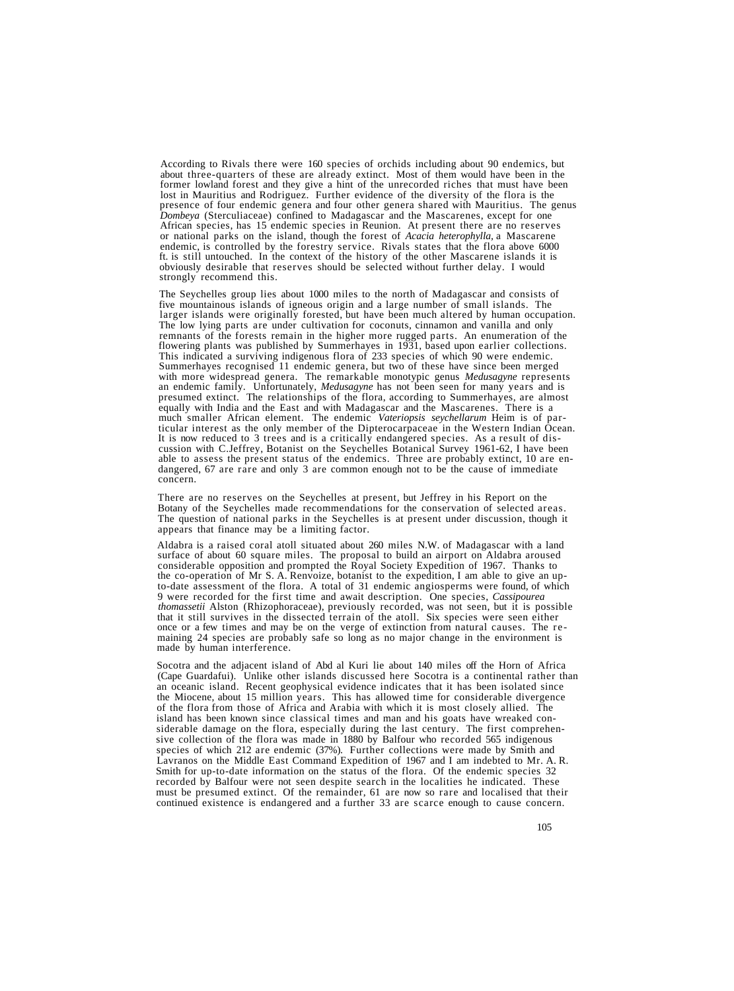According to Rivals there were 160 species of orchids including about 90 endemics, but about three-quarters of these are already extinct. Most of them would have been in the former lowland forest and they give a hint of the unrecorded riches that must have been<br>lost in Mauritius and Rodriguez. Further evidence of the diversity of the flora is the<br>presence of four endemic genera and four other ft. is still untouched. In the context of the history of the other Mascarene islands it is obviously desirable that reserves should be selected without further delay. I would strongly recommend this.

The Seychelles group lies about 1000 miles to the north of Madagascar and consists of larger islands were originally forested, but have been much altered by human occupation.<br>The low lying parts are under cultivation for coconuts, cinnamon and vanilla and only remnants of the forests remain in the higher more rugged parts. An enumeration of the flowering plants was published by Summerhayes in 1931, based upon earlier collections.<br>This indicated a surviving indigenous flora of 23 an endemic family. Unfortunately, *Medusagyne* has not been seen for many years and is<br>presumed extinct. The relationships of the flora, according to Summerhayes, are almost<br>equally with India and the East and with Madagas much smaller African element. The endemic *Vateriopsis seychellarum* Heim is of particular interest as the only member of the Dipterocarpaceae in the Western Indian Ocean.<br>It is now reduced to 3 trees and is a critically e

There are no reserves on the Seychelles at present, but Jeffrey in his Report on the Botany of the Seychelles made recommendations for the conservation of selected areas. The question of national parks in the Seychelles is at present under discussion, though it appears that finance may be a limiting factor.

Aldabra is a raised coral atoll situated about 260 miles N.W. of Madagascar with a land surface of about 60 square miles. The proposal to build an airport on Aldabra aroused considerable opposition and prompted the Royal Society Expedition of 1967. Thanks to the co-operation of Mr S. A. Renvoize, botanist to the expedition, I am able to give an upto-date assessment of the flora. A total of 31 endemic angiosperms were found, of which 9 were recorded for the first time and await description. One species, *Cassipourea* that it still survives in the dissected terrain of the atoll. Six species were seen either once or a few times and may be on the verge of extinction from natural causes. The remaining 24 species are probably safe so long a

Socotra and the adjacent island of Abd al Kuri lie about 140 miles off the Horn of Africa (Cape Guardafui). Unlike other islands discussed here Socotra is a continental rather than an oceanic island. Recent geophysical evidence indicates that it has been isolated since the Miocene, about 15 million years. This has allowed time for considerable divergence of the flora from those of Africa and Arabia with which it is most closely allied. The island has been known since classical times and man and his goats have wreaked considerable damage on the flora, especially during the last century. The first comprehensive collection of the flora was made in 1880 by Balfour who recorded 565 indigenous species of which 212 are endemic (37%). Further collections were made by Smith and Lavranos on the Middle East Command Expedition of 1967 and I am indebted to Mr. A. R. Smith for up-to-date information on the status of the flora. Of the endemic species 32 recorded by Balfour were not seen despite search in the localities he indicated. These must be presumed extinct. Of the remainder, 61 are now so rare and localised that their continued existence is endangered and a further 33 are scarce enough to cause concern.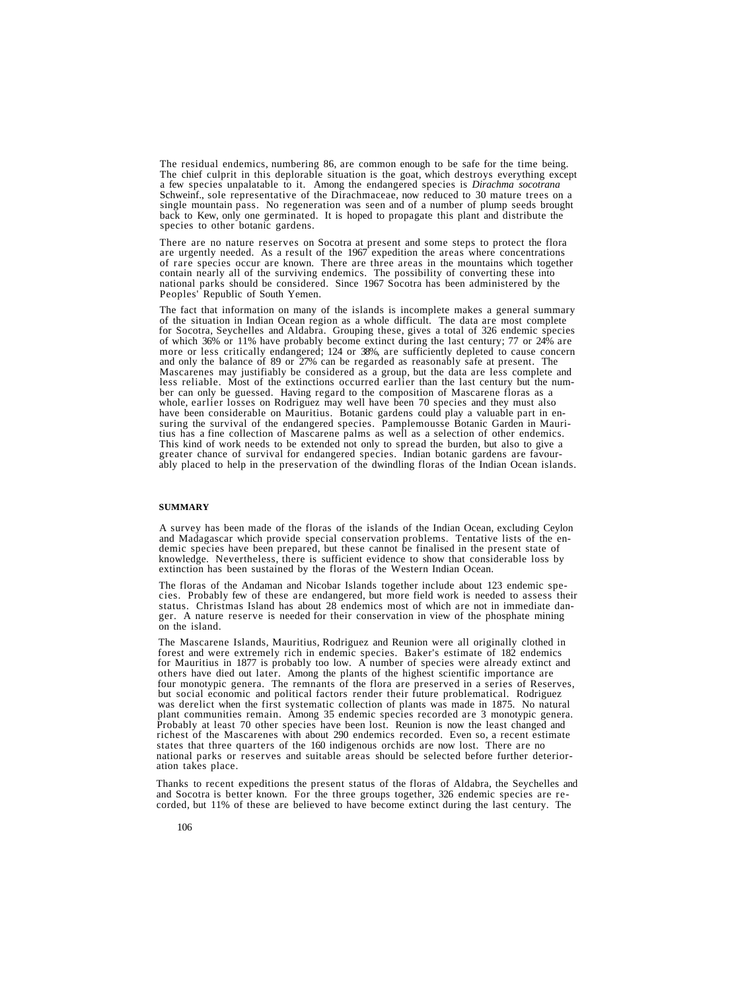The residual endemics, numbering 86, are common enough to be safe for the time being.<br>The chief culprit in this deplorable situation is the goat, which destroys everything except<br>a few species unpalatable to it. Among the single mountain pass. No regeneration was seen and of a number of plump seeds brought back to Kew, only one germinated. It is hoped to propagate this plant and distribute the species to other botanic gardens.

There are no nature reserves on Socotra at present and some steps to protect the flora<br>are urgently needed. As a result of the 1967 expedition the areas where concentrations<br>of rare species occur are known. There are three

The fact that information on many of the islands is incomplete makes a general summary<br>of the situation in Indian Ocean region as a whole difficult. The data are most complete<br>for Socotra, Seychelles and Aldabra. Grouping ber can only be guessed. Having regard to the composition of Mascarene floras as a whole, earlier losses on Rodriguez may well have been 70 species and they must also have been considerable on Mauritius. Botanic gardens co

## **SUMMARY**

A survey has been made of the floras of the islands of the Indian Ocean, excluding Ceylon and Madagascar which provide special conservation problems. Tentative lists of the endemic species have been prepared, but these can knowledge. Nevertheless, there is sufficient evidence to show that considerable loss by extinction has been sustained by the floras of the Western Indian Ocean.

The floras of the Andaman and Nicobar Islands together include about 123 endemic species. Probably few of these are endangered, but more field work is needed to assess their status. Christmas Island has about 28 endemics m

The Mascarene Islands, Mauritius, Rodriguez and Reunion were all originally clothed in forest and were extremely rich in endemic species. Baker's estimate of 182 endemics for Mauritius in 1877 is probably too low. A number four monotypic genera. The remnants of the flora are preserved in a series of Reserves,<br>but social economic and political factors render their future problematical. Rodriguez<br>was derelict when the first systematic collecti Probably at least 70 other species have been lost. Reunion is now the least changed and richest of the Mascarenes with about 290 endemics recorded. Even so, a recent estimate states that three quarters of the 160 indigenous orchids are now lost. There are no national parks or reserves and suitable areas should be selected before further deterioration takes place.

Thanks to recent expeditions the present status of the floras of Aldabra, the Seychelles and and Socotra is better known. For the three groups together, 326 endemic species are recorded, but 11% of these are believed to ha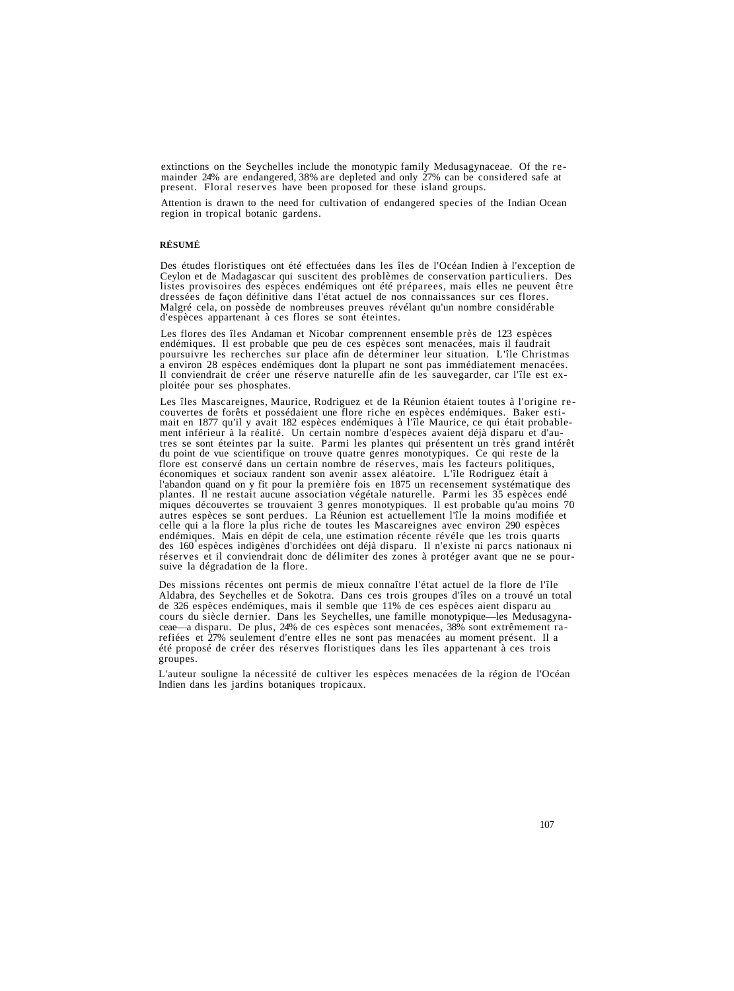extinctions on the Seychelles include the monotypic family Medusagynaceae. Of the re-mainder 24% are endangered, 38% are depleted and only 27% can be considered safe at present. Floral reserves have been proposed for these island groups.

Attention is drawn to the need for cultivation of endangered species of the Indian Ocean region in tropical botanic gardens.

# **RÉSUMÉ**

Des études floristiques ont été effectuées dans les îles de l'Océan Indien à l'exception de<br>Ceylon et de Madagascar qui suscitent des problèmes de conservation particuliers. Des<br>listes provisoires des espèces endémiques on

Les flores des îles Andaman et Nicobar comprennent ensemble près de 123 espèces endémiques. Il est probable que peu de ces espèces sont menacées, mais il faudrait poursuivre les recherches sur place afin de déterminer leur a environ 28 espèces endémiques dont la plupart ne sont pas immédiatement menacées.<br>Il conviendrait de créer une réserve naturelle afin de les sauvegarder, car l'île est exploitée pour ses phosphates.

Les îles Mascareignes, Maurice, Rodriguez et de la Réunion étaient toutes à l'origine re-<br>couvertes de forêts et possédaient une flore riche en espèces endémiques. Baker esti-<br>mait en 1877 qu'il y avait 182 espèces endémiq flore est conservé dans un certain nombre de réserves, mais les facteurs politiques,<br>économiques et sociaux randent son avenir assex aléatoire. L'île Rodriguez était à<br>l'abandon quand on y fit pour la première fois en 1875 plantes. Il ne restait aucune association végétale naturelle. Parmi les 35 espèces endé miques découvertes se trouvaient 3 genres monotypiques. Il est probable qu'au moins 70 autres espèces se sont perdues. La Réunion est actuellement l'île la moins modifiée et endémiques. Mais en dépit de cela, une estimation récente révéle que les trois quarts<br>des 160 espèces indigènes d'orchidées ont déjà disparu. Il n'existe ni parcs nationaux ni réserves et il conviendrait donc de délimiter des zones à protéger avant que ne se pour- suive la dégradation de la flore.

Des missions récentes ont permis de mieux connaître l'état actuel de la flore de l'île Aldabra, des Seychelles et de Sokotra. Dans ces trois groupes d'îles on a trouvé un total de 326 espèces endémiques, mais il semble que 11% de ces espèces aient disparu au cours du siècle dernier. Dans les Seychelles, une famille monotypique—les Medusagynaceae—a disparu. De plus, 24% de ces espèces sont menacées, 38% sont extrêmement rarefiées et 27% seulement d'entre elles ne sont pas menacées au moment présent. Il a été proposé de créer des réserves floristiques dans les îles appartenant à ces trois groupes.

L'auteur souligne la nécessité de cultiver les espèces menacées de la région de l'Océan Indien dans les jardins botaniques tropicaux.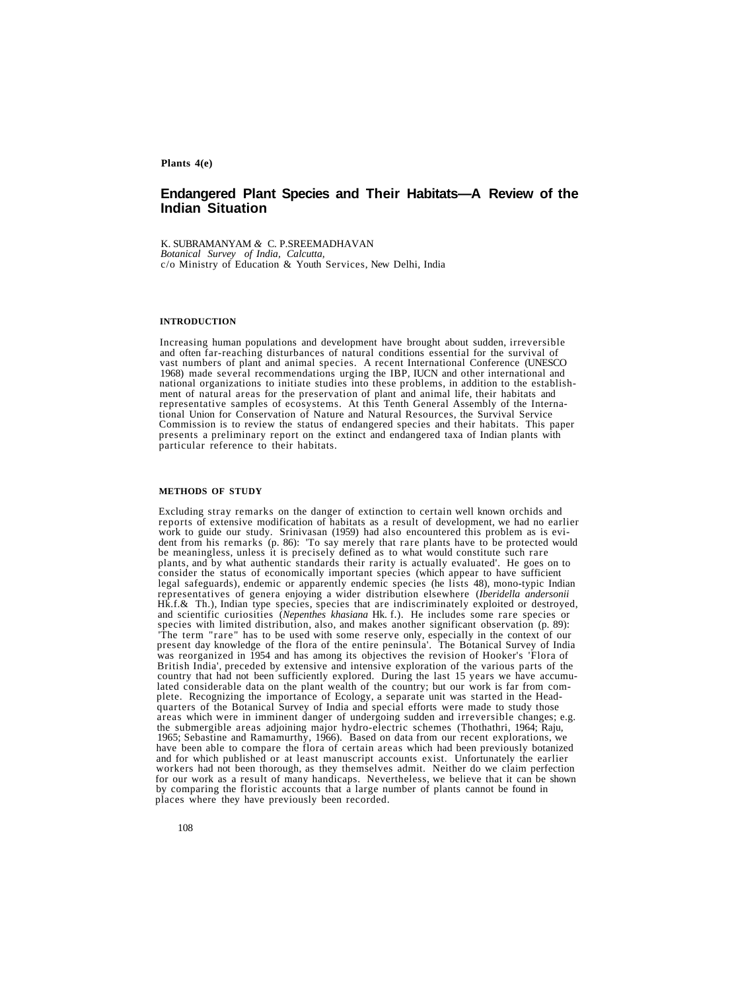**Plants 4(e)**

# **Endangered Plant Species and Their Habitats—A Review of the Indian Situation**

K. SUBRAMANYAM *&* C. P.SREEMADHAVAN *Botanical Survey of India, Calcutta,* c/o Ministry of Education & Youth Services, New Delhi, India

#### **INTRODUCTION**

Increasing human populations and development have brought about sudden, irreversible and often far-reaching disturbances of natural conditions essential for the survival of vast numbers of plant and animal species. A recen 1968) made several recommendations urging the IBP, IUCN and other international and national organizations to initiate studies into these problems, in addition to the establish-<br>ment of natural areas for the preservation of plant and animal life, their habitats and<br>representative samples of ecosystems. At tional Union for Conservation of Nature and Natural Resources, the Survival Service<br>Commission is to review the status of endangered species and their habitats. This paper<br>presents a preliminary report on the extinct and e particular reference to their habitats.

#### **METHODS OF STUDY**

Excluding stray remarks on the danger of extinction to certain well known orchids and reports of extensive modification of habitats as a result of development, we had no earlier work to guide our study. Srinivasan (1959) had also encountered this problem as is evident from his remarks (p. 86): 'To say merely that rare plants have to be protected would be meaningless, unless it is precisely defined plants, and by what authentic standards their rarity is actually evaluated'. He goes on to consider the status of economically important species (which appear to have sufficient legal safeguards), endemic or apparently endemic species (he lists 48), mono-typic Indian Hk.f.& Th.), Indian type species, species that are indiscriminately exploited or destroyed, and scientific curiosities (*Nepenthes khasiana* Hk.f.). He includes some rare species or species with limited distribution, also, British India', preceded by extensive and intensive exploration of the various parts of the country that had not been sufficiently explored. During the last 15 years we have accumulated considerable data on the plant weall representatives of genera enjoying a wider distribution elsewhere (*Iberidella andersonii*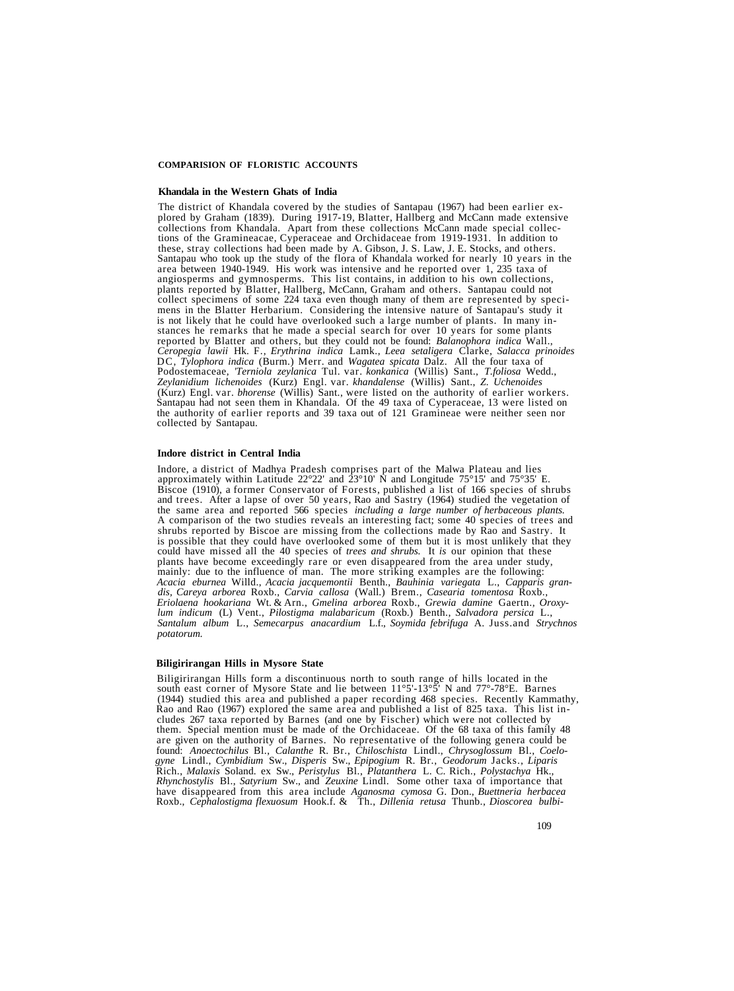#### **COMPARISION OF FLORISTIC ACCOUNTS**

#### **Khandala in the Western Ghats of India**

The district of Khandala covered by the studies of Santapau (1967) had been earlier ex-<br>plored by Graham (1839). During 1917-19, Blatter, Hallberg and McCann made extensive<br>collections from Khandala. Apart from these colle plants reported by Blatter, Hallberg, McCann, Graham and others. Santapau could not collect specimens of some 224 taxa even though many of them are represented by specimens in the Blatter Herbarium. Considering the intensive nature of Santapau's study it<br>is not likely that he could have overlooked such a large number of plants. In many instances he remarks that he made a special search for over 10 years for some plants<br>reported by Blatter and others, but they could not be found: *Balanophora indica* Wall.,<br>*Ceropegia lawii* Hk. F., *Erythrina indica* Lamk. DC, *Tylophora indica* (Burm.) Merr. and *Wagatea spicata* Dalz. All the four taxa of Podostemaceae, *'Terniola zeylanica* Tul. var. *konkanica* (Willis) Sant., *T.foliosa* Wedd., *Zeylanidium lichenoides* (Kurz) Engl. var. *khandalense* (Willis) Sant., *Z. Uchenoides* Santapau had not seen them in Khandala. Of the 49 taxa of Cyperaceae, 13 were listed on the authority of earlier reports and 39 taxa out of 121 Gramineae were neither seen nor collected by Santapau.

#### **Indore district in Central India**

Indore, a district of Madhya Pradesh comprises part of the Malwa Plateau and lies<br>approximately within Latitude 22°22' and 23°10' N and Longitude 75°15' and 75°35' E.<br>Biscoe (1910), a former Conservator of Forests, publish the same area and reported 566 species *including a large number of herbaceous plants.* A comparison of the two studies reveals an interesting fact; some 40 species of trees and shrubs reported by Biscoe are missing from the collections made by Rao and Sastry. It is possible that they could have overlooked some of them but it is most unlikely that they could have missed all the 40 species of *trees and shrubs*. It *is* our opinion that these plants have become exceedingly rare or even disappeared from the area under study, mainly: due to the influence of man. The more striking examples are the following:<br>Acacia eburnea Willd., Acacia jacquemontii Benth., Bauhi *dis, Careya arborea* Roxb., *Carvia callosa* (Wall.) Brem., *Casearia tomentosa* Roxb., *Eriolaena hookariana* Wt. & Arn., *Gmelina arborea* Roxb., *Grewia damine* Gaertn., *Oroxylum indicum* (L) Vent., *Pilostigma malabaricum* (Roxb.) Benth., *Salvadora persica* L., *Santalum album* L., *Semecarpus anacardium* L.f., *Soymida febrifuga* A. Juss.and *Strychnos potatorum.*

#### **Biligirirangan Hills in Mysore State**

Biligirirangan Hills form a discontinuous north to south range of hills located in the<br>south east corner of Mysore State and lie between  $11^{\circ}5' \cdot 13^{\circ}5'$  N and  $77^{\circ} \cdot 78^{\circ}E$ . Barnes<br>(1944) studied this area and are given on the authority of Barnes. No representative of the following genera could be found: Anoectochilus Bl., Calanthe R. Br., Chiloschista Lindl., Chrysoglossum Bl., Coelo*gyne* Lindl., *Cymbidium* Sw., *Disperis* Sw., *Epipogium* R. Br., *Geodorum* Jacks., *Liparis* Rich., *Malaxis* Soland. ex Sw., *Peristylus* Bl., *Platanthera* L. C. Rich., *Polystachya* Hk., *Rhynchostylis* Bl., *Satyrium* Sw., and *Zeuxine* Lindl. Some other taxa of importance that have disappeared from this area include *Aganosma cymosa* G. Don., *Buettneria herbacea* Roxb., *Cephalostigma flexuosum* Hook.f. & Th., *Dillenia retusa* Thunb., *Dioscorea bulbi-*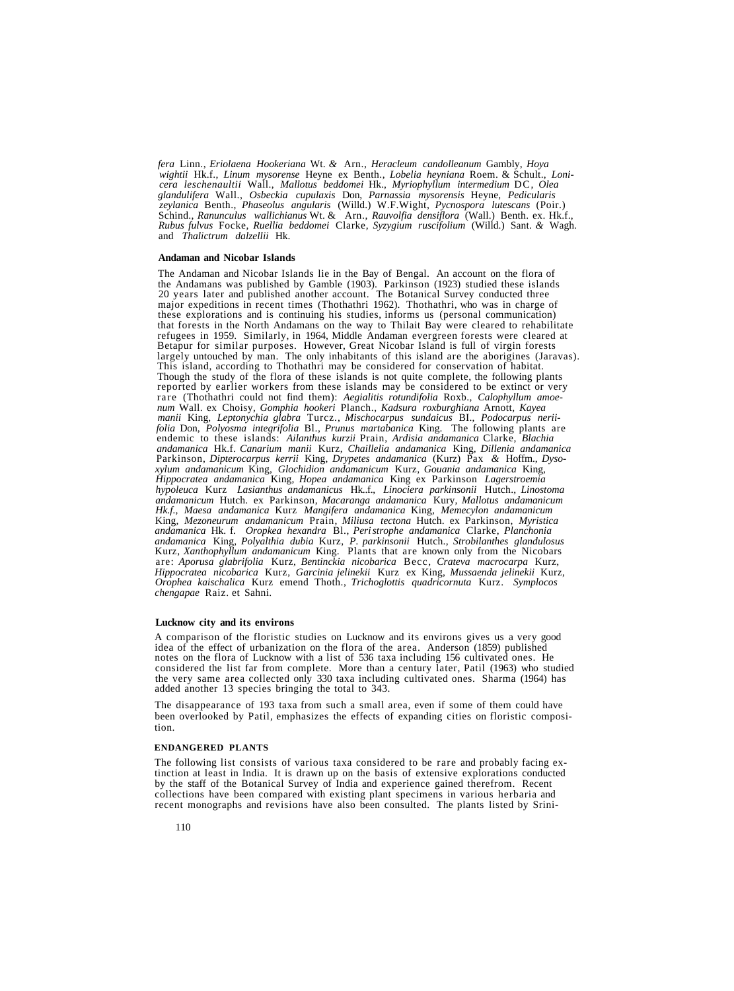*fera* Linn., *Eriolaena Hookeriana* Wt. *&* Arn., *Heracleum candolleanum* Gambly, *Hoya* wightii Hk.f., Linum mysorense Heyne ex Benth., Lobelia heyniana Roem. & Schult., Loni-<br>cera leschenaultii Wall., Mallotus beddomei Hk., Myriophyllum intermedium DC, Olea *glandulifera* Wall., *Osbeckia cupulaxis* Don, *Parnassia mysorensis* Heyne, *Pedicularis zeylanica* Benth., *Phaseolus angularis* (Willd.) W.F.Wight, *Pycnospora lutescans* (Poir.) Rubus fulvus Focke, Ruellia beddomei Clarke, Syzygium ruscifolium (Willd.) Sant. & Wagh.<br>and Thalictrum dalzellii Hk.

#### **Andaman and Nicobar Islands**

The Andaman and Nicobar Islands lie in the Bay of Bengal. An account on the flora of 20 years later and published another account. The Botanical Survey conducted three major expeditions in recent times (Thothathri 1962). Thothathri, who was in charge of these explorations and is continuing his studies, informs us (personal communication) refugees in 1959. Similarly, in 1964, Middle Andaman evergreen forests were cleared at Betapur for similar purposes. However, Great Nicobar Island is full of virgin forests largely untouched by man. The only inhabitants of this island are the aborigines (Jaravas).<br>This island, according to Thothathri may be considered for conservation of habitat.<br>Though the study of the flora of these islands *manii* King, *Leptonychia glabra* Turcz., *Mischocarpus sundaicus* BI., *Podocarpus neriifolia* Don, *Polyosma integrifolia* Bl., *Prunus martabanica* King. The following plants are endemic to these islands: *Ailanthus kurzii* Prain, *Ardisia andamanica* Clarke, *Blachia andamanica* Hk.f. *Canarium manii* Kurz, *Chaillelia andamanica* King, *Dillenia andamanica* Parkinson, *Dipterocarpus kerrii* King, *Drypetes andamanica* (Kurz) Pax *&* Hoffm., *Dysoxylum andamanicum* King, *Glochidion andamanicum* Kurz, *Gouania andamanica* King, *Hippocratea andamanica* King, *Hopea andamanica* King ex Parkinson *Lagerstroemia hypoleuca* Kurz *Lasianthus andamanicus* Hk..f., *Linociera parkinsonii* Hutch., *Linostoma andamanicum* Hutch. ex Parkinson, *Macaranga andamanica* Kury, *Mallotus andamanicum Hk.f., Maesa andamanica* Kurz *Mangifera andamanica* King, *Memecylon andamanicum* King, *Mezoneurum andamanicum* Prain, *Miliusa tectona* Hutch. ex Parkinson, *Myristica andamanica* Hk. f. *Oropkea hexandra* Bl., *Peri strophe andamanica* Clarke, *Planchonia andamanica* King, *Polyalthia dubia* Kurz, *P. parkinsonii* Hutch., *Strobilanthes glandulosus* Kurz, Xanthophyllum andamanicum King. Plants that are known only from the Nicobars<br>are: Aporusa glabrifolia Kurz, Bentinckia nicobarica Becc, Crateva macrocarpa Kurz,<br>Hippocratea nicobarica Kurz, Garcinia jelinekii Kurz ex *chengapae* Raiz. et Sahni.

# **Lucknow city and its environs**

A comparison of the floristic studies on Lucknow and its environs gives us a very good idea of the effect of urbanization on the flora of the area. Anderson (1859) published notes on the flora of Lucknow with a list of 536 taxa including 156 cultivated ones. He considered the list far from complete. More than a century later, Patil (1963) who studied the very same area collected only 330 taxa including cultivated ones. Sharma (1964) has added another 13 species bringing the total to 343.

The disappearance of 193 taxa from such a small area, even if some of them could have been overlooked by Patil, emphasizes the effects of expanding cities on floristic composition.

#### **ENDANGERED PLANTS**

The following list consists of various taxa considered to be rare and probably facing extinction at least in India. It is drawn up on the basis of extensive explorations conducted by the staff of the Botanical Survey of India and experience gained therefrom. Recent collections have been compared with existing plant specimens in various herbaria and recent monographs and revisions have also been consulted. The plants listed by Srini-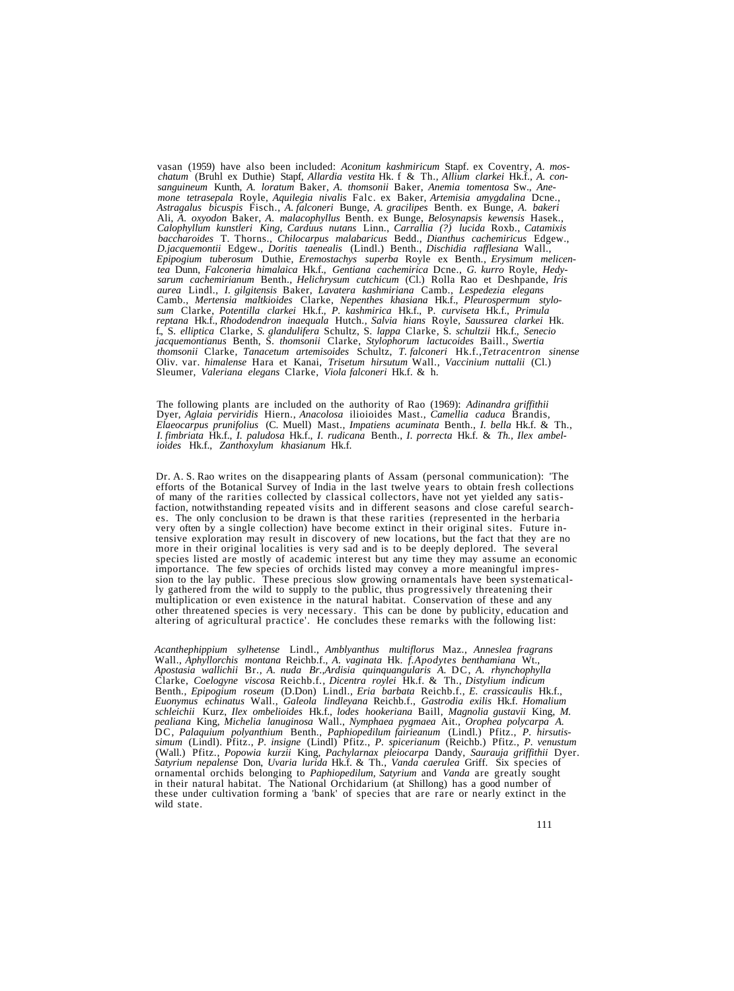vasan (1959) have also been included: Aconitum kashmiricum Stapf. ex Coventry, A. mos-<br>chatum (Bruhl ex Duthie) Stapf, Allardia vestita Hk. f & Th., Allium clarkei Hk.f., A. con-<br>sanguineum Kunth, A. loratum Baker, A. thom Ali, *A. oxyodon* Baker, *A. malacophyllus* Benth. ex Bunge, *Belosynapsis kewensis* Hasek., *Calophyllum kunstleri King, Carduus nutans* Linn., *Carrallia (?) lucida* Roxb., *Catamixis* D.jacquemontii Edgew., Doritis taenealis (Lindl.) Benth., Dischidia rafflesiana Wall., Epipogium tuberosum Duthie, Eremostachys superba Royle ex Benth., Erysimum melicentea Dunn, Falconeria himalaica Hk.f., Gentiana cachem tea Dunn, Falconeria himalaica Hk.f., Gentiana cachemirica Dcne., G. kurro Royle, Hedy-<br>sarum cachemirianum Benth., Helichrysum cutchicum (Cl.) Rolla Rao et Deshpande, Iris<br>aurea Lindl., I. gilgitensis Baker, Lavatera kash Camb., Mertensia maltkioides Clarke, Nepenthes khasiana Hk.f., Pleurospermum stylo-<br>sum Clarke, Potentilla clarkei Hk.f., P. kashmirica Hk.f., P. curviseta Hk.f., Primula reptana Hk.f., Rhododendron inaequala Hutch., Salvia hians Royle, Saussurea clarkei Hk.f., Shododendron inaequala Hutch., Salvia hians Royle, Saussurea clarkei Hk.f., S. elliptica Clarke, S. glandulifera Schultz, S. lappa *jacquemontianus* Benth, S. *thomsonii* Clarke, *Stylophorum lactucoides* Baill., *Swertia thomsonii* Clarke, *Tanacetum artemisoides* Schultz, *T. falconeri* Hk.f.,*Tetracentron sinense* Oliv. var. *himalense* Hara et Kanai, *Trisetum hirsutum* Wall., *Vaccinium nuttalii* (Cl.) Sleumer, *Valeriana elegans* Clarke, *Viola falconeri* Hk.f. & h.

The following plants are included on the authority of Rao (1969): *Adinandra griffithii* Elaeocarpus prunifolius (C. Muell) Mast., Impatiens acuminata Benth., I. bella Hk.f. & Th., I. fimbriata Hk.f., I. paludosa Hk.f., I. rudicana Benth., I. porrecta Hk.f. & Th., Ilex ambel*ioides* Hk.f., *Zanthoxylum khasianum* Hk.f.

Dr. A. S. Rao writes on the disappearing plants of Assam (personal communication): 'The efforts of the Botanical Survey of India in the last twelve years to obtain fresh collections of many of the rarities collected by cla species listed are mostly of academic interest but any time they may assume an economic<br>importance. The few species of orchids listed may convey a more meaningful impres-<br>sion to the lay public. These precious slow growing other threatened species is very necessary. This can be done by publicity, education and altering of agricultural practice'. He concludes these remarks with the following list:

*Acanthephippium sylhetense* Lindl., *Amblyanthus multiflorus* Maz., *Anneslea fragrans* Wall., *Aphyllorchis montana* Reichb.f., *A. vaginata* Hk. *f.Apodytes benthamiana* Wt., *Apostasia wallichii* Br., *A. nuda Br.,Ardisia quinquangularis A.* DC, *A. rhynchophylla* Clarke, *Coelogyne viscosa* Reichb.f*., Dicentra roylei* Hk.f. & Th., *Distylium indicum* Benth., *Epipogium roseum* (D.Don) Lindl., *Eria barbata* Reichb.f., *E. crassicaulis* Hk.f., *Euonymus echinatus* Wall., *Galeola lindleyana* Reichb.f., *Gastrodia exilis* Hk.f. *Homalium* pealiana King, Michelia lanuginosa Wall., Nymphaea pygmaea Ait., Orophea polycarpa A.<br>DC, Palaquium polyanthium Benth., Paphiopedilum fairieanum (Lindl.) Pfitz., P. hirsutis*simum* (Lindl). Pfitz., *P. insigne* (Lindl) Pfitz., *P. spicerianum* (Reichb.) Pfitz., *P. venustum* (Wall.) Pfitz., *Popowia kurzii* King, *Pachylarnax pleiocarpa* Dandy, *Saurauja griffithii* Dyer. *Satyrium nepalense* Don, *Uvaria lurida* Hk.f. & Th., *Vanda caerulea* Griff. Six species of ornamental orchids belonging to *Paphiopedilum, Satyrium* and *Vanda* are greatly sought in their natural habitat. The National Orchidarium (at Shillong) has a good number of these under cultivation forming a 'bank' of species that are rare or nearly extinct in the wild state.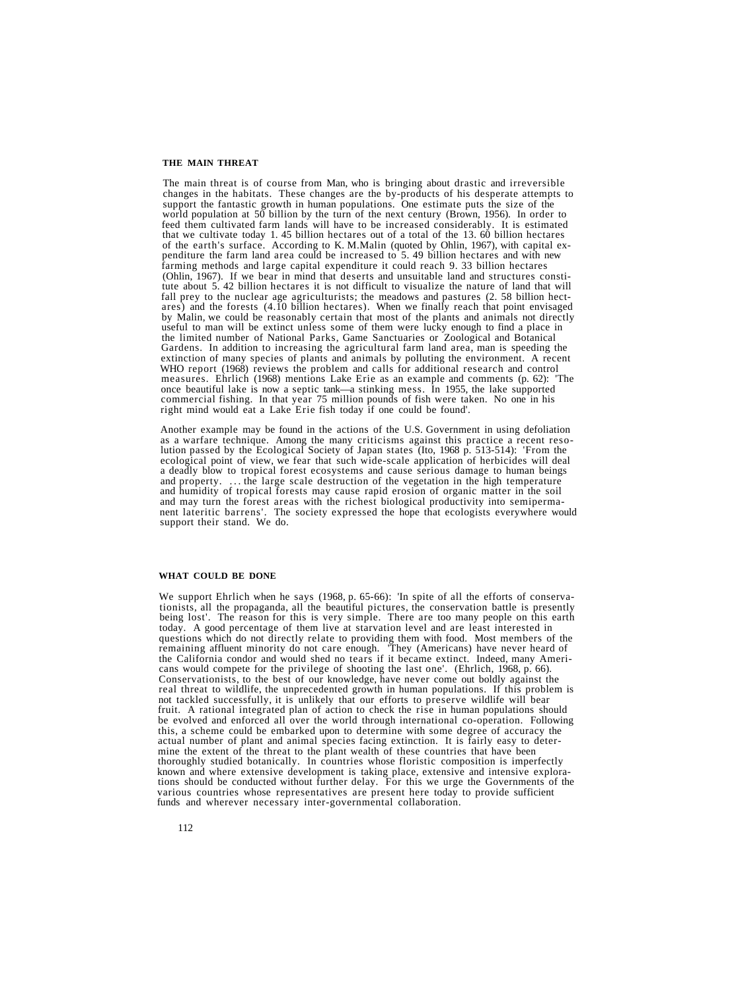#### **THE MAIN THREAT**

The main threat is of course from Man, who is bringing about drastic and irreversible changes in the habitats. These changes are the by-products of his desperate attempts to support the fantastic growth in human population of the earth's surface. According to K. M.Malin (quoted by Ohlin, 1967), with capital ex-<br>penditure the farm land area could be increased to 5.49 billion hectares and with new<br>farming methods and large capital expenditure ares) and the forests  $(4.10 \text{ billion hectares})$ . When we finally reach that point envisaged by Malin, we could be reasonably certain that most of the plants and animals not directly useful to man will be extinct unless some of them were lucky enough to find a place in the limited number of National Parks, Game Sanctuaries or Zoological and Botanical Gardens. In addition to increasing the agricultural farm land area, man is speeding the extinction of many species of plants and animals by polluting the environment. A recent WHO report (1968) reviews the problem and calls for additional research and control measures. Ehrlich (1968) mentions Lake Erie as an example and comments (p. 62): 'The once beautiful lake is now a septic tank—a stinking mess. In 1955, the lake supported commercial fishing. In that year 75 million pounds of fish were taken. No one in his right mind would eat a Lake Erie fish today if one could be found'.

Another example may be found in the actions of the U.S. Government in using defoliation<br>as a warfare technique. Among the many criticisms against this practice a recent reso-<br>lution passed by the Ecological Society of Japa support their stand. We do.

#### **WHAT COULD BE DONE**

We support Ehrlich when he says (1968, p. 65-66): 'In spite of all the efforts of conservationists, all the propaganda, all the beautiful pictures, the conservation battle is presently being lost'. The reason for this is very simple. There are too many people on this earth today. A good percentage of them live at starvation level and are least interested in questions which do not directly relate to providing them with food. Most members of the remaining affluent minority do not care enough. 'They (Americans) have never heard of the California condor and would shed no tears if cans would compete for the privilege of shooting the last one'. (Ehrlich, 1968, p. 66).<br>Conservationists, to the best of our knowledge, have never come out boldly against the<br>real threat to wildlife, the unprecedented grow be evolved and enforced all over the world through international co-operation. Following this, a scheme could be embarked upon to determine with some degree of accuracy the<br>actual number of plant and animal species facing extinction. It is fairly easy to deter-<br>mine the extent of the threat to the plant wealth tions should be conducted without further delay. For this we urge the Governments of the various countries whose representatives are present here today to provide sufficient funds and wherever necessary inter-governmental collaboration.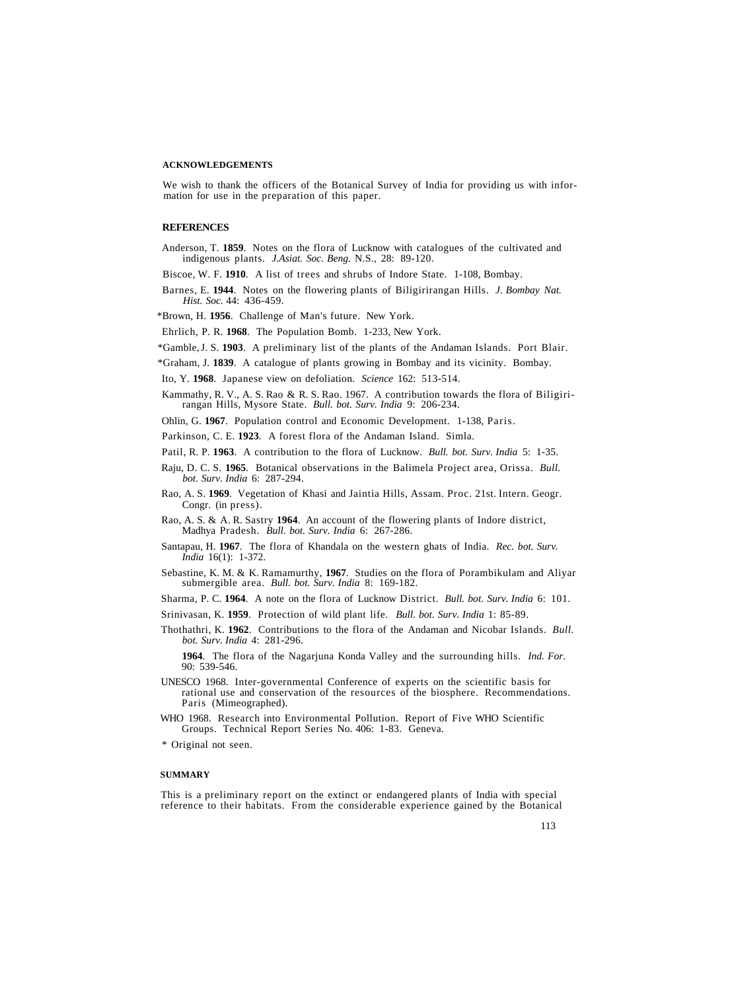#### **ACKNOWLEDGEMENTS**

We wish to thank the officers of the Botanical Survey of India for providing us with infor-<br>mation for use in the preparation of this paper.

#### **REFERENCES**

- Anderson, T. **1859**. Notes on the flora of Lucknow with catalogues of the cultivated and indigenous plants. *J.Asiat. Soc. Beng.* N.S., 28: 89-120.
- Biscoe, W. F. **1910**. A list of trees and shrubs of Indore State. 1-108, Bombay.
- Barnes, E. **1944**. Notes on the flowering plants of Biligirirangan Hills. *J. Bombay Nat. Hist. Soc.* 44: 436-459.
- \*Brown, H. **1956**. Challenge of Man's future. New York.
- Ehrlich, P. R. **1968**. The Population Bomb. 1-233, New York.
- \*Gamble, J. S. **1903**. A preliminary list of the plants of the Andaman Islands. Port Blair.
- \*Graham, J. **1839**. A catalogue of plants growing in Bombay and its vicinity. Bombay.
- Ito, Y. **1968**. Japanese view on defoliation. *Science* 162: 513-514.
- Kammathy, R. V., A. S. Rao & R. S. Rao. 1967. A contribution towards the flora of Biligiri- rangan Hills, Mysore State. *Bull. bot. Surv. India* 9: 206-234.
- Ohlin, G. **1967**. Population control and Economic Development. 1-138, Paris.
- Parkinson, C. E. **1923**. A forest flora of the Andaman Island. Simla.

Patil, R. P. **1963**. A contribution to the flora of Lucknow. *Bull. bot. Surv. India* 5: 1-35.

- Raju, D. C. S. **1965**. Botanical observations in the Balimela Project area, Orissa. *Bull. bot. Surv. India* 6: 287-294.
- Rao, A. S. **1969**. Vegetation of Khasi and Jaintia Hills, Assam. Proc. 21st. Intern. Geogr. Congr. (in press).
- Rao, A. S. & A. R. Sastry **1964**. An account of the flowering plants of Indore district, Madhya Pradesh. *Bull. bot. Surv. India* 6: 267-286.
- Santapau, H. **1967**. The flora of Khandala on the western ghats of India. *Rec. bot. Surv. India* 16(1): 1-372.
- Sebastine, K. M. & K. Ramamurthy, **1967**. Studies on the flora of Porambikulam and Aliyar submergible area. *Bull. bot. Surv. India* 8: 169-182.

Sharma, P. C. **1964**. A note on the flora of Lucknow District. *Bull. bot. Surv. India* 6: 101.

- Srinivasan, K. **1959**. Protection of wild plant life. *Bull. bot. Surv. India* 1: 85-89.
- Thothathri, K. **1962**. Contributions to the flora of the Andaman and Nicobar Islands. *Bull. bot. Surv. India* 4: 281-296.

**1964**. The flora of the Nagarjuna Konda Valley and the surrounding hills. *Ind. For.* 90: 539-546.

- UNESCO 1968. Inter-governmental Conference of experts on the scientific basis for rational use and conservation of the resources of the biosphere. Recommendations. Paris (Mimeographed).
- WHO 1968. Research into Environmental Pollution. Report of Five WHO Scientific Groups. Technical Report Series No. 406: 1-83. Geneva.

\* Original not seen.

#### **SUMMARY**

This is a preliminary report on the extinct or endangered plants of India with special reference to their habitats. From the considerable experience gained by the Botanical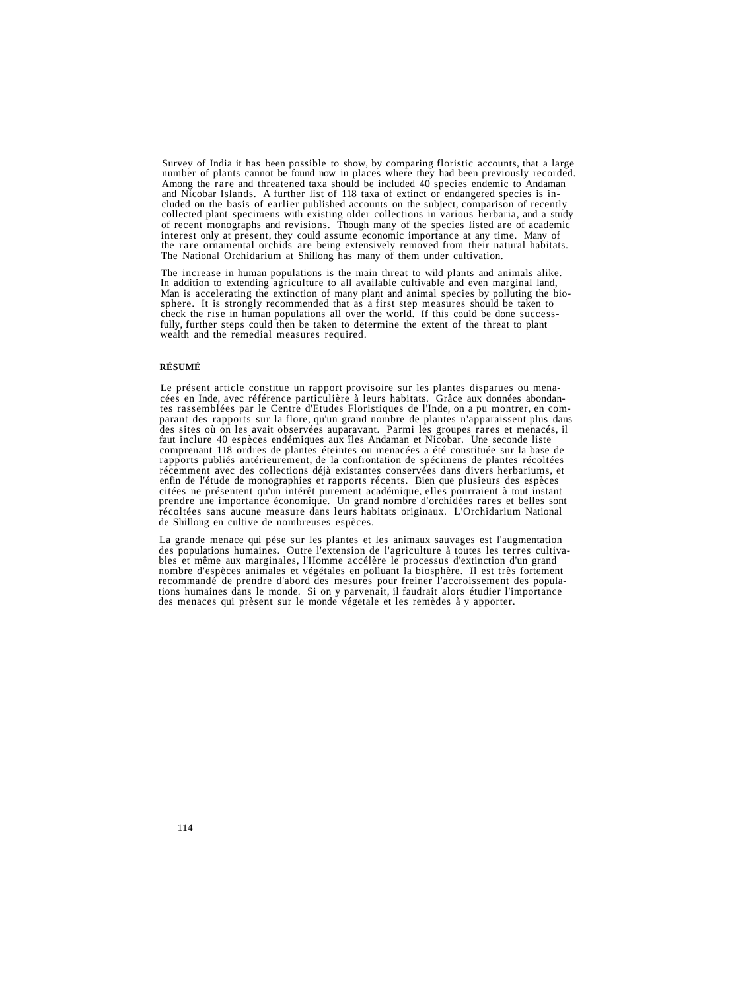Survey of India it has been possible to show, by comparing floristic accounts, that a large<br>number of plants cannot be found now in places where they had been previously recorded.<br>Among the rare and threatened taxa should of recent monographs and revisions. Though many of the species listed are of academic<br>interest only at present, they could assume economic importance at any time. Many of the rare ornamental orchids are being extensively removed from their natural habitats. The National Orchidarium at Shillong has many of them under cultivation.

The increase in human populations is the main threat to wild plants and animals alike.<br>In addition to extending agriculture to all available cultivable and even marginal land,<br>Man is accelerating the extinction of many pla wealth and the remedial measures required.

# **RÉSUMÉ**

Le présent article constitue un rapport provisoire sur les plantes disparues ou mena-<br>cées en Inde, avec référence particulière à leurs habitats. Grâce aux données abondan-<br>tes rassemblées par le Centre d'Etudes Floristiqu comprenant 118 ordres de plantes éteintes ou menacées a été constituée sur la base de<br>rapports publiés antérieurement, de la confrontation de spécimens de plantes récoltées<br>récemment avec des collections déjà existantes co citées ne présentent qu'un intérêt purement académique, elles pourraient à tout instant prendre une importance économique. Un grand nombre d'orchidées rares et belles sont récoltées sans aucune measure dans leurs habitats originaux. L'Orchidarium National de Shillong en cultive de nombreuses espèces.

La grande menace qui pèse sur les plantes et les animaux sauvages est l'augmentation<br>des populations humaines. Outre l'extension de l'agriculture à toutes les terres cultiva-<br>bles et même aux marginales, l'Homme accélère l nombre d'espèces animales et végétales en polluant la biosphère. Il est très fortement tions humaines dans le monde. Si on y parvenait, il faudrait alors étudier l'importance des menaces qui prèsent sur le monde végetale et les remèdes à y apporter.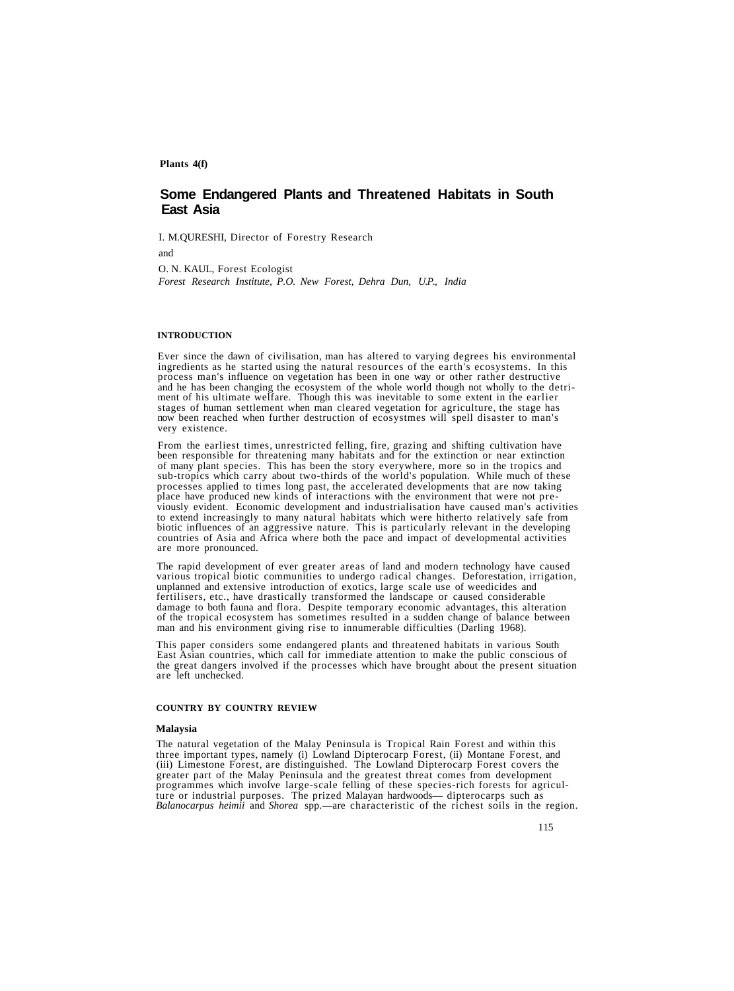**Plants 4(f)**

# **Some Endangered Plants and Threatened Habitats in South East Asia**

I. M.QURESHI, Director of Forestry Research

and

O. N. KAUL, Forest Ecologist

*Forest Research Institute, P.O. New Forest, Dehra Dun, U.P., India*

#### **INTRODUCTION**

Ever since the dawn of civilisation, man has altered to varying degrees his environmental ingredients as he started using the natural resources of the earth's ecosystems. In this process man's influence on vegetation has been in one way or other rather destructive<br>and he has been changing the ecosystem of the whole world though not wholly to the detri-<br>ment of his ultimate welfare. Though this was

From the earliest times, unrestricted felling, fire, grazing and shifting cultivation have<br>been responsible for threatening many habitats and for the extinction or near extinction<br>of many plant species. This has been the s processes applied to times long past, the accelerated developments that are now taking place have produced new kinds of interactions with the environment that were not previously evident. Economic development and industrialisation have caused man's activities<br>to extend increasingly to many natural habitats which were hitherto relatively safe from<br>biotic influences of an aggressive nature. T countries of Asia and Africa where both the pace and impact of developmental activities are more pronounced.

The rapid development of ever greater areas of land and modern technology have caused various tropical biotic communities to undergo radical changes. Deforestation, irrigation, unplanned and extensive introduction of exotics, large scale use of weedicides and fertilisers, etc., have drastically transformed the landscape or caused considerable damage to both fauna and flora. Despite temporary economic advantages, this alteration<br>of the tropical ecosystem has sometimes resulted in a sudden change of balance between<br>man and his environment giving rise to innumerab

This paper considers some endangered plants and threatened habitats in various South East Asian countries, which call for immediate attention to make the public conscious of the great dangers involved if the processes which have brought about the present situation are left unchecked.

# **COUNTRY BY COUNTRY REVIEW**

#### **Malaysia**

The natural vegetation of the Malay Peninsula is Tropical Rain Forest and within this three important types, namely (i) Lowland Dipterocarp Forest, (ii) Montane Forest, and greater part of the Malay Peninsula and the greatest threat comes from development<br>programmes which involve large-scale felling of these species-rich forests for agriculture or industrial purposes. The prized Malayan hardwoods— dipterocarps such as *Balanocarpus heimii* and *Shorea* spp.—are characteristic of the richest soils in the region.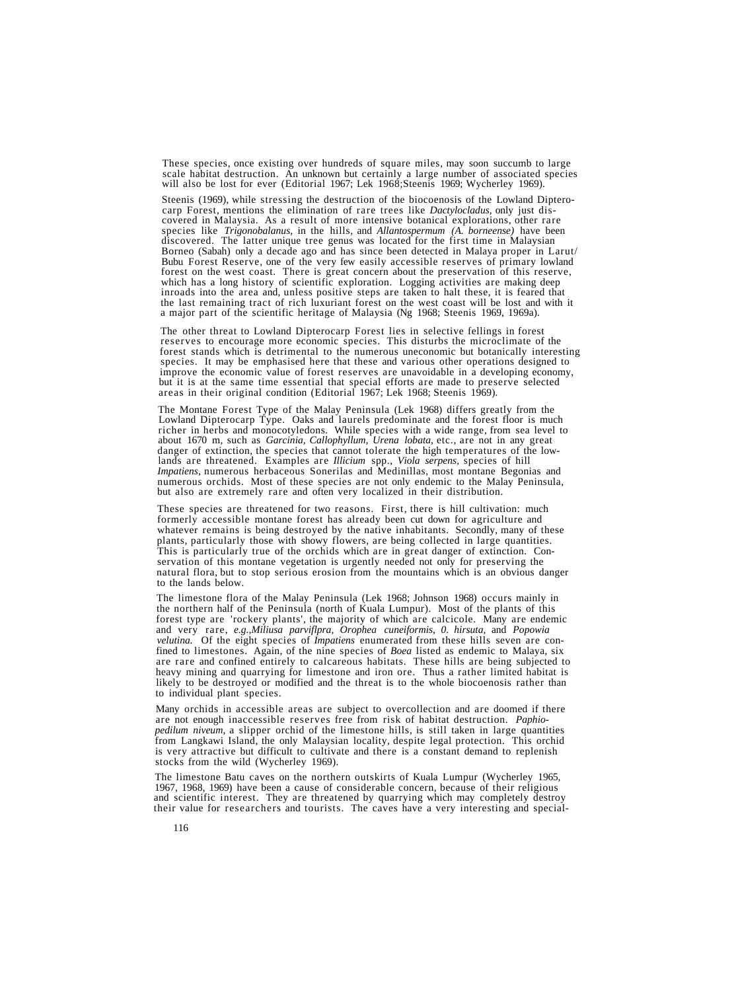These species, once existing over hundreds of square miles, may soon succumb to large scale habitat destruction. An unknown but certainly a large number of associated species will also be lost for ever (Editorial 1967; Lek

Steenis (1969), while stressing the destruction of the biocoenosis of the Lowland Diptero-<br>carp Forest, mentions the elimination of rare trees like *Dactylocladus*, only just dis-<br>covered in Malaysia. As a result of more i Bubu Forest Reserve, one of the very few easily accessible reserves of primary lowland forest on the west coast. There is great concern about the preservation of this reserve. which has a long history of scientific exploration. Logging activities are making deep inroads into the area and, unless positive steps are taken to halt these, it is feared that<br>the last remaining tract of rich luxuriant forest on the west coast will be lost and with it a maior part of the scientific heritage of Malaysia (Ng 1968; Steenis 1969, 1969a).

The other threat to Lowland Dipterocarp Forest lies in selective fellings in forest<br>reserves to encourage more economic species. This disturbs the microclimate of the<br>forest stands which is detrimental to the numerous unec improve the economic value of forest reserves are unavoidable in a developing economy, but it is at the same time essential that special efforts are made to preserve selected areas in their original condition (Editorial 19

The Montane Forest Type of the Malay Peninsula (Lek 1968) differs greatly from the Lowland Dipterocarp Type. Oaks and laurels predominate and the forest floor is much richer in herbs and monocotyledons. While species with a wide range, from sea level to about 1670 m, such as *Garcinia, Callophyllum, Urena lobata*, etc., are not in any great danger of extinction, the species that cannot lands are threatened. Examples are *Illicium* spp., *Viola serpens*, species of hill *Impatiens*, numerous herbaceous Sonerilas and Medinillas, most montane Begonias and numerous orchids. Most of these species are not only endemic to the Malay Peninsula, but also are extremely rare and often very localized in their distribution.

These species are threatened for two reasons. First, there is hill cultivation: much formerly accessible montane forest has already been cut down for agriculture and whatever remains is being destroyed by the native inhabitants. Secondly, many of these plants, particularly those with showy flowers, are being collected in large quantities. This is particularly true of the orchids which are in great danger of extinction. Conservation of this montane vegetation is urgently needed not only for preserving the natural flora, but to stop serious erosion from the mountains which is an obvious danger to the lands below.

The limestone flora of the Malay Peninsula (Lek 1968; Johnson 1968) occurs mainly in the northern half of the Peninsula (north of Kuala Lumpur). Most of the plants of this forest type are 'rockery plants', the majority of which are calcicole. Many are endemic and very rare, *e.g.,Miliusa parviflpra, Orophea cuneiformis, 0. hirsuta,* and *Popowia velutina.* Of the eight species of *Impatiens* enumerated from these hills seven are confined to limestones. Again, of the nine species of *Boea* listed as endemic to Malaya, six are rare and confined entirely to calcareous habitats. These hills are being subjected to heavy mining and quarrying for limestone and iron ore. Thus a rather limited habitat is likely to be destroyed or modified and the threat is to the whole biocoenosis rather than to individual plant species.

Many orchids in accessible areas are subject to overcollection and are doomed if there are not enough inaccessible reserves free from risk of habitat destruction. *Paphiopedilum niveum,* a slipper orchid of the limestone hills, is still taken in large quantities from Langkawi Island, the only Malaysian locality, despite legal protection. This orchid is very attractive but difficult to cultivate and there is a constant demand to replenish stocks from the wild (Wycherley 1969).

The limestone Batu caves on the northern outskirts of Kuala Lumpur (Wycherley 1965, 1967, 1968, 1969) have been a cause of considerable concern, because of their religious and scientific interest. They are threatened by qu their value for researchers and tourists. The caves have a very interesting and special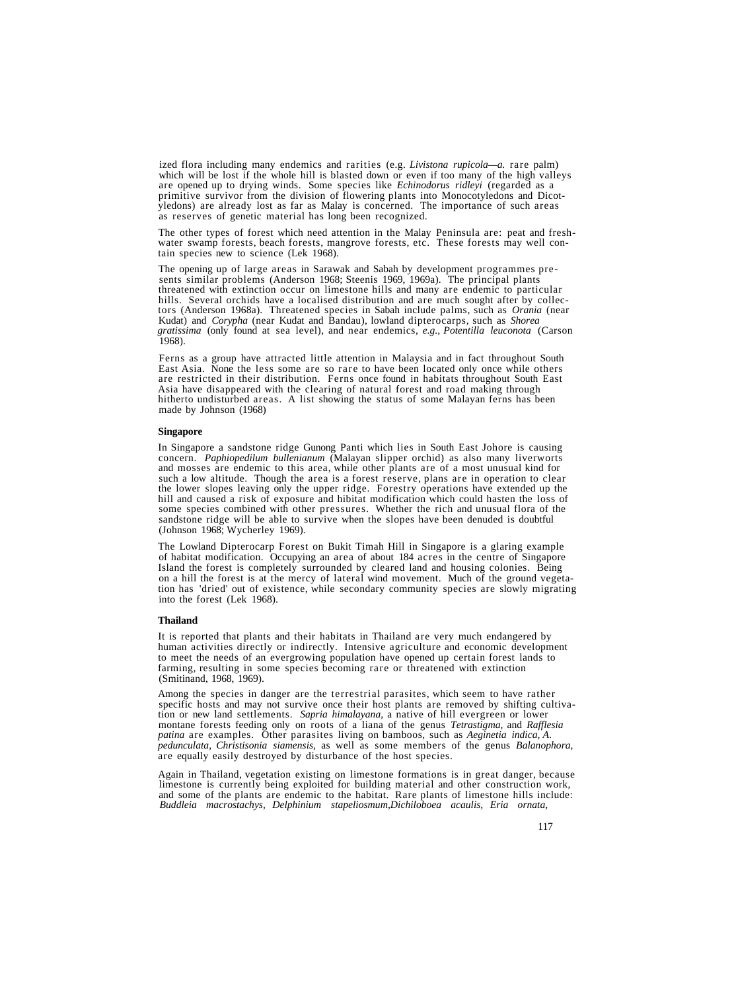ized flora including many endemics and rarities (e.g. *Livistona rupicola—a*. rare palm) which will be lost if the whole hill is blasted down or even if too many of the high valleys are opened up to drying winds. Some species like *Echinodorus ridleyi* (regarded as a primitive survivor from the division of flowering plants into Monocotyledons and Dicotyledons) are already lost as far as Malay is conce

The other types of forest which need attention in the Malay Peninsula are: peat and fresh-<br>water swamp forests, beach forests, mangrove forests, etc. These forests may well con-<br>tain species new to science (Lek 1968).

The opening up of large areas in Sarawak and Sabah by development programmes presents similar problems (Anderson 1968; Steenis 1969, 1969a). The principal plants threatened with extinction occur on limestone hills and many *gratissima* (only found at sea level), and near endemics, *e.g., Potentilla leuconota* (Carson 1968).

Ferns as a group have attracted little attention in Malaysia and in fact throughout South East Asia. None the less some are so rare to have been located only once while others East Asia. None the less some are so rare to have been located only once while others are restricted in their distribution. Ferns once found in habitats throughout South East Asia have disappeared with the clearing of natural forest and road making through hitherto undisturbed areas. A list showing the status of some Malayan ferns has been made by Johnson (1968)

#### **Singapore**

In Singapore a sandstone ridge Gunong Panti which lies in South East Johore is causing<br>concern. *Paphiopedilum bullenianum* (Malayan slipper orchid) as also many liverworts<br>and mosses are endemic to this area, while other (Johnson 1968; Wycherley 1969).

The Lowland Dipterocarp Forest on Bukit Timah Hill in Singapore is a glaring example of habitat modification. Occupying an area of about 184 acres in the centre of Singapore Island the forest is completely surrounded by cleared land and housing colonies. Being on a hill the forest is at the mercy of lateral wind movement. Much of the ground vegetation has 'dried' out of existence, while secondary community species are slowly migrating into the forest (Lek 1968).

#### **Thailand**

It is reported that plants and their habitats in Thailand are very much endangered by human activities directly or indirectly. Intensive agriculture and economic development to meet the needs of an evergrowing population have opened up certain forest lands to farming, resulting in some species becoming rare or threatened with extinction (Smitinand, 1968, 1969).

Among the species in danger are the terrestrial parasites, which seem to have rather specific hosts and may not survive once their host plants are removed by shifting cultivation or new land settlements. *Sapria himalayana* pedunculata, Christisonia siamensis, as well as some members of the genus Balanophora, are equally easily destroyed by disturbance of the host species.

Again in Thailand, vegetation existing on limestone formations is in great danger, because limestone is currently being exploited for building material and other construction work, and some of the plants are endemic to the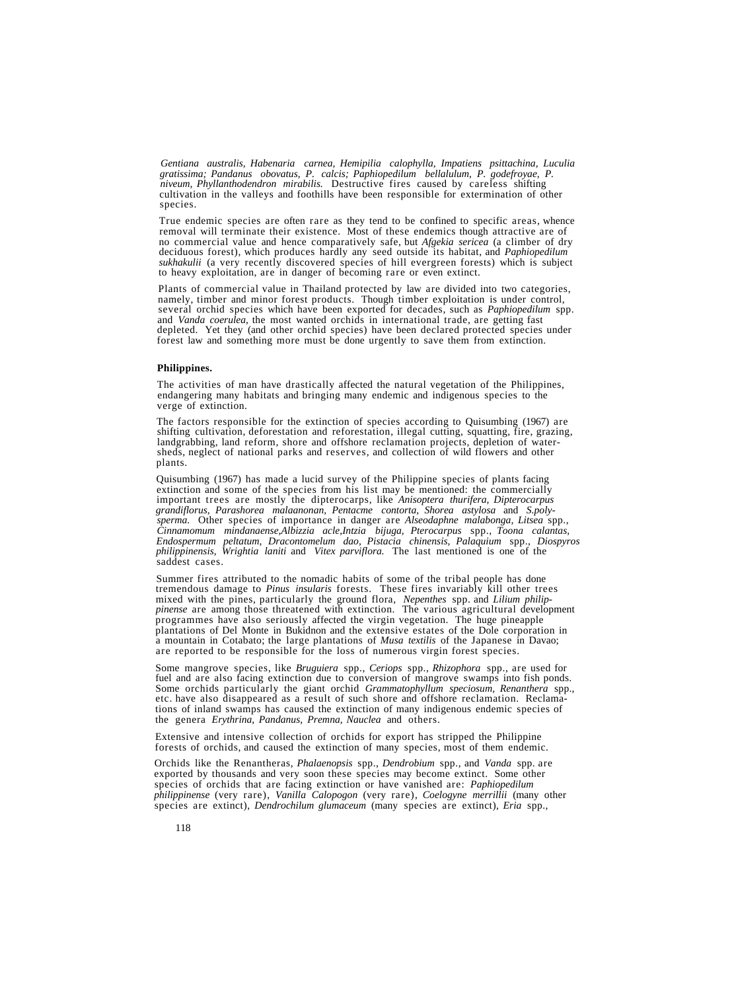*Gentiana australis, Habenaria carnea, Hemipilia calophylla, Impatiens psittachina, Luculia gratissima; Pandanus obovatus, P. calcis; Paphiopedilum bellalulum, P. godefroyae, P. niveum, Phyllanthodendron mirabilis.* Destructive fires caused by careless shifting cultivation in the valleys and foothills have been responsible for extermination of other species.

True endemic species are often rare as they tend to be confined to specific areas, whence<br>removal will terminate their existence. Most of these endemics though attractive are of<br>no commercial value and hence comparatively deciduous forest), which produces hardly any seed outside its habitat, and *Paphiopedilum sukhakulii* (a very recently discovered species of hill evergreen forests) which is subject to heavy exploitation, are in danger of becoming rare or even extinct.

Plants of commercial value in Thailand protected by law are divided into two categories, namely, timber and minor forest products. Though timber exploitation is under control, several orchid species which have been exporte forest law and something more must be done urgently to save them from extinction.

# **Philippines.**

The activities of man have drastically affected the natural vegetation of the Philippines, endangering many habitats and bringing many endemic and indigenous species to the verge of extinction.

The factors responsible for the extinction of species according to Quisumbing (1967) are shifting cultivation, deforestation and reforestation, illegal cutting, squatting, fire, grazing, landgrabbing, land reform, shore an

Quisumbing (1967) has made a lucid survey of the Philippine species of plants facing extinction and some of the species from his list may be mentioned: the commercially important trees are mostly the dipterocarps, like *Anisoptera thurifera, Dipterocarpus grandiflorus, Parashorea malaanonan, Pentacme contorta, Shorea astylosa* and *S.polysperma.* Other species of importance in danger are *Alseodaphne malabonga, Litsea* spp., *Cinnamomum mindanaense,Albizzia acle,Intzia bijuga, Pterocarpus* spp., *Toona calantas, Endospermum peltatum, Dracontomelum dao, Pistacia chinensis, Palaquium* spp., *Diospyros philippinensis, Wrightia laniti* and *Vitex parviflora.* The last mentioned is one of the saddest cases.

Summer fires attributed to the nomadic habits of some of the tribal people has done<br>tremendous damage to *Pinus insularis* forests. These fires invariably kill other trees<br>mixed with the pines, particularly the ground flor *pinense* are among those threatened with extinction. The various agricultural development programmes have also seriously affected the virgin vegetation. The huge pineapple plantations of Del Monte in Bukidnon and the extensive estates of the Dole corporation in a mountain in Cotabato; the large plantations of

Some mangrove species, like *Bruguiera* spp., *Ceriops* spp., *Rhizophora* spp., are used for fuel and are also facing extinction due to conversion of mangrove swamps into fish ponds. Some orchids particularly the giant or the genera *Erythrina, Pandanus, Premna, Nauclea* and others.

Extensive and intensive collection of orchids for export has stripped the Philippine forests of orchids, and caused the extinction of many species, most of them endemic.

Orchids like the Renantheras, *Phalaenopsis* spp., *Dendrobium* spp., and *Vanda* spp. are exported by thousands and very soon these species may become extinct. Some other species of orchids that are facing extinction or have vanished are: *Paphiopedilum philippinense* (very rare), *Vanilla Calopogon* (very rare), *Coelogyne merrillii* (many other species are extinct), *Dendrochilum glumaceum* (many species are extinct), *Eria* spp.,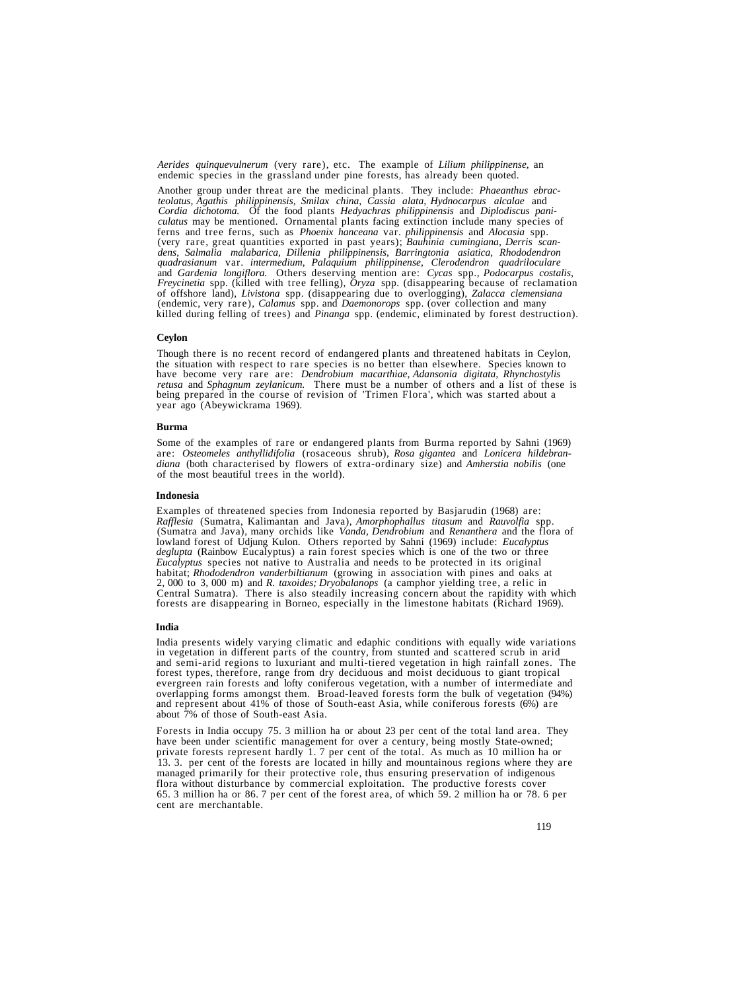*Aerides quinquevulnerum* (very rare), etc. The example of *Lilium philippinense,* an endemic species in the grassland under pine forests, has already been quoted.

Another group under threat are the medicinal plants. They include: *Phaeanthus ebracteolatus, Agathis philippinensis, Smilax china, Cassia alata, Hydnocarpus alcalae* and *Cordia dichotoma.* Of the food plants *Hedyachras philippinensis* and *Diplodiscus paniculatus* may be mentioned. Ornamental plants facing extinction include many species of ferns and tree ferns, such as *Phoenix hanceana* var. *philippinensis* and *Alocasia* spp. (very rare, great quantities exported in past years); Bauhinia cumingiana, Derris scandens, Salmalia malabarica, Dillenia philippinensis, Barringtonia asiatica, Rhododendron quadrasianum var. intermedium, Palaquium philipp *and Gardenia longiflora.* Others deserving mention are: *Cycas* spp., *Podocarpus costalis, Freycinetia* spp. (killed with tree felling), *Oryza* spp. (disappearing because of reclamation *Freycinetia* spp. (killed with tree felling), *Oryza* spp. (disappearing because of reclamation of offshore land), *Livistona* spp. (disappearing due to overlogging), *Zalacca clemensiana* (endemic, very rare), *Calamus* spp. and *Daemonorops* spp. (over collection and many killed during felling of trees) and *Pinanga* spp. (endemic, eliminated by forest destruction).

#### **Ceylon**

Though there is no recent record of endangered plants and threatened habitats in Ceylon, the situation with respect to rare species is no better than elsewhere. Species known to have become very rare are: *Dendrobium macar* being prepared in the course of revision of 'Trimen Flora', which was started about a year ago (Abeywickrama 1969).

#### **Burma**

Some of the examples of rare or endangered plants from Burma reported by Sahni (1969) are: *Osteomeles anthyllidifolia* (rosaceous shrub), *Rosa gigantea* and *Lonicera hildebrandiana* (both characterised by flowers of extra-ordinary size) and *Amherstia nobilis* (one of the most beautiful trees in the world).

#### **Indonesia**

Examples of threatened species from Indonesia reported by Basjarudin (1968) are:<br>Rafflesia (Sumatra, Kalimantan and Java), Amorphophallus titasum and Rauvolfia spp.<br>(Sumatra and Java), many orchids like Vanda, Dendrobium a lowland forest of Udjung Kulon. Others reported by Sahni (1969) include: *Eucalyptus Eucalyptus* species not native to Australia and needs to be protected in its original habitat; *Rhododendron vanderbiltianum* (growing in association with pines and oaks at 2,000 to 3,000 m) and *R. taxoides; Dryobalanops* (a camphor yielding tree, a relic in Central Sumatra). There is also steadily increasing concern about the rapidity with which forests are disappearing in Borneo, especially in the limestone habitats (Richard 1969).

#### **India**

India presents widely varying climatic and edaphic conditions with equally wide variations<br>in vegetation in different parts of the country, from stunted and scattered scrub in arid<br>and semi-arid regions to luxuriant and mu evergreen rain forests and lofty coniferous vegetation, with a number of intermediate and overlapping forms amongst them. Broad-leaved forests form the bulk of vegetation (94%) and represent about 41% of those of South-east Asia, while coniferous forests (6%) are about 7% of those of South-east Asia.

Forests in India occupy 75. 3 million ha or about 23 per cent of the total land area. They have been under scientific management for over a century, being mostly State-owned; private forests represent hardly 1. 7 per cent of the total. As much as 10 million ha or 13. 3. per cent of the forests are located in hilly and mountainous regions where they are managed primarily for their protective role, thus ensuring preservation of indigenous flora without disturbance by commercial exploitation. The productive forests cover 65. 3 million ha or 86. 7 per cent of the forest area, of which 59. 2 million ha or 78. 6 per cent are merchantable.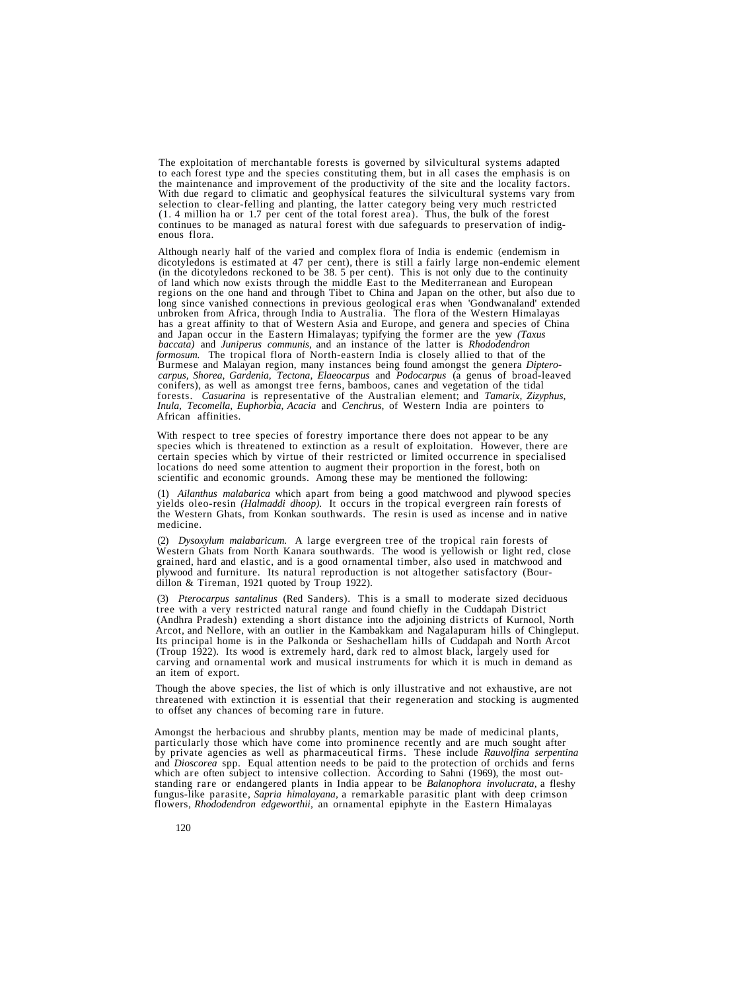The exploitation of merchantable forests is governed by silvicultural systems adapted to each forest type and the species constituting them, but in all cases the emphasis is on to each forest type and the species constituting them, but in all cases the emphasis is on<br>the maintenance and improvement of the productivity of the site and the locality factors.<br>With due regard to climatic and geophysic (1. 4 million ha or 1.7 per cent of the total forest area). Thus, the bulk of the forest continues to be managed as natural forest with due safeguards to preservation of indig- enous flora.

Although nearly half of the varied and complex flora of India is endemic (endemism in dicotyledons is estimated at 47 per cent), there is still a fairly large non-endemic element (in the dicotyledons reckoned to be 38. 5 p of land which now exists through the middle East to the Mediterranean and European<br>regions on the one hand and through Tibet to China and Japan on the other, but also due to<br>long since vanished connections in previous geol has a great affinity to that of Western Asia and Europe, and genera and species of China<br>and Japan occur in the Eastern Himalayas; typifying the former are the yew *(Taxus*) *baccata)* and *Juniperus communis,* and an instance of the latter is *Rhododendron formosum.* The tropical flora of North-eastern India is closely allied to that of the Burmese and Malayan region, many instances being found amongst the genera *Dipterocarpus, Shorea, Gardenia, Tectona, Elaeocarpus* and *Podocarpus* (a genus of broad-leaved conifers), as well as amongst tree ferns, bamboos, canes and vegetation of the tidal forests. *Casuarina* is representative of the Australian element; and *Tamarix, Zizyphus, Inula, Tecomella, Euphorbia, Acacia* and *Cenchrus*, of Western India are pointers to African affinities.

With respect to tree species of forestry importance there does not appear to be any species which is threatened to extinction as a result of exploitation. However, there are certain species which by virtue of their restricted or limited occurrence in specialised locations do need some attention to augment their proportion in the forest, both on scientific and economic grounds. Among these may be mentioned the following:

(1) *Ailanthus malabarica* which apart from being a good matchwood and plywood species yields oleo-resin *(Halmaddi dhoop).* It occurs in the tropical evergreen rain forests of the Western Ghats, from Konkan southwards. The resin is used as incense and in native medicine.

(2) *Dysoxylum malabaricum.* A large evergreen tree of the tropical rain forests of Western Ghats from North Kanara southwards. The wood is yellowish or light red, close grained, hard and elastic, and is a good ornamental timber, also used in matchwood and plywood and furniture. Its natural reproduction is not altogether satisfactory (Bourdillon & Tireman, 1921 quoted by Troup 1922).

(3) *Pterocarpus santalinus* (Red Sanders). This is a small to moderate sized deciduous tree with a very restricted natural range and found chiefly in the Cuddapah District (Andhra Pradesh) extending a short distance into the adjoining districts of Kurnool, North Arcot, and Nellore, with an outlier in the Kambakkam and Nagalapuram hills of Chingleput. Its principal home is in the Palkonda or Seshachellam hills of Cuddapah and North Arcot (Troup 1922). Its wood is extremely hard, dark red to almost black, largely used for carving and ornamental work and musical instruments for which it is much in demand as an item of export.

Though the above species, the list of which is only illustrative and not exhaustive, are not threatened with extinction it is essential that their regeneration and stocking is augmented to offset any chances of becoming rare in future.

Amongst the herbacious and shrubby plants, mention may be made of medicinal plants,<br>particularly those which have come into prominence recently and are much sought after<br>by private agencies as well as pharmaceutical firms. fungus-like parasite, *Sapria himalayana,* a remarkable parasitic plant with deep crimson flowers, *Rhododendron edgeworthii,* an ornamental epiphyte in the Eastern Himalayas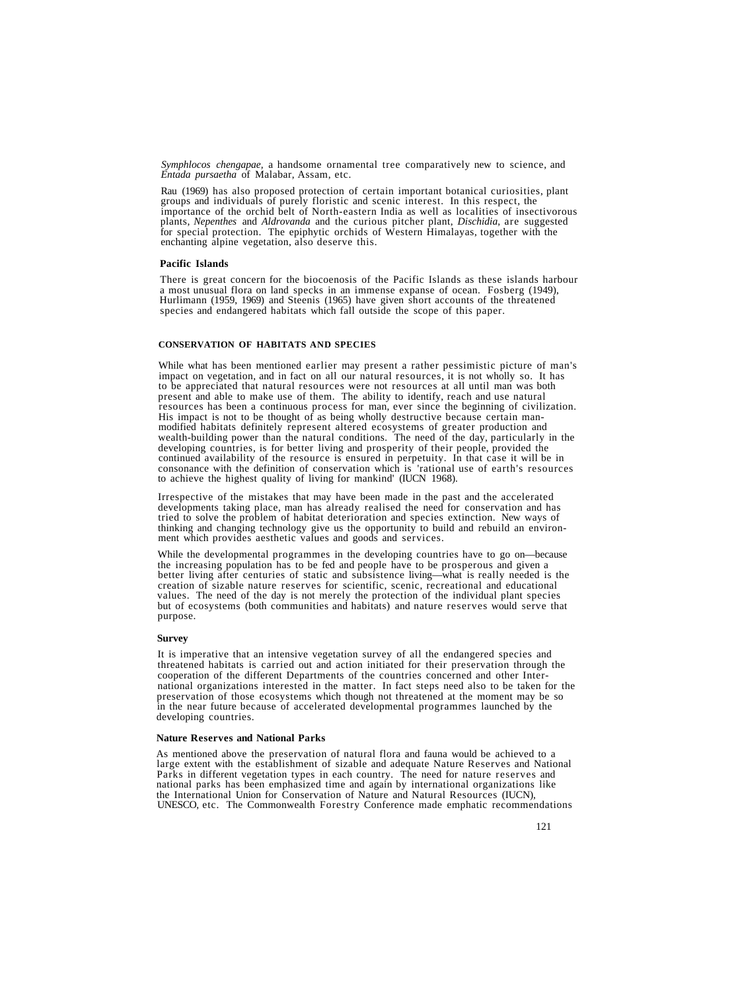*Symphlocos chengapae,* a handsome ornamental tree comparatively new to science, and *Entada pursaetha* of Malabar, Assam, etc.

Rau (1969) has also proposed protection of certain important botanical curiosities, plant groups and individuals of purely floristic and scenic interest. In this respect, the importance of the orchid belt of North-eastern India as well as localities of insectivorous plants, *Nepenthes* and *Aldrovanda* and the for special protection. The epiphytic orchids of Western Himalayas, together with the enchanting alpine vegetation, also deserve this.

#### **Pacific Islands**

There is great concern for the biocoenosis of the Pacific Islands as these islands harbour<br>a most unusual flora on land specks in an immense expanse of ocean. Fosberg (1949),<br>Hurlimann (1959, 1969) and Steenis (1965) have species and endangered habitats which fall outside the scope of this paper.

# **CONSERVATION OF HABITATS AND SPECIES**

While what has been mentioned earlier may present a rather pessimistic picture of man's impact on vegetation, and in fact on all our natural resources, it is not wholly so. It has to be appreciated that natural resources w resources has been a continuous process for man, ever since the beginning of civilization.<br>His impact is not to be thought of as being wholly destructive because certain man-<br>modified habitats definitely represent altered developing countries, is for better living and prosperity of their people, provided the continued availability of the resource is ensured in perpetuity. In that case it will be in consonance with the definition of conserva

Irrespective of the mistakes that may have been made in the past and the accelerated developments taking place, man has already realised the need for conservation and has tried to solve the problem of habitat deterioration and species extinction. New ways of thinking and changing technology give us the opportunity to build and rebuild an environ- ment which provides aesthetic values and goods and services.

While the developmental programmes in the developing countries have to go on—because<br>the increasing population has to be fed and people have to be prosperous and given a<br>better living after centuries of static and subsiste but of ecosystems (both communities and habitats) and nature reserves would serve that purpose.

#### **Survey**

It is imperative that an intensive vegetation survey of all the endangered species and threatened habitats is carried out and action initiated for their preservation through the cooperation of the different Departments of the countries concerned and other International organizations interested in the matter. In fact steps need also to be taken for the preservation of those ecosystems which though not threatened at the moment may be so in the near future because of accelerated developmental programmes launched by the developing countries.

# **Nature Reserves and National Parks**

As mentioned above the preservation of natural flora and fauna would be achieved to a large extent with the establishment of sizable and adequate Nature Reserves and National Parks in different vegetation types in each country. The need for nature reserves and national parks has been emphasized time and again by international organizations like the International Union for Conservation of Nature and Natural Resources (IUCN),<br>UNESCO, etc. The Commonwealth Forestry Conference made emphatic recommendations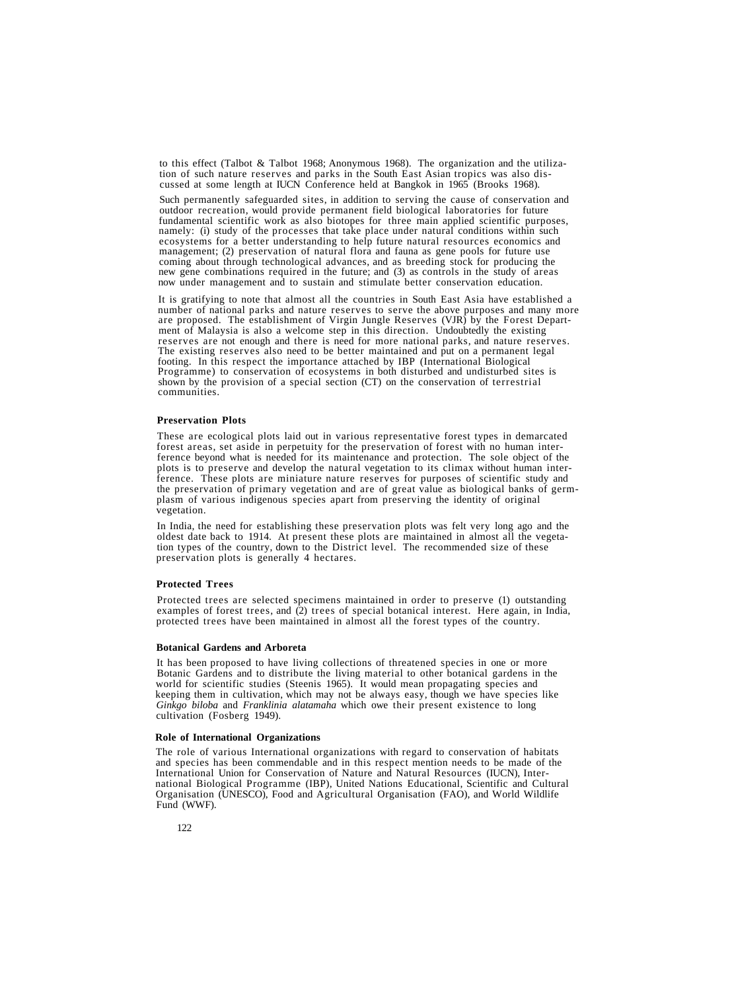to this effect (Talbot & Talbot 1968; Anonymous 1968). The organization and the utilization of such nature reserves and parks in the South East Asian tropics was also discussed at some length at IUCN Conference held at Bangkok in 1965 (Brooks 1968).

Such permanently safeguarded sites, in addition to serving the cause of conservation and outdoor recreation, would provide permanent field biological laboratories for future fundamental scientific work as also biotopes for three main applied scientific purposes, namely: (i) study of the processes that take place under natural conditions within such ecosystems for a better understanding to help future natural resources economics and management; (2) preservation of natural flora and fauna as gene pools for future use coming about through technological advances, and as breeding stock for producing the<br>new gene combinations required in the future; and (3) as controls in the study of areas<br>now under management and to sustain and stimulate

It is gratifying to note that almost all the countries in South East Asia have established a<br>number of national parks and nature reserves to serve the above purposes and many more<br>are proposed. The establishment of Virgin footing. In this respect the importance attached by IBP (International Biological shown by the provision of a special section  $(CT)$  on the conservation of terrestrial communities.

# **Preservation Plots**

These are ecological plots laid out in various representative forest types in demarcated forest areas, set aside in perpetuity for the preservation of forest with no human interference beyond what is needed for its maintenance and protection. The sole object of the plots is to preserve and develop the natural vegetation to its climax without human interference. These plots are miniature nature reserves for purposes of scientific study and the preservation of primary vegetation and are of great value as biological banks of germplasm of various indigenous species apart from preserving the identity of original vegetation.

In India, the need for establishing these preservation plots was felt very long ago and the oldest date back to 1914. At present these plots are maintained in almost all the vegetation types of the country, down to the District level. The recommended size of these preservation plots is generally 4 hectares.

# **Protected Trees**

Protected trees are selected specimens maintained in order to preserve (1) outstanding examples of forest trees, and (2) trees of special botanical interest. Here again, in India, protected trees have been maintained in almost all the forest types of the country.

#### **Botanical Gardens and Arboreta**

It has been proposed to have living collections of threatened species in one or more Botanic Gardens and to distribute the living material to other botanical gardens in the world for scientific studies (Steenis 1965). It would mean propagating species and keeping them in cultivation, which may not be always easy, though we have species like *Ginkgo biloba* and *Franklinia alatamaha* which owe their present existence to long cultivation (Fosberg 1949).

#### **Role of International Organizations**

The role of various International organizations with regard to conservation of habitats and species has been commendable and in this respect mention needs to be made of the International Union for Conservation of Nature and Natural Resources (IUCN), International Biological Programme (IBP), United Nations Educational, Scientific and Cultural Organisation (UNESCO), Food and Agricultural Organisation (FAO), and World Wildlife Fund (WWF).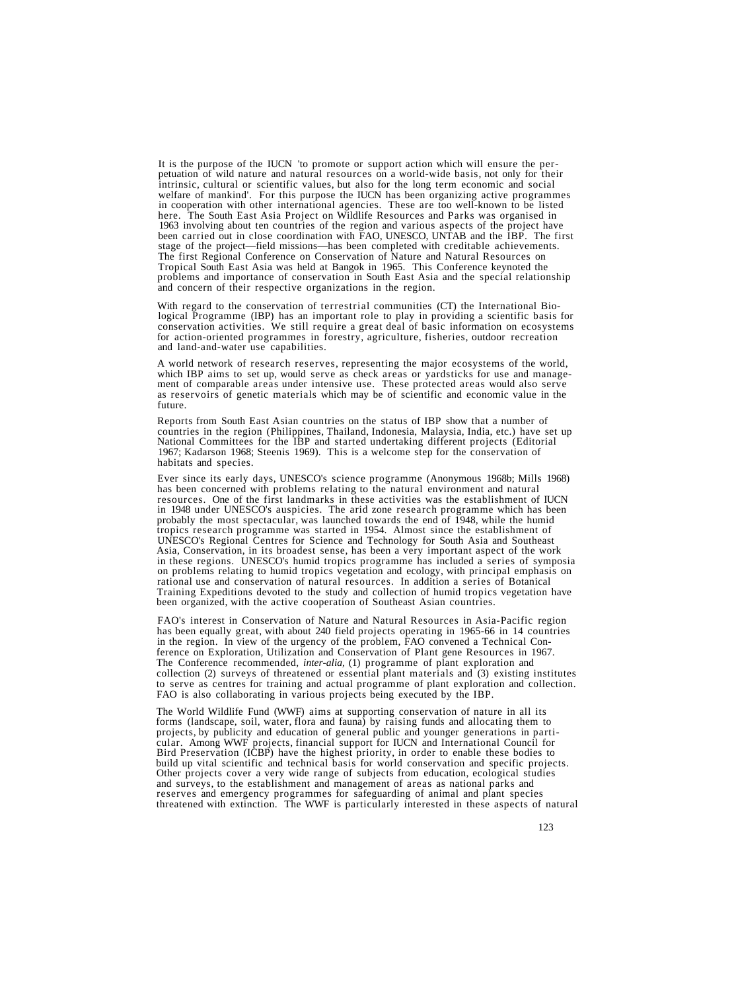It is the purpose of the IUCN 'to promote or support action which will ensure the per-<br>petuation of wild nature and natural resources on a world-wide basis, not only for their<br>intrinsic, cultural or scientific values, but in cooperation with other international agencies. These are too well-known to be listed here. The South East Asia Project on Wildlife Resources and Parks was organised in 1963 involving about ten countries of the region and various aspects of the project have<br>been carried out in close coordination with FAO, UNESCO, UNTAB and the IBP. The first stage of the project—field missions—has been completed with creditable achievements.<br>The first Regional Conference on Conservation of Nature and Natural Resources on<br>Tropical South East Asia was held at Bangok in 1965. Thi

With regard to the conservation of terrestrial communities (CT) the International Biological Programme (IBP) has an important role to play in providing a scientific basis for conservation activities. We still require a gre

A world network of research reserves, representing the major ecosystems of the world, which IBP aims to set up, would serve as check areas or yardsticks for use and management of comparable areas under intensive use. These

Reports from South East Asian countries on the status of IBP show that a number of countries in the region (Philippines, Thailand, Indonesia, Malaysia, India, etc.) have set up National Committees for the IBP and started undertaking different projects (Editorial 1967; Kadarson 1968; Steenis 1969). This is a welcome step for the conservation of habitats and species.

Ever since its early days, UNESCO's science programme (Anonymous 1968b; Mills 1968) resources. One of the first landmarks in these activities was the establishment of IUCN in 1948 under UNESCO's auspicies. The arid zone research programme which has been probably the most spectacular, was launched towards the end of 1948, while the humid tropics research programme was started in 1954. Almost since the establishment of UNESCO's Regional Centres for Science and Technology for South Asia and Southeast Asia, Conservation, in its broadest sense, has been a very important aspect of the work on problems relating to humid tropics vegetation and ecology, with principal emphasis on rational use and conservation of natural resources. In addition a series of Botanical Training Expeditions devoted to the study and collection of humid tropics vegetation have been organized, with the active cooperation of Southeast Asian countries.

FAO's interest in Conservation of Nature and Natural Resources in Asia-Pacific region has been equally great, with about 240 field projects operating in 1965-66 in 14 countries in the region. In view of the urgency of the problem, FAO convened a Technical Conference on Exploration, Utilization and Conservation of Plant gene Resources in 1967. The Conference recommended, *inter-alia,* (1) programme of plant exploration and collection (2) surveys of threatened or essential plant materials and (3) existing institutes to serve as centres for training and actual programme of plant exploration and collection. FAO is also collaborating in various projects being executed by the IBP.

The World Wildlife Fund (WWF) aims at supporting conservation of nature in all its<br>forms (landscape, soil, water, flora and fauna) by raising funds and allocating them to<br>projects, by publicity and education of general pub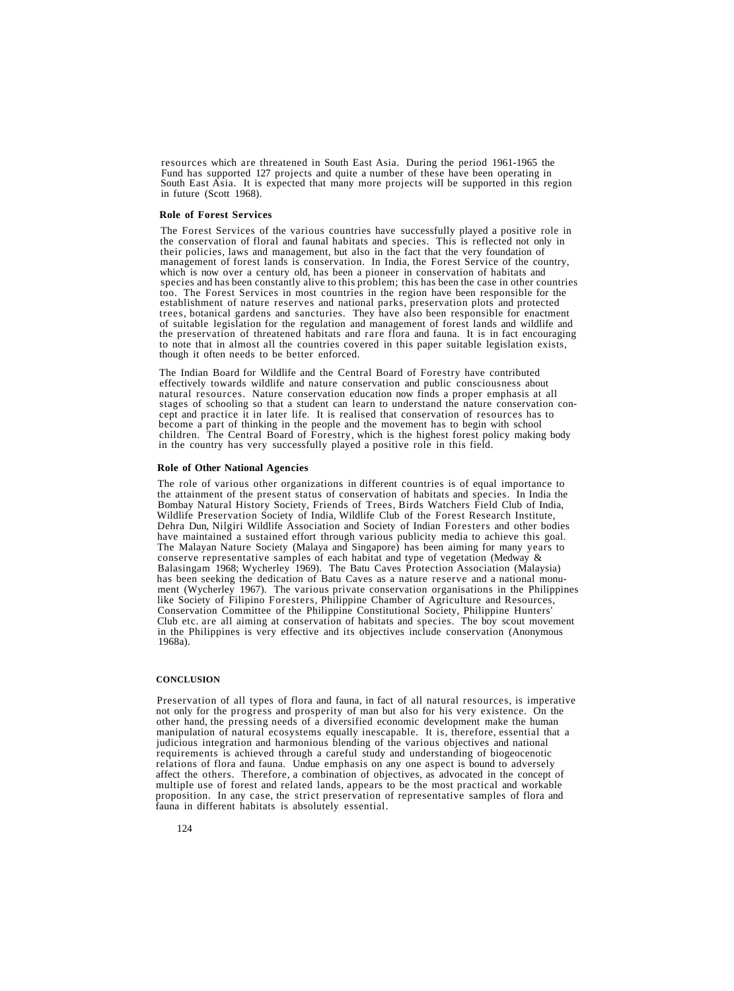resources which are threatened in South East Asia. During the period 1961-1965 the<br>Fund has supported 127 projects and quite a number of these have been operating in<br>South East Asia. It is expected that many more projects

# **Role of Forest Services**

The Forest Services of the various countries have successfully played a positive role in the conservation of floral and faunal habitats and species. This is reflected not only in their policies, laws and management, but al which is now over a century old, has been a pioneer in conservation of habitats and species and has been constantly alive to this problem; this has been the case in other countries too. The Forest Services in most countries in the region have been responsible for the establishment of nature reserves and national parks, preservation plots and protected trees, botanical gardens and sancturies. They hav of suitable legislation for the regulation and management of forest lands and wildlife and the preservation of threatened habitats and rare flora and fauna. It is in fact encouraging to note that in almost all the countries covered in this paper suitable legislation exists, though it often needs to be better enforced.

The Indian Board for Wildlife and the Central Board of Forestry have contributed effectively towards wildlife and nature conservation and public consciousness about natural resources. Nature conservation education now finds a proper emphasis at all cept and practice it in later life. It is realised that conservation of resources has to become a part of thinking in the people and the movement has to begin with school children. The Central Board of Forestry, which is the highest forest policy making body in the country has very successfully played a positive role in this field.

# **Role of Other National Agencies**

The role of various other organizations in different countries is of equal importance to the attainment of the present status of conservation of habitats and species. In India the Bombay Natural History Society, Friends of Trees, Birds Watchers Field Club of India, Wildlife Preservation Society of India, Wildlife Club of the Forest Research Institute, Dehra Dun, Nilgiri Wildlife Association and Society of Indian Foresters and other bodies have maintained a sustained effort through various publicity media to achieve this goal. The Malayan Nature Society (Malaya and Singapore) has been aiming for many years to conserve representative samples of each habitat and type of vegetation (Medway & Balasingam 1968; Wycherley 1969). The Batu Caves Protection Association (Malaysia) has been seeking the dedication of Batu Caves as a nature reserve and a national monument (Wycherley 1967). The various private conservation organisations in the Philippines like Society of Filipino Foresters, Philippine Chamber of Agriculture and Resources, Conservation Committee of the Philippine Constitutional Society, Philippine Hunters' Club etc. are all aiming at conservation of habitats and species. The boy scout movement in the Philippines is very effective and its objectives include conservation (Anonymous 1968a).

#### **CONCLUSION**

Preservation of all types of flora and fauna, in fact of all natural resources, is imperative not only for the progress and prosperity of man but also for his very existence. On the other hand, the pressing needs of a diversified economic development make the human manipulation of natural ecosystems equally inescapable. It is, therefore, essential that a judicious integration and harmonious blending of the various objectives and national requirements is achieved through a careful study and understanding of biogeocenotic relations of flora and fauna. Undue emphasis on any one aspect is bound to adversely affect the others. Therefore, a combination of objectives, as advocated in the concept of multiple use of forest and related lands, appears to be the most practical and workable proposition. In any case, the strict preservation of representative samples of flora and fauna in different habitats is absolutely essential.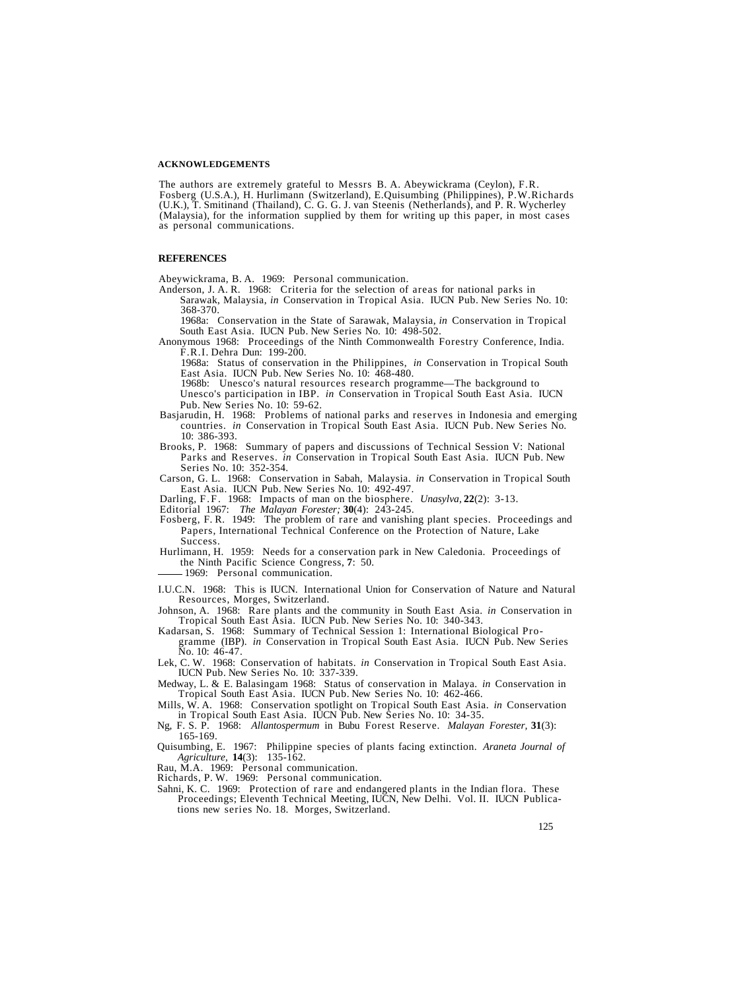#### **ACKNOWLEDGEMENTS**

The authors are extremely grateful to Messrs B. A. Abeywickrama (Ceylon), F.R.<br>Fosberg (U.S.A.), H. Hurlimann (Switzerland), E.Quisumbing (Philippines), P.W.Richards<br>(U.K.), T. Smitinand (Thailand), C. G. G. J. van Steenis (Malaysia), for the information supplied by them for writing up this paper, in most cases as personal communications.

#### **REFERENCES**

Abeywickrama, B. A. 1969: Personal communication.

Anderson, J. A. R. 1968: Criteria for the selection of areas for national parks in Sarawak, Malaysia, *in* Conservation in Tropical Asia. IUCN Pub. New Series No. 10: 368-370.

1968a: Conservation in the State of Sarawak, Malaysia, *in* Conservation in Tropical

Anonymous 1968: Proceedings of the Ninth Commonwealth Forestry Conference, India. F.R.I. Dehra Dun: 199-200.

1968a: Status of conservation in the Philippines, *in* Conservation in Tropical South East Asia. IUCN Pub. New Series No. 10: 468-480.

1968b: Unesco's natural resources research programme—The background to Unesco's participation in IBP. *in* Conservation in Tropical South East Asia. IUCN

- Basjarudin, H. 1968: Problems of national parks and reserves in Indonesia and emerging countries. *in* Conservation in Tropical South East Asia. IUCN Pub. New Series No. 10: 386-393. Brooks, P. 1968: Summary of papers and discussions of Technical Session V: National
- Parks and Reserves. *in* Conservation in Tropical South East Asia. IUCN Pub. New
- Carson, G. L. 1968: Conservation in Sabah, Malaysia. *in* Conservation in Tropical South East Asia. IUCN Pub. New Series No. 10: 492-497.
- 
- 
- Darling, F.F. 1968: Impacts of man on the biosphere. *Unasylva*, 22(2): 3-13.<br>Editorial 1967: *The Malayan Forester*; 30(4): 243-245.<br>Fosberg, F.R. 1949: The problem of rare and vanishing plant species. Proceedings and Papers, International Technical Conference on the Protection of Nature, Lake
- Success. Hurlimann, H. 1959: Needs for a conservation park in New Caledonia. Proceedings of the Ninth Pacific Science Congress, **7**: 50. 1969: Personal communication.
	-
- I.U.C.N. 1968: This is IUCN. International Union for Conservation of Nature and Natural Resources, Morges, Switzerland.
- 
- Johnson, A. 1968: Rare plants and the community in South East Asia. *in* Conservation in Tropical South East Asia. IUCN Pub. New Series No. 10: 340-343.<br>Kadarsan, S. 1968: Summary of Technical Session 1: International Biol
- Lek, C. W. 1968: Conservation of habitats. *in* Conservation in Tropical South East Asia. IUCN Pub. New Series No. 10: 337-339.
- Medway, L. & E. Balasingam 1968: Status of conservation in Malaya. *in* Conservation in Tropical South East Asia. IUCN Pub. New Series No. 10: 462-466.
- Mills, W. A. 1968: Conservation spotlight on Tropical South East Asia. in Conservation<br>in Tropical South East Asia. IUCN Pub. New Series No. 10: 34-35.<br>Ng, F. S. P. 1968: Allantospermum in Bubu Forest Reserve. *Malayan For*
- 
- Quisumbing, E. 1967: Philippine species of plants facing extinction. *Araneta Journal of Agriculture,* **14**(3): 135-162.
- 
- Rau, M.A. 1969: Personal communication. Richards, P. W. 1969: Personal communication.
- Sahni, K. C. 1969: Protection of rare and endangered plants in the Indian flora. These Proceedings; Eleventh Technical Meeting, IUCN, New Delhi. Vol. II. IUCN Publica- tions new series No. 18. Morges, Switzerland.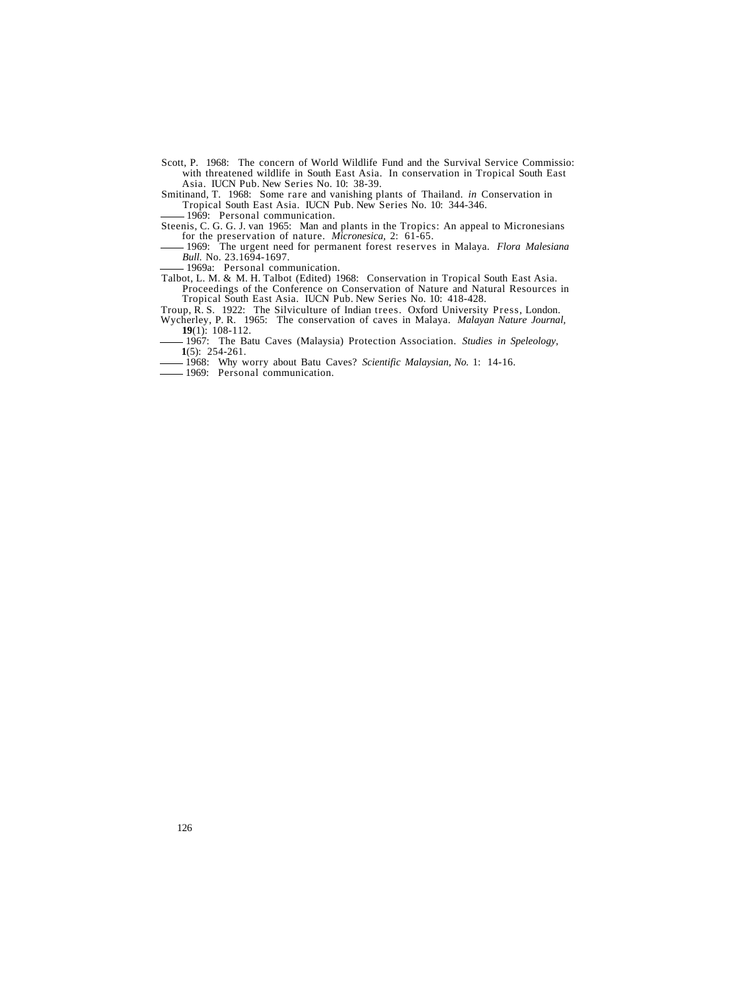Scott, P. 1968: The concern of World Wildlife Fund and the Survival Service Commissio: with threatened wildlife in South East Asia. In conservation in Tropical South East Asia. IUCN Pub. New Series No. 10: 38-39.

Smitinand, T. 1968: Some rare and vanishing plants of Thailand. *in* Conservation in Tropical South East Asia. IUCN Pub. New Series No. 10: 344-346.

<sup>1969</sup>: Personal communication.<br>Steenis, C. G. G. J. van 1965: Man and plants in the Tropics: An appeal to Micronesians for the preservation of nature. *Micronesica*, 2: 61-65.<br>- 1969: The urgent need for permanent forest reserves in Malaya. *Flora Malesiana* 

*Bull.* No. 23.1694-1697.<br>- 1969a: Personal communication.

Talbot, L. M. & M. H. Talbot (Edited) 1968: Conservation in Tropical South East Asia.<br>Proceedings of the Conference on Conservation of Nature and Natural Resources in

Propical South East Asia. IUCN Pub. New Series No. 10: 418-428.<br>Troup, R. S. 1922: The Silviculture of Indian trees. Oxford University Press, London.

Wycherley, P. R. 1965: The conservation of caves in Malaya. *Malayan Nature Journal*, **19**(1): 108-112.

1967: The Batu Caves (Malaysia) Protection Association. *Studies in Speleology,* **1**(5): 254-261.

1968: Why worry about Batu Caves? *Scientific Malaysian, No.* 1: 14-16.

1969: Personal communication.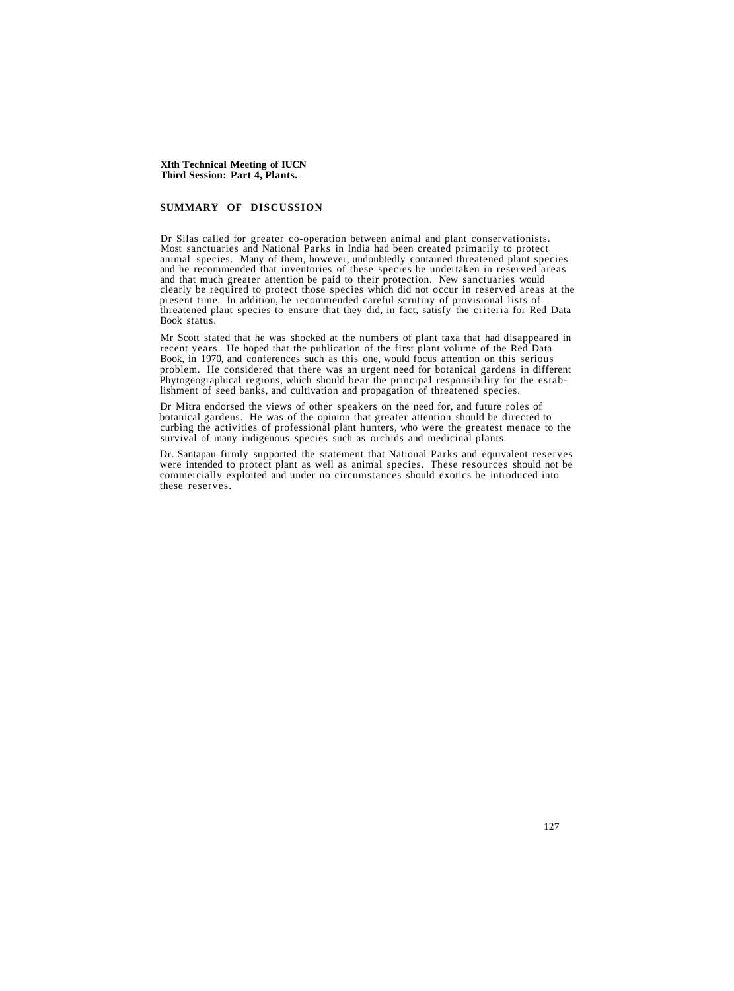# **SUMMARY OF DISCUSSION**

Dr Silas called for greater co-operation between animal and plant conservationists. Most sanctuaries and National Parks in India had been created primarily to protect and he recommended that inventories of these species be undertaken in reserved areas<br>and that much greater attention be paid to their protection. New sanctuaries would<br>clearly be required to protect those species which did present time. In addition, he recommended careful scrutiny of provisional lists of threatened plant species to ensure that they did, in fact, satisfy the criteria for Red Data Book status.

Mr Scott stated that he was shocked at the numbers of plant taxa that had disappeared in recent years. He hoped that the publication of the first plant volume of the Red Data Book, in 1970, and conferences such as this one, would focus attention on this serious problem. He considered that there was an urgent need for botanical gardens in different Phytogeographical regions, which should bear the principal responsibility for the establishment of seed banks, and cultivation and propagation of threatened species.

Dr Mitra endorsed the views of other speakers on the need for, and future roles of botanical gardens. He was of the opinion that greater attention should be directed to curbing the activities of professional plant hunters, who were the greatest menace to the survival of many indigenous species such as orchids and medicinal plants.

Dr. Santapau firmly supported the statement that National Parks and equivalent reserves were intended to protect plant as well as animal species. These resources should not be commercially exploited and under no circumstances should exotics be introduced into these reserves.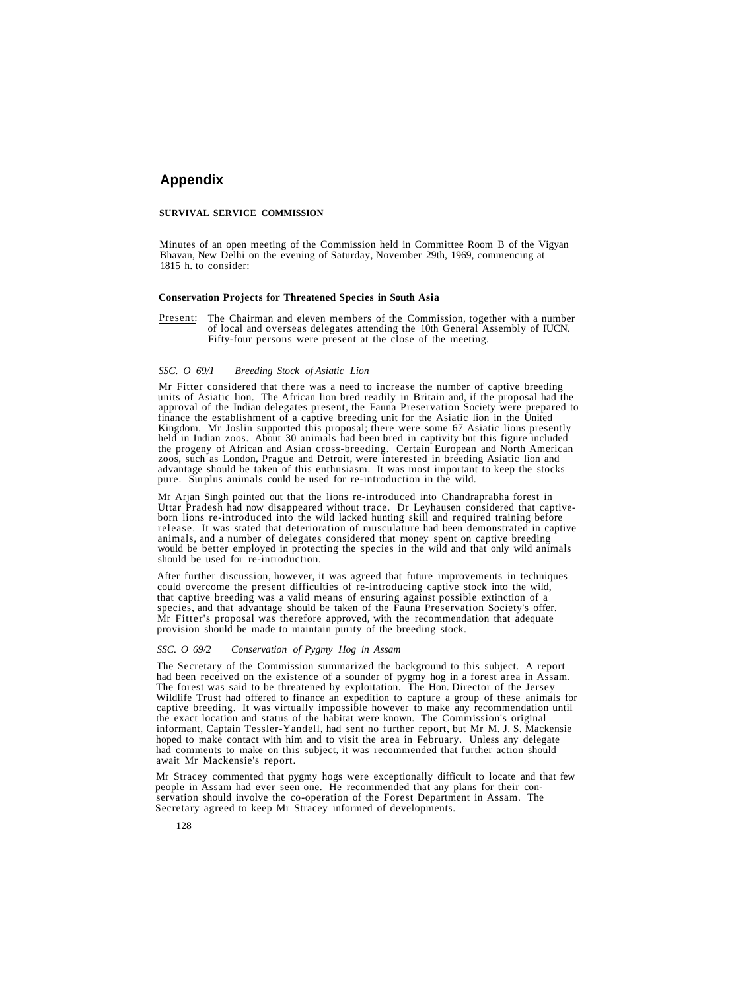# **Appendix**

#### **SURVIVAL SERVICE COMMISSION**

Minutes of an open meeting of the Commission held in Committee Room B of the Vigyan Bhavan, New Delhi on the evening of Saturday, November 29th, 1969, commencing at 1815 h. to consider:

#### **Conservation Projects for Threatened Species in South Asia**

Present: The Chairman and eleven members of the Commission, together with a number of local and overseas delegates attending the 10th General Assembly of IUCN. Fifty-four persons were present at the close of the meeting.

#### *SSC. O 69/1 Breeding Stock of Asiatic Lion*

Mr Fitter considered that there was a need to increase the number of captive breeding units of Asiatic lion. The African lion bred readily in Britain and, if the proposal had the approval of the Indian delegates present, the Fauna Preservation Society were prepared to finance the establishment of a captive breeding unit for the Asiatic lion in the United Kingdom. Mr Joslin supported this proposal; there were some 67 Asiatic lions presently held in Indian zoos. About 30 animals had been bred in captivity but this figure included the progeny of African and Asian cross-breeding. Certain European and North American zoos, such as London, Prague and Detroit, were interested in breeding Asiatic lion and advantage should be taken of this enthusiasm. It w pure. Surplus animals could be used for re-introduction in the wild.

Mr Arjan Singh pointed out that the lions re-introduced into Chandraprabha forest in<br>Uttar Pradesh had now disappeared without trace. Dr Leyhausen considered that captive-<br>born lions re-introduced into the wild lacked hunt would be better employed in protecting the species in the wild and that only wild animals should be used for re-introduction.

After further discussion, however, it was agreed that future improvements in techniques could overcome the present difficulties of re-introducing captive stock into the wild, that captive breeding was a valid means of ensuring against possible extinction of a species, and that advantage should be taken of the Fauna Preservation Society's offer. Mr Fitter's proposal was therefore approved, with the recommendation that adequate provision should be made to maintain purity of the breeding stock.

#### *SSC. O 69/2 Conservation of Pygmy Hog in Assam*

The Secretary of the Commission summarized the background to this subject. A report had been received on the existence of a sounder of pygmy hog in a forest area in Assam. The forest was said to be threatened by exploitation. The Hon. Director of the Jersey Wildlife Trust had offered to finance an expedition to capture a group of these animals for captive breeding. It was virtually impossible however to make any recommendation until the exact location and status of the habitat were known. The Commission's original informant, Captain Tessler-Yandell, had sent no further report, but Mr M. J. S. Mackensie hoped to make contact with him and to visit the area in February. Unless any delegate had comments to make on this subject, it was recommended that further action should await Mr Mackensie's report.

Mr Stracey commented that pygmy hogs were exceptionally difficult to locate and that few people in Assam had ever seen one. He recommended that any plans for their conservation should involve the co-operation of the Forest Department in Assam. The Secretary agreed to keep Mr Stracey informed of developments.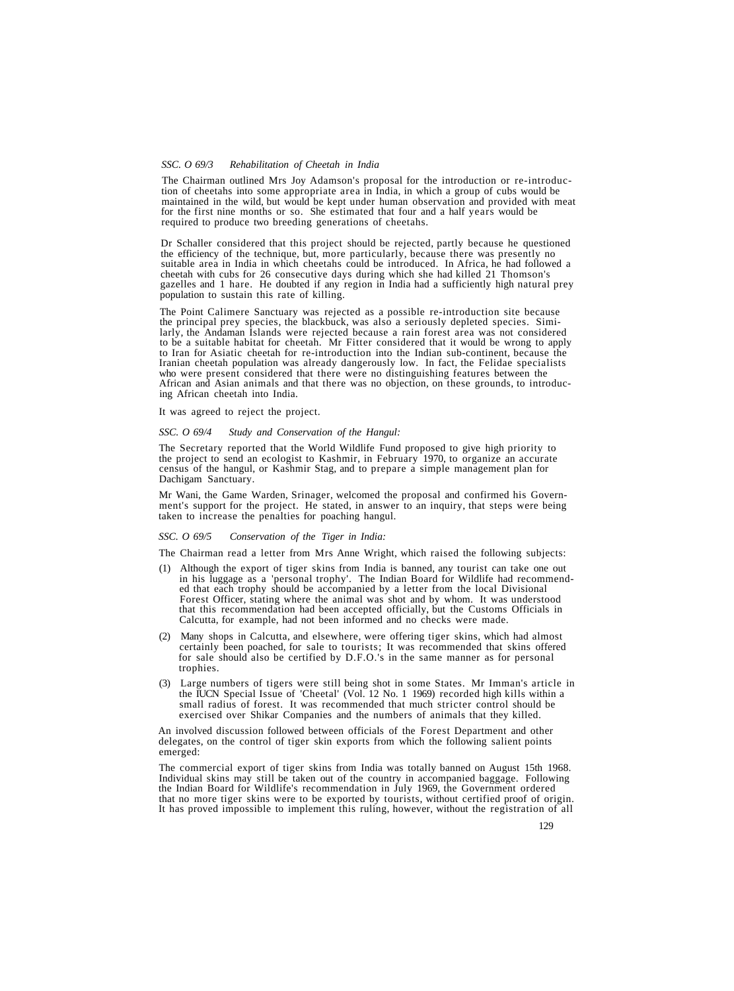#### *SSC. O 69/3 Rehabilitation of Cheetah in India*

The Chairman outlined Mrs Joy Adamson's proposal for the introduction or re-introduction of cheetahs into some appropriate area in India, in which a group of cubs would be maintained in the wild, but would be kept under hu for the first nine months or so. She estimated that four and a half years would be required to produce two breeding generations of cheetahs.

Dr Schaller considered that this project should be rejected, partly because he questioned the efficiency of the technique, but, more particularly, because there was presently no suitable area in India in which cheetahs could be introduced. In Africa, he had followed a cheetah with cubs for 26 consecutive days during which she had killed 21 Thomson's gazelles and 1 hare. He doubted if any region in population to sustain this rate of killing.

The Point Calimere Sanctuary was rejected as a possible re-introduction site because<br>the principal prey species, the blackbuck, was also a seriously depleted species. Simi-<br>larly, the Andaman Islands were rejected because to be a suitable habitat for cheetah. Mr Fitter considered that it would be wrong to apply to Iran for Asiatic cheetah for re-introduction into the Indian sub-continent, because the Iranian cheetah population was already dangerously low. In fact, the Felidae specialists who were present considered that there were no distinguishing features between the African and Asian animals and that there was no ob

It was agreed to reject the project.

#### *SSC. O 69/4 Study and Conservation of the Hangul:*

The Secretary reported that the World Wildlife Fund proposed to give high priority to the project to send an ecologist to Kashmir, in February 1970, to organize an accurate census of the hangul, or Kashmir Stag, and to pre

Mr Wani, the Game Warden, Srinager, welcomed the proposal and confirmed his Government's support for the project. He stated, in answer to an inquiry, that steps were being taken to increase the penalties for poaching hangul.

#### *SSC. O 69/5 Conservation of the Tiger in India:*

The Chairman read a letter from Mrs Anne Wright, which raised the following subjects:

- (1) Although the export of tiger skins from India is banned, any tourist can take one out in his luggage as a 'personal trophy'. The Indian Board for Wildlife had recommend- ed that each trophy should be accompanied by a letter from the local Divisional Forest Officer, stating where the animal was shot and by whom. It was understood that this recommendation had been accepted officially, but the Customs Officials in Calcutta, for example, had not been informed and no checks were made.
- (2) Many shops in Calcutta, and elsewhere, were offering tiger skins, which had almost certainly been poached, for sale to tourists; It was recommended that skins offered for sale should also be certified by D.F.O.'s in the same manner as for personal trophies.
- (3) Large numbers of tigers were still being shot in some States. Mr Imman's article in the IUCN Special Issue of 'Cheetal' (Vol. 12 No. 1 1969) recorded high kills within a small radius of forest. It was recommended that much stricter control should be exercised over Shikar Companies and the numbers of animals that they killed.

An involved discussion followed between officials of the Forest Department and other delegates, on the control of tiger skin exports from which the following salient points emerged:

The commercial export of tiger skins from India was totally banned on August 15th 1968. Individual skins may still be taken out of the country in accompanied baggage. Following the Indian Board for Wildlife's recommendation in July 1969, the Government ordered that no more tiger skins were to be exported by tourists, without certified proof of origin. It has proved impossible to implement this ruling, however, without the registration of all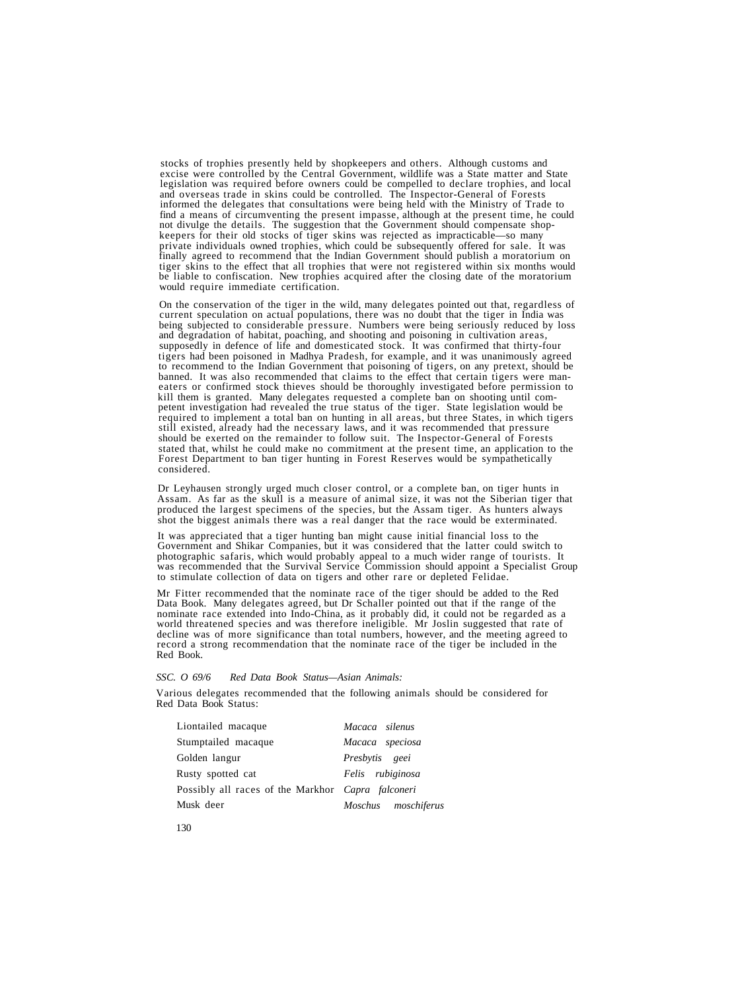stocks of trophies presently held by shopkeepers and others. Although customs and excise were controlled by the Central Government, wildlife was a State matter and State legislation was required before owners could be compelled to declare trophies, and local<br>and overseas trade in skins could be controlled. The Inspector-General of Forests<br>informed the delegates that consultations were bein finally agreed to recommend that the Indian Government should publish a moratorium on tiger skins to the effect that all trophies that were not registered within six months would be liable to confiscation. New trophies acquired after the closing date of the moratorium would require immediate certification.

On the conservation of the tiger in the wild, many delegates pointed out that, regardless of current speculation on actual populations, there was no doubt that the tiger in India was being subjected to considerable pressur banned. It was also recommended that claims to the effect that certain tigers were maneaters or confirmed stock thieves should be thoroughly investigated before permission to kill them is granted. Many delegates requested considered.

Dr Leyhausen strongly urged much closer control, or a complete ban, on tiger hunts in Assam. As far as the skull is a measure of animal size, it was not the Siberian tiger that produced the largest specimens of the species, but the Assam tiger. As hunters always shot the biggest animals there was a real danger that the race would be exterminated.

It was appreciated that a tiger hunting ban might cause initial financial loss to the<br>Government and Shikar Companies, but it was considered that the latter could switch to<br>photographic safaris, which would probably appeal to stimulate collection of data on tigers and other rare or depleted Felidae.

Mr Fitter recommended that the nominate race of the tiger should be added to the Red nominate race extended into Indo-China, as it probably did, it could not be regarded as a world threatened species and was therefore ineligible. Mr Joslin suggested that rate of decline was of more significance than total record a strong recommendation that the nominate race of the tiger be included in the Red Book.

*SSC. O 69/6 Red Data Book Status—Asian Animals:*

Various delegates recommended that the following animals should be considered for Red Data Book Status:

| Liontailed macaque                                       | Macaca silenus      |
|----------------------------------------------------------|---------------------|
| Stumptailed macaque                                      | Macaca speciosa     |
| Golden langur                                            | Presbytis geei      |
| Rusty spotted cat                                        | Felis rubiginosa    |
| Possibly all races of the Markhor <i>Capra falconeri</i> |                     |
| Musk deer                                                | Moschus moschiferus |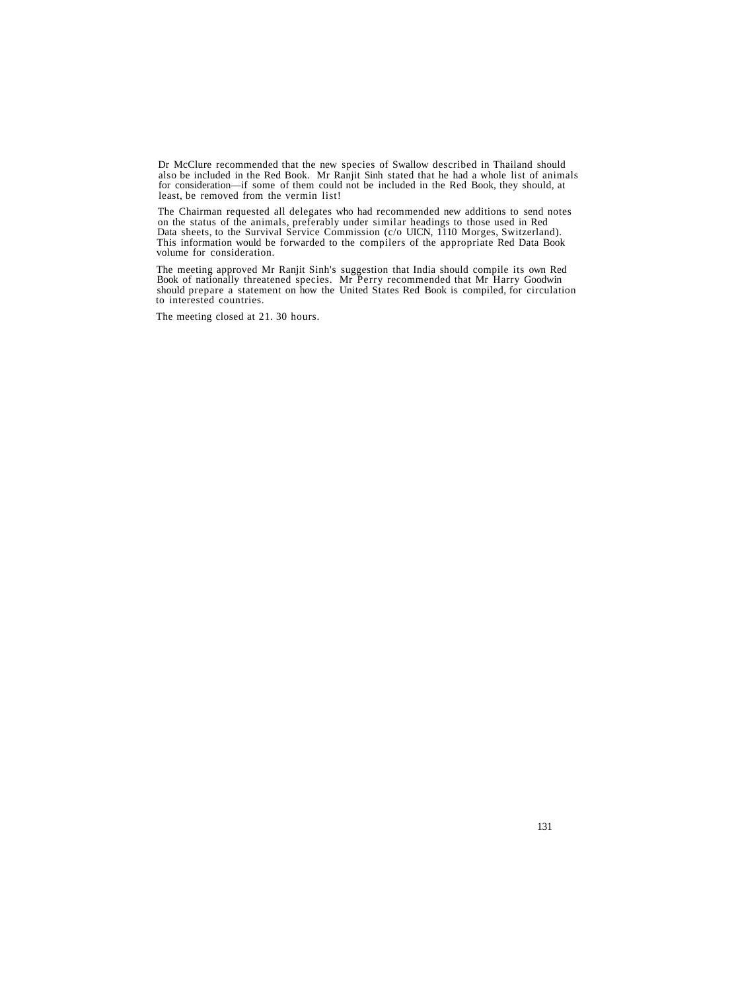Dr McClure recommended that the new species of Swallow described in Thailand should also be included in the Red Book. Mr Ranjit Sinh stated that he had a whole list of animals for consideration—if some of them could not be included in the Red Book, they should, at least, be removed from the vermin list!

The Chairman requested all delegates who had recommended new additions to send notes on the status of the animals, preferably under similar headings to those used in Red Data sheets, to the Survival Service Commission (c/o This information would be forwarded to the compilers of the appropriate Red Data Book volume for consideration.

The meeting approved Mr Ranjit Sinh's suggestion that India should compile its own Red Book of nationally threatened species. Mr Perry recommended that Mr Harry Goodwin should prepare a statement on how the United States Red Book is compiled, for circulation to interested countries.

The meeting closed at 21. 30 hours.